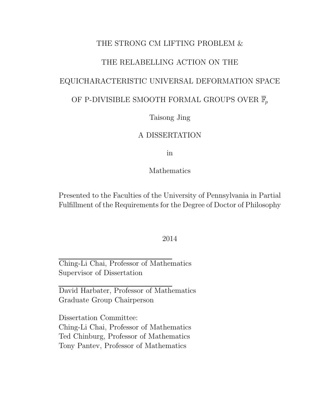### THE STRONG CM LIFTING PROBLEM &

### THE RELABELLING ACTION ON THE

### EQUICHARACTERISTIC UNIVERSAL DEFORMATION SPACE

### OF P-DIVISIBLE SMOOTH FORMAL GROUPS OVER  $\overline{\mathbb{F}}_p$

### Taisong Jing

### A DISSERTATION

in

### Mathematics

Presented to the Faculties of the University of Pennsylvania in Partial Fulfillment of the Requirements for the Degree of Doctor of Philosophy

#### 2014

Ching-Li Chai, Professor of Mathematics Supervisor of Dissertation

David Harbater, Professor of Mathematics Graduate Group Chairperson

Dissertation Committee: Ching-Li Chai, Professor of Mathematics Ted Chinburg, Professor of Mathematics Tony Pantev, Professor of Mathematics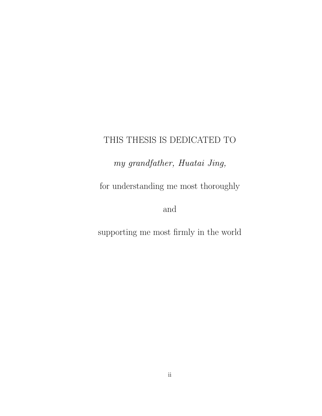### THIS THESIS IS DEDICATED TO

my grandfather, Huatai Jing,

for understanding me most thoroughly

and

supporting me most firmly in the world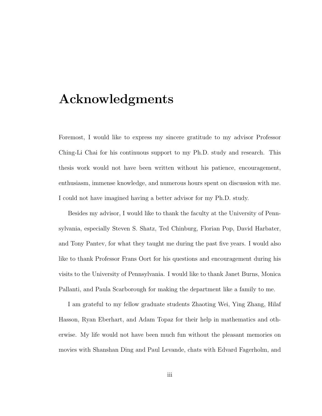# Acknowledgments

Foremost, I would like to express my sincere gratitude to my advisor Professor Ching-Li Chai for his continuous support to my Ph.D. study and research. This thesis work would not have been written without his patience, encouragement, enthusiasm, immense knowledge, and numerous hours spent on discussion with me. I could not have imagined having a better advisor for my Ph.D. study.

Besides my advisor, I would like to thank the faculty at the University of Pennsylvania, especially Steven S. Shatz, Ted Chinburg, Florian Pop, David Harbater, and Tony Pantev, for what they taught me during the past five years. I would also like to thank Professor Frans Oort for his questions and encouragement during his visits to the University of Pennsylvania. I would like to thank Janet Burns, Monica Pallanti, and Paula Scarborough for making the department like a family to me.

I am grateful to my fellow graduate students Zhaoting Wei, Ying Zhang, Hilaf Hasson, Ryan Eberhart, and Adam Topaz for their help in mathematics and otherwise. My life would not have been much fun without the pleasant memories on movies with Shanshan Ding and Paul Levande, chats with Edvard Fagerholm, and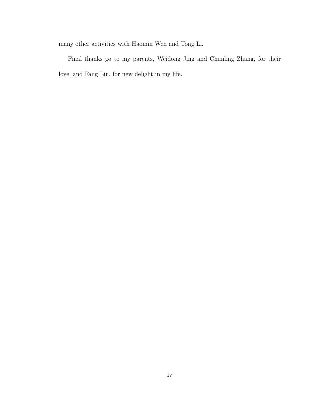many other activities with Haomin Wen and Tong Li.

Final thanks go to my parents, Weidong Jing and Chunling Zhang, for their love, and Fang Liu, for new delight in my life.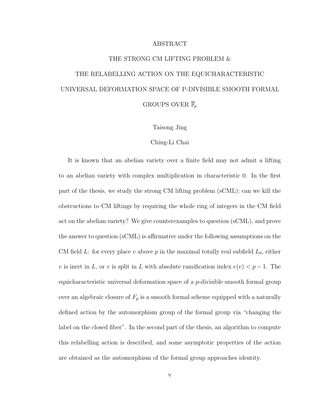#### ABSTRACT

# THE STRONG CM LIFTING PROBLEM & THE RELABELLING ACTION ON THE EQUICHARACTERISTIC UNIVERSAL DEFORMATION SPACE OF P-DIVISIBLE SMOOTH FORMAL GROUPS OVER  $\overline{\mathbb{F}}_p$

Taisong Jing

#### Ching-Li Chai

It is known that an abelian variety over a finite field may not admit a lifting to an abelian variety with complex multiplication in characteristic 0. In the first part of the thesis, we study the strong CM lifting problem (sCML): can we kill the obstructions to CM liftings by requiring the whole ring of integers in the CM field act on the abelian variety? We give counterexamples to question (sCML), and prove the answer to question (sCML) is affirmative under the following assumptions on the CM field L: for every place v above p in the maximal totally real subfield  $L_0$ , either v is inert in L, or v is split in L with absolute ramification index  $e(v) < p-1$ . The equicharacteristic universal deformation space of a  $p$ -divisible smooth formal group over an algebraic closure of  $F_p$  is a smooth formal scheme equipped with a naturally defined action by the automorphism group of the formal group via "changing the label on the closed fiber". In the second part of the thesis, an algorithm to compute this relabelling action is described, and some asymptotic properties of the action are obtained as the automorphism of the formal group approaches identity.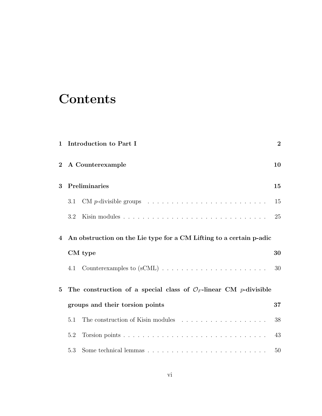# **Contents**

| $\mathbf{1}$   |         | Introduction to Part I                                                                | $\bf{2}$ |
|----------------|---------|---------------------------------------------------------------------------------------|----------|
| $\overline{2}$ |         | A Counterexample                                                                      | 10       |
| 3              |         | Preliminaries                                                                         | 15       |
|                | 3.1     | $CM$ <i>p</i> -divisible groups $\ldots \ldots \ldots \ldots \ldots \ldots \ldots$    | 15       |
|                | 3.2     |                                                                                       | 25       |
| $\overline{4}$ |         | An obstruction on the Lie type for a CM Lifting to a certain p-adic                   |          |
|                | CM type |                                                                                       | 30       |
|                | 4.1     |                                                                                       | 30       |
| $\bf{5}$       |         | The construction of a special class of $\mathcal{O}_F$ -linear CM <i>p</i> -divisible |          |
|                |         | groups and their torsion points                                                       | 37       |
|                | 5.1     |                                                                                       | 38       |
|                | 5.2     |                                                                                       | 43       |
|                | 5.3     |                                                                                       | 50       |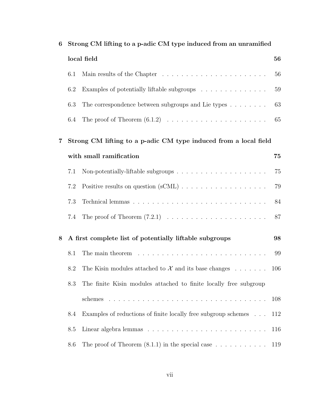| 6 |     | Strong CM lifting to a p-adic CM type induced from an unramified                |     |
|---|-----|---------------------------------------------------------------------------------|-----|
|   |     | local field                                                                     | 56  |
|   | 6.1 |                                                                                 | 56  |
|   | 6.2 | Examples of potentially liftable subgroups                                      | 59  |
|   | 6.3 | The correspondence between subgroups and Lie types $\dots \dots$                | 63  |
|   | 6.4 | The proof of Theorem $(6.1.2) \ldots \ldots \ldots \ldots \ldots \ldots \ldots$ | 65  |
| 7 |     | Strong CM lifting to a p-adic CM type induced from a local field                |     |
|   |     | with small ramification                                                         | 75  |
|   | 7.1 |                                                                                 | 75  |
|   | 7.2 |                                                                                 | 79  |
|   | 7.3 |                                                                                 | 84  |
|   | 7.4 | The proof of Theorem $(7.2.1) \ldots \ldots \ldots \ldots \ldots \ldots \ldots$ | 87  |
| 8 |     | A first complete list of potentially liftable subgroups                         | 98  |
|   | 8.1 |                                                                                 | 99  |
|   | 8.2 | The Kisin modules attached to $\mathcal X$ and its base changes                 | 106 |
|   | 8.3 | The finite Kisin modules attached to finite locally free subgroup               |     |
|   |     |                                                                                 | 108 |
|   | 8.4 | Examples of reductions of finite locally free subgroup schemes                  | 112 |
|   | 8.5 |                                                                                 | 116 |
|   | 8.6 | The proof of Theorem $(8.1.1)$ in the special case $\dots \dots \dots$          | 119 |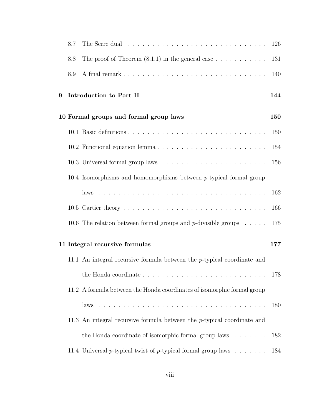|   | 8.7 | The Serre dual resources resources in the service of the Serre dual resources in the Serre dual resources in the Serre dual of the Serre dual of the Serre dual of the Serre dual of the Serre dual of the Serre dual of the S | 126 |
|---|-----|--------------------------------------------------------------------------------------------------------------------------------------------------------------------------------------------------------------------------------|-----|
|   | 8.8 | The proof of Theorem $(8.1.1)$ in the general case $\dots \dots \dots$                                                                                                                                                         | 131 |
|   | 8.9 |                                                                                                                                                                                                                                | 140 |
| 9 |     | Introduction to Part II                                                                                                                                                                                                        | 144 |
|   |     | 10 Formal groups and formal group laws                                                                                                                                                                                         | 150 |
|   |     |                                                                                                                                                                                                                                | 150 |
|   |     |                                                                                                                                                                                                                                | 154 |
|   |     |                                                                                                                                                                                                                                | 156 |
|   |     | 10.4 Isomorphisms and homomorphisms between $p$ -typical formal group                                                                                                                                                          |     |
|   |     |                                                                                                                                                                                                                                | 162 |
|   |     |                                                                                                                                                                                                                                | 166 |
|   |     | 10.6 The relation between formal groups and p-divisible groups $\dots$ .                                                                                                                                                       | 175 |
|   |     | 11 Integral recursive formulas                                                                                                                                                                                                 | 177 |
|   |     | 11.1 An integral recursive formula between the $p$ -typical coordinate and                                                                                                                                                     |     |
|   |     |                                                                                                                                                                                                                                | 178 |
|   |     | 11.2 A formula between the Honda coordinates of isomorphic formal group                                                                                                                                                        |     |
|   |     | laws                                                                                                                                                                                                                           | 180 |
|   |     | 11.3 An integral recursive formula between the $p$ -typical coordinate and                                                                                                                                                     |     |
|   |     | the Honda coordinate of isomorphic formal group laws $\dots \dots$                                                                                                                                                             | 182 |
|   |     | 11.4 Universal p-typical twist of p-typical formal group laws $\dots \dots$                                                                                                                                                    | 184 |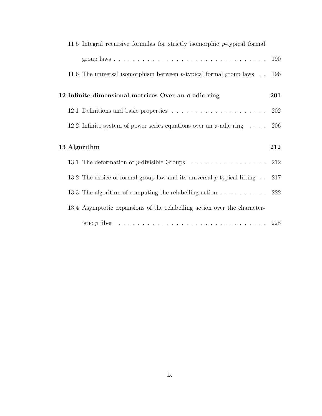|  | 11.5 Integral recursive formulas for strictly isomorphic $p$ -typical formal         |     |
|--|--------------------------------------------------------------------------------------|-----|
|  |                                                                                      |     |
|  | 11.6 The universal isomorphism between $p$ -typical formal group laws $\ldots$       | 196 |
|  | 12 Infinite dimensional matrices Over an a-adic ring                                 | 201 |
|  |                                                                                      |     |
|  | 12.2 Infinite system of power series equations over an $\alpha$ -adic ring  206      |     |
|  |                                                                                      |     |
|  | 13 Algorithm                                                                         | 212 |
|  | 13.1 The deformation of p-divisible Groups $\ldots \ldots \ldots \ldots \ldots$ 212  |     |
|  | 13.2 The choice of formal group law and its universal p-typical lifting $\ldots$ 217 |     |
|  | 13.3 The algorithm of computing the relabelling action 222                           |     |
|  | 13.4 Asymptotic expansions of the relabelling action over the character-             |     |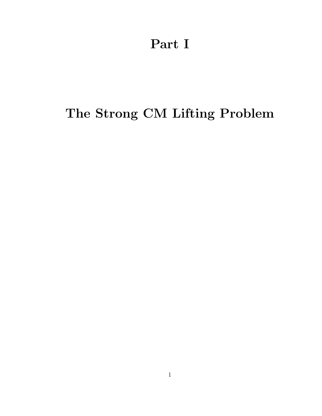Part I

# The Strong CM Lifting Problem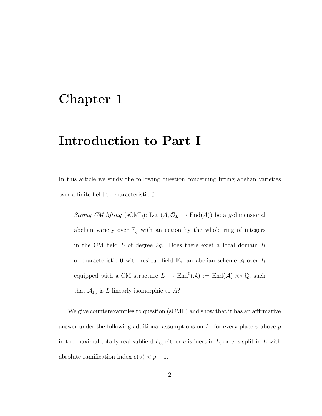# <span id="page-10-0"></span>Chapter 1

# Introduction to Part I

In this article we study the following question concerning lifting abelian varieties over a finite field to characteristic 0:

Strong CM lifting (sCML): Let  $(A, \mathcal{O}_L \hookrightarrow End(A))$  be a g-dimensional abelian variety over  $\mathbb{F}_q$  with an action by the whole ring of integers in the CM field  $L$  of degree  $2g$ . Does there exist a local domain  $R$ of characteristic 0 with residue field  $\mathbb{F}_q$ , an abelian scheme A over R equipped with a CM structure  $L \hookrightarrow \text{End}^0(\mathcal{A}) := \text{End}(\mathcal{A}) \otimes_{\mathbb{Z}} \mathbb{Q}$ , such that  $\mathcal{A}_{\mathbb{F}_q}$  is *L*-linearly isomorphic to A?

We give counterexamples to question (sCML) and show that it has an affirmative answer under the following additional assumptions on  $L$ : for every place v above p in the maximal totally real subfield  $L_0$ , either v is inert in L, or v is split in L with absolute ramification index  $e(v) < p - 1$ .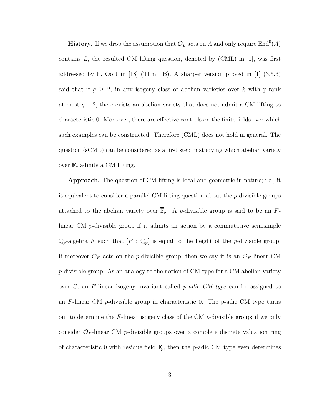**History.** If we drop the assumption that  $\mathcal{O}_L$  acts on A and only require  $\text{End}^0(A)$ contains L, the resulted CM lifting question, denoted by  $(CML)$  in [\[1\]](#page-243-0), was first addressed by F. Oort in [\[18\]](#page-245-0) (Thm. B). A sharper version proved in [\[1\]](#page-243-0) (3.5.6) said that if  $g \geq 2$ , in any isogeny class of abelian varieties over k with p-rank at most  $g - 2$ , there exists an abelian variety that does not admit a CM lifting to characteristic 0. Moreover, there are effective controls on the finite fields over which such examples can be constructed. Therefore (CML) does not hold in general. The question (sCML) can be considered as a first step in studying which abelian variety over  $\mathbb{F}_q$  admits a CM lifting.

Approach. The question of CM lifting is local and geometric in nature; i.e., it is equivalent to consider a parallel CM lifting question about the  $p$ -divisible groups attached to the abelian variety over  $\overline{\mathbb{F}}_p$ . A *p*-divisible group is said to be an *F*linear CM p-divisible group if it admits an action by a commutative semisimple  $\mathbb{Q}_p$ -algebra F such that  $[F : \mathbb{Q}_p]$  is equal to the height of the p-divisible group; if moreover  $\mathcal{O}_F$  acts on the p-divisible group, then we say it is an  $\mathcal{O}_F$ -linear CM p-divisible group. As an analogy to the notion of CM type for a CM abelian variety over  $\mathbb{C}$ , an F-linear isogeny invariant called *p-adic CM type* can be assigned to an  $F$ -linear CM p-divisible group in characteristic 0. The p-adic CM type turns out to determine the  $F$ -linear isogeny class of the CM  $p$ -divisible group; if we only consider  $\mathcal{O}_F$ -linear CM p-divisible groups over a complete discrete valuation ring of characteristic 0 with residue field  $\overline{\mathbb{F}}_p$ , then the p-adic CM type even determines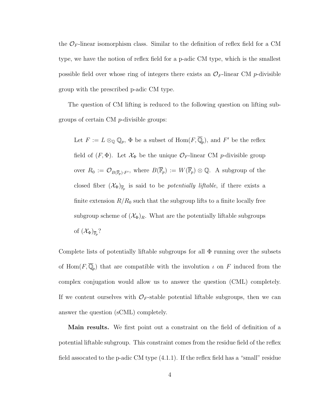the  $\mathcal{O}_F$ -linear isomorphism class. Similar to the definition of reflex field for a CM type, we have the notion of reflex field for a p-adic CM type, which is the smallest possible field over whose ring of integers there exists an  $\mathcal{O}_F$ -linear CM p-divisible group with the prescribed p-adic CM type.

The question of CM lifting is reduced to the following question on lifting subgroups of certain CM p-divisible groups:

Let  $F := L \otimes_{\mathbb{Q}} \mathbb{Q}_p$ ,  $\Phi$  be a subset of  $\text{Hom}(F, \overline{\mathbb{Q}}_p)$ , and  $F'$  be the reflex field of  $(F, \Phi)$ . Let  $\mathcal{X}_{\Phi}$  be the unique  $\mathcal{O}_F$ -linear CM p-divisible group over  $R_0 := \mathcal{O}_{B(\overline{\mathbb{F}}_p) \cdot F'}$ , where  $B(\overline{\mathbb{F}}_p) := W(\overline{\mathbb{F}}_p) \otimes \mathbb{Q}$ . A subgroup of the closed fiber  $(\mathcal{X}_{\Phi})_{\overline{\mathbb{F}}_p}$  is said to be *potentially liftable*, if there exists a finite extension  $R/R_0$  such that the subgroup lifts to a finite locally free subgroup scheme of  $(\mathcal{X}_{\Phi})_R$ . What are the potentially liftable subgroups of  $(\mathcal{X}_{\Phi})_{\overline{\mathbb{F}}_p}$ ?

Complete lists of potentially liftable subgroups for all  $\Phi$  running over the subsets of Hom $(F, \overline{\mathbb{Q}}_p)$  that are compatible with the involution  $\iota$  on F induced from the complex conjugation would allow us to answer the question (CML) completely. If we content ourselves with  $\mathcal{O}_F$ -stable potential liftable subgroups, then we can answer the question (sCML) completely.

Main results. We first point out a constraint on the field of definition of a potential liftable subgroup. This constraint comes from the residue field of the reflex field assocated to the p-adic CM type [\(4.1.1\)](#page-38-2). If the reflex field has a "small" residue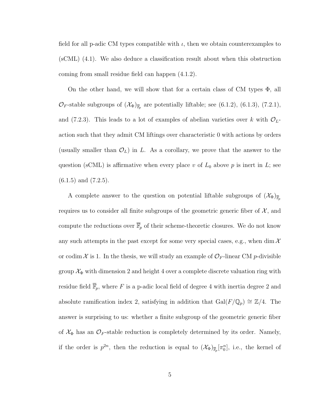field for all p-adic CM types compatible with  $\iota$ , then we obtain counterexamples to (sCML) [\(4.1\)](#page-38-1). We also deduce a classification result about when this obstruction coming from small residue field can happen [\(4.1.2\)](#page-40-0).

On the other hand, we will show that for a certain class of CM types  $\Phi$ , all  $\mathcal{O}_F$ -stable subgroups of  $(\mathcal{X}_{\Phi})_{\overline{\mathbb{F}}_p}$  are potentially liftable; see [\(6.1.2\)](#page-65-0), [\(6.1.3\)](#page-65-1), [\(7.2.1\)](#page-88-0), and [\(7.2.3\)](#page-88-1). This leads to a lot of examples of abelian varieties over k with  $\mathcal{O}_L$ action such that they admit CM liftings over characteristic 0 with actions by orders (usually smaller than  $\mathcal{O}_L$ ) in L. As a corollary, we prove that the answer to the question (sCML) is affirmative when every place v of  $L_0$  above p is inert in L; see  $(6.1.5)$  and  $(7.2.5)$ .

A complete answer to the question on potential liftable subgroups of  $(\mathcal{X}_{\Phi})_{\overline{\mathbb{F}}_p}$ requires us to consider all finite subgroups of the geometric generic fiber of  $\mathcal{X}$ , and compute the reductions over  $\overline{\mathbb{F}}_p$  of their scheme-theoretic closures. We do not know any such attempts in the past except for some very special cases, e.g., when dim  $\mathcal{X}$ or codim  $\mathcal X$  is 1. In the thesis, we will study an example of  $\mathcal O_F$ -linear CM p-divisible group  $\mathcal{X}_{\Phi}$  with dimension 2 and height 4 over a complete discrete valuation ring with residue field  $\overline{\mathbb{F}}_p$ , where F is a p-adic local field of degree 4 with inertia degree 2 and absolute ramification index 2, satisfying in addition that Gal( $F/\mathbb{Q}_p$ ) ≅  $\mathbb{Z}/4$ . The answer is surprising to us: whether a finite subgroup of the geometric generic fiber of  $\mathcal{X}_{\Phi}$  has an  $\mathcal{O}_F$ -stable reduction is completely determined by its order. Namely, if the order is  $p^{2n}$ , then the reduction is equal to  $(\mathcal{X}_{\Phi})_{\overline{\mathbb{F}}_p}[\pi_0^n]$ , i.e., the kernel of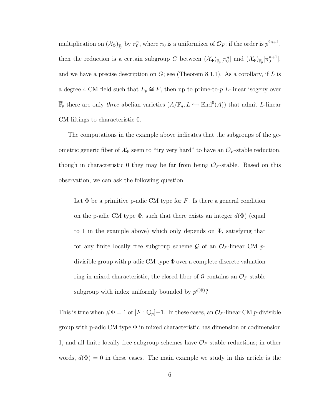multiplication on  $(\mathcal{X}_{\Phi})_{\overline{\mathbb{F}}_p}$  by  $\pi_0^n$ , where  $\pi_0$  is a uniformizer of  $\mathcal{O}_F$ ; if the order is  $p^{2n+1}$ , then the reduction is a certain subgroup G between  $(\mathcal{X}_{\Phi})_{\overline{\mathbb{F}}_p} [\pi_0^n]$  and  $(\mathcal{X}_{\Phi})_{\overline{\mathbb{F}}_p} [\pi_0^{n+1}]$ , and we have a precise description on  $G$ ; see (Theorem [8.1.1\)](#page-109-0). As a corollary, if L is a degree 4 CM field such that  $L_p \cong F$ , then up to prime-to-p L-linear isogeny over  $\overline{\mathbb{F}}_p$  there are only *three* abelian varieties  $(A/\mathbb{F}_q, L \hookrightarrow \text{End}^0(A))$  that admit *L*-linear CM liftings to characteristic 0.

The computations in the example above indicates that the subgroups of the geometric generic fiber of  $\mathcal{X}_{\Phi}$  seem to "try very hard" to have an  $\mathcal{O}_F$ -stable reduction, though in characteristic 0 they may be far from being  $\mathcal{O}_F$ -stable. Based on this observation, we can ask the following question.

Let  $\Phi$  be a primitive p-adic CM type for F. Is there a general condition on the p-adic CM type  $\Phi$ , such that there exists an integer  $d(\Phi)$  (equal to 1 in the example above) which only depends on  $\Phi$ , satisfying that for any finite locally free subgroup scheme  $\mathcal G$  of an  $\mathcal O_F$ -linear CM pdivisible group with p-adic CM type Φ over a complete discrete valuation ring in mixed characteristic, the closed fiber of  $\mathcal G$  contains an  $\mathcal O_F$ -stable subgroup with index uniformly bounded by  $p^{d(\Phi)}$ ?

This is true when  $\#\Phi = 1$  or  $[F : \mathbb{Q}_p]-1$ . In these cases, an  $\mathcal{O}_F$ -linear CM p-divisible group with p-adic CM type  $\Phi$  in mixed characteristic has dimension or codimension 1, and all finite locally free subgroup schemes have  $\mathcal{O}_F$ -stable reductions; in other words,  $d(\Phi) = 0$  in these cases. The main example we study in this article is the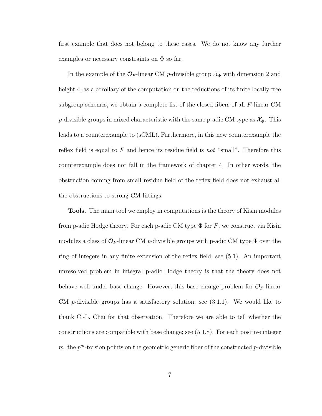first example that does not belong to these cases. We do not know any further examples or necessary constraints on  $\Phi$  so far.

In the example of the  $\mathcal{O}_F$ -linear CM p-divisible group  $\mathcal{X}_\Phi$  with dimension 2 and height 4, as a corollary of the computation on the reductions of its finite locally free subgroup schemes, we obtain a complete list of the closed fibers of all F-linear CM p-divisible groups in mixed characteristic with the same p-adic CM type as  $\mathcal{X}_{\Phi}$ . This leads to a counterexample to (sCML). Furthermore, in this new counterexample the reflex field is equal to  $F$  and hence its residue field is *not* "small". Therefore this counterexample does not fall in the framework of chapter 4. In other words, the obstruction coming from small residue field of the reflex field does not exhaust all the obstructions to strong CM liftings.

Tools. The main tool we employ in computations is the theory of Kisin modules from p-adic Hodge theory. For each p-adic CM type  $\Phi$  for F, we construct via Kisin modules a class of  $\mathcal{O}_F$ -linear CM p-divisible groups with p-adic CM type  $\Phi$  over the ring of integers in any finite extension of the reflex field; see [\(5.1\)](#page-46-0). An important unresolved problem in integral p-adic Hodge theory is that the theory does not behave well under base change. However, this base change problem for  $\mathcal{O}_F$ -linear CM p-divisible groups has a satisfactory solution; see  $(3.1.1)$ . We would like to thank C.-L. Chai for that observation. Therefore we are able to tell whether the constructions are compatible with base change; see [\(5.1.8\)](#page-50-0). For each positive integer  $m$ , the  $p<sup>m</sup>$ -torsion points on the geometric generic fiber of the constructed  $p$ -divisible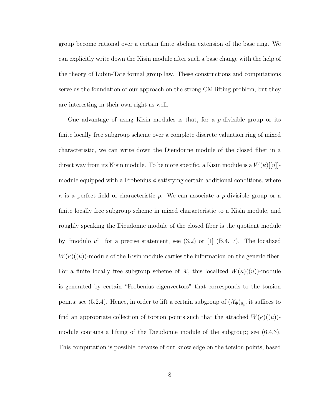group become rational over a certain finite abelian extension of the base ring. We can explicitly write down the Kisin module after such a base change with the help of the theory of Lubin-Tate formal group law. These constructions and computations serve as the foundation of our approach on the strong CM lifting problem, but they are interesting in their own right as well.

One advantage of using Kisin modules is that, for a p-divisible group or its finite locally free subgroup scheme over a complete discrete valuation ring of mixed characteristic, we can write down the Dieudonne module of the closed fiber in a direct way from its Kisin module. To be more specific, a Kisin module is a  $W(\kappa)[[u]]$ module equipped with a Frobenius  $\phi$  satisfying certain additional conditions, where  $\kappa$  is a perfect field of characteristic p. We can associate a p-divisible group or a finite locally free subgroup scheme in mixed characteristic to a Kisin module, and roughly speaking the Dieudonne module of the closed fiber is the quotient module by "modulo  $u$ "; for a precise statement, see  $(3.2)$  or  $[1]$   $(B.4.17)$ . The localized  $W(\kappa)((u))$ -module of the Kisin module carries the information on the generic fiber. For a finite locally free subgroup scheme of  $\mathcal{X}$ , this localized  $W(\kappa)((u))$ -module is generated by certain "Frobenius eigenvectors" that corresponds to the torsion points; see [\(5.2.4\)](#page-55-0). Hence, in order to lift a certain subgroup of  $(\mathcal{X}_{\Phi})_{\overline{\mathbb{F}}_p}$ , it suffices to find an appropriate collection of torsion points such that the attached  $W(\kappa)((u))$ module contains a lifting of the Dieudonne module of the subgroup; see [\(6.4.3\)](#page-76-0). This computation is possible because of our knowledge on the torsion points, based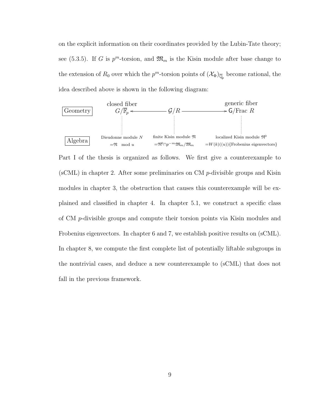on the explicit information on their coordinates provided by the Lubin-Tate theory; see [\(5.3.5\)](#page-62-0). If G is  $p^m$ -torsion, and  $\mathfrak{M}_m$  is the Kisin module after base change to the extension of  $R_0$  over which the  $p^m$ -torsion points of  $(\mathcal{X}_{\Phi})_{\overline{\mathbb{Q}}_p}$  become rational, the idea described above is shown in the following diagram:



Part I of the thesis is organized as follows. We first give a counterexample to  $(\text{sCML})$  in chapter [2.](#page-18-0) After some preliminaries on CM p-divisible groups and Kisin modules in chapter [3,](#page-23-0) the obstruction that causes this counterexample will be explained and classified in chapter [4.](#page-38-0) In chapter [5.1,](#page-46-0) we construct a specific class of CM p-divisible groups and compute their torsion points via Kisin modules and Frobenius eigenvectors. In chapter [6](#page-64-0) and [7,](#page-83-0) we establish positive results on (sCML). In chapter [8,](#page-106-0) we compute the first complete list of potentially liftable subgroups in the nontrivial cases, and deduce a new counterexample to (sCML) that does not fall in the previous framework.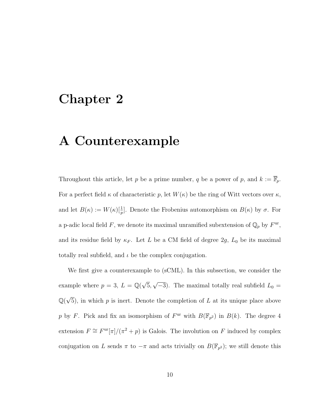## <span id="page-18-0"></span>Chapter 2

# A Counterexample

Throughout this article, let p be a prime number, q be a power of p, and  $k := \overline{\mathbb{F}}_p$ . For a perfect field  $\kappa$  of characteristic p, let  $W(\kappa)$  be the ring of Witt vectors over  $\kappa$ , and let  $B(\kappa) := W(\kappa)[\frac{1}{p}]$ . Denote the Frobenius automorphism on  $B(\kappa)$  by  $\sigma$ . For a p-adic local field F, we denote its maximal unramified subextension of  $\mathbb{Q}_p$  by  $F^{\text{ur}}$ , and its residue field by  $\kappa_F$ . Let L be a CM field of degree 2g, L<sub>0</sub> be its maximal totally real subfield, and  $\iota$  be the complex conjugation.

We first give a counterexample to (sCML). In this subsection, we consider the example where  $p = 3$ ,  $L = \mathbb{Q}(\sqrt{3})$ 5, √  $(-3)$ . The maximal totally real subfield  $L_0 =$ Q( √ 5), in which  $p$  is inert. Denote the completion of  $L$  at its unique place above p by F. Pick and fix an isomorphism of  $F^{\text{ur}}$  with  $B(\mathbb{F}_{p^2})$  in  $B(k)$ . The degree 4 extension  $F \cong F^{\text{ur}}[\pi]/(\pi^2 + p)$  is Galois. The involution on F induced by complex conjugation on L sends  $\pi$  to  $-\pi$  and acts trivially on  $B(\mathbb{F}_{p^2})$ ; we still denote this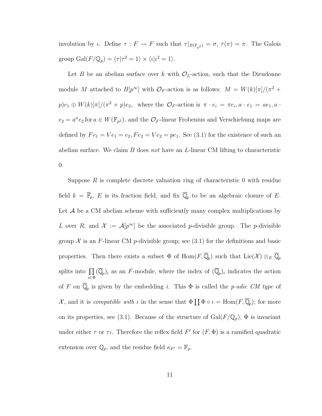involution by *ι*. Define  $\tau : F \to F$  such that  $\tau|_{B(\mathbb{F}_{p^2})} = \sigma$ ,  $\tau(\pi) = \pi$ . The Galois group  $\text{Gal}(F/\mathbb{Q}_p) = \langle \tau | \tau^2 = 1 \rangle \times \langle \iota | \iota^2 = 1 \rangle.$ 

Let B be an abelian surface over k with  $\mathcal{O}_L$ -action, such that the Dieudonne module M attached to  $B[p^{\infty}]$  with  $\mathcal{O}_F$ -action is as follows:  $M = W(k)[\pi]/(\pi^2 +$  $p)e_1 \oplus W(k)[\pi]/(\pi^2 + p)e_2$ , where the  $\mathcal{O}_F$ -action is  $\pi \cdot e_i = \pi e_i, a \cdot e_1 = ae_1, a \cdot$  $e_2 = a^{\sigma} e_2$  for  $a \in W(\mathbb{F}_{p^2})$ , and the  $\mathcal{O}_F$ -linear Frobenius and Verschiebung maps are defined by  $Fe_1 = Ve_1 = e_2, Fe_2 = Ve_2 = pe_1$ . See [\(3.1\)](#page-27-0) for the existence of such an abelian surface. We claim  $B$  does not have an  $L$ -linear CM lifting to characteristic 0.

Suppose  $R$  is complete discrete valuation ring of characteristic 0 with residue field  $k = \overline{\mathbb{F}}_p$ , E is its fraction field, and fix  $\overline{\mathbb{Q}}_p$  to be an algebraic closure of E. Let  $A$  be a CM abelian scheme with sufficiently many complex multiplications by L over R, and  $\mathcal{X} := \mathcal{A}[p^{\infty}]$  be the associated p-divisible group. The p-divisible group  $\mathcal X$  is an F-linear CM p-divisible group; see [\(3.1\)](#page-23-1) for the definitions and basic properties. Then there exists a subset  $\Phi$  of  $\text{Hom}(F,\overline{\mathbb{Q}}_p)$  such that  $\text{Lie}(\mathcal{X}) \otimes_E \overline{\mathbb{Q}}_p$ splits into  $\prod$  $\prod_{i\in \Phi} (\overline{\mathbb{Q}}_p)_i$  as an F-module, where the index of  $(\overline{\mathbb{Q}}_p)_i$  indicates the action of F on  $\overline{\mathbb{Q}}_p$  is given by the embedding i. This  $\Phi$  is called the p-adic CM type of  $\mathcal{X}$ , and it is *compatible with*  $\iota$  in the sense that  $\Phi \coprod \Phi \circ \iota = \text{Hom}(F, \overline{\mathbb{Q}}_p)$ ; for more on its properties, see [\(3.1\)](#page-23-1). Because of the structure of  $Gal(F/\mathbb{Q}_p)$ ,  $\Phi$  is invariant under either  $\tau$  or  $\tau\iota$ . Therefore the reflex field  $F'$  for  $(F, \Phi)$  is a ramified quadratic extension over  $\mathbb{Q}_p$ , and the residue field  $\kappa_{F'} = \mathbb{F}_p$ .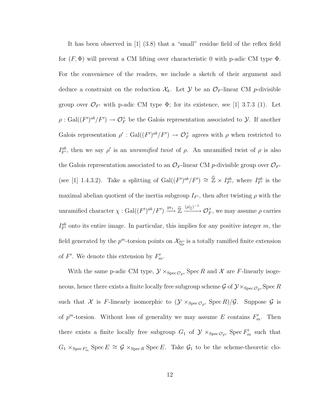It has been observed in [\[1\]](#page-243-0) (3.8) that a "small" residue field of the reflex field for  $(F, \Phi)$  will prevent a CM lifting over characteristic 0 with p-adic CM type  $\Phi$ . For the convenience of the readers, we include a sketch of their argument and deduce a constraint on the reduction  $\mathcal{X}_k$ . Let  $\mathcal{Y}$  be an  $\mathcal{O}_F$ -linear CM p-divisible group over  $\mathcal{O}_{F'}$  with p-adic CM type  $\Phi$ ; for its existence, see [\[1\]](#page-243-0) 3.7.3 (1). Let  $\rho: Gal((F')^{ab}/F') \to \mathcal{O}_F^{\times}$  be the Galois representation associated to  $\mathcal{Y}$ . If another Galois representation  $\rho'$ : Gal $((F')^{ab}/F') \to \mathcal{O}_F^{\times}$  agrees with  $\rho$  when restricted to  $I_{F'}^{ab}$ , then we say  $\rho'$  is an unramified twist of  $\rho$ . An unramified twist of  $\rho$  is also the Galois representation associated to an  $\mathcal{O}_F$ -linear CM p-divisible group over  $\mathcal{O}_{F'}$ (see [\[1\]](#page-243-0) 1.4.3.2). Take a splitting of  $Gal((F')^{ab}/F') \cong \hat{\mathbb{Z}} \times I^{ab}_{F'}$ , where  $I^{ab}_{F'}$  is the maximal abelian quotient of the inertia subgroup  $I_{F'}$ , then after twisting  $\rho$  with the unramified character  $\chi : \text{Gal}((F')^{ab}/F') \xrightarrow{\text{pr}_1} \widehat{\mathbb{Z}} \xrightarrow{(\rho|_{\widehat{\mathbb{Z}}})^{-1}} \mathcal{O}_F^{\times}$ , we may assume  $\rho$  carries  $I_{F'}^{ab}$  onto its entire image. In particular, this implies for any positive integer m, the field generated by the  $p^m$ -torsion points on  $\mathcal{X}_{\overline{\mathbb{Q}_p}}$  is a totally ramified finite extension of  $F'$ . We denote this extension by  $F'_m$ .

With the same p-adic CM type,  $\mathcal{Y} \times_{\text{Spec} \mathcal{O}_{F'}} \text{Spec } R$  and X are F-linearly isogeneous, hence there exists a finite locally free subgroup scheme  $\mathcal{G}$  of  $\mathcal{Y} \times_{\text{Spec} \mathcal{O}_{F'}} \text{Spec } R$ such that X is F-linearly isomorphic to  $(\mathcal{Y} \times_{\text{Spec} \mathcal{O}_{F'}} \text{Spec} R)/\mathcal{G}$ . Suppose  $\mathcal G$  is of  $p^m$ -torsion. Without loss of generality we may assume E contains  $F'_m$ . Then there exists a finite locally free subgroup  $G_1$  of  $\mathcal{Y} \times_{\text{Spec} \mathcal{O}_{F'}} \text{Spec } F'_m$  such that  $G_1 \times_{\operatorname{Spec} F'_m} \operatorname{Spec} E \cong \mathcal{G} \times_{\operatorname{Spec} R} \operatorname{Spec} E$ . Take  $\mathcal{G}_1$  to be the scheme-theoretic clo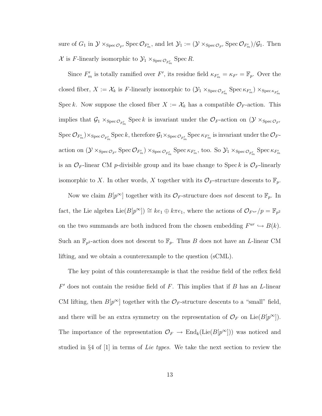sure of  $G_1$  in  $\mathcal{Y} \times_{\text{Spec} \mathcal{O}_{F'}} \text{Spec} \mathcal{O}_{F'_m}$ , and let  $\mathcal{Y}_1 := (\mathcal{Y} \times_{\text{Spec} \mathcal{O}_{F'}} \text{Spec} \mathcal{O}_{F'_m})/\mathcal{G}_1$ . Then X is F-linearly isomorphic to  $\mathcal{Y}_1 \times_{\text{Spec } \mathcal{O}_{F'_m}} \text{Spec } R$ .

Since  $F'_m$  is totally ramified over F', its residue field  $\kappa_{F'_m} = \kappa_{F'} = \mathbb{F}_p$ . Over the closed fiber,  $X := \mathcal{X}_k$  is F-linearly isomorphic to  $(\mathcal{Y}_1 \times_{\text{Spec} \mathcal{O}_{F'_m}} \text{Spec} \kappa_{F'_m}) \times_{\text{Spec} \kappa_{F'_m}}$ Spec k. Now suppose the closed fiber  $X := \mathcal{X}_k$  has a compatible  $\mathcal{O}_F$ -action. This implies that  $\mathcal{G}_1 \times_{\text{Spec} \mathcal{O}_{F'_m}} \text{Spec } k$  is invariant under the  $\mathcal{O}_F$ -action on  $(\mathcal{Y} \times_{\text{Spec} \mathcal{O}_{F'}}$  $\mathrm{Spec}\,\mathcal{O}_{F_m'})\times_{\mathrm{Spec}\,\mathcal{O}_{F_m'}}\mathrm{Spec}\, k, \mathrm{therefore}\,\mathcal{G}_1\times_{\mathrm{Spec}\,\mathcal{O}_{F_m'}}\mathrm{Spec}\,\kappa_{F_m'}$  is invariant under the  $\mathcal{O}_{F^-}$ action on  $(\mathcal{Y} \times_{\text{Spec} \mathcal{O}_{F'}} \text{Spec} \mathcal{O}_{F'_m}) \times_{\text{Spec} \mathcal{O}_{F'_m}} \text{Spec} \kappa_{F'_m}$ , too. So  $\mathcal{Y}_1 \times_{\text{Spec} \mathcal{O}_{F'_m}} \text{Spec} \kappa_{F'_m}$ is an  $\mathcal{O}_F$ -linear CM p-divisible group and its base change to Spec k is  $\mathcal{O}_F$ -linearly isomorphic to X. In other words, X together with its  $\mathcal{O}_F$ -structure descents to  $\mathbb{F}_p$ .

Now we claim  $B[p^{\infty}]$  together with its  $\mathcal{O}_F$ -structure does not descent to  $\mathbb{F}_p$ . In fact, the Lie algebra Lie $(B[p^{\infty}]) \cong ke_1 \oplus k\pi e_1$ , where the actions of  $\mathcal{O}_{F^{ur}}/p = \mathbb{F}_{p^2}$ on the two summands are both induced from the chosen embedding  $F^{ur} \hookrightarrow B(k)$ . Such an  $\mathbb{F}_{p^2}$ -action does not descent to  $\mathbb{F}_p$ . Thus B does not have an L-linear CM lifting, and we obtain a counterexample to the question (sCML).

The key point of this counterexample is that the residue field of the reflex field  $F'$  does not contain the residue field of  $F$ . This implies that if  $B$  has an  $L$ -linear CM lifting, then  $B[p^{\infty}]$  together with the  $\mathcal{O}_F$ -structure descents to a "small" field, and there will be an extra symmetry on the representation of  $\mathcal{O}_F$  on Lie $(B[p^{\infty}])$ . The importance of the representation  $\mathcal{O}_F \to \text{End}_k(\text{Lie}(B[p^\infty]))$  was noticed and studied in  $\S 4$  of  $[1]$  in terms of Lie types. We take the next section to review the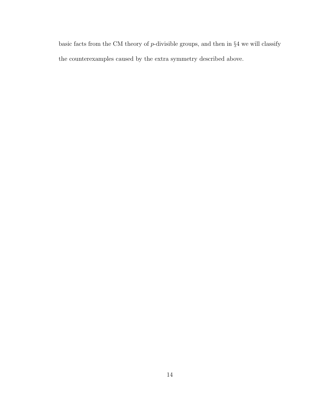basic facts from the CM theory of p-divisible groups, and then in §4 we will classify the counterexamples caused by the extra symmetry described above.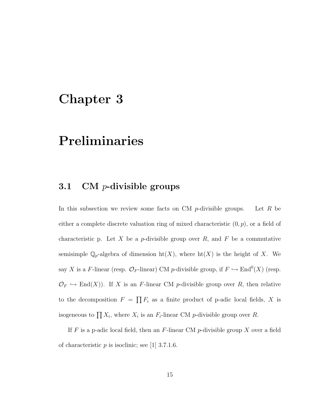# <span id="page-23-0"></span>Chapter 3

# Preliminaries

### <span id="page-23-1"></span>3.1 CM p-divisible groups

In this subsection we review some facts on CM  $p$ -divisible groups. Let R be either a complete discrete valuation ring of mixed characteristic  $(0, p)$ , or a field of characteristic p. Let  $X$  be a p-divisible group over  $R$ , and  $F$  be a commutative semisimple  $\mathbb{Q}_p$ -algebra of dimension  $\mathrm{ht}(X)$ , where  $\mathrm{ht}(X)$  is the height of X. We say X is a F-linear (resp.  $\mathcal{O}_F$ -linear) CM p-divisible group, if  $F \hookrightarrow \text{End}^0(X)$  (resp.  $\mathcal{O}_F \hookrightarrow \text{End}(X)$ . If X is an F-linear CM p-divisible group over R, then relative to the decomposition  $F = \prod F_i$  as a finite product of p-adic local fields, X is isogeneous to  $\prod X_i$ , where  $X_i$  is an  $F_i$ -linear CM p-divisible group over R.

If F is a p-adic local field, then an F-linear CM p-divisible group X over a field of characteristic  $p$  is isoclinic; see [\[1\]](#page-243-0) 3.7.1.6.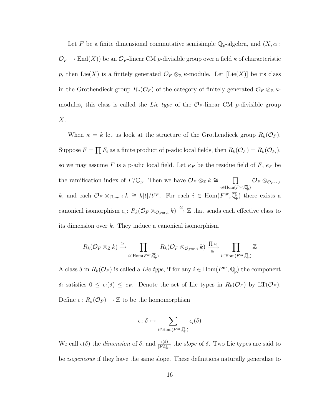Let F be a finite dimensional commutative semisimple  $\mathbb{Q}_p$ -algebra, and  $(X, \alpha :$  $\mathcal{O}_F \to \text{End}(X)$ ) be an  $\mathcal{O}_F$ -linear CM p-divisible group over a field  $\kappa$  of characteristic p, then Lie(X) is a finitely generated  $\mathcal{O}_F \otimes_{\mathbb{Z}} \kappa$ -module. Let [Lie(X)] be its class in the Grothendieck group  $R_{\kappa}(\mathcal{O}_F)$  of the category of finitely generated  $\mathcal{O}_F \otimes_{\mathbb{Z}} \kappa$ modules, this class is called the Lie type of the  $\mathcal{O}_F$ -linear CM p-divisible group  $X$ .

When  $\kappa = k$  let us look at the structure of the Grothendieck group  $R_k(\mathcal{O}_F)$ . Suppose  $F = \prod F_i$  as a finite product of p-adic local fields, then  $R_k(\mathcal{O}_F) = R_k(\mathcal{O}_{F_i}),$ so we may assume F is a p-adic local field. Let  $\kappa_F$  be the residue field of F,  $e_F$  be the ramification index of  $F/\mathbb{Q}_p$ . Then we have  $\mathcal{O}_F \otimes_{\mathbb{Z}} k \cong \Pi$  $i \in$ Hom $(F^{\mathrm{ur}}, \overline{\mathbb{Q}}_p)$  $\mathcal{O}_F \otimes_{\mathcal{O}_F^{\mathrm{ur}}, i}$ k, and each  $\mathcal{O}_F \otimes_{\mathcal{O}_F^{\text{ur}},i} k \cong k[t]/t^{e_F}$ . For each  $i \in \text{Hom}(F^{\text{ur}}, \overline{\mathbb{Q}}_p)$  there exists a canonical isomorphism  $\epsilon_i$ :  $R_k(\mathcal{O}_F \otimes_{\mathcal{O}_{F^{\text{ur}},i}} k) \stackrel{\cong}{\to} \mathbb{Z}$  that sends each effective class to its dimension over  $k$ . They induce a canonical isomorphism

$$
R_k(\mathcal{O}_F \otimes_{\mathbb{Z}} k) \xrightarrow{\cong} \prod_{i \in \operatorname{Hom}(F^{\mathrm{ur}}, \overline{\mathbb{Q}}_p)} R_k(\mathcal{O}_F \otimes_{\mathcal{O}_{F^{\mathrm{ur}},i}} k) \xrightarrow{\prod \epsilon_i} \prod_{i \in \operatorname{Hom}(F^{\mathrm{ur}}, \overline{\mathbb{Q}}_p)} \mathbb{Z}
$$

A class  $\delta$  in  $R_k(\mathcal{O}_F)$  is called a Lie type, if for any  $i \in \text{Hom}(F^{\text{ur}}, \overline{\mathbb{Q}}_p)$  the component  $\delta_i$  satisfies  $0 \leq \epsilon_i(\delta) \leq e_F$ . Denote the set of Lie types in  $R_k(\mathcal{O}_F)$  by LT( $\mathcal{O}_F$ ). Define  $\epsilon : R_k(\mathcal{O}_F) \to \mathbb{Z}$  to be the homomorphism

$$
\epsilon\colon \delta\mapsto \sum_{i\in \mathrm{Hom}(F^{\mathrm{ur}},\overline{\mathbb{Q}}_{p})}\epsilon_{i}(\delta)
$$

We call  $\epsilon(\delta)$  the *dimension* of  $\delta$ , and  $\frac{\epsilon(\delta)}{[F:\mathbb{Q}_p]}$  the *slope* of  $\delta$ . Two Lie types are said to be *isogeneous* if they have the same slope. These definitions naturally generalize to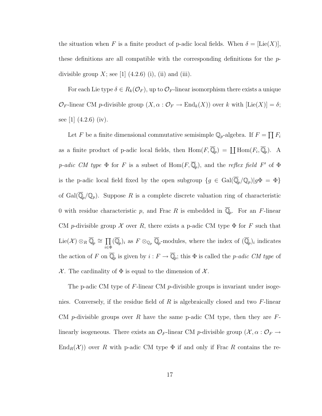the situation when F is a finite product of p-adic local fields. When  $\delta = [Lie(X)],$ these definitions are all compatible with the corresponding definitions for the  $p$ divisible group  $X$ ; see [\[1\]](#page-243-0)  $(4.2.6)$  (i), (ii) and (iii).

For each Lie type  $\delta \in R_k(\mathcal{O}_F)$ , up to  $\mathcal{O}_F$ -linear isomorphism there exists a unique  $\mathcal{O}_F$ -linear CM p-divisible group  $(X, \alpha : \mathcal{O}_F \to \text{End}_k(X))$  over k with  $[\text{Lie}(X)] = \delta;$ see [\[1\]](#page-243-0)  $(4.2.6)$  (iv).

Let F be a finite dimensional commutative semisimple  $\mathbb{Q}_p$ -algebra. If  $F = \prod F_i$ as a finite product of p-adic local fields, then  $\text{Hom}(F,\overline{\mathbb{Q}}_p) = \coprod \text{Hom}(F_i,\overline{\mathbb{Q}}_p)$ . A p-adic CM type  $\Phi$  for F is a subset of  $\text{Hom}(F,\overline{\mathbb{Q}}_p)$ , and the reflex field F' of  $\Phi$ is the p-adic local field fixed by the open subgroup  $\{g \in \text{Gal}(\overline{\mathbb{Q}}_p/\mathbb{Q}_p)|g\Phi = \Phi\}$ of  $Gal(\overline{\mathbb{Q}}_p/\mathbb{Q}_p)$ . Suppose R is a complete discrete valuation ring of characteristic 0 with residue characteristic p, and Frac R is embedded in  $\overline{\mathbb{Q}}_p$ . For an F-linear CM p-divisible group  $\mathcal X$  over R, there exists a p-adic CM type  $\Phi$  for F such that Lie(X)  $\otimes_R \overline{\mathbb{Q}}_p \cong \prod$  $\prod_{i\in \Phi} (\overline{\mathbb{Q}}_p)_i$  as  $F \otimes_{\mathbb{Q}_p} \overline{\mathbb{Q}}_p$ -modules, where the index of  $(\overline{\mathbb{Q}}_p)_i$  indicates the action of F on  $\overline{\mathbb{Q}}_p$  is given by  $i : F \to \overline{\mathbb{Q}}_p$ ; this  $\Phi$  is called the p-adic CM type of X. The cardinality of  $\Phi$  is equal to the dimension of X.

The p-adic CM type of  $F$ -linear CM p-divisible groups is invariant under isogenies. Conversely, if the residue field of R is algebraically closed and two  $F$ -linear CM p-divisible groups over R have the same p-adic CM type, then they are  $F$ linearly isogeneous. There exists an  $\mathcal{O}_F$ -linear CM p-divisible group  $(\mathcal{X}, \alpha : \mathcal{O}_F \to$  $\text{End}_R(\mathcal{X})$  over R with p-adic CM type  $\Phi$  if and only if Frac R contains the re-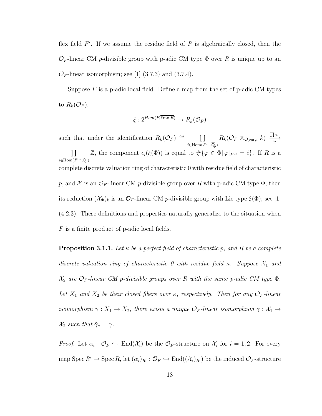flex field  $F'$ . If we assume the residue field of R is algebraically closed, then the  $\mathcal{O}_F$ -linear CM p-divisible group with p-adic CM type  $\Phi$  over R is unique up to an  $\mathcal{O}_F$ -linear isomorphism; see [\[1\]](#page-243-0) (3.7.3) and (3.7.4).

Suppose  $F$  is a p-adic local field. Define a map from the set of p-adic CM types to  $R_k(\mathcal{O}_F)$ :

$$
\xi: 2^{Hom(F,\overline{\text{Frac }R})} \to R_k(\mathcal{O}_F)
$$

such that under the identification  $R_k(\mathcal{O}_F) \cong \Pi$  $i \in$ Hom $(F^{\mathrm{ur}}, \overline{\mathbb{Q}}_p)$  $R_k(\mathcal{O}_F\otimes_{\mathcal{O}_F^{\mathrm{ur}},i} k)\ \ \frac{\prod \epsilon_i}{\cong}$  $\prod$  $i \in$ Hom $(F^{\mathrm{ur}}, \overline{\mathbb{Q}}_p)$ Z, the component  $\epsilon_i(\xi(\Phi))$  is equal to  $\#\{\varphi \in \Phi | \varphi|_{F^{\text{ur}}} = i\}$ . If R is a complete discrete valuation ring of characteristic 0 with residue field of characteristic p, and X is an  $\mathcal{O}_F$ -linear CM p-divisible group over R with p-adic CM type  $\Phi$ , then its reduction  $(\mathcal{X}_{\Phi})_k$  is an  $\mathcal{O}_F$ -linear CM p-divisible group with Lie type  $\xi(\Phi)$ ; see [\[1\]](#page-243-0) (4.2.3). These definitions and properties naturally generalize to the situation when F is a finite product of p-adic local fields.

<span id="page-26-0"></span>**Proposition 3.1.1.** Let  $\kappa$  be a perfect field of characteristic p, and R be a complete discrete valuation ring of characteristic 0 with residue field κ. Suppose  $\mathcal{X}_1$  and  $\mathcal{X}_2$  are  $\mathcal{O}_F$ -linear CM p-divisible groups over R with the same p-adic CM type  $\Phi$ . Let  $X_1$  and  $X_2$  be their closed fibers over  $\kappa$ , respectively. Then for any  $\mathcal{O}_F$ -linear isomorphism  $\gamma: X_1 \to X_2$ , there exists a unique  $\mathcal{O}_F$ -linear isomorphism  $\tilde{\gamma}: X_1 \to X_2$  $\mathcal{X}_2$  such that  $\tilde{\gamma}_\kappa = \gamma$ .

*Proof.* Let  $\alpha_i : \mathcal{O}_F \hookrightarrow \text{End}(\mathcal{X}_i)$  be the  $\mathcal{O}_F$ -structure on  $\mathcal{X}_i$  for  $i = 1, 2$ . For every map Spec  $R' \to \text{Spec } R$ , let  $(\alpha_i)_{R'} : \mathcal{O}_F \hookrightarrow \text{End}((\mathcal{X}_i)_{R'})$  be the induced  $\mathcal{O}_F$ -structure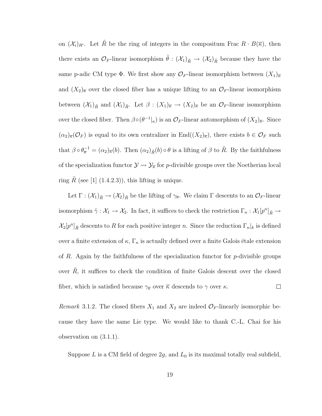on  $(\mathcal{X}_i)_{R'}$ . Let  $\tilde{R}$  be the ring of integers in the compositum Frac  $R \cdot B(\overline{\kappa})$ , then there exists an  $\mathcal{O}_F$ -linear isomorphism  $\tilde{\theta}$  :  $(\mathcal{X}_1)_{\tilde{R}} \to (\mathcal{X}_2)_{\tilde{R}}$  because they have the same p-adic CM type  $\Phi$ . We first show any  $\mathcal{O}_F$ -linear isomorphism between  $(X_1)_{\overline{\kappa}}$ and  $(X_2)_{\overline{\kappa}}$  over the closed fiber has a unique lifting to an  $\mathcal{O}_F$ -linear isomorphism between  $(\mathcal{X}_1)_{\tilde{R}}$  and  $(\mathcal{X}_1)_{\tilde{R}}$ . Let  $\beta : (X_1)_{\overline{\kappa}} \to (X_2)_{\overline{\kappa}}$  be an  $\mathcal{O}_F$ -linear isomorphism over the closed fiber. Then  $\beta \circ (\theta^{-1}|_{\kappa})$  is an  $\mathcal{O}_F$ -linear automorphism of  $(X_2)_{\overline{\kappa}}$ . Since  $(\alpha_2)_{\overline{\kappa}}(\mathcal{O}_F)$  is equal to its own centralizer in End $((X_2)_{\overline{\kappa}})$ , there exists  $b \in \mathcal{O}_F$  such that  $\beta \circ \theta_{\overline{\kappa}}^{-1} = (\alpha_2)_{\overline{\kappa}}(b)$ . Then  $(\alpha_2)_{\tilde{R}}(b) \circ \theta$  is a lifting of  $\beta$  to  $\tilde{R}$ . By the faithfulness of the specialization functor  $\mathcal{Y} \leadsto \mathcal{Y}_{\overline{\kappa}}$  for *p*-divisible groups over the Noetherian local ring R (see [\[1\]](#page-243-0)  $(1.4.2.3)$ ), this lifting is unique.

Let  $\Gamma: (\mathcal{X}_1)_{\tilde{R}} \to (\mathcal{X}_2)_{\tilde{R}}$  be the lifting of  $\gamma_{\tilde{\kappa}}$ . We claim  $\Gamma$  descents to an  $\mathcal{O}_F$ -linear isomorphism  $\tilde{\gamma}: \mathcal{X}_1 \to \mathcal{X}_2$ . In fact, it suffices to check the restriction  $\Gamma_n: \mathcal{X}_1[p^n]_{\tilde{R}} \to$  $\mathcal{X}_2[p^n]_{\tilde{R}}$  descents to R for each positive integer n. Since the reduction  $\Gamma_n|_k$  is defined over a finite extension of  $\kappa$ ,  $\Gamma_n$  is actually defined over a finite Galois étale extension of R. Again by the faithfulness of the specialization functor for  $p$ -divisible groups over  $\tilde{R}$ , it suffices to check the condition of finite Galois descent over the closed fiber, which is satisfied because  $\gamma_{\overline{k}}$  over  $\overline{k}$  descends to  $\gamma$  over  $\kappa$ .  $\Box$ 

<span id="page-27-0"></span>Remark 3.1.2. The closed fibers  $X_1$  and  $X_2$  are indeed  $\mathcal{O}_F$ -linearly isomorphic because they have the same Lie type. We would like to thank C.-L. Chai for his observation on [\(3.1.1\)](#page-26-0).

Suppose L is a CM field of degree  $2g$ , and  $L_0$  is its maximal totally real subfield,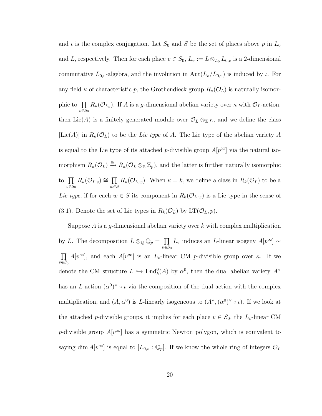and  $\iota$  is the complex conjugation. Let  $S_0$  and S be the set of places above p in  $L_0$ and L, respectively. Then for each place  $v \in S_0$ ,  $L_v := L \otimes_{L_0} L_{0,v}$  is a 2-dimensional commutative  $L_{0,v}$ -algebra, and the involution in  $\text{Aut}(L_v/L_{0,v})$  is induced by  $\iota$ . For any field  $\kappa$  of characteristic p, the Grothendieck group  $R_{\kappa}(\mathcal{O}_L)$  is naturally isomorphic to  $\prod$  $v \in S_0$  $R_{\kappa}(\mathcal{O}_{L_v})$ . If A is a g-dimensional abelian variety over  $\kappa$  with  $\mathcal{O}_L$ -action, then Lie(A) is a finitely generated module over  $\mathcal{O}_L \otimes_{\mathbb{Z}} \kappa$ , and we define the class [Lie(A)] in  $R_{\kappa}(\mathcal{O}_L)$  to be the Lie type of A. The Lie type of the abelian variety A is equal to the Lie type of its attached p-divisible group  $A[p^{\infty}]$  via the natural isomorphism  $R_{\kappa}(\mathcal{O}_L) \stackrel{\cong}{\to} R_{\kappa}(\mathcal{O}_L \otimes_{\mathbb{Z}} \mathbb{Z}_p)$ , and the latter is further naturally isomorphic to  $\Pi$  $v \in S_0$  $R_{\kappa}(\mathcal{O}_{L,v}) \cong \prod$ w∈S  $R_{\kappa}(\mathcal{O}_{L,w})$ . When  $\kappa = k$ , we define a class in  $R_{k}(\mathcal{O}_{L})$  to be a Lie type, if for each  $w \in S$  its component in  $R_k(\mathcal{O}_{L,w})$  is a Lie type in the sense of [\(3.1\)](#page-23-1). Denote the set of Lie types in  $R_k(\mathcal{O}_L)$  by  $LT(\mathcal{O}_L, p)$ .

Suppose  $A$  is a g-dimensional abelian variety over  $k$  with complex multiplication by L. The decomposition  $L \otimes_{\mathbb{Q}} \mathbb{Q}_p = \prod$  $v \in S_0$  $L_v$  induces an L-linear isogeny  $A[p^{\infty}] \sim$  $\Pi$  $v \in S_0$  $A[v^{\infty}]$ , and each  $A[v^{\infty}]$  is an  $L_v$ -linear CM p-divisible group over  $\kappa$ . If we denote the CM structure  $L \hookrightarrow \text{End}_k^0(A)$  by  $\alpha^0$ , then the dual abelian variety  $A^{\vee}$ has an L-action  $(\alpha^0)^\vee \circ \iota$  via the composition of the dual action with the complex multiplication, and  $(A, \alpha^0)$  is L-linearly isogeneous to  $(A^{\vee}, (\alpha^0)^{\vee} \circ \iota)$ . If we look at the attached p-divisible groups, it implies for each place  $v \in S_0$ , the  $L_v$ -linear CM p-divisible group  $A[v^{\infty}]$  has a symmetric Newton polygon, which is equivalent to saying dim  $A[v^{\infty}]$  is equal to  $[L_{0,v}:\mathbb{Q}_p]$ . If we know the whole ring of integers  $\mathcal{O}_L$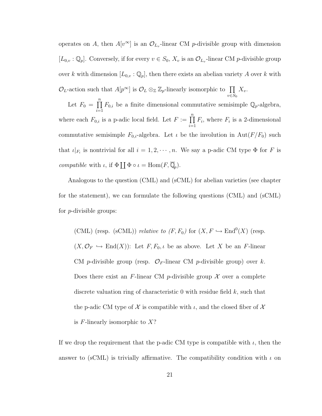operates on A, then  $A[v^{\infty}]$  is an  $\mathcal{O}_{L_v}$ -linear CM p-divisible group with dimension  $[L_{0,v} : \mathbb{Q}_p]$ . Conversely, if for every  $v \in S_0$ ,  $X_v$  is an  $\mathcal{O}_{L_v}$ -linear CM p-divisible group over k with dimension  $[L_{0,v} : \mathbb{Q}_p]$ , then there exists an abelian variety A over k with  $\mathcal{O}_L$ -action such that  $A[p^{\infty}]$  is  $\mathcal{O}_L \otimes_{\mathbb{Z}} \mathbb{Z}_p$ -linearly isomorphic to  $\prod$  $v \in S_0$  $X_v$ .

Let  $F_0 = \prod^n$  $i=1$  $F_{0,i}$  be a finite dimensional commutative semisimple  $\mathbb{Q}_p$ -algebra, where each  $F_{0,i}$  is a p-adic local field. Let  $F := \prod_{i=1}^{n}$  $i=1$  $F_i$ , where  $F_i$  is a 2-dimensional commutative semisimple  $F_{0,i}$ -algebra. Let  $\iota$  be the involution in  $Aut(F/F_0)$  such that  $\iota|_{F_i}$  is nontrivial for all  $i = 1, 2, \dots, n$ . We say a p-adic CM type  $\Phi$  for F is *compatible* with  $\iota$ , if  $\Phi \coprod \Phi \circ \iota = \text{Hom}(F, \overline{\mathbb{Q}}_p)$ .

Analogous to the question (CML) and (sCML) for abelian varieties (see chapter [fo](#page-10-0)r the statement), we can formulate the following questions (CML) and (sCML) for p-divisible groups:

(CML) (resp. (sCML)) *relative to*  $(F, F_0)$  for  $(X, F \hookrightarrow \text{End}^0(X)$  (resp.  $(X, \mathcal{O}_F \hookrightarrow \text{End}(X))$ : Let  $F, F_0, \iota$  be as above. Let X be an F-linear CM *p*-divisible group (resp.  $\mathcal{O}_F$ -linear CM *p*-divisible group) over k. Does there exist an F-linear CM p-divisible group  $\mathcal X$  over a complete discrete valuation ring of characteristic  $0$  with residue field  $k$ , such that the p-adic CM type of  $\mathcal X$  is compatible with  $\iota$ , and the closed fiber of  $\mathcal X$ is  $F$ -linearly isomorphic to  $X$ ?

If we drop the requirement that the p-adic CM type is compatible with  $\iota$ , then the answer to (sCML) is trivially affirmative. The compatibility condition with  $\iota$  on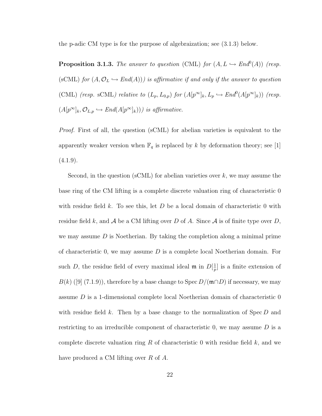<span id="page-30-0"></span>the p-adic CM type is for the purpose of algebraization; see [\(3.1.3\)](#page-30-0) below.

**Proposition 3.1.3.** The answer to question (CML) for  $(A, L \hookrightarrow End^0(A))$  (resp. (sCML) for  $(A, \mathcal{O}_L \hookrightarrow End(A))$ ) is affirmative if and only if the answer to question (CML) (resp. sCML) relative to  $(L_p, L_{0,p})$  for  $(A[p^{\infty}]_k, L_p \hookrightarrow End^0(A[p^{\infty}]_k))$  (resp.  $(A[p^{\infty}]_k, \mathcal{O}_{L,p} \hookrightarrow End(A[p^{\infty}]_k))$  is affirmative.

Proof. First of all, the question (sCML) for abelian varieties is equivalent to the apparently weaker version when  $\mathbb{F}_q$  is replaced by k by deformation theory; see [\[1\]](#page-243-0)  $(4.1.9).$ 

Second, in the question (sCML) for abelian varieties over  $k$ , we may assume the base ring of the CM lifting is a complete discrete valuation ring of characteristic 0 with residue field k. To see this, let  $D$  be a local domain of characteristic 0 with residue field k, and A be a CM lifting over D of A. Since A is of finite type over D, we may assume  $D$  is Noetherian. By taking the completion along a minimal prime of characteristic 0, we may assume  $D$  is a complete local Noetherian domain. For such D, the residue field of every maximal ideal  $\mathfrak{m}$  in  $D[\frac{1}{n}]$  $\frac{1}{p}$  is a finite extension of  $B(k)$ ([\[9\]](#page-244-0) (7.1.9)), therefore by a base change to Spec  $D/(\mathfrak{m} \cap D)$  if necessary, we may assume D is a 1-dimensional complete local Noetherian domain of characteristic 0 with residue field k. Then by a base change to the normalization of  $Spec D$  and restricting to an irreducible component of characteristic  $0$ , we may assume  $D$  is a complete discrete valuation ring  $R$  of characteristic 0 with residue field  $k$ , and we have produced a CM lifting over R of A.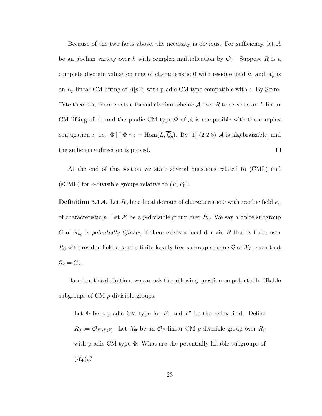Because of the two facts above, the necessity is obvious. For sufficiency, let A be an abelian variety over k with complex multiplication by  $\mathcal{O}_L$ . Suppose R is a complete discrete valuation ring of characteristic 0 with residue field k, and  $\mathcal{X}_p$  is an  $L_p$ -linear CM lifting of  $A[p^{\infty}]$  with p-adic CM type compatible with  $\iota$ . By Serre-Tate theorem, there exists a formal abelian scheme  $A$  over  $R$  to serve as an L-linear CM lifting of A, and the p-adic CM type  $\Phi$  of  $\mathcal A$  is compatible with the complex conjugation  $\iota$ , i.e.,  $\Phi \coprod \Phi \circ \iota = \text{Hom}(L, \overline{\mathbb{Q}}_p)$ . By [\[1\]](#page-243-0) (2.2.3) A is algebraizable, and the sufficiency direction is proved.  $\Box$ 

At the end of this section we state several questions related to (CML) and (sCML) for *p*-divisible groups relative to  $(F, F_0)$ .

**Definition 3.1.4.** Let  $R_0$  be a local domain of characteristic 0 with residue field  $\kappa_0$ of characteristic p. Let  $\mathcal X$  be a p-divisible group over  $R_0$ . We say a finite subgroup G of  $\mathcal{X}_{\kappa_0}$  is potentially liftable, if there exists a local domain R that is finite over  $R_0$  with residue field  $\kappa$ , and a finite locally free subroup scheme G of  $\mathcal{X}_R$ , such that  $\mathcal{G}_{\kappa} = G_{\kappa}.$ 

Based on this definition, we can ask the following question on potentially liftable subgroups of CM p-divisible groups:

Let  $\Phi$  be a p-adic CM type for F, and F' be the reflex field. Define  $R_0 := \mathcal{O}_{F',B(k)}$ . Let  $\mathcal{X}_{\Phi}$  be an  $\mathcal{O}_F$ -linear CM p-divisible group over  $R_0$ with p-adic CM type Φ. What are the potentially liftable subgroups of  $(\mathcal{X}_{\Phi})_k$ ?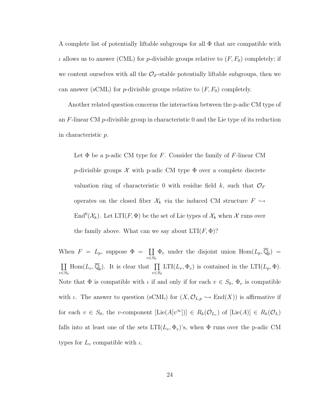A complete list of potentially liftable subgroups for all  $\Phi$  that are compatible with  $\iota$  allows us to answer (CML) for *p*-divisible groups relative to  $(F, F_0)$  completely; if we content ourselves with all the  $\mathcal{O}_F$ -stable potentially liftable subgroups, then we can answer (sCML) for *p*-divisible groups relative to  $(F, F_0)$  completely.

Another related question concerns the interaction between the p-adic CM type of an  $F$ -linear CM  $p$ -divisible group in characteristic 0 and the Lie type of its reduction in characteristic p.

Let  $\Phi$  be a p-adic CM type for F. Consider the family of F-linear CM p-divisible groups  $\mathcal X$  with p-adic CM type  $\Phi$  over a complete discrete valuation ring of characteristic 0 with residue field k, such that  $\mathcal{O}_F$ operates on the closed fiber  $\mathcal{X}_k$  via the induced CM structure  $F \hookrightarrow$ End<sup>0</sup>( $\mathcal{X}_k$ ). Let LTI(F,  $\Phi$ ) be the set of Lie types of  $\mathcal{X}_k$  when  $\mathcal X$  runs over the family above. What can we say about  $LTI(F, \Phi)$ ?

When  $F = L_p$ , suppose  $\Phi = \prod$  $v \in S_0$  $\Phi_v$  under the disjoint union  $\text{Hom}(L_p, \overline{\mathbb{Q}}_p) =$  $\rm{II}$  $v \in S_0$  $\text{Hom}(L_v, \overline{\mathbb{Q}}_p)$ . It is clear that  $\prod$  $v \in S_0$  $LTI(L_v, \Phi_v)$  is contained in the  $LTI(L_p, \Phi)$ . Note that  $\Phi$  is compatible with  $\iota$  if and only if for each  $v \in S_0$ ,  $\Phi_v$  is compatible with  $\iota$ . The answer to question (sCML) for  $(X, \mathcal{O}_{L,p} \hookrightarrow \text{End}(X))$  is affirmative if for each  $v \in S_0$ , the v-component  $[\text{Lie}(A[v^\infty])] \in R_k(\mathcal{O}_{L_v})$  of  $[\text{Lie}(A)] \in R_k(\mathcal{O}_L)$ falls into at least one of the sets  $LTI(L_v, \Phi_v)$ 's, when  $\Phi$  runs over the p-adic CM types for  $L_v$  compatible with  $\iota$ .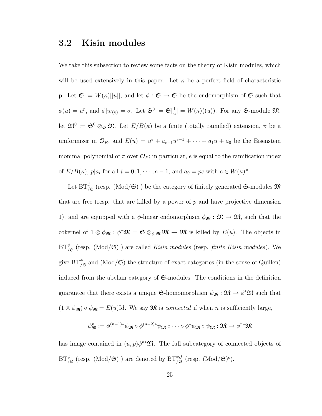### <span id="page-33-0"></span>3.2 Kisin modules

We take this subsection to review some facts on the theory of Kisin modules, which will be used extensively in this paper. Let  $\kappa$  be a perfect field of characteristic p. Let  $\mathfrak{S} := W(\kappa)[[u]]$ , and let  $\phi : \mathfrak{S} \to \mathfrak{S}$  be the endomorphism of  $\mathfrak{S}$  such that  $\phi(u) = u^p$ , and  $\phi|_{W(\kappa)} = \sigma$ . Let  $\mathfrak{S}^0 := \mathfrak{S}[\frac{1}{n}]$  $\frac{1}{u}$ ] =  $W(\kappa)((u))$ . For any G-module  $\mathfrak{M},$ let  $\mathfrak{M}^0 := \mathfrak{S}^0 \otimes_{\mathfrak{S}} \mathfrak{M}$ . Let  $E/B(\kappa)$  be a finite (totally ramified) extension,  $\pi$  be a uniformizer in  $\mathcal{O}_E$ , and  $E(u) = u^e + a_{e-1}u^{e-1} + \cdots + a_1u + a_0$  be the Eisenstein monimal polynomial of  $\pi$  over  $\mathcal{O}_E$ ; in particular, e is equal to the ramification index of  $E/B(\kappa)$ ,  $p|a_i$  for all  $i = 0, 1, \dots, e-1$ , and  $a_0 = pc$  with  $c \in W(\kappa)^\times$ .

Let  $\operatorname{BT}^\phi_{/\mathfrak{S}}$  (resp. (Mod/ $\mathfrak{S}$ )) be the category of finitely generated  $\mathfrak{S}\text{-modules}\,\mathfrak{M}$ that are free (resp. that are killed by a power of  $p$  and have projective dimension 1), and are equipped with a  $\phi$ -linear endomorphism  $\phi_{\mathfrak{M}} : \mathfrak{M} \to \mathfrak{M}$ , such that the cokernel of  $1 \otimes \phi_{\mathfrak{M}} : \phi^* \mathfrak{M} = \mathfrak{S} \otimes_{\phi,\mathfrak{M}} \mathfrak{M} \to \mathfrak{M}$  is killed by  $E(u)$ . The objects in  $BT^{\phi}_{/\mathfrak{S}}$  (resp. (Mod/ $\mathfrak{S}$ ) ) are called *Kisin modules* (resp. *finite Kisin modules*). We give  $BT^{\phi}_{/\mathfrak{S}}$  and (Mod/ $\mathfrak{S}$ ) the structure of exact categories (in the sense of Quillen) induced from the abelian category of S-modules. The conditions in the definition guarantee that there exists a unique G-homomorphism  $\psi_{\mathfrak{M}} : \mathfrak{M} \to \phi^* \mathfrak{M}$  such that  $(1 \otimes \phi_{\mathfrak{M}}) \circ \psi_{\mathfrak{M}} = E(u)$ Id. We say  $\mathfrak{M}$  is *connected* if when *n* is sufficiently large,

$$
\psi_{\mathfrak{M}}^n := \phi^{(n-1)*}\psi_{\mathfrak{M}} \circ \phi^{(n-2)*}\psi_{\mathfrak{M}} \circ \cdots \circ \phi^*\psi_{\mathfrak{M}} \circ \psi_{\mathfrak{M}} : \mathfrak{M} \to \phi^{n*}\mathfrak{M}
$$

has image contained in  $(u, p)\phi^{n*}\mathfrak{M}$ . The full subcategory of connected objects of  $BT^{\phi}_{/\mathfrak{S}}$  (resp. (Mod/ $\mathfrak{S}$ )) are denoted by  $BT^{\phi,f}_{/\mathfrak{S}}$  (resp. (Mod/ $\mathfrak{S})^c$ ).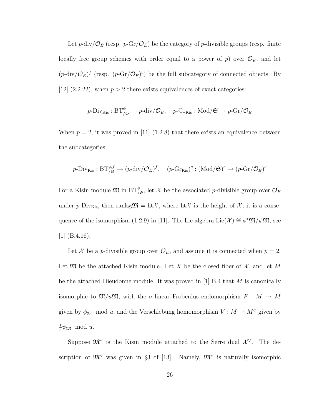Let  $p$ -div/ $\mathcal{O}_E$  (resp.  $p$ -Gr/ $\mathcal{O}_E$ ) be the category of  $p$ -divisible groups (resp. finite locally free group schemes with order equal to a power of  $p$ ) over  $\mathcal{O}_E$ , and let  $(p-\text{div}/\mathcal{O}_E)^f$  (resp.  $(p-\text{Gr}/\mathcal{O}_E)^c$ ) be the full subcategory of connected objects. By [\[12\]](#page-244-1)  $(2.2.22)$ , when  $p > 2$  there exists equivalences of exact categories:

$$
p\text{-Div}_{\text{Kis}} : BT^{\phi}_{/\mathfrak{S}} \to p\text{-div}/\mathcal{O}_E
$$
,  $p\text{-Gr}_{\text{Kis}} : \text{Mod}/\mathfrak{S} \to p\text{-Gr}/\mathcal{O}_E$ 

When  $p = 2$ , it was proved in [\[11\]](#page-244-2) (1.2.8) that there exists an equivalence between the subcategories:

$$
p\text{-Div}_{\text{Kis}}: \text{BT}_{/\mathfrak{S}}^{\phi,f} \to (p\text{-div}/\mathcal{O}_E)^f, \quad (p\text{-Gr}_{\text{Kis}})^c: (\text{Mod}/\mathfrak{S})^c \to (p\text{-Gr}/\mathcal{O}_E)^c
$$

For a Kisin module  $\mathfrak{M}$  in  $BT_{/\mathfrak{S}}^{\phi}$ , let  $\mathcal X$  be the associated p-divisible group over  $\mathcal O_E$ under p-Div<sub>Kis</sub>, then rank<sub> $\mathfrak{S} \mathfrak{M} = \mathrm{ht} \mathcal{X}$ , where  $\mathrm{ht} \mathcal{X}$  is the height of  $\mathcal{X}$ ; it is a conse-</sub> quence of the isomorphism (1.2.9) in [\[11\]](#page-244-2). The Lie algebra Lie( $\mathcal{X}$ ) ≅  $\phi^* \mathfrak{M}/\psi \mathfrak{M}$ , see [\[1\]](#page-243-0) (B.4.16).

Let X be a p-divisible group over  $\mathcal{O}_E$ , and assume it is connected when  $p = 2$ . Let  $\mathfrak{M}$  be the attached Kisin module. Let X be the closed fiber of  $\mathcal{X}$ , and let M be the attached Dieudonne module. It was proved in [\[1\]](#page-243-0) B.4 that M is canonically isomorphic to  $\mathfrak{M}/u\mathfrak{M}$ , with the  $\sigma$ -linear Frobenius endomorphism  $F : M \to M$ given by  $\phi_{\mathfrak{M}} \mod u$ , and the Verschiebung homomorphism  $V : M \to M^{\sigma}$  given by 1  $\frac{1}{c}\psi_{\mathfrak{M}} \mod u.$ 

Suppose  $\mathfrak{M}^{\vee}$  is the Kisin module attached to the Serre dual  $\mathcal{X}^{\vee}$ . The description of  $\mathfrak{M}^{\vee}$  was given in §3 of [\[13\]](#page-244-3). Namely,  $\mathfrak{M}^{\vee}$  is naturally isomorphic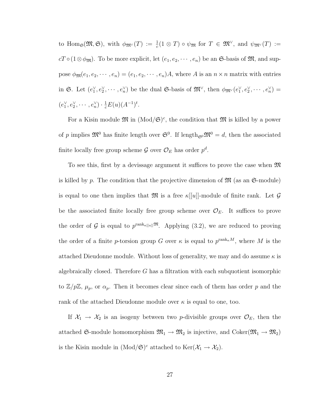to  $\text{Hom}_{\mathfrak{S}}(\mathfrak{M}, \mathfrak{S})$ , with  $\phi_{\mathfrak{M}^{\vee}}(T) := \frac{1}{c}(1 \otimes T) \circ \psi_{\mathfrak{M}}$  for  $T \in \mathfrak{M}^{\vee}$ , and  $\psi_{\mathfrak{M}^{\vee}}(T) :=$  $cT \circ (1 \otimes \phi_{\mathfrak{M}})$ . To be more explicit, let  $(e_1, e_2, \dots, e_n)$  be an G-basis of  $\mathfrak{M}$ , and suppose  $\phi_{\mathfrak{M}}(e_1, e_2, \dots, e_n) = (e_1, e_2, \dots, e_n)A$ , where A is an  $n \times n$  matrix with entries in G. Let  $(e_1^{\vee}, e_2^{\vee}, \cdots, e_n^{\vee})$  be the dual G-basis of  $\mathfrak{M}^{\vee}$ , then  $\phi_{\mathfrak{M}^{\vee}}(e_1^{\vee}, e_2^{\vee}, \cdots, e_n^{\vee})$  =  $(e_1^{\vee}, e_2^{\vee}, \cdots, e_n^{\vee}) \cdot \frac{1}{c} E(u) (A^{-1})^t.$ 

For a Kisin module  $\mathfrak{M}$  in  $(\text{Mod}/\mathfrak{S})^c$ , the condition that  $\mathfrak{M}$  is killed by a power of p implies  $\mathfrak{M}^0$  has finite length over  $\mathfrak{S}^0$ . If length<sub> $\mathfrak{S}^0$ </sub>  $\mathfrak{M}^0 = d$ , then the associated finite locally free group scheme  $\mathcal G$  over  $\mathcal O_E$  has order  $p^d$ .

To see this, first by a devissage argument it suffices to prove the case when  $\mathfrak{M}$ is killed by p. The condition that the projective dimension of  $\mathfrak{M}$  (as an  $\mathfrak{S}\text{-module}$ ) is equal to one then implies that  $\mathfrak{M}$  is a free  $\kappa[[u]]$ -module of finite rank. Let  $\mathcal G$ be the associated finite locally free group scheme over  $\mathcal{O}_E$ . It suffices to prove the order of G is equal to  $p^{\text{rank}_{\kappa[[u]]}}$ <sup>M</sup>. Applying [\(3.2\)](#page-33-0), we are reduced to proving the order of a finite p-torsion group G over  $\kappa$  is equal to  $p^{\text{rank}_{\kappa}M}$ , where M is the attached Dieudonne module. Without loss of generality, we may and do assume  $\kappa$  is algebraically closed. Therefore G has a filtration with each subquotient isomorphic to  $\mathbb{Z}/p\mathbb{Z}$ ,  $\mu_p$ , or  $\alpha_p$ . Then it becomes clear since each of them has order p and the rank of the attached Dieudonne module over  $\kappa$  is equal to one, too.

If  $X_1 \rightarrow X_2$  is an isogeny between two *p*-divisible groups over  $\mathcal{O}_E$ , then the attached G-module homomorphism  $\mathfrak{M}_1 \to \mathfrak{M}_2$  is injective, and Coker $(\mathfrak{M}_1 \to \mathfrak{M}_2)$ is the Kisin module in  $(Mod/\mathfrak{S})^c$  attached to  $\text{Ker}(\mathcal{X}_1 \to \mathcal{X}_2)$ .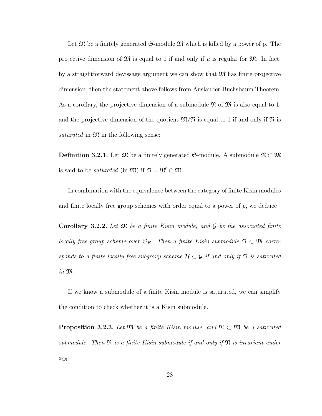Let  $\mathfrak{M}$  be a finitely generated  $\mathfrak{S}\text{-module }\mathfrak{M}$  which is killed by a power of p. The projective dimension of  $\mathfrak{M}$  is equal to 1 if and only if u is regular for  $\mathfrak{M}$ . In fact, by a straightforward devissage argument we can show that  $\mathfrak{M}$  has finite projective dimension, then the statement above follows from Auslander-Buchsbaum Theorem. As a corollary, the projective dimension of a submodule  $\mathfrak{N}$  of  $\mathfrak{M}$  is also equal to 1, and the projective dimension of the quotient  $\mathfrak{M}/\mathfrak{N}$  is equal to 1 if and only if  $\mathfrak{N}$  is saturated in  $\mathfrak{M}$  in the following sense:

**Definition 3.2.1.** Let  $\mathfrak{M}$  be a finitely generated G-module. A submodule  $\mathfrak{N} \subset \mathfrak{M}$ is said to be *saturated* (in  $\mathfrak{M}$ ) if  $\mathfrak{N} = \mathfrak{N}^0 \cap \mathfrak{M}$ .

In combination with the equivalence between the category of finite Kisin modules and finite locally free group schemes with order equal to a power of  $p$ , we deduce

**Corollary 3.2.2.** Let  $\mathfrak{M}$  be a finite Kisin module, and  $\mathcal{G}$  be the associated finite locally free group scheme over  $\mathcal{O}_E$ . Then a finite Kisin submodule  $\mathfrak{N} \subset \mathfrak{M}$  corresponds to a finite locally free subgroup scheme  $\mathcal{H} \subset \mathcal{G}$  if and only if  $\mathfrak{N}$  is saturated in M.

If we know a submodule of a finite Kisin module is saturated, we can simplify the condition to check whether it is a Kisin submodule.

**Proposition 3.2.3.** Let  $\mathfrak{M}$  be a finite Kisin module, and  $\mathfrak{N} \subset \mathfrak{M}$  be a saturated submodule. Then  $\mathfrak N$  is a finite Kisin submodule if and only if  $\mathfrak N$  is invariant under  $\phi$ m.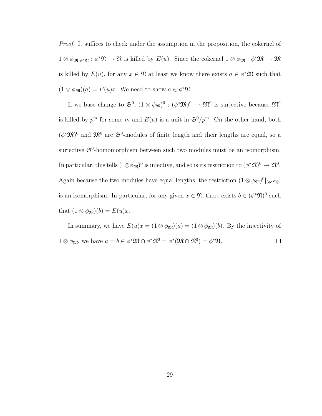Proof. It suffices to check under the assumption in the proposition, the cokernel of  $1 \otimes \phi_{\mathfrak{M}}|_{\phi^*\mathfrak{N}} : \phi^*\mathfrak{N} \to \mathfrak{N}$  is killed by  $E(u)$ . Since the cokernel  $1 \otimes \phi_{\mathfrak{M}} : \phi^*\mathfrak{M} \to \mathfrak{M}$ is killed by  $E(u)$ , for any  $x \in \mathfrak{N}$  at least we know there exists  $a \in \phi^* \mathfrak{M}$  such that  $(1 \otimes \phi_{\mathfrak{M}})(a) = E(u)x$ . We need to show  $a \in \phi^* \mathfrak{N}$ .

If we base change to  $\mathfrak{S}^0$ ,  $(1 \otimes \phi_{\mathfrak{M}})^0 : (\phi^* \mathfrak{M})^0 \to \mathfrak{M}^0$  is surjective because  $\mathfrak{M}^0$ is killed by  $p^m$  for some m and  $E(u)$  is a unit in  $\mathfrak{S}^0/p^m$ . On the other hand, both  $(\phi^* \mathfrak{M})^0$  and  $\mathfrak{M}^0$  are  $\mathfrak{S}^0$ -modules of finite length and their lengths are equal, so a surjective  $\mathfrak{S}^0$ -homomorphism between such two modules must be an isomorphism. In particular, this tells  $(1 \otimes \phi_{\mathfrak{M}})^0$  is injective, and so is its restriction to  $(\phi^*\mathfrak{N})^0 \to \mathfrak{N}^0$ . Again because the two modules have equal lengths, the restriction  $(1 \otimes \phi_{\mathfrak{M}})^0|_{(\phi^*\mathfrak{N})^0}$ is an isomorphism. In particular, for any given  $x \in \mathfrak{N}$ , there exists  $b \in (\phi^*\mathfrak{N})^0$  such that  $(1 \otimes \phi_{\mathfrak{M}})(b) = E(u)x$ .

In summary, we have  $E(u)x = (1 \otimes \phi_{\mathfrak{M}})(a) = (1 \otimes \phi_{\mathfrak{M}})(b)$ . By the injectivity of  $1 \otimes \phi_{\mathfrak{M}}$ , we have  $a = b \in \phi^* \mathfrak{M} \cap \phi^* \mathfrak{N}^0 = \phi^* (\mathfrak{M} \cap \mathfrak{N}^0) = \phi^* \mathfrak{N}$ .  $\Box$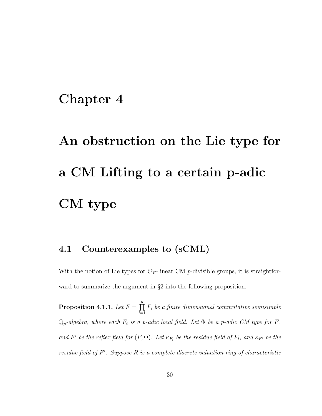### Chapter 4

# An obstruction on the Lie type for a CM Lifting to a certain p-adic CM type

#### <span id="page-38-1"></span>4.1 Counterexamples to (sCML)

With the notion of Lie types for  $\mathcal{O}_F$ -linear CM p-divisible groups, it is straightforward to summarize the argument in  $\S2$  into the following proposition.

<span id="page-38-0"></span>Proposition 4.1.1. Let  $F = \prod_{n=1}^n$  $i=1$  $F_i$  be a finite dimensional commutative semisimple  $\mathbb{Q}_p$ -algebra, where each  $F_i$  is a p-adic local field. Let  $\Phi$  be a p-adic CM type for F, and F' be the reflex field for  $(F, \Phi)$ . Let  $\kappa_{F_i}$  be the residue field of  $F_i$ , and  $\kappa_{F'}$  be the residue field of  $F'$ . Suppose  $R$  is a complete discrete valuation ring of characteristic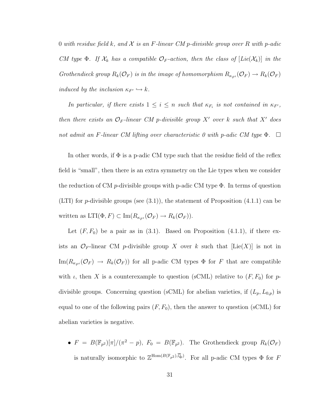0 with residue field k, and  $\mathcal X$  is an F-linear CM p-divisible group over R with p-adic CM type  $\Phi$ . If  $\mathcal{X}_k$  has a compatible  $\mathcal{O}_F$ -action, then the class of  $[Lie(\mathcal{X}_k)]$  in the Grothendieck group  $R_k(\mathcal{O}_F)$  is in the image of homomorphism  $R_{\kappa_{F'}}(\mathcal{O}_F) \to R_k(\mathcal{O}_F)$ induced by the inclusion  $\kappa_{F'} \hookrightarrow k$ .

In particular, if there exists  $1 \leq i \leq n$  such that  $\kappa_{F_i}$  is not contained in  $\kappa_{F'}$ , then there exists an  $\mathcal{O}_F$ -linear CM p-divisible group X' over k such that X' does not admit an F-linear CM lifting over characteristic 0 with p-adic CM type  $\Phi$ .

In other words, if  $\Phi$  is a p-adic CM type such that the residue field of the reflex field is "small", then there is an extra symmetry on the Lie types when we consider the reduction of CM p-divisible groups with p-adic CM type  $\Phi$ . In terms of question (LTI) for *p*-divisible groups (see  $(3.1)$ ), the statement of Proposition  $(4.1.1)$  can be written as  $LTI(\Phi, F) \subset \text{Im}(R_{\kappa_{F'}}(\mathcal{O}_F) \to R_k(\mathcal{O}_F)).$ 

Let  $(F, F_0)$  be a pair as in [\(3.1\)](#page-27-0). Based on Proposition [\(4.1.1\)](#page-38-0), if there exists an  $\mathcal{O}_F$ -linear CM p-divisible group X over k such that  $[Lie(X)]$  is not in  $\text{Im}(R_{\kappa_{F'}}(\mathcal{O}_F) \to R_k(\mathcal{O}_F))$  for all p-adic CM types  $\Phi$  for F that are compatible with  $\iota$ , then X is a counterexample to question (sCML) relative to  $(F, F_0)$  for pdivisible groups. Concerning question (sCML) for abelian varieties, if  $(L_p, L_{0,p})$  is equal to one of the following pairs  $(F, F_0)$ , then the answer to question (sCML) for abelian varieties is negative.

•  $F = B(\mathbb{F}_{p^2})[\pi]/(\pi^2 - p)$ ,  $F_0 = B(\mathbb{F}_{p^2})$ . The Grothendieck group  $R_k(\mathcal{O}_F)$ is naturally isomorphic to  $\mathbb{Z}^{\text{Hom}(B(\mathbb{F}_{p^2}), \overline{\mathbb{Q}}_p)}$ . For all p-adic CM types  $\Phi$  for F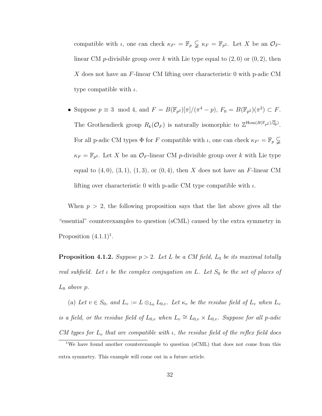compatible with *ι*, one can check  $\kappa_{F'} = \mathbb{F}_p \subsetneq \kappa_F = \mathbb{F}_{p^2}$ . Let X be an  $\mathcal{O}_F$ linear CM p-divisible group over k with Lie type equal to  $(2, 0)$  or  $(0, 2)$ , then X does not have an  $F$ -linear CM lifting over characteristic 0 with p-adic CM type compatible with  $\iota$ .

• Suppose  $p \equiv 3 \mod 4$ , and  $F = B(\mathbb{F}_{p^2})[\pi]/(\pi^4 - p)$ ,  $F_0 = B(\mathbb{F}_{p^2})(\pi^2) \subset F$ . The Grothendieck group  $R_k(\mathcal{O}_F)$  is naturally isomorphic to  $\mathbb{Z}^{\text{Hom}(B(\mathbb{F}_{p^2}),\overline{\mathbb{Q}}_p)}$ . For all p-adic CM types  $\Phi$  for F compatible with  $\iota$ , one can check  $\kappa_{F'} = \mathbb{F}_p \subsetneqq$  $\kappa_F = \mathbb{F}_{p^2}$ . Let X be an  $\mathcal{O}_F$ -linear CM p-divisible group over k with Lie type equal to  $(4, 0), (3, 1), (1, 3),$  or  $(0, 4),$  then X does not have an F-linear CM lifting over characteristic 0 with p-adic CM type compatible with  $\iota$ .

When  $p > 2$ , the following proposition says that the list above gives all the "essential" counterexamples to question (sCML) caused by the extra symmetry in Proposition  $(4.1.1)^1$ .

**Proposition 4.1.2.** Suppose  $p > 2$ . Let L be a CM field,  $L_0$  be its maximal totally real subfield. Let  $\iota$  be the complex conjugation on L. Let  $S_0$  be the set of places of  $L_0$  above p.

(a) Let  $v \in S_0$ , and  $L_v := L \otimes_{L_0} L_{0,v}$ . Let  $\kappa_v$  be the residue field of  $L_v$  when  $L_v$ is a field, or the residue field of  $L_{0,v}$  when  $L_v \cong L_{0,v} \times L_{0,v}$ . Suppose for all p-adic CM types for  $L_v$  that are compatible with  $\iota$ , the residue field of the reflex field does

<sup>&</sup>lt;sup>1</sup>We have found another counterexample to question (sCML) that does not come from this extra symmetry. This example will come out in a future article.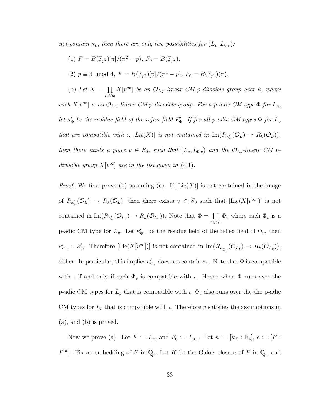not contain  $\kappa_v$ , then there are only two possibilities for  $(L_v, L_{0,v})$ :

- (1)  $F = B(\mathbb{F}_{p^2})[\pi]/(\pi^2 p), F_0 = B(\mathbb{F}_{p^2}).$
- (2)  $p \equiv 3 \mod 4$ ,  $F = B(\mathbb{F}_{p^2})[\pi]/(\pi^4 p)$ ,  $F_0 = B(\mathbb{F}_{p^2})(\pi)$ .

(b) Let  $X = \prod$  $v \in S_0$  $X[v^{\infty}]$  be an  $\mathcal{O}_{L,p}$ -linear CM p-divisible group over k, where each  $X[v^{\infty}]$  is an  $\mathcal{O}_{L,v}$ -linear CM p-divisible group. For a p-adic CM type  $\Phi$  for  $L_p$ , let  $\kappa'_{\Phi}$  be the residue field of the reflex field  $F'_{\Phi}$ . If for all p-adic CM types  $\Phi$  for  $L_p$ that are compatible with  $\iota$ ,  $[Lie(X)]$  is not contained in  $\text{Im}(R_{\kappa'_\Phi}(\mathcal{O}_L) \to R_k(\mathcal{O}_L)),$ then there exists a place  $v \in S_0$ , such that  $(L_v, L_{0,v})$  and the  $\mathcal{O}_{L_v}$ -linear CM pdivisible group  $X[v^{\infty}]$  are in the list given in [\(4.1\)](#page-38-1).

*Proof.* We first prove (b) assuming (a). If  $[Lie(X)]$  is not contained in the image of  $R_{\kappa'_\Phi}(\mathcal{O}_L) \to R_k(\mathcal{O}_L)$ , then there exists  $v \in S_0$  such that  $[\text{Lie}(X[v^\infty])]$  is not contained in  $\text{Im}(R_{\kappa'_\Phi}(\mathcal{O}_{L_v}) \to R_k(\mathcal{O}_{L_v}))$ . Note that  $\Phi = \prod_{\zeta \in \Xi}$  $v \in S_0$  $\Phi_v$  where each  $\Phi_v$  is a p-adic CM type for  $L_v$ . Let  $\kappa'_{\Phi_v}$  be the residue field of the reflex field of  $\Phi_v$ , then  $\kappa'_{\Phi_v} \subset \kappa'_{\Phi}$ . Therefore  $[\text{Lie}(X[v^\infty])]$  is not contained in  $\text{Im}(R_{\kappa'_{\Phi_v}}(\mathcal{O}_{L_v}) \to R_k(\mathcal{O}_{L_v}))$ , either. In particular, this implies  $\kappa'_{\Phi_v}$  does not contain  $\kappa_v$ . Note that  $\Phi$  is compatible with  $\iota$  if and only if each  $\Phi_v$  is compatible with  $\iota$ . Hence when  $\Phi$  runs over the p-adic CM types for  $L_p$  that is compatible with  $\iota$ ,  $\Phi_v$  also runs over the the p-adic CM types for  $L_v$  that is compatible with  $\iota$ . Therefore v satisfies the assumptions in (a), and (b) is proved.

Now we prove (a). Let  $F := L_v$ , and  $F_0 := L_{0,v}$ . Let  $n := [\kappa_F : \mathbb{F}_p], e := [F :$  $F^{\text{ur}}$ . Fix an embedding of F in  $\overline{\mathbb{Q}}_p$ . Let K be the Galois closure of F in  $\overline{\mathbb{Q}}_p$ , and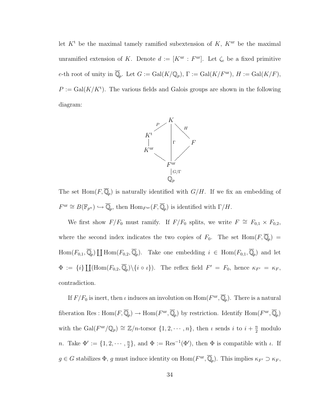let  $K^t$  be the maximal tamely ramified subextension of K,  $K^{\text{ur}}$  be the maximal unramified extension of K. Denote  $d := [K^{\text{ur}} : F^{\text{ur}}]$ . Let  $\zeta_e$  be a fixed primitive e-th root of unity in  $\overline{\mathbb{Q}}_p$ . Let  $G := \text{Gal}(K/\mathbb{Q}_p)$ ,  $\Gamma := \text{Gal}(K/F^{\text{ur}})$ ,  $H := \text{Gal}(K/F)$ ,  $P := \text{Gal}(K/K^t)$ . The various fields and Galois groups are shown in the following diagram:



The set  $\text{Hom}(F,\overline{\mathbb{Q}}_p)$  is naturally identified with  $G/H$ . If we fix an embedding of  $F^{\text{ur}} \cong B(\mathbb{F}_{p^n}) \hookrightarrow \overline{\mathbb{Q}}_p$ , then  $\text{Hom}_{F^{\text{ur}}}(F, \overline{\mathbb{Q}}_p)$  is identified with  $\Gamma/H$ .

We first show  $F/F_0$  must ramify. If  $F/F_0$  splits, we write  $F \cong F_{0,1} \times F_{0,2}$ , where the second index indicates the two copies of  $F_0$ . The set  $\text{Hom}(F, \overline{\mathbb{Q}}_p)$  =  $\text{Hom}(F_{0,1}, \overline{\mathbb{Q}}_p) \coprod \text{Hom}(F_{0,2}, \overline{\mathbb{Q}}_p)$ . Take one embedding  $i \in \text{Hom}(F_{0,1}, \overline{\mathbb{Q}}_p)$  and let  $\Phi := \{i\} \coprod (\text{Hom}(F_{0,2}, \overline{\mathbb{Q}}_p) \setminus \{i \circ \iota\}).$  The reflex field  $F' = F_0$ , hence  $\kappa_{F'} = \kappa_F$ , contradiction.

If  $F/F_0$  is inert, then  $\iota$  induces an involution on  $\text{Hom}(F^{\text{ur}}, \overline{\mathbb{Q}}_p)$ . There is a natural fiberation Res:  $\text{Hom}(F,\overline{\mathbb{Q}}_p) \to \text{Hom}(F^{\text{ur}},\overline{\mathbb{Q}}_p)$  by restriction. Identify  $\text{Hom}(F^{\text{ur}},\overline{\mathbb{Q}}_p)$ with the Gal( $F^{\text{ur}}/\mathbb{Q}_p$ )  $\cong \mathbb{Z}/n$ -torsor  $\{1, 2, \cdots, n\}$ , then  $\iota$  sends  $i$  to  $i + \frac{n}{2}$  modulo *n*. Take  $\Phi' := \{1, 2, \dots, \frac{n}{2}\}$  $\{\frac{a}{2}\}\$ , and  $\Phi := \text{Res}^{-1}(\Phi')$ , then  $\Phi$  is compatible with  $\iota$ . If  $g \in G$  stabilizes  $\Phi$ , g must induce identity on  $\text{Hom}(F^{\text{ur}}, \overline{\mathbb{Q}}_p)$ . This implies  $\kappa_{F'} \supset \kappa_F$ ,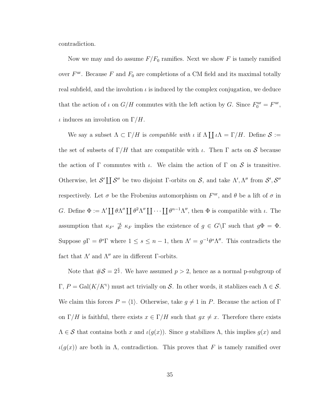contradiction.

Now we may and do assume  $F/F_0$  ramifies. Next we show F is tamely ramified over  $F^{\text{ur}}$ . Because F and  $F_0$  are completions of a CM field and its maximal totally real subfield, and the involution  $\iota$  is induced by the complex conjugation, we deduce that the action of  $\iota$  on  $G/H$  commutes with the left action by G. Since  $F_0^{\text{ur}} = F^{\text{ur}}$ ,  $\iota$  induces an involution on  $\Gamma/H$ .

We say a subset  $\Lambda \subset \Gamma/H$  is *compatible with*  $\iota$  if  $\Lambda \coprod \iota \Lambda = \Gamma/H$ . Define  $S :=$ the set of subsets of  $\Gamma/H$  that are compatible with  $\iota$ . Then  $\Gamma$  acts on  $\mathcal S$  because the action of  $\Gamma$  commutes with  $\iota$ . We claim the action of  $\Gamma$  on  $\mathcal S$  is transitive. Otherwise, let S'  $\prod S''$  be two disjoint Γ-orbits on S, and take  $\Lambda', \Lambda''$  from  $S', S''$ respectively. Let  $\sigma$  be the Frobenius automorphism on  $F^{\text{ur}}$ , and  $\theta$  be a lift of  $\sigma$  in G. Define  $\Phi := \Lambda' \coprod \theta \Lambda'' \coprod \theta^2 \Lambda'' \coprod \cdots \coprod \theta^{n-1} \Lambda''$ , then  $\Phi$  is compatible with  $\iota$ . The assumption that  $\kappa_{F'} \ncong \kappa_F$  implies the existence of  $g \in G\backslash\Gamma$  such that  $g\Phi = \Phi$ . Suppose  $g\Gamma = \theta^s \Gamma$  where  $1 \leq s \leq n-1$ , then  $\Lambda' = g^{-1}\theta^s \Lambda''$ . This contradicts the fact that  $\Lambda'$  and  $\Lambda''$  are in different Γ-orbits.

Note that  $\#\mathcal{S} = 2^{\frac{e}{2}}$ . We have assumed  $p > 2$ , hence as a normal p-subgroup of  $\Gamma, P = \text{Gal}(K/K^t)$  must act trivially on S. In other words, it stablizes each  $\Lambda \in \mathcal{S}$ . We claim this forces  $P = \langle 1 \rangle$ . Otherwise, take  $g \neq 1$  in P. Because the action of Γ on  $\Gamma/H$  is faithful, there exists  $x \in \Gamma/H$  such that  $gx \neq x$ . Therefore there exists  $\Lambda \in \mathcal{S}$  that contains both x and  $\iota(g(x))$ . Since g stabilizes  $\Lambda$ , this implies  $g(x)$  and  $\iota(g(x))$  are both in  $\Lambda$ , contradiction. This proves that F is tamely ramified over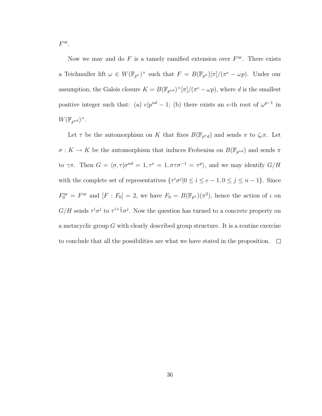$F^{\text{ur}}$ .

Now we may and do  $F$  is a tamely ramified extension over  $F<sup>ur</sup>$ . There exists a Teichmuller lift  $\omega \in W(\mathbb{F}_{p^n})^{\times}$  such that  $F = B(\mathbb{F}_{p^n})[\pi]/(\pi^e - \omega p)$ . Under our assumption, the Galois closure  $K = B(\mathbb{F}_{p^{nd}})^{\times}[\pi]/(\pi^e - \omega p)$ , where d is the smallest positive integer such that: (a)  $e|p^{nd} - 1$ ; (b) there exists an e-th root of  $\omega^{p-1}$  in  $W(\mathbb{F}_{p^{nd}})^{\times}.$ 

Let  $\tau$  be the automorphism on K that fixes  $B(\mathbb{F}_{p^{n}d})$  and sends  $\pi$  to  $\zeta_e\pi$ . Let  $\sigma: K \to K$  be the automorphism that induces Frobenius on  $B(\mathbb{F}_{p^{nd}})$  and sends  $\pi$ to  $\gamma\pi$ . Then  $G = \langle \sigma, \tau | \sigma^{nd} = 1, \tau^e = 1, \sigma\tau\sigma^{-1} = \tau^p \rangle$ , and we may identify  $G/H$ with the complete set of representatives  $\{\tau^i\sigma^j | 0 \le i \le e-1, 0 \le j \le n-1\}$ . Since  $F_0^{\text{ur}} = F^{\text{ur}}$  and  $[F: F_0] = 2$ , we have  $F_0 = B(\mathbb{F}_{p^n})(\pi^2)$ , hence the action of  $\iota$  on  $G/H$  sends  $\tau^i \sigma^j$  to  $\tau^{i+\frac{e}{2}} \sigma^j$ . Now the question has turned to a concrete property on a metacyclic group G with clearly described group structure. It is a routine exercise to conclude that all the possibilities are what we have stated in the proposition.  $\Box$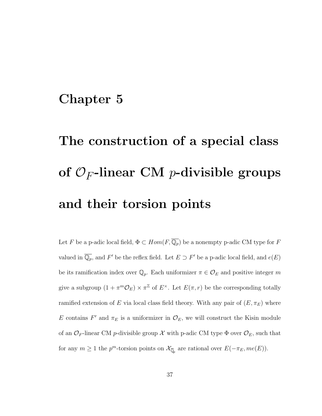### Chapter 5

# The construction of a special class of  $\mathcal{O}_F$ -linear CM *p*-divisible groups and their torsion points

Let F be a p-adic local field,  $\Phi \subset Hom(F, \overline{\mathbb{Q}_p})$  be a nonempty p-adic CM type for F valued in  $\overline{\mathbb{Q}_p}$ , and F' be the reflex field. Let  $E \supset F'$  be a p-adic local field, and  $e(E)$ be its ramification index over  $\mathbb{Q}_p$ . Each uniformizer  $\pi \in \mathcal{O}_E$  and positive integer m give a subgroup  $(1 + \pi^m \mathcal{O}_E) \times \pi^{\mathbb{Z}}$  of  $E^{\times}$ . Let  $E(\pi, r)$  be the corresponding totally ramified extension of E via local class field theory. With any pair of  $(E, \pi_E)$  where E contains F' and  $\pi_E$  is a uniformizer in  $\mathcal{O}_E$ , we will construct the Kisin module of an  $\mathcal{O}_F$ -linear CM p-divisible group X with p-adic CM type  $\Phi$  over  $\mathcal{O}_E$ , such that for any  $m \ge 1$  the  $p^m$ -torsion points on  $\mathcal{X}_{\overline{\mathbb{Q}}_p}$  are rational over  $E(-\pi_E, me(E)).$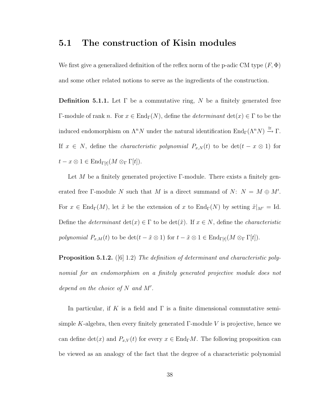#### <span id="page-46-0"></span>5.1 The construction of Kisin modules

We first give a generalized definition of the reflex norm of the p-adic CM type  $(F, \Phi)$ and some other related notions to serve as the ingredients of the construction.

**Definition 5.1.1.** Let  $\Gamma$  be a commutative ring, N be a finitely generated free Γ-module of rank n. For  $x \in \text{End}_{\Gamma}(N)$ , define the *determinant* det $(x) \in \Gamma$  to be the induced endomorphism on  $\Lambda^n N$  under the natural identification  $\text{End}_{\Gamma}(\Lambda^n N) \xrightarrow{\cong} \Gamma$ . If  $x \in N$ , define the *characteristic polynomial*  $P_{x,N}(t)$  to be  $\det(t - x \otimes 1)$  for  $t - x \otimes 1 \in \text{End}_{\Gamma[t]}(M \otimes_{\Gamma} \Gamma[t]).$ 

Let M be a finitely generated projective  $\Gamma$ -module. There exists a finitely generated free Γ-module N such that M is a direct summand of N:  $N = M \oplus M'$ . For  $x \in \text{End}_{\Gamma}(M)$ , let  $\tilde{x}$  be the extension of x to  $\text{End}_{\Gamma}(N)$  by setting  $\tilde{x}|_{M'} = \text{Id}$ . Define the *determinant*  $det(x) \in \Gamma$  to be  $det(\tilde{x})$ . If  $x \in N$ , define the *characteristic* polynomial  $P_{x,M}(t)$  to be  $\det(t - \tilde{x} \otimes 1)$  for  $t - \tilde{x} \otimes 1 \in \text{End}_{\Gamma[t]}(M \otimes_{\Gamma} \Gamma[t])$ .

**Proposition 5.1.2.** ([\[6\]](#page-244-0) 1.2) The definition of determinant and characteristic polynomial for an endomorphism on a finitely generated projective module does not depend on the choice of  $N$  and  $M'$ .

In particular, if K is a field and  $\Gamma$  is a finite dimensional commutative semisimple K-algebra, then every finitely generated  $\Gamma$ -module V is projective, hence we can define  $\det(x)$  and  $P_{x,V}(t)$  for every  $x \in \text{End}_{\Gamma}M$ . The following proposition can be viewed as an analogy of the fact that the degree of a characteristic polynomial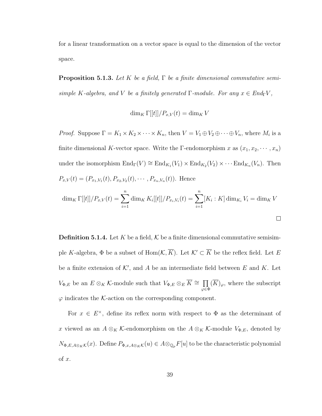for a linear transformation on a vector space is equal to the dimension of the vector space.

<span id="page-47-0"></span>**Proposition 5.1.3.** Let K be a field,  $\Gamma$  be a finite dimensional commutative semisimple K-algebra, and V be a finitely generated  $\Gamma$ -module. For any  $x \in End_{\Gamma}V$ ,

$$
\dim_K \Gamma[[t]]/P_{x,V}(t) = \dim_K V
$$

*Proof.* Suppose  $\Gamma = K_1 \times K_2 \times \cdots \times K_n$ , then  $V = V_1 \oplus V_2 \oplus \cdots \oplus V_n$ , where  $M_i$  is a finite dimensional K-vector space. Write the Γ-endomorphism x as  $(x_1, x_2, \dots, x_n)$ under the isomorphism  $\text{End}_{\Gamma}(V) \cong \text{End}_{K_1}(V_1) \times \text{End}_{K_2}(V_2) \times \cdots \text{End}_{K_n}(V_n)$ . Then  $P_{x,V}(t) = (P_{x_1,V_1}(t), P_{x_2,V_2}(t), \cdots, P_{x_n,V_n}(t)).$  Hence dim<sub>K</sub>  $\Gamma[[t]]/P_{x,V}(t) = \sum_{n=1}^{n}$  $i=1$  $\dim_K K_i[[t]]/P_{x_i,V_i}(t) = \sum_{i=1}^{n}$  $i=1$  $[K_i: K] \dim_{K_i} V_i = \dim_K V$ 

$$
\qquad \qquad \Box
$$

<span id="page-47-1"></span>**Definition 5.1.4.** Let K be a field, K be a finite dimensional commutative semisimple K-algebra,  $\Phi$  be a subset of  $\text{Hom}(\mathcal{K}, \overline{K})$ . Let  $\mathcal{K}' \subset \overline{K}$  be the reflex field. Let E be a finite extension of  $K'$ , and A be an intermediate field between E and K. Let  $V_{\Phi,E}$  be an  $E \otimes_K \mathcal{K}$ -module such that  $V_{\Phi,E} \otimes_E \overline{K} \cong \prod$ ϕ∈Φ  $(K)_{\varphi}$ , where the subscript  $\varphi$  indicates the K-action on the corresponding component.

For  $x \in E^{\times}$ , define its reflex norm with respect to  $\Phi$  as the determinant of x viewed as an  $A \otimes_K \mathcal{K}$ -endomorphism on the  $A \otimes_K \mathcal{K}$ -module  $V_{\Phi,E}$ , denoted by  $N_{\Phi,E,A\otimes_K\mathcal{K}}(x)$ . Define  $P_{\Phi,x,A\otimes_K\mathcal{K}}(u) \in A\otimes_{\mathbb{Q}_p} F[u]$  to be the characteristic polynomial of x.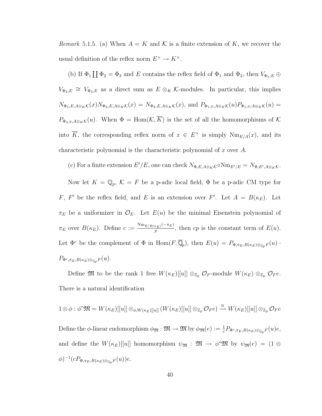Remark 5.1.5. (a) When  $A = K$  and K is a finite extension of K, we recover the usual definition of the reflex norm  $E^{\times} \to K^{\times}$ .

(b) If  $\Phi_1 \coprod \Phi_2 = \Phi_3$  and E contains the reflex field of  $\Phi_1$  and  $\Phi_2$ , then  $V_{\Phi_1,E} \oplus$  $V_{\Phi_2,E} \cong V_{\Phi_3,E}$  as a direct sum as  $E \otimes_K \mathcal{K}$ -modules. In particular, this implies  $N_{\Phi_1,E,A\otimes_K\mathcal{K}}(x)N_{\Phi_2,E,A\otimes_K\mathcal{K}}(x)=N_{\Phi_3,E,A\otimes_K\mathcal{K}}(x),$  and  $P_{\Phi_1,x,A\otimes_K\mathcal{K}}(u)P_{\Phi_1,x,A\otimes_K\mathcal{K}}(u)=$  $P_{\Phi_3,x,A\otimes_K\mathcal{K}}(u)$ . When  $\Phi = \text{Hom}(\mathcal{K},\overline{K})$  is the set of all the homomorphisms of  $\mathcal K$ into  $\overline{K}$ , the corresponding reflex norm of  $x \in E^{\times}$  is simply  $Nm_{E/A}(x)$ , and its characteristic polynomial is the characteristic polynomial of x over A.

(c) For a finite extension  $E'/E$ , one can check  $N_{\Phi,E,A\otimes_K\mathcal{K}} \circ \text{Nm}_{E'/E} = N_{\Phi,E',A\otimes_K\mathcal{K}}$ . Now let  $K = \mathbb{Q}_p$ ,  $\mathcal{K} = F$  be a p-adic local field,  $\Phi$  be a p-adic CM type for F, F' be the reflex field, and E is an extension over F'. Let  $A = B(\kappa_E)$ . Let  $\pi_E$  be a uniformizer in  $\mathcal{O}_E$ . Let  $E(u)$  be the minimal Eisenstein polynomial of  $\pi_E$  over  $B(\kappa_E)$ . Define  $c := \frac{\text{Nm}_{E/B(\kappa_E)}(-\pi_E)}{n}$  $\frac{p(p-1)(p-1)}{p}$ , then cp is the constant term of  $E(u)$ . Let  $\Phi^c$  be the complement of  $\Phi$  in  $\text{Hom}(F,\overline{\mathbb{Q}}_p)$ , then  $E(u) = P_{\Phi,\pi_E,B(\kappa_E)\otimes_{\mathbb{Q}_p}F(u)}$ .  $P_{\Phi^c, \pi_E, B(\kappa_E) \otimes_{\mathbb{Q}_p} F(u).$ 

Define  $\mathfrak{M}$  to be the rank 1 free  $W(\kappa_E)[[u]] \otimes_{\mathbb{Z}_p} \mathcal{O}_F$ -module  $W(\kappa_E) \otimes_{\mathbb{Z}_p} \mathcal{O}_F e$ . There is a natural identification

$$
1 \otimes \phi : \phi^* \mathfrak{M} = W(\kappa_E)[[u]] \otimes_{\phi, W(\kappa_E)[[u]]} (W(\kappa_E)[[u]] \otimes_{\mathbb{Z}_p} \mathcal{O}_F e) \xrightarrow{\cong} W(\kappa_E)[[u]] \otimes_{\mathbb{Z}_p} \mathcal{O}_F e
$$
  
Define the  $\phi$ -linear endomorphism  $\phi_{\mathfrak{M}} : \mathfrak{M} \to \mathfrak{M}$  by  $\phi_{\mathfrak{M}}(e) := \frac{1}{c} P_{\Phi^c, \pi_E, B(\kappa_E) \otimes_{\mathbb{Q}_p} F(u)e$ ,  
and define the  $W(\kappa_E)[[u]]$  homomorphism  $\psi_{\mathfrak{M}} : \mathfrak{M} \to \phi^* \mathfrak{M}$  by  $\psi_{\mathfrak{M}}(e) = (1 \otimes \phi)^{-1} (cP_{\Phi, \pi_E, B(\kappa_E) \otimes_{\mathbb{Q}_p} F(u))e$ .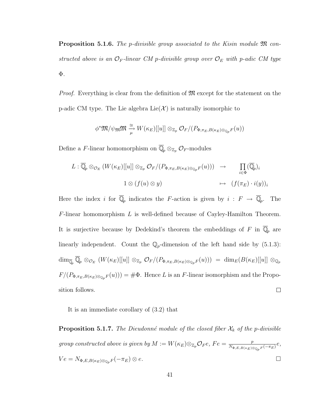**Proposition 5.1.6.** The p-divisible group associated to the Kisin module  $\mathfrak{M}$  constructed above is an  $\mathcal{O}_F$ -linear CM p-divisible group over  $\mathcal{O}_E$  with p-adic CM type Φ.

*Proof.* Everything is clear from the definition of  $\mathfrak{M}$  except for the statement on the p-adic CM type. The Lie algebra  $Lie(X)$  is naturally isomorphic to

$$
\phi^*\mathfrak{M}/\psi_\mathfrak{M}\mathfrak{M}\xrightarrow[\mu]{\cong}W(\kappa_E)[[u]]\otimes_{\mathbb{Z}_p}\mathcal{O}_F/(P_{\Phi,\pi_E,B(\kappa_E)\otimes_{\mathbb{Q}_p}F}(u))
$$

Define a F-linear homomorphism on  $\mathbb{Q}_p \otimes_{\mathbb{Z}_p} \mathcal{O}_F$ -modules

$$
L: \overline{\mathbb{Q}}_p \otimes_{\mathcal{O}_E} (W(\kappa_E)[[u]] \otimes_{\mathbb{Z}_p} \mathcal{O}_F/(P_{\Phi, \pi_E, B(\kappa_E) \otimes_{\mathbb{Q}_p} F}(u))) \rightarrow \prod_{i \in \Phi} (\overline{\mathbb{Q}}_p)_i
$$
  

$$
1 \otimes (f(u) \otimes y) \rightarrow (f(\pi_E) \cdot i(y))_i
$$

Here the index i for  $\overline{\mathbb{Q}}_p$  indicates the F-action is given by  $i : F \to \overline{\mathbb{Q}}_p$ . The  $F$ -linear homomorphism  $L$  is well-defined because of Cayley-Hamilton Theorem. It is surjective because by Dedekind's theorem the embeddings of F in  $\overline{\mathbb{Q}}_p$  are linearly independent. Count the  $\mathbb{Q}_p$ -dimension of the left hand side by [\(5.1.3\)](#page-47-0):  $\dim_{\overline{\mathbb{Q}}_p}\overline{\mathbb{Q}}_p \otimes_{\mathcal{O}_E} (W(\kappa_E)[[u]] \otimes_{\mathbb{Z}_p} \mathcal{O}_F/(P_{\Phi,\pi_E,B(\kappa_E)\otimes_{\mathbb{Q}_p}F}(u))) = \dim_E(B(\kappa_E)[[u]] \otimes_{\mathbb{Q}_p}F(\kappa_E)[[u]]$  $F/(P_{\Phi,\pi_E,B(\kappa_E)\otimes_{\mathbb{Q}_p}F(u))) = \#\Phi$ . Hence L is an F-linear isomorphism and the Proposition follows.  $\Box$ 

<span id="page-49-0"></span>It is an immediate corollary of [\(3.2\)](#page-33-0) that

**Proposition 5.1.7.** The Dieudonné module of the closed fiber  $\mathcal{X}_k$  of the p-divisible group constructed above is given by  $M := W(\kappa_E) \otimes_{\mathbb{Z}_p} \mathcal{O}_F e$ ,  $Fe = \frac{p}{N \Phi E P(\kappa_E) \Phi}$  $\frac{p}{N_{\Phi,E,B(\kappa_E)\otimes_{\mathbb{Q}_p}F(-\pi_E)}e,}$  $Ve = N_{\Phi,E,B(\kappa_E)\otimes_{\mathbb{Q}_p}F}(-\pi_E) \otimes e.$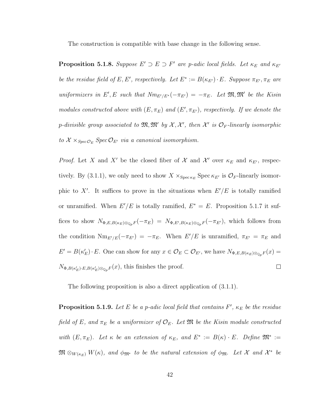<span id="page-50-0"></span>The construction is compatible with base change in the following sense.

**Proposition 5.1.8.** Suppose  $E' \supset E \supset F'$  are p-adic local fields. Let  $\kappa_E$  and  $\kappa_{E'}$ be the residue field of E, E', respectively. Let  $E^* := B(\kappa_{E'}) \cdot E$ . Suppose  $\pi_{E'}, \pi_E$  are uniformizers in E', E such that  $Nm_{E'/E^*}(-\pi_{E'}) = -\pi_E$ . Let  $\mathfrak{M}, \mathfrak{M}'$  be the Kisin modules constructed above with  $(E, \pi_E)$  and  $(E', \pi_{E'})$ , respectively. If we denote the p-divisible group associated to  $\mathfrak{M},\mathfrak{M}'$  by  $\mathcal{X},\mathcal{X}'$ , then  $\mathcal{X}'$  is  $\mathcal{O}_F$ -linearly isomorphic to  $X \times_{Spec \mathcal{O}_E} Spec \mathcal{O}_{E'}$  via a canonical isomorphism.

*Proof.* Let X and X' be the closed fiber of X and X' over  $\kappa_E$  and  $\kappa_{E'}$ , respec-tively. By [\(3.1.1\)](#page-26-0), we only need to show  $X \times_{\text{Spec } \kappa_E} \text{Spec } \kappa_{E'}$  is  $\mathcal{O}_F$ -linearly isomorphic to X'. It suffices to prove in the situations when  $E'/E$  is totally ramified or unramified. When  $E'/E$  is totally ramified,  $E^* = E$ . Proposition [5.1.7](#page-49-0) it suffices to show  $N_{\Phi,E,B(\kappa_E)\otimes_{\mathbb{Q}_p}F}(-\pi_E) = N_{\Phi,E',B(\kappa_E)\otimes_{\mathbb{Q}_p}F}(-\pi_{E'})$ , which follows from the condition  $Nm_{E'/E}(-\pi_{E'}) = -\pi_E$ . When  $E'/E$  is unramified,  $\pi_{E'} = \pi_E$  and  $E' = B(\kappa'_E) \cdot E$ . One can show for any  $x \in \mathcal{O}_E \subset \mathcal{O}_{E'}$ , we have  $N_{\Phi,E,B(\kappa_E) \otimes_{\mathbb{Q}_p} F}(x) =$  $\Box$  $N_{\Phi,B(\kappa_E')\cdot E,B(\kappa_E')\otimes_{\mathbb{Q}_p}F}(x)$ , this finishes the proof.

The following proposition is also a direct application of [\(3.1.1\)](#page-26-0).

**Proposition 5.1.9.** Let E be a p-adic local field that contains  $F'$ ,  $\kappa_E$  be the residue field of E, and  $\pi_E$  be a uniformizer of  $\mathcal{O}_E$ . Let  $\mathfrak{M}$  be the Kisin module constructed with  $(E, \pi_E)$ . Let  $\kappa$  be an extension of  $\kappa_E$ , and  $E^* := B(\kappa) \cdot E$ . Define  $\mathfrak{M}^* :=$  $\mathfrak{M} \otimes_{W(\kappa_E)} W(\kappa)$ , and  $\phi_{\mathfrak{M}^*}$  to be the natural extension of  $\phi_{\mathfrak{M}}$ . Let X and  $\mathcal{X}^*$  be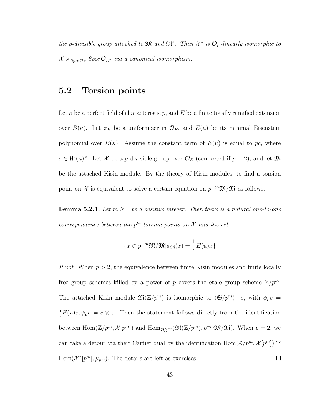the p-divisible group attached to  $\mathfrak{M}$  and  $\mathfrak{M}^*$ . Then  $\mathcal{X}^*$  is  $\mathcal{O}_F$ -linearly isomorphic to  $X \times_{Spec \mathcal{O}_E} Spec \mathcal{O}_{E^*}$  via a canonical isomorphism.

#### <span id="page-51-1"></span>5.2 Torsion points

Let  $\kappa$  be a perfect field of characteristic p, and E be a finite totally ramified extension over  $B(\kappa)$ . Let  $\pi_E$  be a uniformizer in  $\mathcal{O}_E$ , and  $E(u)$  be its minimal Eisenstein polynomial over  $B(\kappa)$ . Assume the constant term of  $E(u)$  is equal to pc, where  $c \in W(\kappa)^{\times}$ . Let X be a p-divisible group over  $\mathcal{O}_E$  (connected if  $p = 2$ ), and let M be the attached Kisin module. By the theory of Kisin modules, to find a torsion point on X is equivalent to solve a certain equation on  $p^{-\infty} \mathfrak{M}/\mathfrak{M}$  as follows.

<span id="page-51-0"></span>**Lemma 5.2.1.** Let  $m \geq 1$  be a positive integer. Then there is a natural one-to-one correspondence between the  $p^m$ -torsion points on  $\mathcal X$  and the set

$$
\{x \in p^{-m}\mathfrak{M}/\mathfrak{M}|\phi_{\mathfrak{M}}(x) = \frac{1}{c}E(u)x\}
$$

*Proof.* When  $p > 2$ , the equivalence between finite Kisin modules and finite locally free group schemes killed by a power of p covers the etale group scheme  $\mathbb{Z}/p^m$ . The attached Kisin module  $\mathfrak{M}(\mathbb{Z}/p^m)$  is isomorphic to  $(\mathfrak{S}/p^m) \cdot e$ , with  $\phi_\mu e =$  $\frac{1}{c}E(u)e, \psi_{\mu}e = c \otimes e$ . Then the statement follows directly from the identification between  $\text{Hom}(\mathbb{Z}/p^m, \mathcal{X}[p^m])$  and  $\text{Hom}_{\mathfrak{S}/p^m}(\mathfrak{M}(\mathbb{Z}/p^m), p^{-m}\mathfrak{M}/\mathfrak{M})$ . When  $p = 2$ , we can take a detour via their Cartier dual by the identification  $\text{Hom}(\mathbb{Z}/p^m, \mathcal{X}[p^m]) \cong$  $Hom(\mathcal{X}^*[p^m], \mu_{p^m})$ . The details are left as exercises.  $\Box$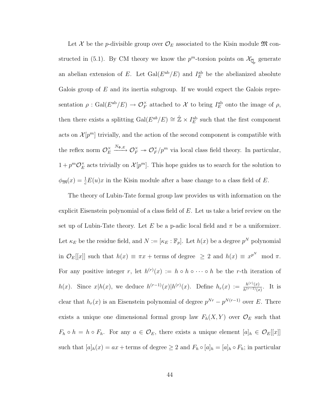Let X be the p-divisible group over  $\mathcal{O}_E$  associated to the Kisin module  $\mathfrak{M}$  con-structed in [\(5.1\)](#page-46-0). By CM theory we know the  $p^m$ -torsion points on  $\mathcal{X}_{\overline{\mathbb{Q}}_p}$  generate an abelian extension of E. Let  $Gal(E^{ab}/E)$  and  $I_{E}^{ab}$  be the abelianized absolute Galois group of  $E$  and its inertia subgroup. If we would expect the Galois representation  $\rho$ : Gal $(E^{ab}/E) \to \mathcal{O}_F^{\times}$  attached to X to bring  $I_E^{ab}$  onto the image of  $\rho$ , then there exists a splitting  $Gal(E^{ab}/E) \cong \hat{\mathbb{Z}} \times I_E^{ab}$  such that the first component acts on  $\mathcal{X}[p^m]$  trivially, and the action of the second component is compatible with the reflex norm  $\mathcal{O}_E^{\times}$  $\begin{array}{c}\times \cong \end{array} \begin{array}{c}\mathbb{N}_{\Phi,E} \ \to \mathcal{O}_F^\times \to \mathcal{O}_F^\times \end{array}$  $\sum_{F}^{\times}/p^m$  via local class field theory. In particular,  $1+p^m\mathcal{O}_E^{\times}$  $\sum_{E}^{\times}$  acts trivially on  $\mathcal{X}[p^m]$ . This hope guides us to search for the solution to  $\phi_{\mathfrak{M}}(x) = \frac{1}{c}E(u)x$  in the Kisin module after a base change to a class field of E.

The theory of Lubin-Tate formal group law provides us with information on the explicit Eisenstein polynomial of a class field of  $E$ . Let us take a brief review on the set up of Lubin-Tate theory. Let E be a p-adic local field and  $\pi$  be a uniformizer. Let  $\kappa_E$  be the residue field, and  $N := [\kappa_E : \mathbb{F}_p]$ . Let  $h(x)$  be a degree  $p^N$  polynomial in  $\mathcal{O}_E[[x]]$  such that  $h(x) \equiv \pi x + \text{terms of degree } \geq 2$  and  $h(x) \equiv x^{p^N} \mod \pi$ . For any positive integer r, let  $h^{(r)}(x) := h \circ h \circ \cdots \circ h$  be the r-th iteration of  $h(x)$ . Since  $x|h(x)$ , we deduce  $h^{(r-1)}(x)|h^{(r)}(x)$ . Define  $h_r(x) := \frac{h^{(r)}(x)}{h^{(r-1)}(x)}$  $\frac{h^{(r)}(x)}{h^{(r-1)}(x)}$ . It is clear that  $h_r(x)$  is an Eisenstein polynomial of degree  $p^{Nr} - p^{N(r-1)}$  over E. There exists a unique one dimensional formal group law  $F_h(X, Y)$  over  $\mathcal{O}_E$  such that  $F_h \circ h = h \circ F_h$ . For any  $a \in \mathcal{O}_E$ , there exists a unique element  $[a]_h \in \mathcal{O}_E[[x]]$ such that  $[a]_h(x) = ax +$  terms of degree  $\geq 2$  and  $F_h \circ [a]_h = [a]_h \circ F_h$ ; in particular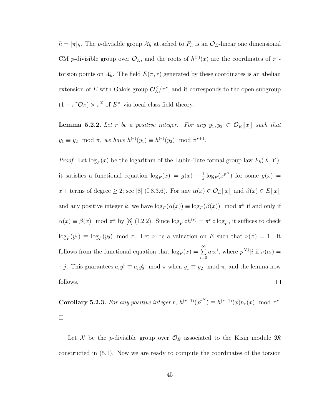$h = [\pi]_h$ . The *p*-divisible group  $\mathcal{X}_h$  attached to  $F_h$  is an  $\mathcal{O}_E$ -linear one dimensional CM p-divisible group over  $\mathcal{O}_E$ , and the roots of  $h^{(r)}(x)$  are the coordinates of  $\pi^r$ torsion points on  $\mathcal{X}_h$ . The field  $E(\pi, r)$  generated by these coordinates is an abelian extension of E with Galois group  $\mathcal{O}_E^{\times}$  $\sum_{E}^{\times}/\pi^{r}$ , and it corresponds to the open subgroup  $(1 + \pi^r \mathcal{O}_E) \times \pi^{\mathbb{Z}}$  of  $E^{\times}$  via local class field theory.

**Lemma 5.2.2.** Let r be a positive integer. For any  $y_1, y_2 \in \mathcal{O}_E[[x]]$  such that  $y_1 \equiv y_2 \mod \pi$ , we have  $h^{(r)}(y_1) \equiv h^{(r)}(y_2) \mod \pi^{r+1}$ .

*Proof.* Let  $\log_F(x)$  be the logarithm of the Lubin-Tate formal group law  $F_h(X, Y)$ , it satisfies a functional equation  $\log_F(x) = g(x) + \frac{1}{\pi} \log_F(x^{p^N})$  for some  $g(x) =$ x + terms of degree  $\geq$  2; see [\[8\]](#page-244-1) (I.8.3.6). For any  $\alpha(x) \in \mathcal{O}_E[[x]]$  and  $\beta(x) \in E[[x]]$ and any positive integer k, we have  $\log_F(\alpha(x)) \equiv \log_F(\beta(x)) \mod \pi^k$  if and only if  $\alpha(x) \equiv \beta(x) \mod \pi^k$  by [\[8\]](#page-244-1) (I.2.2). Since  $\log_F \circ h^{(r)} = \pi^r \circ \log_F$ , it suffices to check  $\log_F(y_1) \equiv \log_F(y_2) \mod \pi$ . Let  $\nu$  be a valuation on E such that  $\nu(\pi) = 1$ . It follows from the functional equation that  $\log_F(x) = \sum^{\infty}$  $a_i x^i$ , where  $p^{Nj} | i$  if  $\nu(a_i) =$  $i=0$  $-j$ . This guarantees  $a_i y_1^i \equiv a_i y_2^i \mod \pi$  when  $y_1 \equiv y_2 \mod \pi$ , and the lemma now follows.  $\Box$ 

<span id="page-53-0"></span>**Corollary 5.2.3.** For any positive integer r,  $h^{(r-1)}(x^{p^N}) \equiv h^{(r-1)}(x)h_r(x) \mod \pi^r$ .  $\Box$ 

Let X be the *p*-divisible group over  $\mathcal{O}_E$  associated to the Kisin module  $\mathfrak{M}$ constructed in [\(5.1\)](#page-46-0). Now we are ready to compute the coordinates of the torsion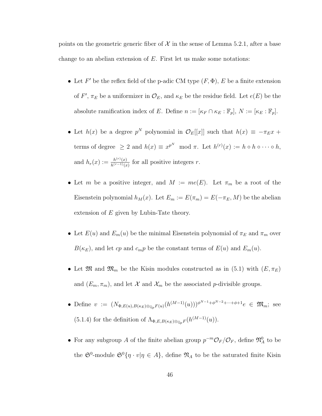points on the geometric generic fiber of  $\mathcal X$  in the sense of Lemma [5.2.1,](#page-51-0) after a base change to an abelian extension of  $E$ . First let us make some notations:

- Let  $F'$  be the reflex field of the p-adic CM type  $(F, \Phi)$ , E be a finite extension of F',  $\pi_E$  be a uniformizer in  $\mathcal{O}_E$ , and  $\kappa_E$  be the residue field. Let  $e(E)$  be the absolute ramification index of E. Define  $n := [\kappa_F \cap \kappa_E : \mathbb{F}_p], N := [\kappa_E : \mathbb{F}_p].$
- Let  $h(x)$  be a degree  $p^N$  polynomial in  $\mathcal{O}_E[[x]]$  such that  $h(x) \equiv -\pi_E x +$ terms of degree  $\geq 2$  and  $h(x) \equiv x^{p^N} \mod \pi$ . Let  $h^{(r)}(x) := h \circ h \circ \cdots \circ h$ , and  $h_r(x) := \frac{h^{(r)}(x)}{h^{(r-1)}(x)}$  $\frac{h^{(r)}(x)}{h^{(r-1)}(x)}$  for all positive integers r.
- Let m be a positive integer, and  $M := me(E)$ . Let  $\pi_m$  be a root of the Eisenstein polynomial  $h_M(x)$ . Let  $E_m := E(\pi_m) = E(-\pi_E, M)$  be the abelian extension of  $E$  given by Lubin-Tate theory.
- Let  $E(u)$  and  $E_m(u)$  be the minimal Eisenstein polynomial of  $\pi_E$  and  $\pi_m$  over  $B(\kappa_E)$ , and let cp and  $c_m p$  be the constant terms of  $E(u)$  and  $E_m(u)$ .
- Let  $\mathfrak{M}$  and  $\mathfrak{M}_m$  be the Kisin modules constructed as in [\(5.1\)](#page-46-0) with  $(E, \pi_E)$ and  $(E_m, \pi_m)$ , and let  $\mathcal X$  and  $\mathcal X_m$  be the associated *p*-divisible groups.
- Define  $v := (N_{\Phi,E(u),B(\kappa_E)\otimes_{\mathbb{Q}_p}F(u)}(h^{(M-1)}(u)))\phi^{N-1}+\phi^{N-2}+\cdots+\phi+1}e \in \mathfrak{M}_m;$  see [\(5.1.4\)](#page-47-1) for the definition of  $\Lambda_{\Phi,E,B(\kappa_E)\otimes_{\mathbb{Q}_p}F}(h^{(M-1)}(u)).$
- For any subgroup A of the finite abelian group  $p^{-m}\mathcal{O}_F/\mathcal{O}_F$ , define  $\mathfrak{N}_A^0$  to be the  $\mathfrak{S}^0$ -module  $\mathfrak{S}^0\{\eta\cdot v|\eta\in A\}$ , define  $\mathfrak{N}_A$  to be the saturated finite Kisin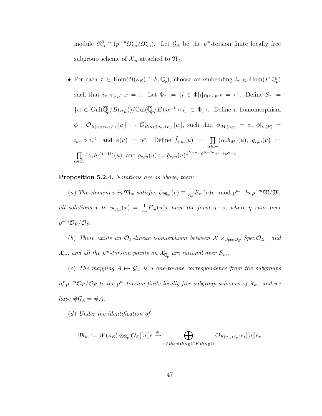module  $\mathfrak{N}_A^0 \cap (p^{-m}\mathfrak{M}_m/\mathfrak{M}_m)$ . Let  $\mathcal{G}_A$  be the  $p^m$ -torsion finite locally free subgroup scheme of  $\mathcal{X}_m$  attached to  $\mathfrak{N}_A$ .

• For each  $\tau \in \text{Hom}(B(\kappa_E) \cap F, \overline{\mathbb{Q}}_p)$ , choose an embedding  $i_{\tau} \in \text{Hom}(F, \overline{\mathbb{Q}}_p)$ such that  $i_{\tau}|_{B(\kappa_E)\cap F} = \tau$ . Let  $\Phi_{\tau} := \{i \in \Phi | i|_{B(\kappa_E)\cap F} = \tau\}$ . Define  $S_{\tau} :=$  $\{\alpha \in \text{Gal}(\overline{\mathbb{Q}}_p/B(\kappa_E))/\text{Gal}(\overline{\mathbb{Q}}_p/E)|\alpha^{-1} \circ i_{\tau} \in \Phi_{\tau}\}.$  Define a homomorphism  $\phi\ :\ \mathcal{O}_{B(\kappa_E)\cdot i_\tau(F)}[[u]]\ \to\ \mathcal{O}_{B(\kappa_E)\cdot i_{\sigma\tau}(F)}[[u]],$  such that  $\phi|_{W(\kappa_E)}\ =\ \sigma,\ \phi|_{i_\tau(F)}\ =$  $i_{\sigma\tau} \circ i_{\tau}^{-1}$ , and  $\phi(u) = u^p$ . Define  $\tilde{f}_{\tau,m}(u) := \prod$  $\alpha \in S_{\tau}$  $(\alpha_*h_M)(u), \ \tilde{g}_{\tau,m}(u) :=$  $\Pi$  $\alpha \in S_{\tau}$  $(\alpha_* h^{(M-1)})(u)$ , and  $g_{\tau,m}(u) := \tilde{g}_{\tau,m}(u)^{\phi^{N-n} + \phi^{N-2n} + \dots + \phi^{n} + 1}.$ 

#### <span id="page-55-0"></span>Proposition 5.2.4. Notations are as above, then:

(a) The element v in  $\mathfrak{M}_m$  satisfies  $\phi_{\mathfrak{M}_m}(v) \equiv \frac{1}{c_m}$  $\frac{1}{c_m} E_m(u)v \mod p^m$ . In  $p^{-m} \mathfrak{M}/\mathfrak{M}$ , all solutions x to  $\phi_{\mathfrak{M}_m}(x) = \frac{1}{c_m} E_m(u)x$  have the form  $\eta \cdot v$ , where  $\eta$  runs over  $p^{-m}\mathcal{O}_F/\mathcal{O}_F$ .

(b) There exists an  $\mathcal{O}_F$ -linear isomorphism between  $\mathcal{X} \times_{Spec \mathcal{O}_E} Spec \mathcal{O}_{E_m}$  and  $\mathcal{X}_m$ , and all the p<sup>m</sup>-torsion points on  $\mathcal{X}_{\overline{\mathbb{Q}}_p}$  are rational over  $E_m$ .

(c) The mapping  $A \mapsto \mathcal{G}_A$  is a one-to-one correspondence from the subgroups of  $p^{-m}\mathcal{O}_F/\mathcal{O}_F$  to the  $p^m$ -torsion finite locally free subgroup schemes of  $\mathcal{X}_m$ , and we have  $\#\mathcal{G}_A = \#A$ .

(d) Under the identification of

$$
\mathfrak{M}_m:=W(\kappa_E)\otimes_{\mathbb{Z}_p}\mathcal{O}_F[[u]]e \xrightarrow{\cong} \bigoplus_{\tau\in \mathit{Hom}(B(\kappa_E)\cap F, B(\kappa_E))}\mathcal{O}_{B(\kappa_E)\cdot i_\tau(F)}[[u]]e_\tau
$$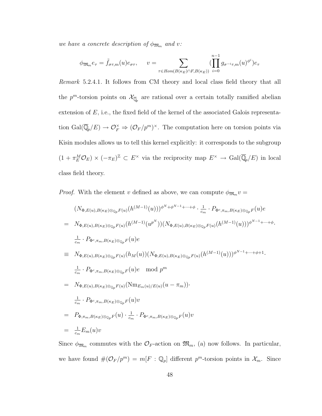we have a concrete description of  $\phi_{\mathfrak{M}_m}$  and v:

$$
\phi_{\mathfrak{M}_m} e_{\tau} = \tilde{f}_{\sigma\tau,m}(u) e_{\sigma\tau}, \qquad v = \sum_{\tau \in \mathit{Hom}(B(\kappa_E) \cap F, B(\kappa_E))} \left( \prod_{i=0}^{n-1} g_{\sigma^{-i}\tau,m}(u)^{\phi^i} \right) e_{\tau}
$$

Remark 5.2.4.1. It follows from CM theory and local class field theory that all the  $p^m$ -torsion points on  $\mathcal{X}_{\overline{\mathbb{Q}}_p}$  are rational over a certain totally ramified abelian extension of E, i.e., the fixed field of the kernel of the associated Galois representation  $Gal(\overline{\mathbb{Q}}_p/E) \to \mathcal{O}_F^{\times} \Rightarrow (\mathcal{O}_F/p^m)^{\times}$ . The computation here on torsion points via Kisin modules allows us to tell this kernel explicitly: it corresponds to the subgroup  $(1 + \pi_E^M \mathcal{O}_E) \times (-\pi_E)^{\mathbb{Z}} \subset E^{\times}$  via the reciprocity map  $E^{\times} \to \text{Gal}(\overline{\mathbb{Q}}_p/E)$  in local class field theory.

*Proof.* With the element v defined as above, we can compute  $\phi_{\mathfrak{M}_m} v =$ 

$$
(N_{\Phi,E(u),B(\kappa_{E})\otimes_{\mathbb{Q}_{p}}F(u)}(h^{(M-1)}(u)))^{\phi^{N}+\phi^{N-1}+\cdots+\phi} \cdot \frac{1}{c_{m}} \cdot P_{\Phi^{c},\pi_{m},B(\kappa_{E})\otimes_{\mathbb{Q}_{p}}F(u)}(w)
$$
\n
$$
= N_{\Phi,E(u),B(\kappa_{E})\otimes_{\mathbb{Q}_{p}}F(u)}(h^{(M-1)}(u^{p^{N}}))(N_{\Phi,E(u),B(\kappa_{E})\otimes_{\mathbb{Q}_{p}}F(u)}(h^{(M-1)}(u)))^{\phi^{N-1}+\cdots+\phi}.
$$
\n
$$
\frac{1}{c_{m}} \cdot P_{\Phi^{c},\pi_{m},B(\kappa_{E})\otimes_{\mathbb{Q}_{p}}F(u)}(h_{M}(u))(N_{\Phi,E(u),B(\kappa_{E})\otimes_{\mathbb{Q}_{p}}F(u)}(h^{(M-1)}(u)))^{\phi^{N-1}+\cdots+\phi+1}.
$$
\n
$$
\frac{1}{c_{m}} \cdot P_{\Phi^{c},\pi_{m},B(\kappa_{E})\otimes_{\mathbb{Q}_{p}}F(u)}(Nm_{E_{m}(u)/E(u)}(u-\pi_{m})).
$$
\n
$$
= N_{\Phi,E(u),B(\kappa_{E})\otimes_{\mathbb{Q}_{p}}F(u)}(Nm_{E_{m}(u)/E(u)}(u-\pi_{m})).
$$
\n
$$
\frac{1}{c_{m}} \cdot P_{\Phi^{c},\pi_{m},B(\kappa_{E})\otimes_{\mathbb{Q}_{p}}F(u)}v
$$
\n
$$
= P_{\Phi,\pi_{m},B(\kappa_{E})\otimes_{\mathbb{Q}_{p}}F(u)} \cdot \frac{1}{c_{m}} \cdot P_{\Phi^{c},\pi_{m},B(\kappa_{E})\otimes_{\mathbb{Q}_{p}}F(u)}v
$$
\n
$$
= \frac{1}{c_{m}}E_{m}(u)v
$$

Since  $\phi_{\mathfrak{M}_m}$  commutes with the  $\mathcal{O}_F$ -action on  $\mathfrak{M}_m$ , (a) now follows. In particular, we have found  $\#(\mathcal{O}_F/p^m) = m[F : \mathbb{Q}_p]$  different  $p^m$ -torsion points in  $\mathcal{X}_m$ . Since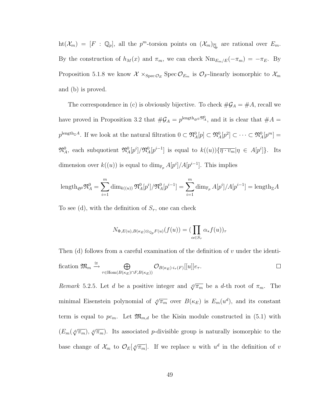$\mathrm{ht}(\mathcal{X}_m) = [F : \mathbb{Q}_p],$  all the  $p^m$ -torsion points on  $(\mathcal{X}_m)_{\overline{\mathbb{Q}}_p}$  are rational over  $E_m$ . By the construction of  $h_M(x)$  and  $\pi_m$ , we can check  $Nm_{E_m/E}(-\pi_m) = -\pi_E$ . By Proposition [5.1.8](#page-50-0) we know  $\mathcal{X} \times_{\text{Spec} \mathcal{O}_E} \text{Spec} \mathcal{O}_{E_m}$  is  $\mathcal{O}_F$ -linearly isomorphic to  $\mathcal{X}_m$ and (b) is proved.

The correspondence in (c) is obviously bijective. To check  $\#\mathcal{G}_A = \#A$ , recall we have proved in Proposition [3.2](#page-33-0) that  $\#\mathcal{G}_A = p^{\text{length}_{\mathfrak{S}^0}} \mathfrak{N}_A^0$ , and it is clear that  $\#A =$  $p^{\text{length}_{\mathbb{Z}}A}$ . If we look at the natural filtration  $0 \subset \mathfrak{N}_A^0[p] \subset \mathfrak{N}_A^0[p^2] \subset \cdots \subset \mathfrak{N}_A^0[p^m] =$  $\mathfrak{N}_A^0$ , each subquotient  $\mathfrak{N}_A^0[p^i]/\mathfrak{N}_A^0[p^{i-1}]$  is equal to  $k((u))\{\overline{\eta\cdot v_m}|\eta\in A[p^i]\}.$  Its dimension over  $k((u))$  is equal to  $\dim_{\mathbb{F}_p} A[p^i]/A[p^{i-1}]$ . This implies

$$
\operatorname{length}_{\mathfrak{S}^0} \mathfrak{N}_A^0 = \sum_{i=1}^m \dim_{k((u))} \mathfrak{N}_A^0[p^i] / \mathfrak{N}_A^0[p^{i-1}] = \sum_{i=1}^m \dim_{\mathbb{F}_p} A[p^i] / A[p^{i-1}] = \operatorname{length}_{\mathbb{Z}} A
$$

To see (d), with the definition of  $S_{\tau}$ , one can check

$$
N_{\Phi,E(u),B(\kappa_E)\otimes_{\mathbb{Q}_p}F(u)}(f(u))=(\prod_{\alpha\in S_\tau}\alpha_*f(u))_\tau
$$

Then (d) follows from a careful examination of the definition of  $v$  under the identification  $\mathfrak{M}_m \stackrel{\cong}{\rightarrow} \oplus$  $\mathcal{O}_{B(\kappa_E)\cdot i_\tau(F)}[[u]]e_\tau.$  $\Box$  $\tau \in \text{Hom}(B(\kappa_E) \cap F, B(\kappa_E))$ 

<span id="page-57-0"></span>Remark 5.2.5. Let d be a positive integer and  $\sqrt[d]{\pi_m}$  be a d-th root of  $\pi_m$ . The minimal Eisenstein polynomial of  $\sqrt[d]{\pi_m}$  over  $B(\kappa_E)$  is  $E_m(u^d)$ , and its constant term is equal to  $pc_m$ . Let  $\mathfrak{M}_{m,d}$  be the Kisin module constructed in [\(5.1\)](#page-46-0) with  $(E_m(\sqrt[d]{\pi_m}), \sqrt[d]{\pi_m})$ . Its associated p-divisible group is naturally isomorphic to the base change of  $\mathcal{X}_m$  to  $\mathcal{O}_E[\sqrt[d]{\pi_m}]$ . If we replace u with  $u^d$  in the definition of v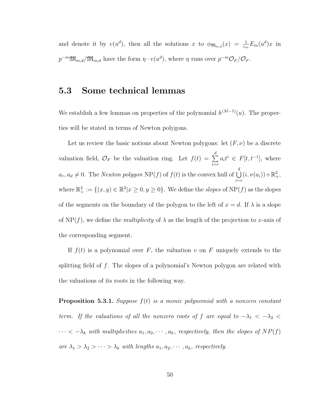and denote it by  $v(u^d)$ , then all the solutions x to  $\phi_{\mathfrak{M}_{m,d}}(x) = \frac{1}{c_m} E_m(u^d) x$  in  $p^{-m}\mathfrak{M}_{m,d}/\mathfrak{M}_{m,d}$  have the form  $\eta \cdot v(u^d)$ , where  $\eta$  runs over  $p^{-m}\mathcal{O}_F/\mathcal{O}_F$ .

#### 5.3 Some technical lemmas

We establish a few lemmas on properties of the polynomial  $h^{(M-1)}(u)$ . The properties will be stated in terms of Newton polygons.

Let us review the basic notions about Newton polygons: let  $(F, \nu)$  be a discrete valuation field,  $\mathcal{O}_F$  be the valuation ring. Let  $f(t) = \sum^d$  $i=r$  $a_i t^i \in F[t, t^{-1}],$  where  $a_r, a_d \neq 0$ . The *Newton polygon* NP(f) of  $f(t)$  is the convex hull of  $\bigcup^d$  $i=r$  $(i, \nu(a_i)) + \mathbb{R}^2_+,$ where  $\mathbb{R}^2_+ := \{(x, y) \in \mathbb{R}^2 | x \geq 0, y \geq 0\}$ . We define the *slopes* of NP(f) as the slopes of the segments on the boundary of the polygon to the left of  $x = d$ . If  $\lambda$  is a slope of NP(f), we define the *multiplicity* of  $\lambda$  as the length of the projection to x-axis of the corresponding segment.

If  $f(t)$  is a polynomial over F, the valuation v on F uniquely extends to the splitting field of f. The slopes of a polynomial's Newton polygon are related with the valuations of its roots in the following way.

<span id="page-58-0"></span>**Proposition 5.3.1.** Suppose  $f(t)$  is a monic polynomial with a nonzero constant term. If the valuations of all the nonzero roots of f are equal to  $-\lambda_1 < -\lambda_2 <$  $\cdots < -\lambda_k$  with multiplicities  $a_1, a_2, \cdots, a_k$ , respectively, then the slopes of  $NP(f)$ are  $\lambda_1 > \lambda_2 > \cdots > \lambda_k$  with lengths  $a_1, a_2, \cdots, a_k$ , respectively.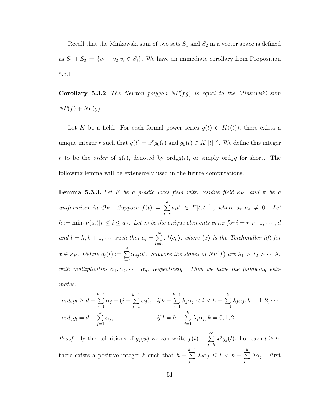Recall that the Minkowski sum of two sets  $S_1$  and  $S_2$  in a vector space is defined as  $S_1 + S_2 := \{v_1 + v_2 | v_i \in S_i\}$ . We have an immediate corollary from Proposition [5.3.1.](#page-58-0)

<span id="page-59-0"></span>**Corollary 5.3.2.** The Newton polygon  $NP(fg)$  is equal to the Minkowski sum  $NP(f) + NP(g)$ .

Let K be a field. For each formal power series  $g(t) \in K((t))$ , there exists a unique integer r such that  $g(t) = x^r g_0(t)$  and  $g_0(t) \in K[[t]]^{\times}$ . We define this integer r to be the *order* of  $g(t)$ , denoted by  $\text{ord}_u g(t)$ , or simply  $\text{ord}_u g$  for short. The following lemma will be extensively used in the future computations.

<span id="page-59-1"></span>**Lemma 5.3.3.** Let F be a p-adic local field with residue field  $\kappa_F$ , and  $\pi$  be a uniformizer in  $\mathcal{O}_F$ . Suppose  $f(t) = \sum^d$  $i=r$  $a_i t^i \in F[t, t^{-1}],$  where  $a_r, a_d \neq 0$ . Let  $h := \min{\lbrace \nu(a_i) | r \leq i \leq d \rbrace}$ . Let  $c_{il}$  be the unique elements in  $\kappa_F$  for  $i = r, r+1, \cdots, d$ and  $l = h, h + 1, \cdots$  such that  $a_i = \sum_{i=1}^{\infty} a_i$  $_{l=h}$  $\pi^j \langle c_{il} \rangle$ , where  $\langle x \rangle$  is the Teichmuller lift for  $x \in \kappa_F$ . Define  $g_j(t) := \sum^d$  $i=r$  $\langle c_{ij} \rangle t^i$ . Suppose the slopes of NP(f) are  $\lambda_1 > \lambda_2 > \cdots \lambda_s$ with multiplicities  $\alpha_1, \alpha_2, \cdots, \alpha_s$ , respectively. Then we have the following estimates:

$$
ord_u g_l \ge d - \sum_{j=1}^{k-1} \alpha_j - (i - \sum_{j=1}^{k-1} \alpha_j), \quad if h - \sum_{j=1}^{k-1} \lambda_j \alpha_j < l < h - \sum_{j=1}^{k} \lambda_j \alpha_j, k = 1, 2, \cdots
$$
  

$$
ord_u g_l = d - \sum_{j=1}^{k} \alpha_j, \qquad if l = h - \sum_{j=1}^{k} \lambda_j \alpha_j, k = 0, 1, 2, \cdots
$$

*Proof.* By the definitions of  $g_j(u)$  we can write  $f(t) = \sum_{i=1}^{\infty}$  $j=h$  $\pi^j g_j(t)$ . For each  $l \geq h$ , there exists a positive integer  $k$  such that  $h \sum_{ }^{k-1}$  $j=1$  $\lambda_j \alpha_j \leq l \, < \, h - \sum\limits_{i = 1}^k \,$  $j=1$  $\lambda \alpha_j$ . First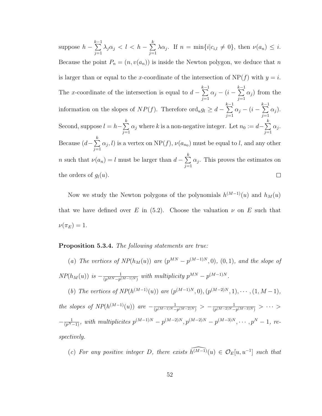$\sum_{ }^{k-1}$  $\lambda_j\alpha_j\,<\,l\,<\,h\,-\,\sum^k$ suppose  $h \lambda \alpha_j$ . If  $n = \min\{i | c_{i,l} \neq 0\}$ , then  $\nu(a_n) \leq i$ .  $j=1$  $j=1$ Because the point  $P_n = (n, v(a_n))$  is inside the Newton polygon, we deduce that n is larger than or equal to the x-coordinate of the intersection of  $NP(f)$  with  $y = i$ .  $\sum_{ }^{k-1}$  $\sum_{ }^{k-1}$ The x-coordinate of the intersection is equal to  $d \alpha_j$  −  $(i \alpha_j$ ) from the  $j=1$  $j=1$  $\sum_{i=1}^{k-1}$  $\sum_{ }^{k-1}$ information on the slopes of  $NP(f)$ . Therefore ord<sub>u</sub> $g_l \geq d$  –  $\alpha_j$  −  $(i \alpha_j$ ).  $j=1$  $j=1$ Second, suppose  $l = h - \sum_{i=1}^{k} h_i$  $\alpha_j$  where k is a non-negative integer. Let  $n_0 := d - \sum^k$  $\alpha_j$ .  $j=1$  $j=1$ Because  $(d - \sum_{k=1}^{k} a_k)^2$  $\alpha_j, l$ ) is a vertex on NP(f),  $\nu(a_{n_0})$  must be equal to l, and any other  $j=1$ *n* such that  $\nu(a_n) = l$  must be larger than  $d - \sum_{n=1}^k$  $\alpha_j$ . This proves the estimates on  $j=1$  $\Box$ the orders of  $g_l(u)$ .

Now we study the Newton polygons of the polynomials  $h^{(M-1)}(u)$  and  $h_M(u)$ that we have defined over E in  $(5.2)$ . Choose the valuation  $\nu$  on E such that  $\nu(\pi_E) = 1.$ 

#### <span id="page-60-0"></span>Proposition 5.3.4. The following statements are true:

(a) The vertices of  $NP(h_M(u))$  are  $(p^{MN} - p^{(M-1)N}, 0)$ ,  $(0, 1)$ , and the slope of  $NP(h_M(u))$  is  $-\frac{1}{(n^{MN}-n^{N})}$  $\frac{1}{(p^{MN}-p^{(M-1)N})}$  with multiplicity  $p^{MN}-p^{(M-1)N}$ .

(b) The vertices of  $NP(h^{(M-1)}(u))$  are  $(p^{(M-1)N}, 0), (p^{(M-2)N}, 1), \cdots, (1, M-1),$ the slopes of  $NP(h^{(M-1)}(u))$  are  $-\frac{1}{(n^{(M-1)N})}$  $\frac{1}{(p^{(M-1)N}-p^{(M-2)N})} > -\frac{1}{(p^{(M-2)N}-1)}$  $\frac{1}{(p^{(M-2)N}-p^{(M-3)N})} > \cdots >$  $-\frac{1}{(p^N-1)}$ , with multiplicites  $p^{(M-1)N} - p^{(M-2)N}, p^{(M-2)N} - p^{(M-3)N}, \cdots, p^N-1$ , respectively.

(c) For any positive integer D, there exists  $\widehat{h^{(M-1)}}(u) \in \mathcal{O}_E[u, u^{-1}]$  such that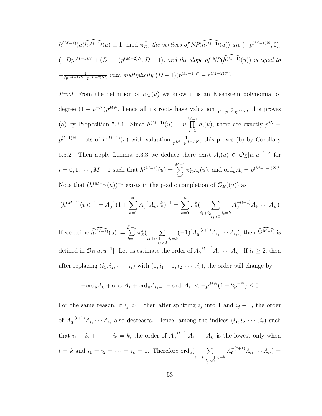$$
h^{(M-1)}(u)\widehat{h^{(M-1)}}(u) \equiv 1 \mod \pi_E^D, \text{ the vertices of } NP(\widehat{h^{(M-1)}}(u)) \text{ are } (-p^{(M-1)N}, 0),
$$
  

$$
(-Dp^{(M-1)N} + (D-1)p^{(M-2)N}, D-1), \text{ and the slope of } NP(\widehat{h^{(M-1)}}(u)) \text{ is equal to}
$$
  

$$
-\frac{1}{(p^{(M-1)N}-p^{(M-2)N})} \text{ with multiplicity } (D-1)(p^{(M-1)N}-p^{(M-2)N}).
$$

*Proof.* From the definition of  $h_M(u)$  we know it is an Eisenstein polynomial of degree  $(1-p^{-N})p^{MN}$ , hence all its roots have valuation  $\frac{1}{(1-p^{-N})p^{MN}}$ , this proves (a) by Proposition [5.3.1.](#page-58-0) Since  $h^{(M-1)}(u) = u \prod^{M-1}$  $i=1$  $h_i(u)$ , there are exactly  $p^{iN}$  –  $p^{(i-1)N}$  roots of  $h^{(M-1)}(u)$  with valuation  $\frac{1}{p^{iN}-p^{(i-1)N}}$ , this proves (b) by Corollary [5.3.2.](#page-59-0) Then apply Lemma [5.3.3](#page-59-1) we deduce there exist  $A_i(u) \in \mathcal{O}_E[u, u^{-1}]^{\times}$  for  $i = 0, 1, \dots, M - 1$  such that  $h^{(M-1)}(u) = \sum_{i=1}^{M-1}$  $i=0$  $\pi_E^i A_i(u)$ , and  $\text{ord}_u A_i = p^{(M-1-i)Nd}$ . Note that  $(h^{(M-1)}(u))^{-1}$  exists in the p-adic completion of  $\mathcal{O}_E((u))$  as

$$
(h^{(M-1)}(u))^{-1} = A_0^{-1} (1 + \sum_{k=1}^{\infty} A_0^{-1} A_k \pi_E^k)^{-1} = \sum_{k=0}^{\infty} \pi_E^k (\sum_{\substack{i_1 + i_2 + \dots + i_t = k \\ i_j > 0}} A_0^{-(t+1)} A_{i_1} \cdots A_{i_t})
$$

If we define  $\widehat{h^{(M-1)}(u)} := \sum_{n=1}^{D-1}$  $k=0$  $\pi_E^k$ (  $\sum$  $i_1 + i_2 + \cdots + i_t = k$ <br> $i_j > 0$  $(-1)^t A_0^{-(t+1)} A_{i_1} \cdots A_{i_t}$ , then  $\widehat{h^{(M-1)}}$  is defined in  $\mathcal{O}_E[u, u^{-1}]$ . Let us estimate the order of  $A_0^{-(t+1)}A_{i_1} \cdots A_{i_t}$ . If  $i_1 \geq 2$ , then after replacing  $(i_1, i_2, \dots, i_t)$  with  $(1, i_1 - 1, i_2, \dots, i_t)$ , the order will change by

$$
-\text{ord}_{u}A_0 + \text{ord}_{u}A_1 + \text{ord}_{u}A_{i_1-1} - \text{ord}_{u}A_{i_1} < -p^{MN}(1 - 2p^{-N}) \le 0
$$

For the same reason, if  $i_j > 1$  then after splitting  $i_j$  into 1 and  $i_j - 1$ , the order of  $A_0^{-(t+1)}A_{i_1}\cdots A_{i_t}$  also decreases. Hence, among the indices  $(i_1, i_2, \cdots, i_t)$  such that  $i_1 + i_2 + \cdots + i_t = k$ , the order of  $A_0^{-(t+1)}A_{i_1} \cdots A_{i_t}$  is the lowest only when  $t = k$  and  $i_1 = i_2 = \cdots = i_k = 1$ . Therefore ord<sub>u</sub>( $\sum$  $i_1 + i_2 + \cdots + i_t = k$ <br> $i_j > 0$  $A_0^{-(t+1)}A_{i_1}\cdots A_{i_t}$  =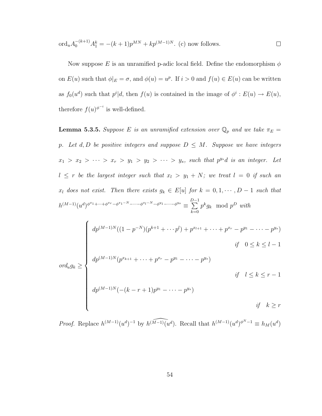$$
\text{ord}_u A_0^{-(k+1)} A_1^k = -(k+1)p^{MN} + kp^{(M-1)N}.
$$
 (c) now follows.

Now suppose E is an unramified p-adic local field. Define the endomorphism  $\phi$ on  $E(u)$  such that  $\phi|_E = \sigma$ , and  $\phi(u) = u^p$ . If  $i > 0$  and  $f(u) \in E(u)$  can be written as  $f_0(u^d)$  such that  $p^i|d$ , then  $f(u)$  is contained in the image of  $\phi^i : E(u) \to E(u)$ , therefore  $f(u)^{\phi^{-i}}$  is well-defined.

**Lemma 5.3.5.** Suppose E is an unramified extension over  $\mathbb{Q}_p$  and we take  $\pi_E$  = p. Let  $d, D$  be positive integers and suppose  $D \leq M$ . Suppose we have integers  $x_1 > x_2 > \cdots > x_r > y_1 > y_2 > \cdots > y_s$ , such that  $p^{y_s}d$  is an integer. Let  $l \leq r$  be the largest integer such that  $x_l > y_1 + N$ ; we treat  $l = 0$  if such an  $x_l$  does not exist. Then there exists  $g_k \in E[u]$  for  $k = 0, 1, \dots, D - 1$  such that  $h^{(M-1)} (u^d)^{\phi^{x_1} + \cdots + \phi^{x_r} - \phi^{x_1 - N} - \cdots - \phi^{x_l - N} - \phi^{y_1} - \cdots - \phi^{y_s}} \equiv \sum^{D-1}$  $_{k=0}$  $p^k g_k \mod p^D$  with

$$
ord_u g_k \geq \begin{cases} dp^{(M-1)N}((1-p^{-N})(p^{k+1}+\cdots p^l)+p^{x_{l+1}}+\cdots+p^{x_r}-p^{y_1}-\cdots-p^{y_s}) \\ & \text{if } 0 \leq k \leq l-1 \\ dp^{(M-1)N}(p^{x_{k+1}}+\cdots+p^{x_r}-p^{y_1}-\cdots-p^{y_s}) \\ & \text{if } l \leq k \leq r-1 \\ dp^{(M-1)N}(-(k-r+1)p^{y_1}-\cdots-p^{y_s}) \\ & \text{if } k \geq r \end{cases}
$$

*Proof.* Replace  $h^{(M-1)}(u^d)^{-1}$  by  $\widehat{h^{(M-1)}(u^d)}$ . Recall that  $h^{(M-1)}(u^d)^{\phi^N-1} \equiv h_M(u^d)$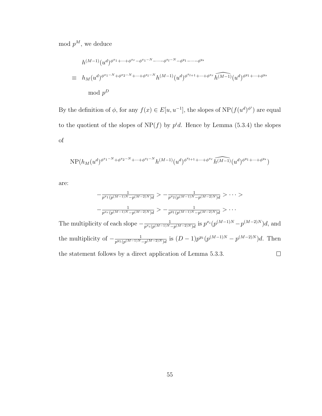mod  $p^M$ , we deduce

$$
h^{(M-1)}(u^d)^{\phi^{x_1+\dots+\phi^{x_r}-\phi^{x_1-N}-\dots-\phi^{x_l-N}-\phi^{y_1-\dots-\phi^{y_s}}}}
$$
\n
$$
\equiv h_M(u^d)^{\phi^{x_1-N}+\phi^{x_2-N}+\dots+\phi^{x_l-N}}h^{(M-1)}(u^d)^{\phi^{x_{l+1}}+\dots+\phi^{x_r}}\widehat{h^{(M-1)}}(u^d)^{\phi^{y_1}+\dots+\phi^{y_s}}
$$
\nmod  $p^D$ 

By the definition of  $\phi$ , for any  $f(x) \in E[u, u^{-1}]$ , the slopes of  $NP(f(u^d)^{\phi^i})$  are equal to the quotient of the slopes of  $NP(f)$  by  $p^i d$ . Hence by Lemma [\(5.3.4\)](#page-60-0) the slopes of

$$
\mathrm{NP}(h_M(u^d)^{\phi^{x_1-N}+\phi^{x_2-N}+\cdots+\phi^{x_l-N}}h^{(M-1)}(u^d)^{\phi^{x_{l+1}}+\cdots+\phi^{x_r}}\widehat{h^{(M-1)}}(u^d)^{\phi^{y_1}+\cdots+\phi^{y_s}})
$$

are:

$$
-\frac{1}{p^{x_1}(p^{(M-1)N}-p^{(M-2)N})d} > -\frac{1}{p^{x_2}(p^{(M-1)N}-p^{(M-2)N})d} > \cdots >
$$
  

$$
-\frac{1}{p^{x_r}(p^{(M-1)N}-p^{(M-2)N})d} > -\frac{1}{p^{y_1}(p^{(M-1)N}-p^{(M-2)N})d} > \cdots
$$

The multiplicity of each slope  $-\frac{1}{r^2\sin((M-1))N}$  $\frac{1}{p^{x_i}(p^{(M-1)N}-p^{(M-2)N})d}$  is  $p^{x_i}(p^{(M-1)N}-p^{(M-2)N})d$ , and the multiplicity of  $-\frac{1}{r^{y_1}(r^{(M-1)N})}$  $\frac{1}{p^{y_1}(p^{(M-1)N}-p^{(M-2)N})d}$  is  $(D-1)p^{y_1}(p^{(M-1)N}-p^{(M-2)N})d$ . Then the statement follows by a direct application of Lemma [5.3.3.](#page-59-1)  $\Box$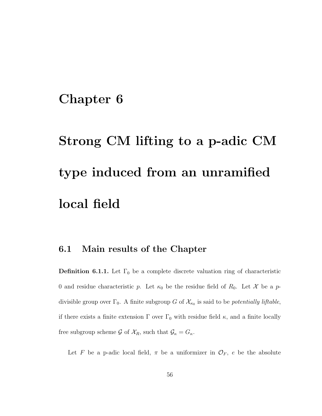### Chapter 6

# Strong CM lifting to a p-adic CM type induced from an unramified local field

#### 6.1 Main results of the Chapter

**Definition 6.1.1.** Let  $\Gamma_0$  be a complete discrete valuation ring of characteristic 0 and residue characteristic p. Let  $\kappa_0$  be the residue field of  $R_0$ . Let X be a pdivisible group over  $\Gamma_0$ . A finite subgroup G of  $\mathcal{X}_{\kappa_0}$  is said to be *potentially liftable*, if there exists a finite extension  $\Gamma$  over  $\Gamma_0$  with residue field  $\kappa$ , and a finite locally free subgroup scheme  $\mathcal G$  of  $\mathcal X_R$ , such that  $\mathcal G_\kappa=G_\kappa$ .

Let F be a p-adic local field,  $\pi$  be a uniformizer in  $\mathcal{O}_F$ , e be the absolute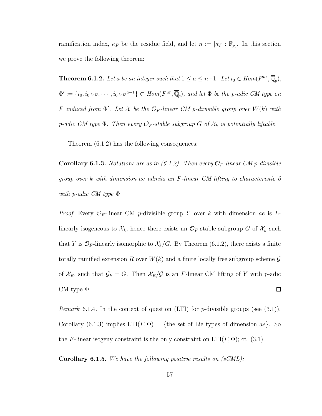ramification index,  $\kappa_F$  be the residue field, and let  $n := [\kappa_F : \mathbb{F}_p]$ . In this section we prove the following theorem:

<span id="page-65-0"></span>**Theorem 6.1.2.** Let a be an integer such that  $1 \le a \le n-1$ . Let  $i_0 \in Hom(F^{ur}, \overline{\mathbb{Q}}_p)$ ,  $\Phi' := \{i_0, i_0 \circ \sigma, \cdots, i_0 \circ \sigma^{a-1}\} \subset Hom(F^{ur}, \overline{\mathbb{Q}}_p)$ , and let  $\Phi$  be the p-adic CM type on F induced from  $\Phi'$ . Let X be the  $\mathcal{O}_F$ -linear CM p-divisible group over  $W(k)$  with p-adic CM type  $\Phi$ . Then every  $\mathcal{O}_F$ -stable subgroup G of  $\mathcal{X}_k$  is potentially liftable.

<span id="page-65-1"></span>Theorem [\(6.1.2\)](#page-65-0) has the following consequences:

**Corollary 6.1.3.** Notations are as in  $(6.1.2)$ . Then every  $\mathcal{O}_F$ -linear CM p-divisible group over k with dimension ae admits an F-linear CM lifting to characteristic 0 with *p*-adic CM type  $\Phi$ .

*Proof.* Every  $\mathcal{O}_F$ -linear CM *p*-divisible group Y over k with dimension ae is Llinearly isogeneous to  $\mathcal{X}_k$ , hence there exists an  $\mathcal{O}_F$ -stable subgroup G of  $\mathcal{X}_k$  such that Y is  $\mathcal{O}_F$ -linearly isomorphic to  $\mathcal{X}_k/G$ . By Theorem [\(6.1.2\)](#page-65-0), there exists a finite totally ramified extension R over  $W(k)$  and a finite locally free subgroup scheme  $\mathcal G$ of  $\mathcal{X}_R$ , such that  $\mathcal{G}_k = G$ . Then  $\mathcal{X}_R/\mathcal{G}$  is an F-linear CM lifting of Y with p-adic CM type Φ.  $\Box$ 

*Remark* 6.1.4. In the context of question (LTI) for *p*-divisible groups (see  $(3.1)$ ), Corollary [\(6.1.3\)](#page-65-1) implies  $LTI(F, \Phi) = \{$ the set of Lie types of dimension  $ae\}$ . So the F-linear isogeny constraint is the only constraint on  $LT(F, \Phi)$ ; cf. [\(3.1\)](#page-30-0).

**Corollary 6.1.5.** We have the following positive results on  $(sCML)$ :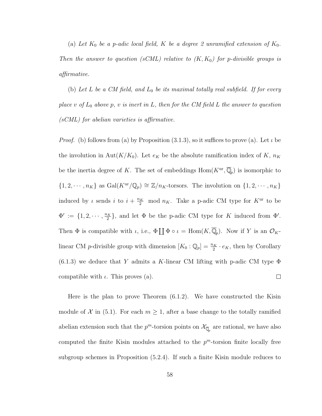(a) Let  $K_0$  be a p-adic local field, K be a degree 2 unramified extension of  $K_0$ . Then the answer to question (sCML) relative to  $(K, K_0)$  for p-divisible groups is affirmative.

(b) Let L be a CM field, and  $L_0$  be its maximal totally real subfield. If for every place v of  $L_0$  above p, v is inert in L, then for the CM field L the answer to question (sCML) for abelian varieties is affirmative.

*Proof.* (b) follows from (a) by Proposition [\(3.1.3\)](#page-30-0), so it suffices to prove (a). Let  $\iota$  be the involution in Aut $(K/K_0)$ . Let  $e_K$  be the absolute ramification index of K,  $n_K$ be the inertia degree of K. The set of embeddings  $\text{Hom}(K^{\text{ur}}, \overline{\mathbb{Q}}_p)$  is isomorphic to  $\{1, 2, \cdots, n_K\}$  as  $Gal(K^{\text{ur}}/\mathbb{Q}_p) \cong \mathbb{Z}/n_K$ -torsors. The involution on  $\{1, 2, \cdots, n_K\}$ induced by  $\iota$  sends  $i$  to  $i + \frac{n_K}{2}$  mod  $n_K$ . Take a p-adic CM type for  $K^{\text{ur}}$  to be  $\Phi' := \{1, 2, \cdots, \frac{n_K}{2}\}$  $\frac{2K}{2}$ , and let  $\Phi$  be the p-adic CM type for K induced from  $\Phi'$ . Then  $\Phi$  is compatible with  $\iota$ , i.e.,  $\Phi \coprod \Phi \circ \iota = \text{Hom}(K, \overline{\mathbb{Q}}_p)$ . Now if Y is an  $\mathcal{O}_K$ linear CM *p*-divisible group with dimension  $[K_0 : \mathbb{Q}_p] = \frac{n_K}{2} \cdot e_K$ , then by Corollary  $(6.1.3)$  we deduce that Y admits a K-linear CM lifting with p-adic CM type  $\Phi$ compatible with  $\iota$ . This proves (a).  $\Box$ 

Here is the plan to prove Theorem [\(6.1.2\)](#page-65-0). We have constructed the Kisin module of X in [\(5.1\)](#page-46-0). For each  $m \geq 1$ , after a base change to the totally ramified abelian extension such that the  $p^m$ -torsion points on  $\mathcal{X}_{\overline{\mathbb{Q}}_p}$  are rational, we have also computed the finite Kisin modules attached to the  $p^m$ -torsion finite locally free subgroup schemes in Proposition [\(5.2.4\)](#page-55-0). If such a finite Kisin module reduces to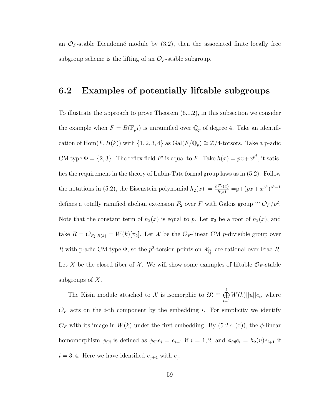an  $\mathcal{O}_F$ -stable Dieudonné module by  $(3.2)$ , then the associated finite locally free subgroup scheme is the lifting of an  $\mathcal{O}_F$ -stable subgroup.

#### 6.2 Examples of potentially liftable subgroups

To illustrate the approach to prove Theorem [\(6.1.2\)](#page-65-0), in this subsection we consider the example when  $F = B(\mathbb{F}_{p^4})$  is unramified over  $\mathbb{Q}_p$  of degree 4. Take an identification of Hom(F, B(k)) with  $\{1, 2, 3, 4\}$  as  $Gal(F/\mathbb{Q}_p) \cong \mathbb{Z}/4$ -torsors. Take a p-adic CM type  $\Phi = \{2, 3\}$ . The reflex field F' is equal to F. Take  $h(x) = px + x^{p^4}$ , it satisfies the requirement in the theory of Lubin-Tate formal group laws as in [\(5.2\)](#page-51-1). Follow the notations in [\(5.2\)](#page-51-1), the Eisenstein polynomial  $h_2(x) := \frac{h^{(2)}(x)}{h(x)} = p + (px + x^{p^4})^{p^4 - 1}$ defines a totally ramified abelian extension  $F_2$  over F with Galois group  $\cong \mathcal{O}_F / p^2$ . Note that the constant term of  $h_2(x)$  is equal to p. Let  $\pi_2$  be a root of  $h_2(x)$ , and take  $R = \mathcal{O}_{F_2 \cdot B(k)} = W(k)[\pi_2]$ . Let X be the  $\mathcal{O}_F$ -linear CM p-divisible group over R with p-adic CM type  $\Phi$ , so the  $p^2$ -torsion points on  $\mathcal{X}_{\overline{\mathbb{Q}}_p}$  are rational over Frac R. Let X be the closed fiber of X. We will show some examples of liftable  $\mathcal{O}_F$ -stable subgroups of  $X$ .

The Kisin module attached to  $\mathcal X$  is isomorphic to  $\mathfrak{M} \cong \bigoplus^4$  $i=1$  $W(k)$ [[u]] $e_i$ , where  $\mathcal{O}_F$  acts on the *i*-th component by the embedding *i*. For simplicity we identify  $\mathcal{O}_F$  with its image in  $W(k)$  under the first embedding. By [\(5.2.4](#page-55-0) (d)), the  $\phi$ -linear homomorphism  $\phi_{\mathfrak{M}}$  is defined as  $\phi_{\mathfrak{M}}e_i = e_{i+1}$  if  $i = 1, 2$ , and  $\phi_{\mathfrak{M}}e_i = h_2(u)e_{i+1}$  if  $i = 3, 4$ . Here we have identified  $e_{j+4}$  with  $e_j$ .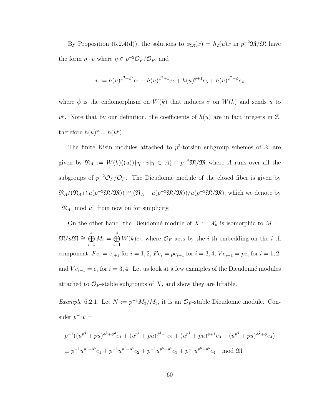By Proposition [\(5.2.4\(](#page-55-0)d)), the solutions to  $\phi_{\mathfrak{M}}(x) = h_2(u)x$  in  $p^{-2}\mathfrak{M}/\mathfrak{M}$  have the form  $\eta \cdot v$  where  $\eta \in p^{-2} \mathcal{O}_F / \mathcal{O}_F$ , and

$$
v := h(u)^{\phi^3 + \phi^2} e_1 + h(u)^{\phi^3 + 1} e_2 + h(u)^{\phi + 1} e_3 + h(u)^{\phi^2 + \phi} e_4
$$

where  $\phi$  is the endomorphism on  $W(k)$  that induces  $\sigma$  on  $W(k)$  and sends u to  $u^p$ . Note that by our definition, the coefficients of  $h(u)$  are in fact integers in  $\mathbb{Z}$ , therefore  $h(u)^{\phi} = h(u^p)$ .

The finite Kisin modules attached to  $p^2$ -torsion subgroup schemes of X are given by  $\mathfrak{N}_A := W(k)((u))\{\eta \cdot v | \eta \in A\} \cap p^{-2}\mathfrak{M}/\mathfrak{M}$  where A runs over all the subgroups of  $p^{-2}\mathcal{O}_F/\mathcal{O}_F$ . The Dieudonné module of the closed fiber is given by  $\mathfrak{N}_A/(\mathfrak{N}_A \cap u(p^{-2}\mathfrak{M}/\mathfrak{M})) \cong (\mathfrak{N}_A + u(p^{-2}\mathfrak{M}/\mathfrak{M}))/u(p^{-2}\mathfrak{M}/\mathfrak{M})$ , which we denote by " $\mathfrak{N}_A$  mod u" from now on for simplicity.

On the other hand, the Dieudonné module of  $X := \mathcal{X}_k$  is isomorphic to  $M :=$  $\mathfrak{M}/u\mathfrak{M} \cong \bigoplus^4$  $i=1$  $M_i = \bigoplus^4$  $i=1$  $W(k)e_i$ , where  $\mathcal{O}_F$  acts by the *i*-th embedding on the *i*-th component,  $Fe_i = e_{i+1}$  for  $i = 1, 2$ ,  $Fe_i = pe_{i+1}$  for  $i = 3, 4$ ,  $Ve_{i+1} = pe_i$  for  $i = 1, 2$ , and  $Ve_{i+1} = e_i$  for  $i = 3, 4$ . Let us look at a few examples of the Dieudonné modules attached to  $\mathcal{O}_F$ -stable subgroups of X, and show they are liftable.

<span id="page-68-0"></span>*Example* 6.2.1. Let  $N := p^{-1} M_3 / M_3$ , it is an  $\mathcal{O}_F$ -stable Dieudonné module. Consider  $p^{-1}v =$ 

$$
p^{-1}((u^{p^4} + pu)^{\phi^3 + \phi^2}e_1 + (u^{p^4} + pu)^{\phi^3 + 1}e_2 + (u^{p^4} + pu)^{\phi + 1}e_3 + (u^{p^4} + pu)^{\phi^2 + \phi}e_4)
$$
  
\n
$$
\equiv p^{-1}u^{p^7 + p^6}e_1 + p^{-1}u^{p^7 + p^4}e_2 + p^{-1}u^{p^5 + p^4}e_3 + p^{-1}u^{p^6 + p^5}e_4 \mod \mathfrak{M}
$$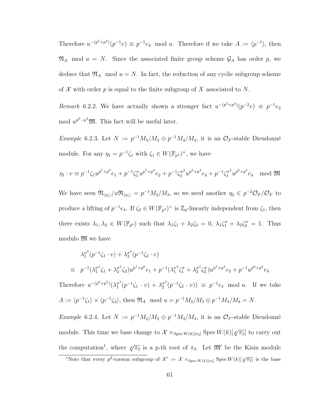Therefore  $u^{-(p^5+p^4)}(p^{-1}v) \equiv p^{-1}e_3 \mod u$ . Therefore if we take  $A := \langle p^{-1} \rangle$ , then  $\mathfrak{N}_A$  mod  $u = N$ . Since the associated finite group scheme  $\mathcal{G}_A$  has order p, we deduce that  $\mathfrak{N}_A$  mod  $u = N$ . In fact, the reduction of any cyclic subgroup scheme of X with order p is equal to the finite subgroup of X associated to N.

<span id="page-69-0"></span>Remark 6.2.2. We have actually shown a stronger fact  $u^{-(p^5+p^4)}(p^{-2}v) \equiv p^{-1}e_3$ mod  $u^{p^6-p^4}\mathfrak{M}$ . This fact will be useful later.

Example 6.2.3. Let  $N := p^{-1} M_3/M_3 \oplus p^{-1} M_4/M_4$ , it is an  $\mathcal{O}_F$ -stable Dieudonné module. For any  $\eta_1 = p^{-1} \zeta_1$  with  $\zeta_1 \in W(\mathbb{F}_{p^4})^{\times}$ , we have

$$
\eta_1 \cdot v \equiv p^{-1} \zeta_1 u^{p^7 + p^6} e_1 + p^{-1} \zeta_1^{\sigma} u^{p^7 + p^4} e_2 + p^{-1} \zeta_1^{\sigma^2} u^{p^5 + p^4} e_3 + p^{-1} \zeta_1^{\sigma^3} u^{p^6 + p^5} e_4 \mod \mathfrak{M}
$$

We have seen  $\mathfrak{N}_{\langle\eta_1\rangle}/u\mathfrak{N}_{\langle\eta_1\rangle} = p^{-1}M_3/M_3$ , so we need another  $\eta_2 \in p^{-2}\mathcal{O}_F/\mathcal{O}_F$  to produce a lifting of  $p^{-1}e_4$ . If  $\zeta_2 \in W(\mathbb{F}_{p^4})^{\times}$  is  $\mathbb{Z}_p$ -linearly independent from  $\zeta_1$ , then there exists  $\lambda_1, \lambda_2 \in W(\mathbb{F}_{p^4})$  such that  $\lambda_1 \zeta_1 + \lambda_2 \zeta_2 = 0$ ,  $\lambda_1 \zeta_1^{\sigma} + \lambda_2 \zeta_2^{\sigma} = 1$ . Thus modulo M we have

$$
\lambda_1^{\sigma^3} (p^{-1} \zeta_1 \cdot v) + \lambda_2^{\sigma^3} (p^{-1} \zeta_2 \cdot v)
$$
  
\n
$$
\equiv p^{-1} (\lambda_1^{\sigma^3} \zeta_1 + \lambda_2^{\sigma^3} \zeta_2) u^{p^7 + p^6} e_1 + p^{-1} (\lambda_1^{\sigma^3} \zeta_1^{\sigma} + \lambda_2^{\sigma^3} \zeta_2^{\sigma}) u^{p^7 + p^4} e_2 + p^{-1} u^{p^6 + p^5} e_4
$$

Therefore  $u^{-(p^6+p^5)}(\lambda_1^{\sigma^3})$  $j_{1}^{\sigma^{3}}(p^{-1}\zeta_{1} \cdot v) + \lambda_{2}^{\sigma^{3}}$  $p^{\sigma^3}(p^{-1}\zeta_2 \cdot v)$  =  $p^{-1}e_4 \mod u$ . If we take  $A := \langle p^{-1} \zeta_1 \rangle \times \langle p^{-1} \zeta_2 \rangle$ , then  $\mathfrak{N}_A$  mod  $u = p^{-1} M_3 / M_3 \oplus p^{-1} M_4 / M_4 = N$ .

Example 6.2.4. Let  $N := p^{-1} M_2/M_2 \oplus p^{-1} M_3/M_3$ , it is an  $\mathcal{O}_F$ -stable Dieudonné module. This time we base change to  $\mathcal{X} \times_{\text{Spec } W(k)[\pi_2]} \text{Spec } W(k)[\sqrt[p]{\pi_2}]$  to carry out the computation<sup>1</sup>, where  $\sqrt[p]{\pi_2}$  is a p-th root of  $\pi_2$ . Let  $\mathfrak{M}'$  be the Kisin module

<sup>&</sup>lt;sup>1</sup>Note that every  $p^2$ -torsion subgroup of  $\mathcal{X}' := \mathcal{X} \times_{\text{Spec } W(k)[\pi_2]} \text{Spec } W(k)[\sqrt[p]{\pi_2}]$  is the base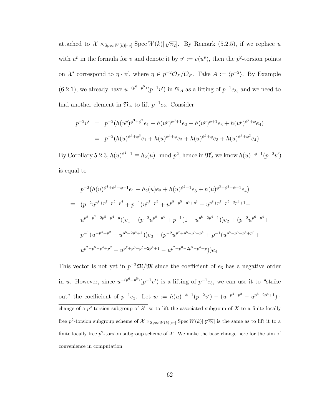attached to  $\mathcal{X} \times_{\text{Spec } W(k)[\pi_2]} \text{Spec } W(k)[\sqrt[p]{\pi_2}]$ . By Remark [\(5.2.5\)](#page-57-0), if we replace u with  $u^p$  in the formula for v and denote it by  $v' := v(u^p)$ , then the  $p^2$ -torsion points on  $\mathcal{X}'$  correspond to  $\eta \cdot v'$ , where  $\eta \in p^{-2} \mathcal{O}_F/\mathcal{O}_F$ . Take  $A := \langle p^{-2} \rangle$ . By Example [\(6.2.1\)](#page-68-0), we already have  $u^{-(p^6+p^5)}(p^{-1}v')$  in  $\mathfrak{N}_A$  as a lifting of  $p^{-1}e_3$ , and we need to find another element in  $\mathfrak{N}_A$  to lift  $p^{-1}e_2$ . Consider

$$
p^{-2}v' = p^{-2}(h(u^p)^{\phi^3 + \phi^2}e_1 + h(u^p)^{\phi^3 + 1}e_2 + h(u^p)^{\phi + 1}e_3 + h(u^p)^{\phi^2 + \phi}e_4)
$$
  
= 
$$
p^{-2}(h(u)^{\phi^4 + \phi^3}e_1 + h(u)^{\phi^4 + \phi}e_2 + h(u)^{\phi^2 + \phi}e_3 + h(u)^{\phi^3 + \phi^2}e_4)
$$

By Corollary [5.2.3,](#page-53-0)  $h(u)^{\phi^4 - 1} \equiv h_2(u) \mod p^2$ , hence in  $\mathfrak{N}_A^0$  we know  $h(u)^{-\phi - 1}(p^{-2}v')$ is equal to

$$
p^{-2}(h(u)^{\phi^4 + \phi^3 - \phi - 1}e_1 + h_2(u)e_2 + h(u)^{\phi^2 - 1}e_3 + h(u)^{\phi^3 + \phi^2 - \phi - 1}e_4)
$$
  
\n
$$
= (p^{-2}u^{p^8 + p^7 - p^5 - p^4} + p^{-1}(u^{p^7 - p^5} + u^{p^8 - p^5 - p^4 + p^3} - u^{p^8 + p^7 - p^5 - 2p^4 + 1} - u^{p^8 + p^7 - 2p^5 - p^4 + p})\Big)e_1 + (p^{-2}u^{p^8 - p^4} + p^{-1}(1 - u^{p^8 - 2p^4 + 1}))e_2 + (p^{-2}u^{p^6 - p^4} + p^{-1}(u^{p^6 - p^5 - p^4 + p^3} + u^{p^7 - p^5 - p^4 + p^2} - u^{p^7 + p^6 - p^5 - 2p^4 + 1} - u^{p^7 + p^6 - 2p^5 - p^4 + p})\Big)e_4
$$

This vector is not yet in  $p^{-2}\mathfrak{M}/\mathfrak{M}$  since the coefficient of  $e_3$  has a negative order in u. However, since  $u^{-(p^6+p^5)}(p^{-1}v')$  is a lifting of  $p^{-1}e_3$ , we can use it to "strike out" the coefficient of  $p^{-1}e_3$ . Let  $w := h(u)^{-\phi-1}(p^{-2}v') - (u^{-p^4+p^2} - u^{p^6-2p^4+1})$ . change of a  $p^2$ -torsion subgroup of X, so to lift the associated subgroup of X to a finite locally free p<sup>2</sup>-torsion subgroup scheme of  $\mathcal{X} \times_{\text{Spec } W(k)[\pi_2]} \text{Spec } W(k)[\sqrt[p]{\pi_2}]$  is the same as to lift it to a finite locally free  $p^2$ -torsion subgroup scheme of X. We make the base change here for the aim of convenience in computation.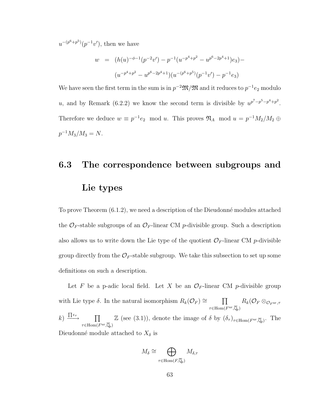$u^{-(p^6+p^5)}(p^{-1}v')$ , then we have

$$
w = (h(u)^{-\phi-1}(p^{-2}v') - p^{-1}(u^{-p^4+p^2} - u^{p^6-2p^4+1})e_3) -
$$

$$
(u^{-p^4+p^2} - u^{p^6-2p^4+1})(u^{-(p^6+p^5)}(p^{-1}v') - p^{-1}e_3)
$$

We have seen the first term in the sum is in  $p^{-2}\mathfrak{M}/\mathfrak{M}$  and it reduces to  $p^{-1}e_2$  modulo u, and by Remark [\(6.2.2\)](#page-69-0) we know the second term is divisible by  $u^{p^7-p^5-p^4+p^2}$ . Therefore we deduce  $w \equiv p^{-1}e_2 \mod u$ . This proves  $\mathfrak{N}_A$  mod  $u = p^{-1}M_2/M_2 \oplus$  $p^{-1}M_3/M_3=N.$ 

## 6.3 The correspondence between subgroups and Lie types

To prove Theorem  $(6.1.2)$ , we need a description of the Dieudonné modules attached the  $\mathcal{O}_F$ -stable subgroups of an  $\mathcal{O}_F$ -linear CM p-divisible group. Such a description also allows us to write down the Lie type of the quotient  $\mathcal{O}_F$ -linear CM p-divisible group directly from the  $\mathcal{O}_F$ -stable subgroup. We take this subsection to set up some definitions on such a description.

Let F be a p-adic local field. Let X be an  $\mathcal{O}_F$ -linear CM p-divisible group with Lie type  $\delta$ . In the natural isomorphism  $R_k(\mathcal{O}_F) \cong \Pi$  $\tau \in \mathrm{Hom}(F^{\mathrm{ur}}, \overline{\mathbb{Q}}_p)$  $R_k(\mathcal{O}_F\otimes_{\mathcal{O}_F^{\mathrm{ur}},\tau}$  $k) \stackrel{\prod \epsilon_{\tau}}{\longrightarrow} \qquad \prod$  $\tau \in \mathrm{Hom}(F^{\mathrm{ur}}, \overline{\mathbb{Q}}_p)$ Z (see [\(3.1\)](#page-23-0)), denote the image of  $\delta$  by  $(\delta_{\tau})_{\tau \in \text{Hom}(F^{\text{ur}}, \overline{\mathbb{Q}}_p)}$ . The Dieudonné module attached to  $X_{\delta}$  is

$$
M_{\delta} \cong \bigoplus_{\tau \in \text{Hom}(F,\overline{\mathbb{Q}}_p)} M_{\delta,\tau}
$$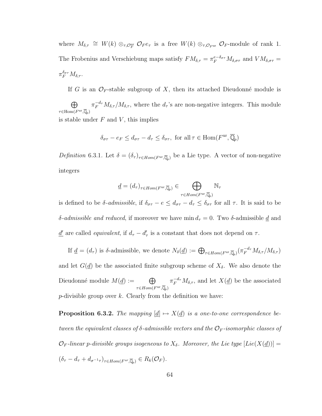where  $M_{\delta,\tau} \cong W(k) \otimes_{\tau,\mathcal{O}_F^{\text{ur}}} \mathcal{O}_F e_{\tau}$  is a free  $W(k) \otimes_{\tau,\mathcal{O}_F^{\text{ur}}} \mathcal{O}_F$ -module of rank 1. The Frobenius and Verschiebung maps satisfy  $FM_{\delta,\tau} = \pi_F^{e-\delta_{\sigma\tau}} M_{\delta,\sigma\tau}$  and  $VM_{\delta,\sigma\tau}$  $\pi_F^{\delta_{\sigma\tau}} M_{\delta,\tau}.$ 

If G is an  $\mathcal{O}_F$ -stable subgroup of X, then its attached Dieudonné module is

 $\oplus$  $\tau \in \mathrm{Hom}(F^{\mathrm{ur}}, \overline{\mathbb{Q}}_p)$  $\pi_F^{-d_{\tau}} M_{\delta,\tau}/M_{\delta,\tau}$ , where the  $d_{\tau}$ 's are non-negative integers. This module is stable under  $F$  and  $V$ , this implies

$$
\delta_{\sigma\tau} - e_F \le d_{\sigma\tau} - d_\tau \le \delta_{\sigma\tau}, \text{ for all } \tau \in \text{Hom}(F^{\text{ur}}, \overline{\mathbb{Q}}_p)
$$

Definition 6.3.1. Let  $\delta = (\delta_{\tau})_{\tau \in Hom(F^{\text{ur}}, \overline{\mathbb{Q}}_p)}$  be a Lie type. A vector of non-negative integers

$$
\underline{d} = (d_{\tau})_{\tau \in Hom(F^{\mathrm{ur}}, \overline{\mathbb{Q}}_p)} \in \bigoplus_{\tau \in Hom(F^{\mathrm{ur}}, \overline{\mathbb{Q}}_p)} \mathbb{N}_{\tau}
$$

is defined to be  $\delta$ -*admissible*, if  $\delta_{\sigma\tau} - e \leq d_{\sigma\tau} - d_{\tau} \leq \delta_{\sigma\tau}$  for all  $\tau$ . It is said to be δ-admissible and reduced, if moreover we have min  $d_τ = 0$ . Two δ-admissible  $\underline{d}$  and <u>d'</u> are called *equivalent*, if  $d_{\tau} - d_{\tau}'$  is a constant that does not depend on  $\tau$ .

If  $\underline{d} = (d_{\tau})$  is δ-admissible, we denote  $N_{\delta}(\underline{d}) := \bigoplus_{\tau \in Hom(F^{\rm ur}, \overline{\mathbb{Q}}_p)} (\pi_F^{-d_{\tau}} M_{\delta, \tau}/M_{\delta, \tau})$ and let  $G(\underline{d})$  be the associated finite subgroup scheme of  $X_{\delta}$ . We also denote the Dieudonné module  $M(\underline{d}) := \bigoplus$  $\tau \in Hom(F^{\mathrm{ur}}, \overline{\mathbb{Q}}_p)$  $\pi_F^{-d_{\tau}} M_{\delta,\tau}$ , and let  $X(\underline{d})$  be the associated p-divisible group over  $k$ . Clearly from the definition we have:

<span id="page-72-0"></span>**Proposition 6.3.2.** The mapping  $[\underline{d}] \mapsto X(\underline{d})$  is a one-to-one correspondence between the equivalent classes of  $\delta$ -admissible vectors and the  $\mathcal{O}_F$ -isomorphic classes of  $\mathcal{O}_F$ -linear p-divisible groups isogeneous to  $X_\delta$ . Moreover, the Lie type  $[Lie(X(\underline{d}))]=0$  $(\delta_{\tau}-d_{\tau}+d_{\sigma^{-1}\tau})_{\tau\in Hom(F^{ur},\overline{\mathbb{Q}}_p)}\in R_k(\mathcal{O}_F).$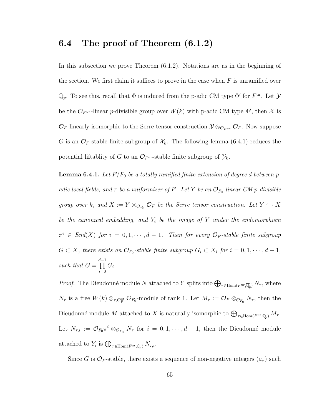#### <span id="page-73-1"></span>6.4 The proof of Theorem [\(6.1.2\)](#page-65-0)

In this subsection we prove Theorem [\(6.1.2\)](#page-65-0). Notations are as in the beginning of the section. We first claim it suffices to prove in the case when  $F$  is unramified over  $\mathbb{Q}_p$ . To see this, recall that  $\Phi$  is induced from the p-adic CM type  $\Phi'$  for  $F^{\text{ur}}$ . Let  $\mathcal{Y}$ be the  $\mathcal{O}_{F^{ur}}$ -linear *p*-divisible group over  $W(k)$  with p-adic CM type  $\Phi'$ , then X is  $\mathcal{O}_F$ -linearly isomorphic to the Serre tensor construction  $\mathcal{Y} \otimes_{\mathcal{O}_F^{ur}} \mathcal{O}_F$ . Now suppose G is an  $\mathcal{O}_F$ -stable finite subgroup of  $\mathcal{X}_k$ . The following lemma [\(6.4.1\)](#page-73-0) reduces the potential liftablity of G to an  $\mathcal{O}_{F^{ur}}$ -stable finite subgroup of  $\mathcal{Y}_k$ .

<span id="page-73-0"></span>**Lemma 6.4.1.** Let  $F/F_0$  be a totally ramified finite extension of degree d between padic local fields, and  $\pi$  be a uniformizer of F. Let Y be an  $\mathcal{O}_{F_0}$ -linear CM p-divisible group over k, and  $X := Y \otimes_{\mathcal{O}_{F_0}} \mathcal{O}_F$  be the Serre tensor construction. Let  $Y \hookrightarrow X$ be the canonical embedding, and  $Y_i$  be the image of Y under the endomorphism  $\pi^i \in End(X)$  for  $i = 0, 1, \cdots, d-1$ . Then for every  $\mathcal{O}_F$ -stable finite subgroup  $G \subset X$ , there exists an  $\mathcal{O}_{F_0}$ -stable finite subgroup  $G_i \subset X_i$  for  $i = 0, 1, \cdots, d - 1$ , such that  $G =$  $\prod$ <sup> $d-1$ </sup>  $i=0$  $G_i$ .

*Proof.* The Dieudonné module N attached to Y splits into  $\bigoplus_{\tau \in \text{Hom}(F^{\text{ur}}, \overline{\mathbb{Q}}_p)} N_{\tau}$ , where  $N_{\tau}$  is a free  $W(k) \otimes_{\tau,\mathcal{O}_F^{\text{ur}}} \mathcal{O}_{F_0}$ -module of rank 1. Let  $M_{\tau} := \mathcal{O}_F \otimes_{\mathcal{O}_{F_0}} N_{\tau}$ , then the Dieudonné module M attached to X is naturally isomorphic to  $\bigoplus_{\tau \in \text{Hom}(F^{\text{ur}}, \overline{\mathbb{Q}}_p)} M_{\tau}$ . Let  $N_{\tau,i} := \mathcal{O}_{F_0} \pi^i \otimes_{\mathcal{O}_{F_0}} N_{\tau}$  for  $i = 0, 1, \cdots, d-1$ , then the Dieudonné module attached to  $Y_i$  is  $\bigoplus_{\tau \in \text{Hom}(F^{\text{ur}}, \overline{\mathbb{Q}}_p)} N_{\tau,i}$ .

Since G is  $\mathcal{O}_F$ -stable, there exists a sequence of non-negative integers  $(a_\tau)$  such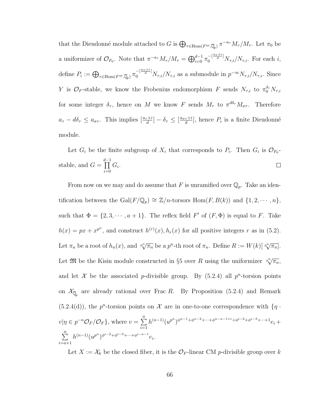that the Dieudonné module attached to G is  $\bigoplus_{\tau \in \text{Hom}(F^{\text{ur}}, \overline{\mathbb{Q}}_p)} \pi^{-a_{\tau}} M_{\tau}/M_{\tau}$ . Let  $\pi_0$  be a uniformizer of  $\mathcal{O}_{F_0}$ . Note that  $\pi^{-a_{\tau}} M_{\tau}/M_{\tau} = \bigoplus_{i=0}^{d-1} \pi_0^{-\left[\frac{a_{\tau}+i}{d}\right]} N_{\tau,i}/N_{\tau,i}$ . For each i, define  $P_i := \bigoplus_{\tau \in \text{Hom}(F^{\text{ur}}, \overline{\mathbb{Q}}_p)} \pi_0^{-\left[\frac{a_{\tau}+i}{d}\right]} N_{\tau, i}/N_{\tau, i}$  as a submodule in  $p^{-\infty} N_{\tau, i}/N_{\tau, i}$ . Since Y is  $\mathcal{O}_F$ -stable, we know the Frobenius endomorphism F sends  $N_{\tau,i}$  to  $\pi_0^{\delta_{\tau}} N_{\tau,i}$ for some integer  $\delta_{\tau}$ , hence on M we know F sends  $M_{\tau}$  to  $\pi^{d\delta_{\tau}}M_{\sigma\tau}$ . Therefore  $a_{\tau} - d\delta_{\tau} \le a_{\sigma\tau}$ . This implies  $\left[\frac{a_{\tau}+i}{d}\right] - \delta_{\tau} \le \left[\frac{a_{\sigma\tau}+i}{d}\right]$  $\frac{\tau+i}{d}$ , hence  $P_i$  is a finite Dieudonné module.

Let  $G_i$  be the finite subgroup of  $X_i$  that corresponds to  $P_i$ . Then  $G_i$  is  $\mathcal{O}_{F_0}$ - $\prod$ <sup> $d-1$ </sup> stable, and  $G =$  $G_i$ .  $\Box$  $i=0$ 

From now on we may and do assume that F is unramified over  $\mathbb{Q}_p$ . Take an identification between the Gal $(F/\mathbb{Q}_p) \cong \mathbb{Z}/n$ -torsors Hom $(F, B(k))$  and  $\{1, 2, \dots, n\}$ , such that  $\Phi = \{2, 3, \dots, a + 1\}$ . The reflex field  $F'$  of  $(F, \Phi)$  is equal to F. Take  $h(x) = px + x^{p^n}$ , and construct  $h^{(r)}(x), h_r(x)$  for all positive integers r as in [\(5.2\)](#page-51-0). Let  $\pi_n$  be a root of  $h_n(x)$ , and  $\sqrt[p^n]{\pi_n}$  be a  $p^n$ -th root of  $\pi_n$ . Define  $R := W(k)[\sqrt[p^n]{\pi_n}]$ . Let  $\mathfrak{M}$  be the Kisin module constructed in §5 over R using the uniformizer  $\sqrt[p^n]{\pi_n}$ , and let X be the associated p-divisible group. By  $(5.2.4)$  all p<sup>n</sup>-torsion points on  $\mathcal{X}_{\overline{\mathbb{Q}}_p}$  are already rational over Frac R. By Proposition [\(5.2.4\)](#page-55-0) and Remark  $(5.2.4(d))$  $(5.2.4(d))$ , the p<sup>n</sup>-torsion points on X are in one-to-one correspondence with  $\{\eta\}$ .  $v|\eta \in p^{-n}\mathcal{O}_F/\mathcal{O}_F\}$ , where  $v=\sum^{a}$  $i=1$  $h^{(n-1)}(u^{p^n})^{\phi^{n-1}+\phi^{n-2}+\cdots+\phi^{n-a-1+i}+\phi^{i-2}+\phi^{i-3}+\cdots+1}e_i+$  $\sum_{n=1}^{\infty}$  $i=a+1$  $h^{(n-1)} (u^{p^n})^{\phi^{i-2}+\phi^{i-3}+\cdots+\phi^{i-a-1}} e_i.$ 

Let  $X := \mathcal{X}_k$  be the closed fiber, it is the  $\mathcal{O}_F$ -linear CM p-divisible group over k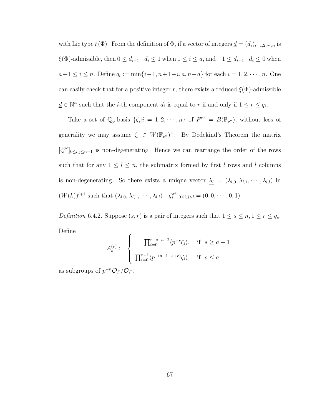with Lie type  $\xi(\Phi)$ . From the definition of  $\Phi$ , if a vector of integers  $\underline{d} = (d_i)_{i=1,2,\cdots,n}$  is  $\xi(\Phi)$ -admissible, then  $0 \le d_{i+1}-d_i \le 1$  when  $1 \le i \le a$ , and  $-1 \le d_{i+1}-d_i \le 0$  when  $a+1 \leq i \leq n$ . Define  $q_i := \min\{i-1, n+1-i, a, n-a\}$  for each  $i = 1, 2, \cdots, n$ . One can easily check that for a positive integer r, there exists a reduced  $\xi(\Phi)$ -admissible  $\underline{d} \in \mathbb{N}^n$  such that the *i*-th component  $d_i$  is equal to r if and only if  $1 \leq r \leq q_i$ .

Take a set of  $\mathbb{Q}_p$ -basis  $\{\zeta_i | i = 1, 2, \cdots, n\}$  of  $F^{\text{ur}} = B(\mathbb{F}_{p^n})$ , without loss of generality we may assume  $\zeta_i \in W(\mathbb{F}_{p^n})^{\times}$ . By Dedekind's Theorem the matrix  $\int \zeta_i^{\sigma^j}$  $[\sigma_i^{\sigma_j}]_{0 \leq i,j \leq n-1}$  is non-degenerating. Hence we can rearrange the order of the rows such that for any  $1 \leq l \leq n$ , the submatrix formed by first l rows and l columns is non-degenerating. So there exists a unique vector  $\underline{\lambda_l} = (\lambda_{l,0}, \lambda_{l,1}, \cdots, \lambda_{l,l})$  in  $(W(k))^{l+1}$  such that  $(\lambda_{l,0}, \lambda_{l,1}, \cdots, \lambda_{l,l}) \cdot [\zeta_i^{\sigma^j}]$  $[\sigma_i^{\sigma j}]_{0\leq i,j\leq l}=(0,0,\cdots,0,1).$ 

<span id="page-75-0"></span>Definition 6.4.2. Suppose  $(s, r)$  is a pair of integers such that  $1 \le s \le n, 1 \le r \le q_s$ . Define

$$
A_s^{(r)} := \begin{cases} \prod_{i=0}^{r+s-a-2} \langle p^{-r} \zeta_i \rangle, & \text{if } s \ge a+1 \\ \prod_{i=0}^{r-1} \langle p^{-(a+1-s+r)} \zeta_i \rangle, & \text{if } s \le a \end{cases}
$$

as subgroups of  $p^{-n}\mathcal{O}_F/\mathcal{O}_F$ .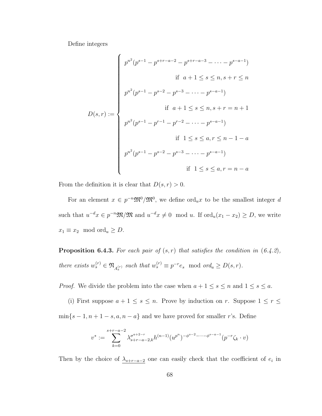Define integers

$$
D(s,r) := \begin{cases} p^{n^2}(p^{s-1} - p^{s+r-a-2} - p^{s+r-a-3} - \dots - p^{s-a-1}) \\ & \text{if } a+1 \le s \le n, s+r \le n \\ p^{n^2}(p^{s-1} - p^{s-2} - p^{s-3} - \dots - p^{s-a-1}) \\ & \text{if } a+1 \le s \le n, s+r = n+1 \\ p^{n^2}(p^{s-1} - p^{r-1} - p^{r-2} - \dots - p^{s-a-1}) \\ & \text{if } 1 \le s \le a, r \le n-1-a \\ p^{n^2}(p^{s-1} - p^{s-2} - p^{s-3} - \dots - p^{s-a-1}) \\ & \text{if } 1 \le s \le a, r = n-a \end{cases}
$$

From the definition it is clear that  $D(s, r) > 0$ .

For an element  $x \in p^{-n} \mathfrak{M}^0/\mathfrak{M}^0$ , we define  $\text{ord}_u x$  to be the smallest integer d such that  $u^{-d}x \in p^{-n}\mathfrak{M}/\mathfrak{M}$  and  $u^{-d}x \neq 0 \mod u$ . If  $\text{ord}_u(x_1 - x_2) \geq D$ , we write  $x_1 \equiv x_2 \mod \text{ord}_u \geq D.$ 

<span id="page-76-0"></span>**Proposition 6.4.3.** For each pair of  $(s, r)$  that satisfies the condition in  $(6.4.2)$  $(6.4.2)$  $(6.4.2)$ , there exists  $w_s^{(r)} \in \mathfrak{N}_{A_s^{(r)}}$  such that  $w_s^{(r)} \equiv p^{-r} e_s \mod ord_u \ge D(s, r)$ .

*Proof.* We divide the problem into the case when  $a + 1 \le s \le n$  and  $1 \le s \le a$ .

(i) First suppose  $a + 1 \le s \le n$ . Prove by induction on r. Suppose  $1 \le r \le$  $\min\{s-1, n+1-s, a, n-a\}$  and we have proved for smaller r's. Define

$$
v^* := \sum_{k=0}^{s+r-a-2} \lambda_{s+r-a-2,k}^{\sigma^{a+2-r}} h^{(n-1)} (u^{p^n})^{-\phi^{s-2}-\cdots-\phi^{s-a-1}} (p^{-r} \zeta_k \cdot v)
$$

Then by the choice of  $\lambda_{s+r-a-2}$  one can easily check that the coefficient of  $e_i$  in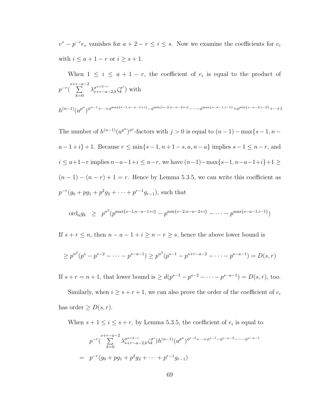$v^* - p^{-r}e_s$  vanishes for  $a + 2 - r \le i \le s$ . Now we examine the coefficients for  $e_i$ with  $i \le a+1-r$  or  $i \ge s+1$ .

When  $1 \leq i \leq a+1-r$ , the coefficient of  $e_i$  is equal to the product of  $p^{-r}(\sum_{ }^{s+r-a-2}$  $_{k=0}$  $\lambda_{s+r-a-2,k}^{\sigma^{a+2-r}} \zeta_k^{\sigma^i}$  $\binom{\sigma^i}{k}$  with  $h^{(n-1)}(u^{p^n})^{\phi^{n-1}+\cdots+\phi^{\max\{s-1,n-a-1+i\}}-\phi^{\min\{s-2,n-a-2+i\}}-\cdots-\phi^{\max\{s-a-1,i-1\}}+\phi^{\min\{s-a-2,i-2\}}+\cdots+1}$ 

The number of  $h^{(n-1)}(u^{p^n})^{\phi^j}$ -factors with  $j > 0$  is equal to  $(n-1) - \max\{s-1, n-1\}$  $a-1+i$  + 1. Because  $r \le \min\{s-1, n+1-s, a, n-a\}$  implies  $s-1 \le n-r$ , and  $i \le a+1-r$  implies  $n-a-1+i \le n-r$ , we have  $(n-1)-\max\{s-1,n-a-1+i\}+1 \ge$  $(n-1)-(n-r)+1=r$ . Hence by Lemma [5.3.5,](#page-62-0) we can write this coefficient as  $p^{-r}(g_0 + pg_1 + p^2g_2 + \cdots + p^{r-1}g_{r-1}),$  such that

$$
\text{ord}_u g_k \geq p^{n^2} (p^{\max\{s-1, n-a-1+i\}} - p^{\min\{s-2, n-a-2+i\}} - \dots - p^{\max\{s-a-1, i-1\}})
$$

If  $s + r \leq n$ , then  $n - a - 1 + i \geq n - r \geq s$ , hence the above lower bound is

$$
\ge p^{n^2}(p^s - p^{s-2} - \dots - p^{s-a-1}) \ge p^{n^2}(p^{s-1} - p^{s+r-a-2} - \dots - p^{s-a-1}) = D(s,r)
$$

If  $s + r = n + 1$ , that lower bound is  $\geq d(p^{s-1} - p^{s-2} - \cdots - p^{s-a-1}) = D(s, r)$ , too.

Similarly, when  $i \geq s + r + 1$ , we can also prove the order of the coefficient of  $e_i$ has order  $\geq D(s,r)$ .

When  $s + 1 \leq i \leq s + r$ , by Lemma [5.3.5,](#page-62-0) the coefficient of  $e_i$  is equal to

$$
p^{-r} \left( \sum_{k=0}^{s+r-a-2} \lambda_{s+r-a-2,k}^{\sigma^{a+2-r}} \zeta_{k}^{\sigma^{i}} \right) h^{(n-1)} (u^{p^{n}})^{\phi^{i-2}+\dots+\phi^{s-1}-\phi^{i-a-2}-\dots-\phi^{s-a-1}}
$$
  
=  $p^{-r} (g_0 + pg_1 + p^2 g_2 + \dots + p^{r-1} g_{r-1})$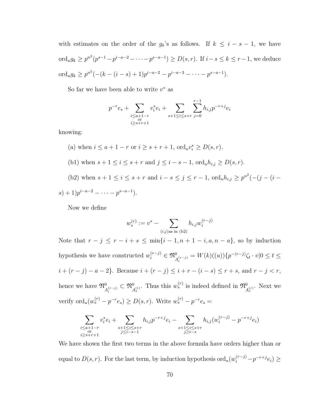with estimates on the order of the  $g_k$ 's as follows. If  $k \leq i - s - 1$ , we have ord<sub>u</sub> $g_k \ge p^{n^2}(p^{s-1}-p^{i-a-2}-\cdots-p^{s-a-1}) \ge D(s,r)$ . If  $i-s \le k \le r-1$ , we deduce ord<sub>u</sub> $g_k \ge p^{n^2}(-(k-(i-s)+1)p^{i-a-2}-p^{i-a-3}-\cdots-p^{s-a-1}).$ 

So far we have been able to write  $v^*$  as

$$
p^{-r}e_s + \sum_{\substack{i \le a+1-r \\ \text{or} \\ i \ge s+r+1}} v_i^*e_i + \sum_{s+1 \le i \le s+r} \sum_{j=0}^{r-1} h_{i,j} p^{-r+j} e_i
$$

knowing:

\n- (a) when 
$$
i \leq a + 1 - r
$$
 or  $i \geq s + r + 1$ ,  $\text{ord}_u v_i^* \geq D(s, r)$ .
\n- (b1) when  $s + 1 \leq i \leq s + r$  and  $j \leq i - s - 1$ ,  $\text{ord}_u h_{i,j} \geq D(s, r)$ .
\n- (b2) when  $s + 1 \leq i \leq s + r$  and  $i - s \leq j \leq r - 1$ ,  $\text{ord}_u h_{i,j} \geq p^{n^2}(- (j - (i - s) + 1)p^{i - a - 2} - \cdots - p^{s - a - 1})$ .
\n

Now we define

$$
w_s^{(r)} := v^* - \sum_{(i,j) \text{as in (b2)}} h_{i,j} w_i^{(r-j)}
$$

Note that  $r - j \le r - i + s \le \min\{i - 1, n + 1 - i, a, n - a\}$ , so by induction hypothesis we have constructed  $w_i^{(r-j)} \in \mathfrak{N}_{A_i^{(r-j)}}^0 = W(k)((u))\{p^{-(r-j)}\zeta_t \cdot v|0 \le t \le 1\}$  $i + (r - j) - a - 2$ . Because  $i + (r - j) \le i + r - (i - s) \le r + s$ , and  $r - j < r$ , hence we have  $\mathfrak{N}_{A_i^{(r-j)}}^0 \subset \mathfrak{N}_{A_s^{(r)}}^0$ . Thus this  $w_s^{(r)}$  is indeed defined in  $\mathfrak{N}_{A_s^{(r)}}^0$ . Next we verify  $\mathrm{ord}_u(w_s^{(r)}-p^{-r}e_s)\geq D(s,r)$ . Write  $w_s^{(r)}-p^{-r}e_s=$ 

$$
\sum_{\substack{i \leq a+1-r \\ \text{or } \\ i \geq s+r+1}} v_i^* e_i + \sum_{\substack{s+1 \leq i \leq s+r \\ j \leq i-s-1}} h_{i,j} p^{-r+j} e_i - \sum_{\substack{s+1 \leq i \leq s+r \\ j \geq i-s}} h_{i,j} (w_i^{(r-j)} - p^{-r+j} e_i)
$$

We have shown the first two terms in the above formula have orders higher than or equal to  $D(s,r)$ . For the last term, by induction hypothesis  $\text{ord}_u(w_i^{(r-j)}-p^{-r+j}e_i) \geq$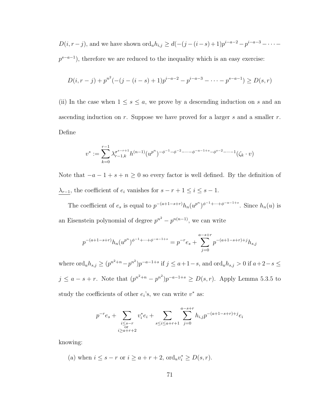$D(i, r - j)$ , and we have shown  $\text{ord}_u h_{i,j} \geq d(-(j - (i - s) + 1)p^{i - a - 2} - p^{i - a - 3} - \cdots$  $p^{s-a-1}$ ), therefore we are reduced to the inequality which is an easy exercise:

$$
D(i, r - j) + p^{n^{2}}(- (j - (i - s) + 1)p^{i - a - 2} - p^{i - a - 3} - \dots - p^{s - a - 1}) \ge D(s, r)
$$

(ii) In the case when  $1 \leq s \leq a$ , we prove by a descending induction on s and an ascending induction on  $r$ . Suppose we have proved for a larger  $s$  and a smaller  $r$ . Define

$$
v^* := \sum_{k=0}^{r-1} \lambda_{r-1,k}^{\sigma^{s-r+1}} h^{(n-1)} (u^{p^n})^{-\phi^{-1} - \phi^{-2} - \dots - \phi^{-a-1+s} - \phi^{s-2} - \dots - 1} (\zeta_k \cdot v)
$$

Note that  $-a-1+s+n\geq 0$  so every factor is well defined. By the definition of  $\lambda_{r-1}$ , the coefficient of  $e_i$  vanishes for  $s - r + 1 ≤ i ≤ s - 1$ .

The coefficient of  $e_s$  is equal to  $p^{-(a+1-s+r)}h_n(u^{p^n})^{\phi^{-1}+\cdots+\phi^{-a-1+s}}$ . Since  $h_n(u)$  is an Eisenstein polynomial of degree  $p^{n^2} - p^{n(n-1)}$ , we can write

$$
p^{-(a+1-s+r)}h_n(u^{p^n})^{\phi^{-1}+\cdots+\phi^{-a-1+s}} = p^{-r}e_s + \sum_{j=0}^{a-s+r} p^{-(a+1-s+r)+j}h_{s,j}
$$

where  $\text{ord}_u h_{s,j} \ge (p^{n^2+n}-p^{n^2})p^{-a-1+s}$  if  $j \le a+1-s$ , and  $\text{ord}_u h_{s,j} > 0$  if  $a+2-s \le$  $j \le a - s + r$ . Note that  $(p^{n^2+n} - p^{n^2})p^{-a-1+s} \ge D(s,r)$ . Apply Lemma [5.3.5](#page-62-0) to study the coefficients of other  $e_i$ 's, we can write  $v^*$  as:

$$
p^{-r}e_s + \sum_{\substack{i \leq s-r \\ \text{or} \\ i \geq a+r+2}} v_i^*e_i + \sum_{s \leq i \leq a+r+1} \sum_{j=0}^{a-s+r} h_{i,j} p^{-(a+1-s+r)+j} e_i
$$

knowing:

(a) when  $i \leq s - r$  or  $i \geq a + r + 2$ ,  $\text{ord}_u v_i^* \geq D(s, r)$ .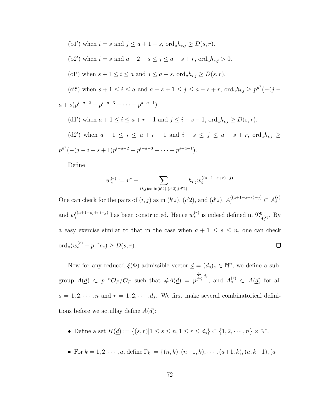\n- (b1') when 
$$
i = s
$$
 and  $j \leq a + 1 - s$ ,  $\text{ord}_u h_{s,j} \geq D(s, r)$ .
\n- (b2') when  $i = s$  and  $a + 2 - s \leq j \leq a - s + r$ ,  $\text{ord}_u h_{s,j} > 0$ .
\n- (c1') when  $s + 1 \leq i \leq a$  and  $j \leq a - s$ ,  $\text{ord}_u h_{i,j} \geq D(s, r)$ .
\n- (c2') when  $s + 1 \leq i \leq a$  and  $a - s + 1 \leq j \leq a - s + r$ ,  $\text{ord}_u h_{i,j} \geq p^{n^2}(- (j - a + s)p^{i - a - 2} - p^{i - a - 3} - \cdots - p^{s - a - 1})$ .
\n- (d1') when  $a + 1 \leq i \leq a + r + 1$  and  $j \leq i - s - 1$ ,  $\text{ord}_u h_{i,j} \geq D(s, r)$ .
\n- (d2') when  $a + 1 \leq i \leq a + r + 1$  and  $i - s \leq j \leq a - s + r$ ,  $\text{ord}_u h_{i,j} \geq p^{n^2}(- (j - i + s + 1)p^{i - a - 2} - p^{i - a - 3} - \cdots - p^{s - a - 1})$ .
\n

Define

$$
w_s^{(r)} := v^* - \sum_{(i,j)\text{as in}(b'2),(c'2),(d'2)} h_{i,j} w_i^{((a+1-s+r)-j)}
$$

One can check for the pairs of  $(i, j)$  as in  $(b'2)$ ,  $(c'2)$ , and  $(d'2)$ ,  $A_i^{((a+1-s+r)-j)} \subset A_s^{(r)}$ and  $w_i^{((a+1-s)+r)-j)}$  has been constructed. Hence  $w_s^{(r)}$  is indeed defined in  $\mathfrak{N}_{A_s^{(r)}}^0$ . By a easy exercise similar to that in the case when  $a + 1 \leq s \leq n$ , one can check  $\text{ord}_u(w_s^{(r)} - p^{-r}e_s) \ge D(s, r).$  $\Box$ 

Now for any reduced  $\xi(\Phi)$ -admissible vector  $\underline{d} = (d_s)_s \in \mathbb{N}^n$ , we define a subgroup  $A(\underline{d}) \subset p^{-n} \mathcal{O}_F / \mathcal{O}_F$  such that  $\#A(\underline{d}) = p$  $\sum_{s=1}^{n} d_s$ , and  $A_s^{(r)} \subset A(\underline{d})$  for all  $s = 1, 2, \cdots, n$  and  $r = 1, 2, \cdots, d_s$ . We first make several combinatorical definitions before we actullay define  $A(\underline{d})$ :

- Define a set  $H(\underline{d}) := \{(s, r) | 1 \le s \le n, 1 \le r \le d_s\} \subset \{1, 2, \cdots, n\} \times \mathbb{N}^*$ .
- For  $k = 1, 2, \dots, a$ , define  $\Gamma_k := \{(n, k), (n-1, k), \dots, (a+1, k), (a, k-1), (a-1, k)\}$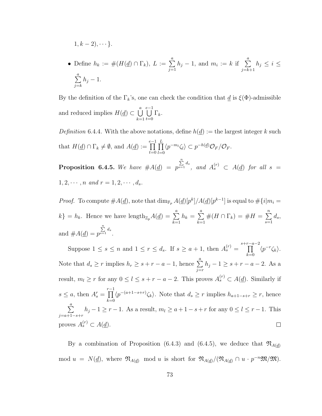$$
1, k-2), \cdots \}.
$$

• Define  $h_k := \#(H(\underline{d}) \cap \Gamma_k), L := \sum_{k=1}^{\infty}$  $j=1$  $h_j - 1$ , and  $m_i := k$  if  $\sum_{i=1}^{n}$  $j=k+1$  $h_j \leq i \leq$  $\sum_{i=1}^{n}$  $j=k$  $h_j-1$ .

By the definition of the  $\Gamma_k$ 's, one can check the condition that  $\underline{d}$  is  $\xi(\Phi)$ -admissible and reduced implies  $H(\underline{d}) \subset \bigcup^{a}$  $_{k=1}$  $\bigcup^{e-1}$  $t=0$  $\Gamma_k$ .

<span id="page-81-1"></span><span id="page-81-0"></span>Definition 6.4.4. With the above notations, define  $h(\underline{d}) :=$  the largest integer k such that  $H(\underline{d}) \cap \Gamma_k \neq \emptyset$ , and  $A(\underline{d}) := \prod^{e-1}$  $t=0$  $\prod^L$  $_{l=0}$  $\langle p^{-m_l} \zeta_l \rangle \subset p^{-h(\underline{d})} \mathcal{O}_F / \mathcal{O}_F.$ **Proposition 6.4.5.** We have  $#A(\underline{d}) = p$  $\sum_{s=1}^n d_s$ , and  $A_s^{(r)} \subset A(\underline{d})$  for all  $s =$  $1, 2, \cdots, n$  and  $r = 1, 2, \cdots, d_s$ .

*Proof.* To compute  $\#A(\underline{d})$ , note that  $\dim_{\mathbb{F}_p} A(\underline{d})[p^k]/A(\underline{d})[p^{k-1}]$  is equal to  $\# \{i|m_i =$  $k$ } =  $h_k$ . Hence we have length<sub> $\mathbb{Z}_p A(\underline{d}) = \sum_{k=1}^a$ </sub>  $h_k = \sum^a$  $k=1$  $#(H \cap \Gamma_k) = #H = \sum_{k=1}^{n}$  $s=1$  $d_s,$ and  $#A(\underline{d}) = p$  $\sum_{s=1}^n d_s$ 

Suppose  $1 \leq s \leq n$  and  $1 \leq r \leq d_s$ . If  $s \geq a+1$ , then  $A_s^{(r)} = \prod^{s+r-a-2}$  $\langle p^{-r} \zeta_k \rangle$ .  $_{k=0}$ Note that  $d_s \geq r$  implies  $h_r \geq s + r - a - 1$ , hence  $\sum_{r=1}^{a} a_r = s + r - a$  $h_j - 1 \geq s + r - a - 2$ . As a  $j=r$ result,  $m_l \ge r$  for any  $0 \le l \le s + r - a - 2$ . This proves  $A_s^{(r)} \subset A(\underline{d})$ . Similarly if  $s \leq a$ , then  $A_s^r = \prod^{r-1}$  $\langle p^{-(a+1-s+r)} \zeta_k \rangle$ . Note that  $d_s \geq r$  implies  $h_{a+1-s+r} \geq r$ , hence  $_{k=0}$  $\sum_{a}^{a}$  $h_j - 1 \ge r - 1$ . As a result,  $m_l \ge a + 1 - s + r$  for any  $0 \le l \le r - 1$ . This  $j=a+1-s+r$ proves  $A_s^{(r)} \subset A(\underline{d})$ .  $\Box$ 

By a combination of Proposition [\(6.4.3\)](#page-76-0) and [\(6.4.5\)](#page-81-0), we deduce that  $\mathfrak{N}_{A(d)}$ mod  $u = N(\underline{d})$ , where  $\mathfrak{N}_{A(\underline{d})}$  mod u is short for  $\mathfrak{N}_{A(\underline{d})}/(\mathfrak{N}_{A(\underline{d})} \cap u \cdot p^{-n} \mathfrak{M}/\mathfrak{M})$ .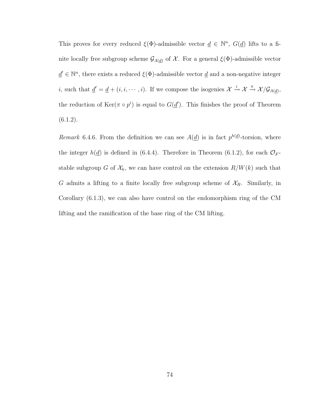This proves for every reduced  $\xi(\Phi)$ -admissible vector  $\underline{d} \in \mathbb{N}^n$ ,  $G(\underline{d})$  lifts to a finite locally free subgroup scheme  $\mathcal{G}_{A(\underline{d})}$  of  $\mathcal{X}$ . For a general  $\xi(\Phi)$ -admissible vector  $\underline{d}' \in \mathbb{N}^n$ , there exists a reduced  $\xi(\Phi)$ -admissible vector  $\underline{d}$  and a non-negative integer *i*, such that  $\underline{d}' = \underline{d} + (i, i, \dots, i)$ . If we compose the isogenies  $\mathcal{X} \stackrel{i}{\rightarrow} \mathcal{X} \stackrel{\pi}{\rightarrow} \mathcal{X}/\mathcal{G}_{A(\underline{d})}$ , the reduction of  $\text{Ker}(\pi \circ p^i)$  is equal to  $G(\underline{d}')$ . This finishes the proof of Theorem  $(6.1.2).$  $(6.1.2).$ 

Remark 6.4.6. From the definition we can see  $A(\underline{d})$  is in fact  $p^{h(\underline{d})}$ -torsion, where the integer  $h(\underline{d})$  is defined in [\(6.4.4\)](#page-81-1). Therefore in Theorem [\(6.1.2\)](#page-65-0), for each  $\mathcal{O}_F$ stable subgroup G of  $\mathcal{X}_k$ , we can have control on the extension  $R/W(k)$  such that G admits a lifting to a finite locally free subgroup scheme of  $\mathcal{X}_R$ . Similarly, in Corollary [\(6.1.3\)](#page-65-1), we can also have control on the endomorphism ring of the CM lifting and the ramification of the base ring of the CM lifting.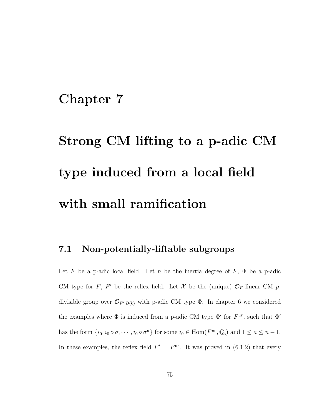## Chapter 7

# Strong CM lifting to a p-adic CM type induced from a local field with small ramification

#### <span id="page-83-0"></span>7.1 Non-potentially-liftable subgroups

Let F be a p-adic local field. Let n be the inertia degree of  $F$ ,  $\Phi$  be a p-adic CM type for F, F' be the reflex field. Let X be the (unique)  $\mathcal{O}_F$ -linear CM pdivisible group over  $\mathcal{O}_{F^{\prime}\cdot B(k)}$  with p-adic CM type  $\Phi$ . In chapter [6](#page-64-0) we considered the examples where  $\Phi$  is induced from a p-adic CM type  $\Phi'$  for  $F^{ur}$ , such that  $\Phi'$ has the form  $\{i_0, i_0 \circ \sigma, \cdots, i_0 \circ \sigma^a\}$  for some  $i_0 \in \text{Hom}(F^{ur}, \overline{\mathbb{Q}}_p)$  and  $1 \leq a \leq n-1$ . In these examples, the reflex field  $F' = F^{\text{ur}}$ . It was proved in [\(6.1.2\)](#page-65-0) that every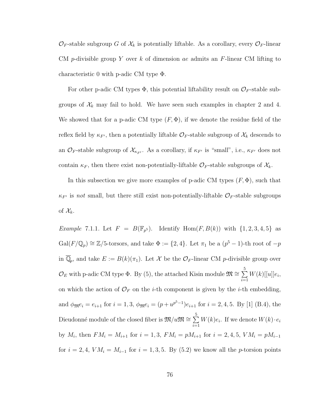$\mathcal{O}_F$ -stable subgroup G of  $\mathcal{X}_k$  is potentially liftable. As a corollary, every  $\mathcal{O}_F$ -linear CM p-divisible group Y over k of dimension ae admits an  $F$ -linear CM lifting to characteristic 0 with p-adic CM type Φ.

For other p-adic CM types  $\Phi$ , this potential liftability result on  $\mathcal{O}_F$ -stable subgroups of  $\mathcal{X}_k$  may fail to hold. We have seen such examples in chapter [2](#page-18-0) and [4.](#page-38-0) We showed that for a p-adic CM type  $(F, \Phi)$ , if we denote the residue field of the reflex field by  $\kappa_{F}$ , then a potentially liftable  $\mathcal{O}_F$ -stable subgroup of  $\mathcal{X}_k$  descends to an  $\mathcal{O}_F$ -stable subgroup of  $\mathcal{X}_{\kappa_{F'}}$ . As a corollary, if  $\kappa_{F'}$  is "small", i.e.,  $\kappa_{F'}$  does not contain  $\kappa_F$ , then there exist non-potentially-liftable  $\mathcal{O}_F$ -stable subgroups of  $\mathcal{X}_k$ .

In this subsection we give more examples of p-adic CM types  $(F, \Phi)$ , such that  $\kappa_{F}$  is not small, but there still exist non-potentially-liftable  $\mathcal{O}_F$ -stable subgroups of  $\mathcal{X}_k$ .

*Example 7.1.1.* Let  $F = B(\mathbb{F}_{p^5})$ . Identify  $Hom(F, B(k))$  with  $\{1, 2, 3, 4, 5\}$  as  $Gal(F/\mathbb{Q}_p) \cong \mathbb{Z}/5$ -torsors, and take  $\Phi := \{2, 4\}$ . Let  $\pi_1$  be a  $(p^5 - 1)$ -th root of  $-p$ in  $\overline{\mathbb{Q}}_p$ , and take  $E := B(k)(\pi_1)$ . Let X be the  $\mathcal{O}_F$ -linear CM p-divisible group over  $\mathcal{O}_E$  with p-adic CM type  $\Phi$ . By [\(5\)](#page-45-0), the attached Kisin module  $\mathfrak{M} \cong \sum_{ }^5$  $i=1$  $W(k)$ [[u]] $e_i,$ on which the action of  $\mathcal{O}_F$  on the *i*-th component is given by the *i*-th embedding, and  $\phi_{\mathfrak{M}}e_i = e_{i+1}$  for  $i = 1, 3, \phi_{\mathfrak{M}}e_i = (p + u^{p^5-1})e_{i+1}$  for  $i = 2, 4, 5$ . By [\[1\]](#page-243-0) (B.4), the Dieudonné module of the closed fiber is  ${\frak M}/u{\frak M}\cong\sum\limits_{}^{5}$  $i=1$  $W(k)e_i$ . If we denote  $W(k) \cdot e_i$ by  $M_i$ , then  $FM_i = M_{i+1}$  for  $i = 1, 3$ ,  $FM_i = pM_{i+1}$  for  $i = 2, 4, 5$ ,  $VM_i = pM_{i-1}$ for  $i = 2, 4, VM_i = M_{i-1}$  for  $i = 1, 3, 5$ . By [\(5.2\)](#page-51-0) we know all the p-torsion points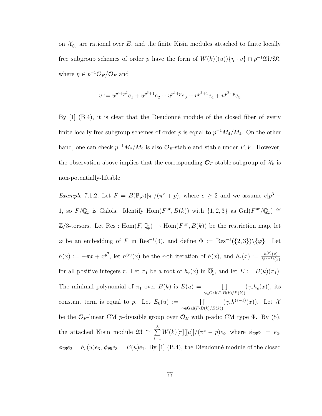on  $\mathcal{X}_{\overline{\mathbb{Q}}_p}$  are rational over E, and the finite Kisin modules attached to finite locally free subgroup schemes of order p have the form of  $W(k)((u))\{\eta \cdot v\} \cap p^{-1} \mathfrak{M}/\mathfrak{M}$ , where  $\eta \in p^{-1}\mathcal{O}_F/\mathcal{O}_F$  and

$$
v:=u^{p^4+p^2}e_1+u^{p^3+1}e_2+u^{p^4+p}e_3+u^{p^2+1}e_4+u^{p^3+p}e_5
$$

By  $[1]$   $(B.4)$ , it is clear that the Dieudonné module of the closed fiber of every finite locally free subgroup schemes of order p is equal to  $p^{-1}M_4/M_4$ . On the other hand, one can check  $p^{-1}M_2/M_2$  is also  $\mathcal{O}_F$ -stable and stable under  $F, V$ . However, the observation above implies that the corresponding  $\mathcal{O}_F$ -stable subgroup of  $\mathcal{X}_k$  is non-potentially-liftable.

<span id="page-85-0"></span>*Example* 7.1.2. Let  $F = B(\mathbb{F}_{p^3})[\pi]/(\pi^e + p)$ , where  $e \geq 2$  and we assume  $e|p^3 - p^3|$ 1, so  $F/\mathbb{Q}_p$  is Galois. Identify  $\text{Hom}(F^{\text{ur}}, B(k))$  with  $\{1, 2, 3\}$  as  $\text{Gal}(F^{\text{ur}}/\mathbb{Q}_p) \cong$  $\mathbb{Z}/3$ -torsors. Let Res : Hom $(F,\overline{\mathbb{Q}}_p) \to \text{Hom}(F^{ur},B(k))$  be the restriction map, let  $\varphi$  be an embedding of F in Res<sup>-1</sup>(3), and define  $\Phi := \text{Res}^{-1}(\{2,3\})\backslash{\{\varphi\}}$ . Let  $h(x) := -\pi x + x^{p^3}$ , let  $h^{(r)}(x)$  be the r-th iteration of  $h(x)$ , and  $h_r(x) := \frac{h^{(r)}(x)}{h^{(r-1)}(x)}$  $h^{(r-1)}(x)$ for all positive integers r. Let  $\pi_1$  be a root of  $h_e(x)$  in  $\overline{\mathbb{Q}}_p$ , and let  $E := B(k)(\pi_1)$ . The minimal polynomial of  $\pi_1$  over  $B(k)$  is  $E(u) = \prod$  $\gamma \in \text{Gal}(F \cdot B(k)/B(k))$  $(\gamma_* h_e(x))$ , its constant term is equal to p. Let  $E_0(u) := \prod$  $\gamma \in \text{Gal}(F \cdot B(k)/B(k))$  $(\gamma_* h^{(e-1)}(x))$ . Let  $\mathcal X$ be the  $\mathcal{O}_F$ -linear CM p-divisible group over  $\mathcal{O}_E$  with p-adic CM type  $\Phi$ . By [\(5\)](#page-45-0), the attached Kisin module  $\mathfrak{M} \cong \sum_{ }^{3}$  $i=1$  $W(k)[\pi][[u]]/(\pi^e - p)e_i$ , where  $\phi_{\mathfrak{M}}e_1 = e_2$ ,  $\phi_{\mathfrak{M}}e_2 = h_e(u)e_3, \ \phi_{\mathfrak{M}}e_3 = E(u)e_1.$  By [\[1\]](#page-243-0) (B.4), the Dieudonné module of the closed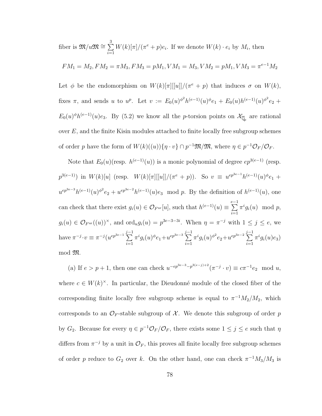fiber is  ${\mathfrak M}/u{\mathfrak M}\cong\sum^3$  $i=1$  $W(k)[\pi]/(\pi^e + p)e_i$ . If we denote  $W(k) \cdot e_i$  by  $M_i$ , then

$$
FM_1 = M_2, FM_2 = \pi M_3, FM_3 = pM_1, VM_1 = M_3, VM_2 = pM_1, VM_3 = \pi^{e-1}M_2
$$

Let  $\phi$  be the endomorphism on  $W(k)[\pi][[u]]/(\pi^e + p)$  that induces  $\sigma$  on  $W(k)$ , fixes  $\pi$ , and sends u to  $u^p$ . Let  $v := E_0(u)^{\phi^2} h^{(e-1)}(u)^{\phi} e_1 + E_0(u) h^{(e-1)}(u)^{\phi^2} e_2 +$  $E_0(u)^\phi h^{(e-1)}(u)e_3$ . By [\(5.2\)](#page-51-0) we know all the *p*-torsion points on  $\mathcal{X}_{\overline{\mathbb{Q}}_p}$  are rational over  $E$ , and the finite Kisin modules attached to finite locally free subgroup schemes of order p have the form of  $W(k)((u))\{\eta \cdot v\} \cap p^{-1} \mathfrak{M}/\mathfrak{M}$ , where  $\eta \in p^{-1} \mathcal{O}_F/\mathcal{O}_F$ .

Note that  $E_0(u)(\text{resp. } h^{(e-1)}(u))$  is a monic polynomial of degree  $ep^{3(e-1)}$  (resp.  $p^{3(e-1)}$ ) in  $W(k)[u]$  (resp.  $W(k)[\pi][[u]]/(\pi^e+p)$ ). So  $v \equiv u^{ep^{3e-1}}h^{(e-1)}(u)^{\phi}e_1 +$  $u^{ep^{3e-3}}h^{(e-1)}(u)^{\phi^2}e_2 + u^{ep^{3e-2}}h^{(e-1)}(u)e_3 \mod p$ . By the definition of  $h^{(e-1)}(u)$ , one can check that there exist  $g_i(u) \in \mathcal{O}_{F^{\text{ur}}}[u]$ , such that  $h^{(e-1)}(u) \equiv \sum_{i=1}^{e-1}$  $i=1$  $\pi^i g_i(u) \mod p$ ,  $g_i(u) \in \mathcal{O}_{F^{\text{ur}}}((u))^{\times}$ , and  $\text{ord}_u g_i(u) = p^{3e-3-3i}$ . When  $\eta = \pi^{-j}$  with  $1 \leq j \leq e$ , we have  $\pi^{-j} \cdot v \equiv \pi^{-j} (u^{ep^{3e-1}} \sum^{j-1}$  $i=1$  $\pi^{i}g_{i}(u)^{\phi}e_{1}+u^{ep^{3e-3}}\sum^{j-1}$  $i=1$  $\pi^{i}g_{i}(u)^{\phi^{2}}e_{2}+u^{ep^{3e-2}}\sum^{j-1}$  $i=1$  $\pi^i g_i(u)e_3$ mod M.

(a) If  $e > p + 1$ , then one can check  $u^{-ep^{3e-3}-p^{3(e-j)+2}}(\pi^{-j} \cdot v) \equiv c\pi^{-1}e_2 \mod u$ , where  $c \in W(k)^{\times}$ . In particular, the Dieudonné module of the closed fiber of the corresponding finite locally free subgroup scheme is equal to  $\pi^{-1}M_2/M_2$ , which corresponds to an  $\mathcal{O}_F$ -stable subgroup of X. We denote this subgroup of order p by  $G_2$ . Because for every  $\eta \in p^{-1}\mathcal{O}_F/\mathcal{O}_F$ , there exists some  $1 \leq j \leq e$  such that  $\eta$ differs from  $\pi^{-j}$  by a unit in  $\mathcal{O}_F$ , this proves all finite locally free subgroup schemes of order p reduce to  $G_2$  over k. On the other hand, one can check  $\pi^{-1}M_3/M_3$  is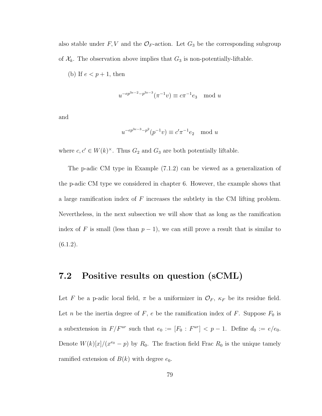also stable under  $F, V$  and the  $\mathcal{O}_F$ -action. Let  $G_3$  be the corresponding subgroup of  $X_k$ . The observation above implies that  $G_3$  is non-potentially-liftable.

(b) If  $e < p+1$ , then

$$
u^{-ep^{3e-2}-p^{3e-3}}(\pi^{-1}v) \equiv c\pi^{-1}e_3 \mod u
$$

and

$$
u^{-ep^{3e-3}-p^2}(p^{-1}v) \equiv c'\pi^{-1}e_2 \mod u
$$

where  $c, c' \in W(k)^{\times}$ . Thus  $G_2$  and  $G_3$  are both potentially liftable.

The p-adic CM type in Example [\(7.1.2\)](#page-85-0) can be viewed as a generalization of the p-adic CM type we considered in chapter [6.](#page-64-0) However, the example shows that a large ramification index of  $F$  increases the subtlety in the CM lifting problem. Nevertheless, in the next subsection we will show that as long as the ramification index of F is small (less than  $p-1$ ), we can still prove a result that is similar to  $(6.1.2).$  $(6.1.2).$ 

#### <span id="page-87-0"></span>7.2 Positive results on question (sCML)

Let F be a p-adic local field,  $\pi$  be a uniformizer in  $\mathcal{O}_F$ ,  $\kappa_F$  be its residue field. Let *n* be the inertia degree of *F*, *e* be the ramification index of *F*. Suppose  $F_0$  is a subextension in  $F/F^{ur}$  such that  $e_0 := [F_0 : F^{ur}] < p-1$ . Define  $d_0 := e/e_0$ . Denote  $W(k)[x]/(x^{e_0}-p)$  by  $R_0$ . The fraction field Frac  $R_0$  is the unique tamely ramified extension of  $B(k)$  with degree  $e_0$ .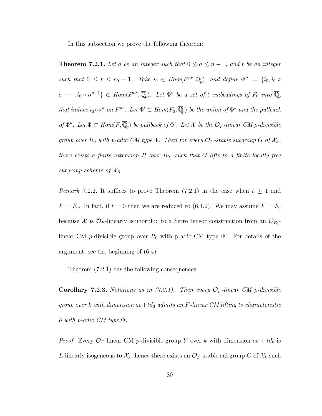<span id="page-88-0"></span>In this subsection we prove the following theorem:

**Theorem 7.2.1.** Let a be an integer such that  $0 \le a \le n-1$ , and t be an integer such that  $0 \leq t \leq e_0 - 1$ . Take  $i_0 \in Hom(F^{ur}, \overline{\mathbb{Q}}_p)$ , and define  $\Phi'' := \{i_0, i_0 \in F^* \mid i_0 \in F^* \}$  $\sigma, \cdots, i_0 \circ \sigma^{a-1} \} \subset Hom(F^{ur}, \overline{\mathbb{Q}}_p)$ . Let  $\Phi^*$  be a set of t embeddings of  $F_0$  into  $\overline{\mathbb{Q}}_p$ that induce  $i_0 \circ \sigma^a$  on  $F^{ur}$ . Let  $\Phi' \subset Hom(F_0, \overline{\mathbb{Q}}_p)$  be the union of  $\Phi^*$  and the pullback of  $\Phi''$ . Let  $\Phi \subset Hom(F, \overline{\mathbb{Q}}_p)$  be pullback of  $\Phi'$ . Let X be the  $\mathcal{O}_F$ -linear CM p-divisible group over  $R_0$  with p-adic CM type  $\Phi$ . Then for every  $\mathcal{O}_F$ -stable subgroup G of  $\mathcal{X}_k$ , there exists a finite extension R over  $R_0$ , such that G lifts to a finite locally free subgroup scheme of  $\mathcal{X}_R$ .

Remark 7.2.2. It suffices to prove Theorem [\(7.2.1\)](#page-88-0) in the case when  $t \geq 1$  and  $F = F_0$ . In fact, if  $t = 0$  then we are reduced to [\(6.1.2\)](#page-65-0). We may assume  $F = F_0$ because X is  $\mathcal{O}_F$ -linearly isomorphic to a Serre tensor construction from an  $\mathcal{O}_{F_0}$ linear CM p-divisible group over  $R_0$  with p-adic CM type  $\Phi'$ . For details of the argument, see the beginning of [\(6.4\)](#page-73-1).

<span id="page-88-1"></span>Theorem [\(7.2.1\)](#page-88-0) has the following consequences:

**Corollary 7.2.3.** Notations as in  $(7.2.1)$ . Then every  $\mathcal{O}_F$ -linear CM p-divisible group over k with dimension  $ae+td_0$  admits an F-linear CM lifting to characteristic 0 with p-adic CM type  $\Phi$ .

*Proof.* Every  $\mathcal{O}_F$ -linear CM p-divisible group Y over k with dimension  $ae + td_0$  is L-linearly isogeneous to  $\mathcal{X}_k$ , hence there exists an  $\mathcal{O}_F$ -stable subgroup G of  $\mathcal{X}_k$  such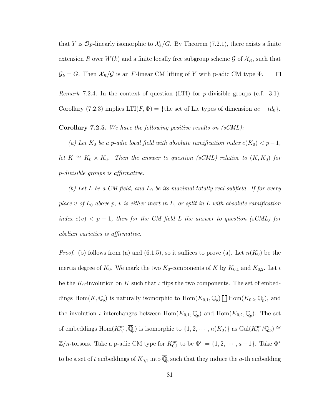that Y is  $\mathcal{O}_F$ -linearly isomorphic to  $\mathcal{X}_k/G$ . By Theorem [\(7.2.1\)](#page-88-0), there exists a finite extension R over  $W(k)$  and a finite locally free subgroup scheme G of  $\mathcal{X}_R$ , such that  $\mathcal{G}_k = G$ . Then  $\mathcal{X}_R/\mathcal{G}$  is an F-linear CM lifting of Y with p-adic CM type  $\Phi$ .  $\Box$ 

*Remark* 7.2.4. In the context of question (LTI) for *p*-divisible groups (c.f. [3.1\)](#page-23-0), Corollary [\(7.2.3\)](#page-88-1) implies  $LTI(F, \Phi) = \{$ the set of Lie types of dimension  $ae + td_0\}.$ 

**Corollary 7.2.5.** We have the following positive results on  $(sCML)$ :

(a) Let  $K_0$  be a p-adic local field with absolute ramification index  $e(K_0) < p-1$ , let  $K \cong K_0 \times K_0$ . Then the answer to question (sCML) relative to  $(K, K_0)$  for p-divisible groups is affirmative.

(b) Let L be a CM field, and  $L_0$  be its maximal totally real subfield. If for every place v of  $L_0$  above p, v is either inert in  $L$ , or split in  $L$  with absolute ramification index  $e(v) < p-1$ , then for the CM field L the answer to question (sCML) for abelian varieties is affirmative.

*Proof.* (b) follows from (a) and [\(6.1.5\)](#page-65-2), so it suffices to prove (a). Let  $n(K_0)$  be the inertia degree of  $K_0$ . We mark the two  $K_0$ -components of K by  $K_{0,1}$  and  $K_{0,2}$ . Let  $\iota$ be the  $K_0$ -involution on K such that  $\iota$  flips the two components. The set of embeddings Hom $(K,\overline{\mathbb{Q}}_p)$  is naturally isomorphic to  $\text{Hom}(K_{0,1},\overline{\mathbb{Q}}_p) \coprod \text{Hom}(K_{0,2},\overline{\mathbb{Q}}_p)$ , and the involution  $\iota$  interchanges between  $Hom(K_{0,1}, \overline{\mathbb{Q}}_p)$  and  $Hom(K_{0,2}, \overline{\mathbb{Q}}_p)$ . The set of embeddings  $\text{Hom}(K_{0,1}^{\text{ur}}, \overline{\mathbb{Q}}_p)$  is isomorphic to  $\{1, 2, \cdots, n(K_0)\}$  as  $\text{Gal}(K_0^{\text{ur}}/\mathbb{Q}_p) \cong$  $\mathbb{Z}/n$ -torsors. Take a p-adic CM type for  $K_{0,1}^{\text{ur}}$  to be  $\Phi' := \{1, 2, \cdots, a-1\}$ . Take  $\Phi^*$ to be a set of t embeddings of  $K_{0,1}$  into  $\overline{\mathbb{Q}}_p$  such that they induce the a-th embedding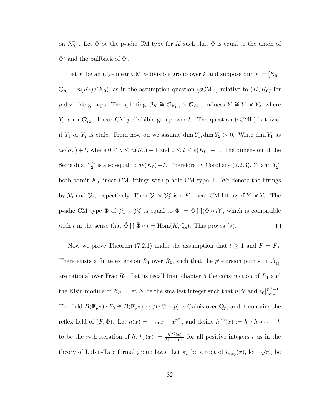on  $K_{0,1}^{\text{ur}}$ . Let  $\Phi$  be the p-adic CM type for K such that  $\Phi$  is equal to the union of  $\Phi^*$  and the pullback of  $\Phi'$ .

Let Y be an  $\mathcal{O}_K$ -linear CM p-divisible group over k and suppose dim  $Y = [K_0:$  $\mathbb{Q}_p] = n(K_0)e(K_0)$ , as in the assumption question (sCML) relative to  $(K, K_0)$  for p-divisible groups. The splitting  $\mathcal{O}_K \cong \mathcal{O}_{K_{0,1}} \times \mathcal{O}_{K_{0,2}}$  induces  $Y \cong Y_1 \times Y_2$ , where  $Y_i$  is an  $\mathcal{O}_{K_{0,i}}$ -linear CM p-divisible group over k. The question (sCML) is trivial if  $Y_1$  or  $Y_2$  is etale. From now on we assume dim  $Y_1$ , dim  $Y_2 > 0$ . Write dim  $Y_1$  as  $ae(K_0) + t$ , where  $0 \le a \le n(K_0) - 1$  and  $0 \le t \le e(K_0) - 1$ . The dimension of the Serre dual  $Y_2^{\vee}$  is also equal to  $ae(K_0) + t$ . Therefore by Corollary [\(7.2.3\)](#page-88-1),  $Y_1$  and  $Y_2^{\vee}$ both admit  $K_0$ -linear CM liftings with p-adic CM type  $\Phi$ . We denote the liftings by  $\mathcal{Y}_1$  and  $\mathcal{Y}_2$ , respectively. Then  $\mathcal{Y}_1 \times \mathcal{Y}_2^{\vee}$  is a K-linear CM lifting of  $Y_1 \times Y_2$ . The p-adic CM type  $\tilde{\Phi}$  of  $\mathcal{Y}_1 \times \mathcal{Y}_2^{\vee}$  is equal to  $\tilde{\Phi} := \Phi \coprod (\Phi \circ \iota)^c$ , which is compatible with  $\iota$  in the sense that  $\tilde{\Phi} \coprod \tilde{\Phi} \circ \iota = \text{Hom}(K, \overline{\mathbb{Q}}_p)$ . This proves (a).  $\Box$ 

Now we prove Theorem [\(7.2.1\)](#page-88-0) under the assumption that  $t \ge 1$  and  $F = F_0$ . There exists a finite extension  $R_1$  over  $R_0$ , such that the  $p^n$ -torsion points on  $\mathcal{X}_{\overline{\mathbb{Q}}_p}$ are rational over Frac  $R_1$ . Let us recall from chapter [5](#page-45-0) the construction of  $R_1$  and the Kisin module of  $\mathcal{X}_{R_1}$ . Let N be the smallest integer such that  $n|N$  and  $e_0\left|\frac{p^N-1}{p^n-1}\right|$  $\frac{p^{n}-1}{p^{n}-1}.$ The field  $B(\mathbb{F}_{p^N}) \cdot F_0 \cong B(\mathbb{F}_{p^N})[\pi_0]/(\pi_0^{e_0} + p)$  is Galois over  $\mathbb{Q}_p$ , and it contains the reflex field of  $(F, \Phi)$ . Let  $h(x) = -\pi_0 x + x^{p^N}$ , and define  $h^{(r)}(x) := h \circ h \circ \cdots \circ h$ to be the r-th iteration of h,  $h_r(x) := \frac{h^{(r)}(x)}{h^{(r-1)}(x)}$  $\frac{h^{(r)}(x)}{h^{(r-1)}(x)}$  for all positive integers r as in the theory of Lubin-Tate formal group laws. Let  $\pi_n$  be a root of  $h_{ne_0}(x)$ , let  $\sqrt[p^n]{\pi_n}$  be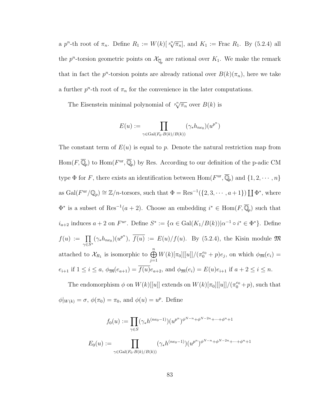a p<sup>n</sup>-th root of  $\pi_n$ . Define  $R_1 := W(k)[\sqrt[n]{\pi_n}]$ , and  $K_1 :=$  Frac  $R_1$ . By [\(5.2.4\)](#page-55-0) all the  $p^{n}$ -torsion geometric points on  $\mathcal{X}_{\overline{\mathbb{Q}}_p}$  are rational over  $K_1$ . We make the remark that in fact the  $p^n$ -torsion points are already rational over  $B(k)(\pi_n)$ , here we take a further  $p^n$ -th root of  $\pi_n$  for the convenience in the later computations.

The Eisenstein minimal polynomial of  $\sqrt[n]{\pi_n}$  over  $B(k)$  is

$$
E(u) := \prod_{\gamma \in \text{Gal}(F_0 \cdot B(k)/B(k))} (\gamma_* h_{ne_0})(u^{p^n})
$$

The constant term of  $E(u)$  is equal to p. Denote the natural restriction map from  $\text{Hom}(F,\overline{\mathbb{Q}}_p)$  to  $\text{Hom}(F^{\text{ur}},\overline{\mathbb{Q}}_p)$  by Res. According to our definition of the p-adic CM type  $\Phi$  for F, there exists an identification between  $\text{Hom}(F^{\text{ur}}, \overline{\mathbb{Q}}_p)$  and  $\{1, 2, \cdots, n\}$ as  $Gal(F^{\text{ur}}/\mathbb{Q}_p) \cong \mathbb{Z}/n$ -torsors, such that  $\Phi = \text{Res}^{-1}(\{2, 3, \cdots, a+1\}) \coprod \Phi^*$ , where  $\Phi^*$  is a subset of Res<sup>-1</sup>(a + 2). Choose an embedding  $i^* \in \text{Hom}(F, \overline{\mathbb{Q}}_p)$  such that  $i_{a+2}$  induces  $a+2$  on  $F^{ur}$ . Define  $S^* := {\alpha \in \text{Gal}(K_1/B(k))|\alpha^{-1} \circ i^* \in \Phi^*}$ . Define  $f(u) := \prod$  $\prod_{\gamma \in S^*} (\gamma_* h_{ne_0})(u^{p^n}), \overline{f(u)} := E(u)/f(u)$ . By [\(5.2.4\)](#page-55-0), the Kisin module  $\mathfrak{M}$ attached to  $\mathcal{X}_{R_1}$  is isomorphic to  $\bigoplus^n$  $j=1$  $W(k)[\pi_0][[u]]/(\pi_0^{e_0} + p)e_j$ , on which  $\phi_{\mathfrak{M}}(e_i) =$  $e_{i+1}$  if  $1 \leq i \leq a$ ,  $\phi_{\mathfrak{M}}(e_{a+1}) = \overline{f(u)}e_{a+2}$ , and  $\phi_{\mathfrak{M}}(e_i) = E(u)e_{i+1}$  if  $a+2 \leq i \leq n$ .

The endomorphism  $\phi$  on  $W(k)$ [[u]] extends on  $W(k)[\pi_0][[u]]/(\pi_0^{e_0}+p)$ , such that  $\phi|_{W(k)} = \sigma, \, \phi(\pi_0) = \pi_0, \text{ and } \phi(u) = u^p. \text{ Define }$ 

$$
f_0(u) := \prod_{\gamma \in S} (\gamma_* h^{(ne_0 - 1)})(u^{p^n})^{\phi^{N-n} + \phi^{N-2n} + \dots + \phi^{n} + 1}
$$
  

$$
E_0(u) := \prod_{\gamma \in Gal(F_0 \cdot B(k)/B(k))} (\gamma_* h^{(ne_0 - 1)})(u^{p^n})^{\phi^{N-n} + \phi^{N-2n} + \dots + \phi^{n} + 1}
$$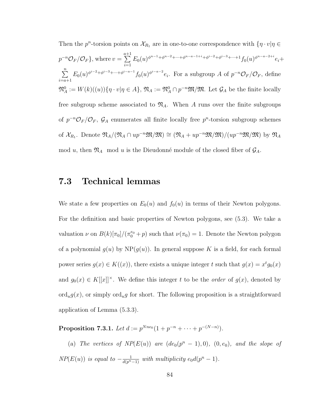Then the 
$$
p^n
$$
-torsion points on  $\mathcal{X}_{R_1}$  are in one-to-one correspondence with  $\{\eta \cdot v | \eta \in$   
\n $p^{-n} \mathcal{O}_F / \mathcal{O}_F\}$ , where  $v = \sum_{i=1}^{a+1} E_0(u)^{\phi^{n-1} + \phi^{n-2} + \cdots + \phi^{n-a-1+i} + \phi^{i-2} + \phi^{i-3} + \cdots + 1} f_0(u)^{\phi^{n-a-2+i}} e_i + \sum_{i=a+1}^{n} E_0(u)^{\phi^{i-2} + \phi^{i-3} + \cdots + \phi^{i-a-1}} f_0(u)^{\phi^{i-a-2}} e_i$ . For a subgroup  $A$  of  $p^{-n} \mathcal{O}_F / \mathcal{O}_F$ , define  
\n $\mathfrak{N}_A^0 := W(k)((u))\{\eta \cdot v | \eta \in A\}$ ,  $\mathfrak{N}_A := \mathfrak{N}_A^0 \cap p^{-n} \mathfrak{M}/\mathfrak{M}$ . Let  $\mathcal{G}_A$  be the finite locally  
\nfree subgroup scheme associated to  $\mathfrak{N}_A$ . When  $A$  runs over the finite subgroups  
\nof  $p^{-n} \mathcal{O}_F / \mathcal{O}_F$ ,  $\mathcal{G}_A$  enumerates all finite locally free  $p^n$ -torsion subgroup schemes  
\nof  $\mathcal{X}_{R_1}$ . Denote  $\mathfrak{N}_A / (\mathfrak{N}_A \cap up^{-n} \mathfrak{M}/\mathfrak{M}) \cong (\mathfrak{N}_A + up^{-n} \mathfrak{M}/\mathfrak{M}) / (up^{-n} \mathfrak{M}/\mathfrak{M})$  by  $\mathfrak{N}_A$   
\nmod  $u$ , then  $\mathfrak{N}_A$  mod  $u$  is the Dieudonné module of the closed fiber of  $\mathcal{G}_A$ .

#### 7.3 Technical lemmas

We state a few properties on  $E_0(u)$  and  $f_0(u)$  in terms of their Newton polygons. For the definition and basic properties of Newton polygons, see [\(5.3\)](#page-58-0). We take a valuation  $\nu$  on  $B(k)[\pi_0]/(\pi_0^{e_0}+p)$  such that  $\nu(\pi_0)=1$ . Denote the Newton polygon of a polynomial  $g(u)$  by  $NP(g(u))$ . In general suppose K is a field, for each formal power series  $g(x) \in K((x))$ , there exists a unique integer t such that  $g(x) = x^t g_0(x)$ and  $g_0(x) \in K[[x]]^{\times}$ . We define this integer t to be the *order* of  $g(x)$ , denoted by  $\text{ord}_u g(x)$ , or simply  $\text{ord}_u g$  for short. The following proposition is a straightforward application of Lemma [\(5.3.3\)](#page-59-0).

<span id="page-92-0"></span>**Proposition 7.3.1.** Let  $d := p^{Nne_0} (1 + p^{-n} + \cdots + p^{-(N-n)})$ .

(a) The vertices of  $NP(E(u))$  are  $(de_0(p^n-1), 0), (0, e_0),$  and the slope of  $NP(E(u))$  is equal to  $-\frac{1}{d(p^n-1)}$  with multiplicity  $e_0d(p^n-1)$ .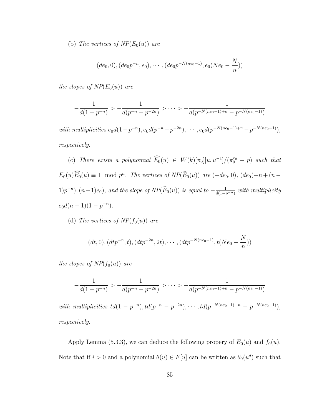(b) The vertices of  $NP(E_0(u))$  are

$$
(de_0, 0), (de_0p^{-n}, e_0), \cdots, (de_0p^{-N(ne_0-1)}, e_0(Ne_0 - \frac{N}{n}))
$$

the slopes of  $NP(E_0(u))$  are

$$
-\frac{1}{d(1-p^{-n})} > -\frac{1}{d(p^{-n}-p^{-2n})} > \cdots > -\frac{1}{d(p^{-N(ne_0-1)+n}-p^{-N(ne_0-1)})}
$$

with multiplicities  $e_0d(1-p^{-n}), e_0d(p^{-n}-p^{-2n}), \cdots, e_0d(p^{-N(ne_0-1)+n}-p^{-N(ne_0-1)}),$ respectively.

(c) There exists a polynomial  $\widehat{E}_0(u) \in W(k)[\pi_0][u, u^{-1}]/(\pi_0^{e_0} - p)$  such that  $E_0(u)\overline{E_0}(u) \equiv 1 \mod p^n$ . The vertices of  $NP(\overline{E_0}(u))$  are  $(-de_0, 0)$ ,  $(de_0(-n + (n 1)p^{-n}$ ,  $(n-1)e_0$ , and the slope of  $NP(\widehat{E}_0(u))$  is equal to  $-\frac{1}{d(1-p)}$  $\frac{1}{d(1-p^{-n})}$  with multiplicity  $e_0 d(n-1)(1-p^{-n}).$ 

(d) The vertices of  $NP(f_0(u))$  are

$$
(dt, 0), (dt p^{-n}, t), (dt p^{-2n}, 2t), \cdots, (dt p^{-N(ne_0-1)}, t(Ne_0 - \frac{N}{n}))
$$

the slopes of  $NP(f_0(u))$  are

$$
-\frac{1}{d(1-p^{-n})} > -\frac{1}{d(p^{-n}-p^{-2n})} > \cdots > -\frac{1}{d(p^{-N(ne_0-1)+n}-p^{-N(ne_0-1)})}
$$

with multiplicities  $td(1-p^{-n}), td(p^{-n}-p^{-2n}), \cdots, td(p^{-N(ne_0-1)+n}-p^{-N(ne_0-1)}),$ respectively.

Apply Lemma [\(5.3.3\)](#page-59-0), we can deduce the following propery of  $E_0(u)$  and  $f_0(u)$ . Note that if  $i > 0$  and a polynomial  $\theta(u) \in F[u]$  can be written as  $\theta_0(u^d)$  such that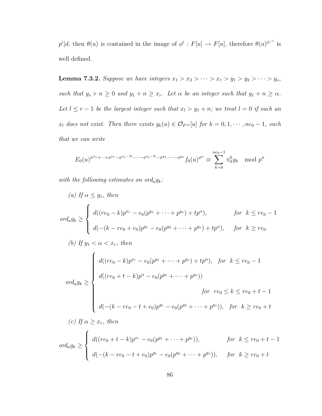$p^i|d$ , then  $\theta(u)$  is contained in the image of  $\phi^i : F[u] \to F[u]$ , therefore  $\theta(u)^{\phi^{-i}}$  is well defined.

<span id="page-94-0"></span>**Lemma 7.3.2.** Suppose we have integers  $x_1 > x_2 > \cdots > x_r > y_1 > y_2 > \cdots > y_s$ , such that  $y_s + n \geq 0$  and  $y_1 + n \geq x_r$ . Let  $\alpha$  be an integer such that  $y_1 + n \geq \alpha$ . Let  $l \leq r - 1$  be the largest integer such that  $x_l > y_1 + n$ ; we treat  $l = 0$  if such an  $x_l$  does not exist. Then there exists  $g_k(u) \in \mathcal{O}_{F^{ur}}[u]$  for  $k = 0, 1, \cdots, ne_0 - 1$ , such that we can write

$$
E_0(u)^{\phi^{x_1} + \dots + \phi^{x_r} - \phi^{x_1 - N} - \dots - \phi^{x_l - N} - \phi^{y_1} - \dots - \phi^{y_s}} f_0(u)^{\phi^{\alpha}} \equiv \sum_{k=0}^{n e_0 - 1} \pi_0^k g_k \mod p^n
$$

with the following estimates on ord<sub>u</sub> $g_k$ :

(a) If 
$$
\alpha \le y_1
$$
, then  
\n
$$
ord_u g_k \ge \begin{cases}\nd((re_0 - k)p^{x_r} - e_0(p^{y_1} + \dots + p^{y_s}) + tp^{\alpha}), & \text{for } k \le re_0 - 1 \\
d(-(k - re_0 + e_0)p^{y_1} - e_0(p^{y_2} + \dots + p^{y_s}) + tp^{\alpha}), & \text{for } k \ge re_0\n\end{cases}
$$

(b) If 
$$
y_1 < \alpha < x_r
$$
, then  
\n
$$
d((re_0 - k)p^{x_r} - e_0(p^{y_1} + \dots + p^{y_s}) + tp^{\alpha}), \text{ for } k \le re_0 - 1
$$
\n
$$
d((re_0 + t - k)p^{\alpha} - e_0(p^{y_1} + \dots + p^{y_s}))
$$
\n
$$
\text{for } re_0 \le k \le re_0 + t - 1
$$
\n
$$
d(-(k - re_0 - t + e_0)p^{y_1} - e_0(p^{y_2} + \dots + p^{y_s})), \text{ for } k \ge re_0 + t
$$

(c) If  $\alpha \geq x_r$ , then

$$
ord_u g_k \geq \begin{cases} d((re_0 + t - k)p^{x_r} - e_0(p^{y_1} + \dots + p^{y_s})), & \text{for } k \leq re_0 + t - 1 \\ d(-(k - re_0 - t + e_0)p^{y_1} - e_0(p^{y_2} + \dots + p^{y_s})), & \text{for } k \geq re_0 + t \end{cases}
$$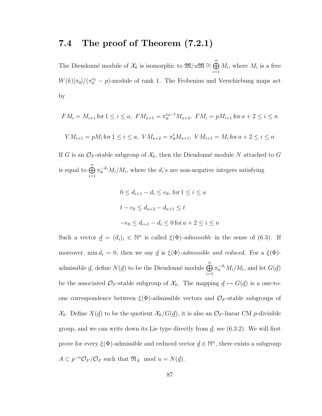#### 7.4 The proof of Theorem [\(7.2.1\)](#page-88-0)

The Dieudonné module of  $\mathcal{X}_k$  is isomorphic to  $\mathfrak{M}/u\mathfrak{M}\cong \bigoplus^n$  $i=1$  $M_i$ , where  $M_i$  is a free  $W(k)[\pi_0]/(\pi_0^{e_0} - p)$ -module of rank 1. The Frobenius and Verschiebung maps act by

$$
FM_i = M_{i+1} \text{ for } 1 \le i \le a, \ FM_{a+1} = \pi_0^{e_0 - t} M_{a+2}, \ FM_i = pM_{i+1} \text{ for } a+2 \le i \le n
$$
  

$$
VM_{i+1} = pM_i \text{ for } 1 \le i \le a, \ VM_{a+2} = \pi_0^t M_{a+1}, \ VM_{i+1} = M_i \text{ for } a+2 \le i \le n
$$

If G is an  $\mathcal{O}_F$ -stable subgroup of  $\mathcal{X}_k$ , then the Dieudonné module N attached to G is equal to  $\bigoplus^n$  $i=1$  $\pi_0^{-d_i} M_i/M_i$ , where the  $d_i$ 's are non-negative integers satisfying

$$
0 \le d_{i+1} - d_i \le e_0
$$
, for  $1 \le i \le a$   
 $t - e_0 \le d_{a+2} - d_{a+1} \le t$   
 $-e_0 \le d_{i+1} - d_i \le 0$  for  $a + 2 \le i \le n$ 

Such a vector  $\underline{d} = (d_i)_i \in \mathbb{N}^n$  is called  $\xi(\Phi)$ -admissible in the sense of [\(6.3\)](#page-71-0). If moreover, min  $d_i = 0$ , then we say <u>d</u> is  $\xi(\Phi)$ -admissible and reduced. For a  $\xi(\Phi)$ admissible <u>d,</u> define  $N(\underline{d})$  to be the Dieudonné module  $\bigoplus^n$  $i=1$  $\pi_0^{-d_i} M_i/M_i$ , and let  $G(\underline{d})$ be the associated  $\mathcal{O}_F$ -stable subgroup of  $\mathcal{X}_k$ . The mapping  $\underline{d} \mapsto G(\underline{d})$  is a one-toone correspondence between  $\xi(\Phi)$ -admissible vectors and  $\mathcal{O}_F$ -stable subgroups of  $\mathcal{X}_k$ . Define  $X(\underline{d})$  to be the quotient  $\mathcal{X}_k/G(\underline{d})$ , it is also an  $\mathcal{O}_F$ -linear CM p-divisible group, and we can write down its Lie type directly from  $\underline{d}$ ; see [\(6.3.2\)](#page-72-0). We will first prove for every  $\xi(\Phi)$ -admissible and reduced vector  $\underline{d} \in \mathbb{N}^n$ , there exists a subgroup  $A \subset p^{-n} \mathcal{O}_F / \mathcal{O}_F$  such that  $\mathfrak{N}_A$  mod  $u = N(\underline{d})$ .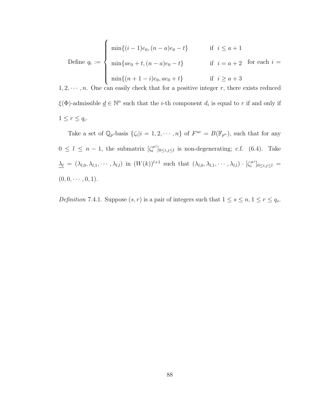Define 
$$
q_i := \begin{cases} \min\{(i-1)e_0, (n-a)e_0 - t\} & \text{if } i \leq a+1 \\ \min\{ae_0 + t, (n-a)e_0 - t\} & \text{if } i = a+2 \text{ for each } i = a+1 \\ \min\{(n+1-i)e_0, ae_0 + t\} & \text{if } i \geq a+3 \end{cases}
$$

 $1, 2, \dots, n$ . One can easily check that for a positive integer r, there exists reduced  $\xi(\Phi)$ -admissible  $\underline{d} \in \mathbb{N}^n$  such that the *i*-th component  $d_i$  is equal to r if and only if  $1 \leq r \leq q_i.$ 

Take a set of  $\mathbb{Q}_p$ -basis  $\{\zeta_i | i = 1, 2, \cdots, n\}$  of  $F^{ur} = B(\mathbb{F}_{p^n})$ , such that for any  $0 \leq l \leq n-1$ , the submatrix  $\left[\zeta_i^{\sigma^j}\right]$  $[\sigma_i^{\sigma_j}]_{0 \leq i,j \leq l}$  is non-degenerating; c.f. [\(6.4\)](#page-73-1). Take  $\lambda_l = (\lambda_{l,0}, \lambda_{l,1}, \cdots, \lambda_{l,l})$  in  $(W(k))^{l+1}$  such that  $(\lambda_{l,0}, \lambda_{l,1}, \cdots, \lambda_{l,l}) \cdot [\zeta_i^{\sigma^j}]$  $[\sigma^{\sigma^{\jmath}}]_{0\leq i,j\leq l}\,=\,$  $(0, 0, \cdots, 0, 1).$ 

<span id="page-96-0"></span>Definition 7.4.1. Suppose  $(s, r)$  is a pair of integers such that  $1 \le s \le n, 1 \le r \le q_s$ .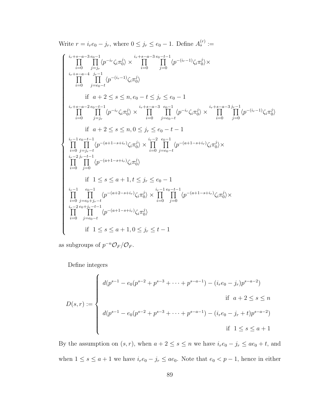Write 
$$
r = i_r e_0 - j_r
$$
, where  $0 \le j_r \le e_0 - 1$ . Define  $A_s^{(r)} :=$ 

$$
\left\{\begin{array}{ll} & \prod\limits_{i=0}^{i_r+s-a-3}\prod\limits_{j=j_r}^{c_0-1}\langle p^{-i_r}\zeta_i\pi_0^j\rangle\times \prod\limits_{i=0}^{i_r+s-a-3}\prod\limits_{j=0}^{c_0-t-1}\langle p^{-(i_r-1)}\zeta_i\pi_0^j\rangle\times\\ & \prod\limits_{i=0}^{i_r+s-a-4}\prod\limits_{j_r=1}^{j_r-1}\langle p^{-(i_r-1)}\zeta_i\pi_0^j\rangle\\ & \text{if}~~ a+2\leq s\leq n, e_0-t\leq j_r\leq e_0-1\\ & \prod\limits_{i=0}^{i_r+s-a-2}\prod\limits_{j=j_r}^{c_0-t-1}\langle p^{-i_r}\zeta_i\pi_0^j\rangle\times \prod\limits_{i=0}^{i_r+s-a-3}\prod\limits_{j=e_0-t}^{c_0-1}\langle p^{-i_r}\zeta_i\pi_0^j\rangle\times \prod\limits_{i=0}^{i_r+s-a-3}\prod\limits_{j=0}^{j-r-1}\langle p^{-(i_r-1)}\zeta_i\pi_0^j\rangle\\ & \text{if}~~ a+2\leq s\leq n, 0\leq j_r\leq e_0-t-1\\ & \prod\limits_{i=0}^{i_r-1}\prod\limits_{j=j_r-t}^{c_0-t-1}\langle p^{-(a+1-s+i_r)}\zeta_i\pi_0^j\rangle\times \prod\limits_{i=0}^{i_r-2}\prod\limits_{j=e_0-t}^{c_0-1}\langle p^{-(a+1-s+i_r)}\zeta_i\pi_0^j\rangle\times\\ & \prod\limits_{i=0}^{i_r-2}\prod\limits_{j=0}^{j_r-t-1}\langle p^{-(a+1-s+i_r)}\zeta_i\pi_0^j\rangle\times \prod\limits_{i=0}^{i_r-1}\prod\limits_{j=0}^{e_0-t}\langle p^{-(a+1-s+i_r)}\zeta_i\pi_0^j\rangle\times\\ & \prod\limits_{i=0}^{i_r-1}\prod\limits_{j=e_0+t-t}^{e_0-1}\langle p^{-(a+2-s+i_r)}\zeta_i\pi_0^j\rangle\times\\ & \prod\limits_{i=0}^{i_r-s-t-1}\prod\limits_{j=e_0-t}^{r-(a+t-s+i_r)}\langle p^{-(a+1-s+i_r)}\zeta_i\pi_0^j\rangle\\ & \text{if
$$

as subgroups of  $p^{-n}\mathcal{O}_F/\mathcal{O}_F$ .

Define integers

$$
D(s,r) := \begin{cases} d(p^{s-1} - e_0(p^{s-2} + p^{s-3} + \dots + p^{s-a-1}) - (i_r e_0 - j_r)p^{s-a-2}) \\ \text{if } a+2 \le s \le n \\ d(p^{s-1} - e_0(p^{s-2} + p^{s-3} + \dots + p^{s-a-1}) - (i_r e_0 - j_r + t)p^{s-a-2}) \\ \text{if } 1 \le s \le a+1 \end{cases}
$$

By the assumption on  $(s, r)$ , when  $a + 2 \le s \le n$  we have  $i_r e_0 - j_r \le ae_0 + t$ , and when  $1 \le s \le a+1$  we have  $i_r e_0 - j_r \le ae_0$ . Note that  $e_0 < p-1$ , hence in either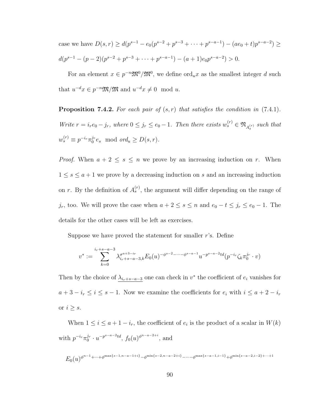case we have  $D(s, r) \ge d(p^{s-1} - e_0(p^{s-2} + p^{s-3} + \cdots + p^{s-a-1}) - (ae_0 + t)p^{s-a-2}) \ge$  $d(p^{s-1} - (p-2)(p^{s-2} + p^{s-3} + \cdots + p^{s-a-1}) - (a+1)e_0p^{s-a-2}) > 0.$ 

For an element  $x \in p^{-n} \mathfrak{M}^0/\mathfrak{M}^0$ , we define  $\text{ord}_u x$  as the smallest integer d such that  $u^{-d}x \in p^{-n}\mathfrak{M}/\mathfrak{M}$  and  $u^{-d}x \neq 0 \mod u$ .

<span id="page-98-0"></span>**Proposition 7.4.2.** For each pair of  $(s, r)$  that satisfies the condition in  $(7.4.1)$ . Write  $r = i_r e_0 - j_r$ , where  $0 \le j_r \le e_0 - 1$ . Then there exists  $w_s^{(r)} \in \mathfrak{N}_{A_s^{(r)}}$  such that  $w_s^{(r)} \equiv p^{-i_r} \pi_0^{j_r}$  $0^{Jr}e_s \mod ord_u \geq D(s,r).$ 

*Proof.* When  $a + 2 \leq s \leq n$  we prove by an increasing induction on r. When  $1 \leq s \leq a+1$  we prove by a decreasing induction on s and an increasing induction on r. By the definition of  $A_s^{(r)}$ , the argument will differ depending on the range of j<sub>r</sub>, too. We will prove the case when  $a + 2 \le s \le n$  and  $e_0 - t \le j_r \le e_0 - 1$ . The details for the other cases will be left as exercises.

Suppose we have proved the statement for smaller  $r$ 's. Define

$$
v^* := \sum_{k=0}^{i_r+s-a-3} \lambda_{i_r+s-a-3,k}^{\sigma^{a+3-i_r}} E_0(u)^{-\phi^{s-2}-\cdots-\phi^{s-a-1}} u^{-p^{s-a-2}td} (p^{-i_r} \zeta_k \pi_0^{j_r} \cdot v)
$$

Then by the choice of  $\lambda_{i_r+s-a-3}$  one can check in  $v^*$  the coefficient of  $e_i$  vanishes for  $a + 3 - i_r \leq i \leq s - 1$ . Now we examine the coefficients for  $e_i$  with  $i \leq a + 2 - i_r$ or  $i \geq s$ .

When  $1 \leq i \leq a+1-i_r$ , the coefficient of  $e_i$  is the product of a scalar in  $W(k)$ with  $p^{-i_r} \pi_0^{j_r}$  $j_r \cdot u^{-p^{s-a-2}td}, f_0(u)^{\phi^{n-a-2+i}}, \text{ and}$ 

$$
E_0(u)^{\phi^{n-1}+\cdots+\phi^{\max\{s-1,n-a-1+i\}}-\phi^{\min\{s-2,n-a-2+i\}}-\cdots-\phi^{\max\{s-a-1,i-1\}}+\phi^{\min\{s-a-2,i-2\}}+\cdots+1}
$$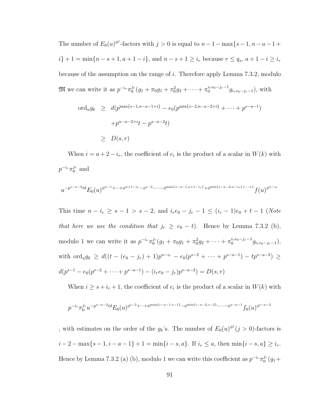The number of  $E_0(u)^{\phi^j}$ -factors with  $j > 0$  is equal to  $n - 1 - \max\{s - 1, n - a - 1 + \dots\}$  $i\} + 1 = \min\{n - s + 1, a + 1 - i\}$ , and  $n - s + 1 \geq i_r$  because  $r \leq q_s, a + 1 - i \geq i_r$ because of the assumption on the range of i. Therefore apply Lemma [7.3.2,](#page-94-0) modulo  $\mathfrak{M}$  we can write it as  $p^{-i_r}\pi_0^{j_r}$  $\int_0^{j_r} (g_1 + \pi_0 g_1 + \pi_0^2 g_2 + \cdots + \pi_0^{i_r e_0 - j_r - 1} g_{i_r e_0 - j_r - 1}),$  with

$$
\begin{array}{lcl} \text{ord}_u g_k & \geq & d(p^{\max\{s-1, n-a-1+i\}} - e_0(p^{\min\{s-2, n-a-2+i\}} + \dots + p^{s-a-1}) \\ & & + p^{n-a-2+i}t - p^{s-a-2}t) \\ & \geq & D(s, r) \end{array}
$$

When  $i = a + 2 - i_r$ , the coefficient of  $e_i$  is the product of a scalar in  $W(k)$  with  $p^{-i_r}\pi_0^{j_r}$  $_0^{j_r}$  and

$$
u^{-p^{s-a-2}td}E_0(u)^{\phi^{n-1}+\cdots+\phi^{n+1-i_r}-\phi^{s-2}-\cdots-\phi^{\max\{s-a-1,a+1-i_r\}}+\phi^{\min\{s-a-2,a-i_r\}+\cdots+1}}f(u)^{\phi^{n-i_r}}
$$

This time  $n - i_r \ge s - 1 > s - 2$ , and  $i_r e_0 - j_r - 1 \le (i_r - 1)e_0 + t - 1$  (Note that here we use the condition that  $j_r \ge e_0 - t$ . Hence by Lemma [7.3.2](#page-94-0) (b), modulo 1 we can write it as  $p^{-i_r}\pi_0^{j_r}$  $\int_0^{j_r} (g_1 + \pi_0 g_1 + \pi_0^2 g_2 + \cdots + \pi_0^{i_r e_0 - j_r - 1} g_{i_r e_0 - j_r - 1}),$ with ord<sub>u</sub> $g_k \geq d((t-(e_0-j_r)+1)p^{n-i_r}-e_0(p^{s-2}+\cdots+p^{s-a-1})-tp^{s-a-2}) \geq$  $d(p^{s-1} - e_0(p^{s-2} + \cdots + p^{s-a-1}) - (i_r e_0 - j_r)p^{s-a-2}) = D(s, r)$ 

When  $i \geq s + i_r + 1$ , the coefficient of  $e_i$  is the product of a scalar in  $W(k)$  with

$$
p^{-i_r}\pi_0^{j_r}u^{-p^{s-a-2}td}E_0(u)^{\phi^{i-2}+\cdots+\phi^{\max\{i-a-1,s-1\}}-\phi^{\min\{i-a-2,s-2\}}-\cdots-\phi^{s-a-1}}f_0(u)^{\phi^{i-a-2}}
$$

, with estimates on the order of the  $g_k$ 's. The number of  $E_0(u)^{\phi^j} (j > 0)$ -factors is  $i-2 - \max\{s-1, i-a-1\} + 1 = \min\{i-s, a\}.$  If  $i_r \leq a$ , then  $\min\{i-s, a\} \geq i_r$ . Hence by Lemma [7.3.2](#page-94-0) (a) (b), modulo 1 we can write this coefficient as  $p^{-i_r}\pi_0^{j_r}$  $_{0}^{j_{r}}(g_{1}+$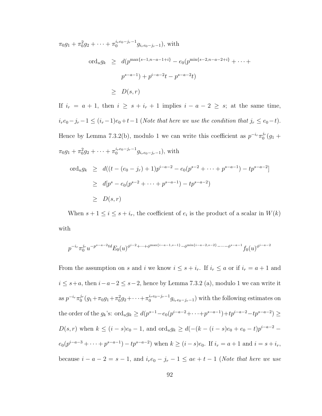$$
\pi_0 g_1 + \pi_0^2 g_2 + \dots + \pi_0^{i_r e_0 - j_r - 1} g_{i_r e_0 - j_r - 1}),
$$
 with  
\n
$$
\text{ord}_u g_k \geq d(p^{\max\{s - 1, n - a - 1 + i\}} - e_0(p^{\min\{s - 2, n - a - 2 + i\}} + \dots + p^{s - a - 1}) + p^{i - a - 2}t - p^{s - a - 2}t)
$$
  
\n
$$
\geq D(s, r)
$$

If  $i_r = a + 1$ , then  $i \geq s + i_r + 1$  implies  $i - a - 2 \geq s$ ; at the same time,  $i_re_0-j_r-1 \leq (i_r-1)e_0+t-1$  (Note that here we use the condition that  $j_r \leq e_0-t$ ). Hence by Lemma [7.3.2\(](#page-94-0)b), modulo 1 we can write this coefficient as  $p^{-i_r}\pi_0^{j_r}$  $_{0}^{j_{r}}(g_{1}+$  $\pi_0 g_1 + \pi_0^2 g_2 + \cdots + \pi_0^{i_r e_0 - j_r - 1} g_{i_r e_0 - j_r - 1}$ , with

$$
\begin{array}{lcl} \n\text{ord}_u g_k & \geq & d((t - (e_0 - j_r) + 1)p^{i - a - 2} - e_0(p^{s - 2} + \dots + p^{s - a - 1}) - tp^{s - a - 2}] \\ \n& \geq & d[p^s - e_0(p^{s - 2} + \dots + p^{s - a - 1}) - tp^{s - a - 2}) \\ \n& \geq & D(s, r) \n\end{array}
$$

When  $s + 1 \leq i \leq s + i_r$ , the coefficient of  $e_i$  is the product of a scalar in  $W(k)$ with

$$
p^{-i_r}\pi_0^{j_r}u^{-p^{s-a-2}td}E_0(u)^{\phi^{i-2}+\cdots+\phi^{\max\{i-a-1,s-1\}}-\phi^{\min\{i-a-2,s-2\}}-\cdots-\phi^{s-a-1}}f_0(u)^{\phi^{i-a-2}}
$$

From the assumption on s and i we know  $i \leq s + i_r$ . If  $i_r \leq a$  or if  $i_r = a + 1$  and  $i \leq s+a$ , then  $i-a-2 \leq s-2$ , hence by Lemma [7.3.2](#page-94-0) (a), modulo 1 we can write it as  $p^{-i_r} \pi_0^{j_r}$  $\int_0^{j_r} (g_1 + \pi_0 g_1 + \pi_0^2 g_2 + \cdots + \pi_0^{i_r e_0 - j_r - 1} g_{i_r e_0 - j_r - 1})$  with the following estimates on the order of the  $g_k$ 's:  $\text{ord}_u g_k \geq d(p^{s-1} - e_0(p^{i-a-2} + \cdots + p^{s-a-1}) + tp^{i-a-2} - tp^{s-a-2}) \geq$  $D(s, r)$  when  $k \leq (i - s)e_0 - 1$ , and  $\text{ord}_u g_k \geq d(-(k - (i - s)e_0 + e_0 - t)p^{i - a - 2}$  $e_0(p^{i-a-3} + \cdots + p^{s-a-1}) - tp^{s-a-2})$  when  $k \ge (i-s)e_0$ . If  $i_r = a+1$  and  $i = s+i_r$ , because  $i - a - 2 = s - 1$ , and  $i_r e_0 - j_r - 1 \leq ae + t - 1$  (Note that here we use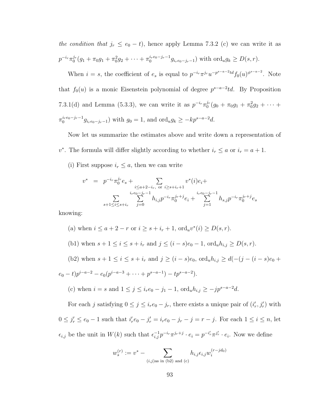the condition that  $j_r \le e_0 - t$ , hence apply Lemma [7.3.2](#page-94-0) (c) we can write it as  $p^{-i_r}\pi_0^{j_r}$  $0^{j_r}(g_1 + \pi_0 g_1 + \pi_0^2 g_2 + \cdots + \pi_0^{i_r e_0 - j_r - 1} g_{i_r e_0 - j_r - 1})$  with  $\text{ord}_u g_k \ge D(s, r)$ .

When  $i = s$ , the coefficient of  $e_s$  is equal to  $p^{-i_r}\pi^{j_r}u^{-p^{s-a-2}td}f_0(u)^{\phi^{s-a-2}}$ . Note that  $f_0(u)$  is a monic Eisenstein polynomial of degree  $p^{s-a-2}td$ . By Proposition [7.3.1\(](#page-92-0)d) and Lemma [\(5.3.3\)](#page-59-0), we can write it as  $p^{-i_r}\pi_0^{j_r}$  $\int_0^{j_r} (g_0 + \pi_0 g_1 + \pi_0^2 g_2 + \cdots +$  $\pi_0^{i_{r}e_0-j_r-1}g_{i_{r}e_0-j_r-1}$ ) with  $g_0=1$ , and  $\text{ord}_ug_k \geq -kp^{s-a-2}d$ .

Now let us summarize the estimates above and write down a representation of v<sup>\*</sup>. The formula will differ slightly according to whether  $i_r \le a$  or  $i_r = a + 1$ .

(i) First suppose  $i_r \leq a$ , then we can write

$$
v^* = p^{-i_r} \pi_0^{j_r} e_s + \sum_{\substack{i \le a+2-i_r, \text{ or } i \ge s+i_r+1}} v^*(i) e_i + \sum_{\substack{i_r e_0 - j_r - 1 \\ s+1 \le i \le s+i_r}} \sum_{j=0}^{i_r e_0 - j_r - 1} h_{i,j} p^{-i_r} \pi_0^{j_r+j} e_i + \sum_{j=1}^{i_r e_0 - j_r - 1} h_{s,j} p^{-i_r} \pi_0^{j_r+j} e_s
$$

knowing:

- (a) when  $i \le a+2-r$  or  $i \ge s+i_r+1$ ,  $\text{ord}_u v^*(i) \ge D(s,r)$ .
- (b1) when  $s + 1 \le i \le s + i_r$  and  $j \le (i s)e_0 1$ ,  $\text{ord}_u h_{i,j} \ge D(s, r)$ .

(b2) when  $s + 1 \le i \le s + i_r$  and  $j \ge (i - s)e_0$ , ord<sub>u</sub> $h_{i,j} \ge d(-(j - (i - s)e_0 +$  $e_0-t)p^{i-a-2} - e_0(p^{i-a-3} + \cdots + p^{s-a-1}) - tp^{s-a-2}).$ 

(c) when  $i = s$  and  $1 \le j \le i_r e_0 - j_1 - 1$ ,  $\text{ord}_u h_{i,j} \ge -j p^{s-a-2} d$ .

For each j satisfying  $0 \leq j \leq i_r e_0 - j_r$ , there exists a unique pair of  $(i'_r, j'_r)$  with  $0 \le j'_r \le e_0 - 1$  such that  $i'_r e_0 - j'_r = i_r e_0 - j_r - j = r - j$ . For each  $1 \le i \le n$ , let  $\epsilon_{i,j}$  be the unit in  $W(k)$  such that  $\epsilon_{i,j}^{-1} p^{-i} \tau^{j} \tau^{j} \cdot e_i = p^{-i'} \tau^{j'} \tau^{j'} \cdot e_i$ . Now we define

$$
w_s^{(r)} := v^* - \sum_{(i,j) \text{as in (b2) and (c)}} h_{i,j} \epsilon_{i,j} w_i^{(r-jd_0)}
$$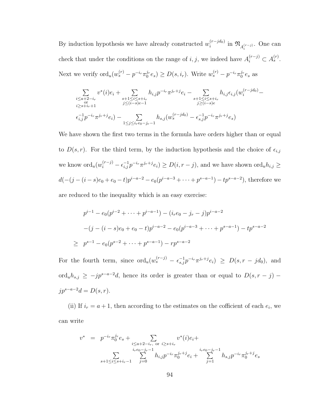By induction hypothesis we have already constructed  $w_i^{(r-jd_0)}$  $\lim_{i} \mathfrak{N}_{A_i^{(r-j)}}$ . One can check that under the conditions on the range of i, j, we indeed have  $A_i^{(r-j)} \subset A_s^{(r)}$ . Next we verify  $\mathrm{ord}_u(w_s^{(r)}-p^{-i_r}\pi_0^{j_r})$  $\left( \frac{c}{c} \right) \geq D(s, i_r)$ . Write  $w_s^{(r)} - p^{-i_r} \pi_0^{j_r}$  $_0^{Jr}e_s$  as

$$
\sum_{\substack{i \le a+2-i_r \\ i \ge s+i_r+1}} v^*(i)e_i + \sum_{\substack{s+1 \le i \le s+i_r \\ j \le (i-s)e-1}} h_{i,j} p^{-i_r} \pi^{j_r+j} e_i - \sum_{\substack{s+1 \le i \le s+i_r \\ j \ge (i-s)e}} h_{i,j} \epsilon_{i,j} (w_i^{(r-jd_0)} - \sum_{\substack{s+1 \le i \le s+i_r \\ j \ge (i-s)e}} h_{s,j} (w_s^{(r-jd_0)} - \epsilon_{s,j}^{-1} p^{-i_r} \pi^{j_r+j} e_s)
$$

We have shown the first two terms in the formula have orders higher than or equal to  $D(s,r)$ . For the third term, by the induction hypothesis and the choice of  $\epsilon_{i,j}$ we know  $\mathrm{ord}_u(w_i^{(r-j)} - \epsilon_{i,j}^{-1} p^{-i_r} \pi^{j_r+j} e_i) \ge D(i, r-j)$ , and we have shown  $\mathrm{ord}_u h_{i,j} \ge$  $d(-(j-(i-s)e_0+e_0-t)p^{i-a-2}-e_0(p^{i-a-3}+\cdots+p^{s-a-1})-tp^{s-a-2}),$  therefore we

are reduced to the inequality which is an easy exercise:

$$
p^{i-1} - e_0(p^{i-2} + \dots + p^{i-a-1}) - (i_r e_0 - j_r - j)p^{i-a-2}
$$
  
-(j - (i - s)e\_0 + e\_0 - t)p^{i-a-2} - e\_0(p^{i-a-3} + \dots + p^{s-a-1}) - tp^{s-a-2}  

$$
\geq p^{s-1} - e_0(p^{s-2} + \dots + p^{s-a-1}) - rp^{s-a-2}
$$

For the fourth term, since  $\text{ord}_u(w_s^{(r-j)} - \epsilon_{s,j}^{-1} p^{-i_r} \pi^{j_r+j} e_i) \geq D(s, r-jd_0)$ , and ord<sub>u</sub> $h_{s,j}$  ≥  $-jp^{s-a-2}d$ , hence its order is greater than or equal to  $D(s, r - j)$  –  $jp^{s-a-2}d = D(s, r).$ 

(ii) If  $i_r = a + 1$ , then according to the estimates on the cofficient of each  $e_i$ , we can write

$$
v^* = p^{-i_r} \pi_0^{j_r} e_s + \sum_{\substack{i \le a+2-i_r, \text{ or } i \ge s+i_r \\ i_r e_0 - j_r - 1}} v^*(i) e_i + \sum_{\substack{i_r e_0 - j_r - 1 \\ s+1 \le i \le s+i_r - 1}} \sum_{\substack{j=0 \\ j=0}}^{i_r e_0 - j_r - 1} h_{i,j} p^{-i_r} \pi_0^{j_r + j} e_i + \sum_{j=1}^{i_r e_0 - j_r - 1} h_{s,j} p^{-i_r} \pi_0^{j_r + j} e_s
$$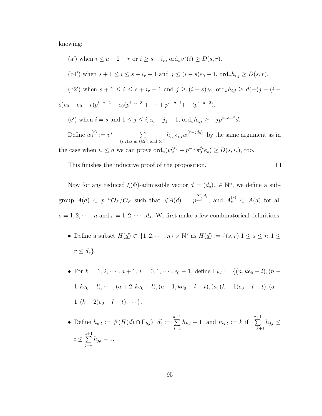knowing:

\n- (a') when 
$$
i \leq a + 2 - r
$$
 or  $i \geq s + i_r$ ,  $\text{ord}_u v^*(i) \geq D(s, r)$ .
\n- (b1') when  $s + 1 \leq i \leq s + i_r - 1$  and  $j \leq (i - s)e_0 - 1$ ,  $\text{ord}_u h_{i,j} \geq D(s, r)$ .
\n- (b2') when  $s + 1 \leq i \leq s + i_r - 1$  and  $j \geq (i - s)e_0$ ,  $\text{ord}_u h_{i,j} \geq d(-(j - (i - s)e_0 + e_0 - t)p^{i - a - 2} - e_0(p^{i - a - 3} + \cdots + p^{s - a - 1}) - tp^{s - a - 2})$ .
\n- (c') when  $i = s$  and  $1 \leq j \leq i_r e_0 - j_1 - 1$ ,  $\text{ord}_u h_{i,j} \geq -j p^{s - a - 2} d$ . Define  $w_s^{(r)} := v^* - \sum_{(i,j) \text{as in (b2') and (c')}} h_{i,j} \epsilon_{i,j} w_i^{(r - j d_0)}$ , by the same argument as in the case when  $i_r \leq a$  we can prove  $\text{ord}_u(w_s^{(r)} - p^{-i_r} \pi_0^{j_r} e_s) \geq D(s, i_r)$ , too.
\n

This finishes the inductive proof of the proposition.

Now for any reduced  $\xi(\Phi)$ -admissible vector  $\underline{d} = (d_s)_s \in \mathbb{N}^n$ , we define a subgroup  $A(\underline{d}) \subset p^{-n} \mathcal{O}_F / \mathcal{O}_F$  such that  $\#A(\underline{d}) = p$  $\sum_{s=1}^{n} d_s$ , and  $A_s^{(r)} \subset A(\underline{d})$  for all  $s = 1, 2, \dots, n$  and  $r = 1, 2, \dots, d_s$ . We first make a few combinatorical definitions:

 $\Box$ 

- Define a subset  $H(\underline{d}) \subset \{1, 2, \cdots, n\} \times \mathbb{N}^*$  as  $H(\underline{d}) := \{(s, r) | 1 \le s \le n, 1 \le s \le n\}$  $r \leq d_s$ .
- For  $k = 1, 2, \dots, a + 1, l = 0, 1, \dots, e_0 1$ , define  $\Gamma_{k,l} := \{(n, ke_0 l), (n l)\}$  $1, ke_0 - l), \cdots, (a + 2, ke_0 - l), (a + 1, ke_0 - l - t), (a, (k - 1)e_0 - l - t), (a 1, (k-2)e_0 - l - t), \cdots$ .
- Define  $h_{k,l} := \#(H(\underline{d}) \cap \Gamma_{k,l}), d'_l := \sum_{i=1}^{a+1} d_i$  $j=1$  $h_{k,l} - 1$ , and  $m_{i,l} := k$  if  $\sum_{i=1}^{a+1}$  $j=k+1$  $h_{j,l} \leq$  $i \leq \sum_{i=1}^{a+1}$  $j=k$  $h_{j,l} - 1.$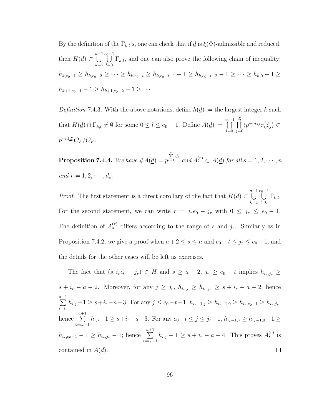By the definition of the  $\Gamma_{k,l}$ 's, one can check that if  $\underline{d}$  is  $\xi(\Phi)$ -admissible and reduced, then  $H(\underline{d}) \subset \bigcup^{a+1}$  $_{k=1}$  $\bigcup^{e_0-1}$  $_{l=0}$  $\Gamma_{k,l}$ , and one can also prove the following chain of inequality:  $h_{k,e_0-1} \ge h_{k,e_0-2} \ge \cdots \ge h_{k,e_0-t} \ge h_{k,e_0-t-1} - 1 \ge h_{k,e_0-t-2} - 1 \ge \cdots \ge h_{k,0} - 1 \ge$  $h_{k+1,e_0-1}-1 \geq h_{k+1,e_0-2}-1 \geq \cdots$ 

<span id="page-104-1"></span>Definition 7.4.3. With the above notations, define  $h(\underline{d}) :=$  the largest integer k such that  $H(\underline{d}) \cap \Gamma_{k,l} \neq \emptyset$  for some  $0 \leq l \leq e_0 - 1$ . Define  $A(\underline{d}) := \prod^{e_0 - 1}$  $_{l=0}$  $\prod^{d'_l}$  $j=0$  $\langle p^{-m_{j,l}} \pi_0^l \zeta_j \rangle \subset$  $p^{-h(\underline{d})}\mathcal{O}_F/\mathcal{O}_F.$ 

<span id="page-104-0"></span>**Proposition 7.4.4.** We have  $#A(\underline{d}) = p$  $\sum_{s=1}^{n}$  d<sub>s</sub> and  $A_s^{(r)} \subset A(\underline{d})$  for all  $s = 1, 2, \cdots, n$ and  $r=1,2,\cdots,d_s$ .

*Proof.* The first statement is a direct corollary of the fact that  $H(\underline{d}) \subset \bigcup^{a+1}$  $k=1$  $\bigcup_{i=1}^{e_0-1}$  $_{l=0}$  $\Gamma_{k,l}.$ For the second statement, we can write  $r = i_r e_0 - j_r$  with  $0 \le j_r \le e_0 - 1$ . The definition of  $A_s^{(r)}$  differs according to the range of s and  $j_r$ . Similarly as in Proposition [7.4.2,](#page-98-0) we give a proof when  $a + 2 \le s \le n$  and  $e_0 - t \le j_r \le e_0 - 1$ , and the details for the other cases will be left as exercises.

The fact that  $(s, i_r e_0 - j_r) \in H$  and  $s \ge a + 2$ ,  $j_r \ge e_0 - t$  implies  $h_{i_r, j_r} \ge$  $s + i_r - a - 2$ . Moreover, for any  $j \geq j_r$ ,  $h_{i_r,j} \geq h_{i_r,j_r} \geq s + i_r - a - 2$ ; hence  $\sum_{i=1}^{a+1}$  $h_{i,j} - 1 \geq s + i_r - a - 3$ . For any  $j \leq e_0 - t - 1$ ,  $h_{i_r-1,j} \geq h_{i_r-1,0} \geq h_{i_r,e_0-1} \geq h_{i_r,j_r}$ ;  $i=i_r$ hence  $\sum_{n=1}^{\infty}$  $h_{i,j}-1 \geq s+i_r-a-3$ . For any  $e_0-t \leq j \leq j_r-1$ ,  $h_{i_r-1,j} \geq h_{i_r-1,0}-1 \geq$  $i=i_r-1$  $h_{i_r, e_0-1} - 1 \ge h_{i_r, j_r} - 1$ ; hence  $\sum_{r=1}^{a_r+1}$  $h_{i,j} - 1 \geq s + i_r - a - 4$ . This proves  $A_s^{(r)}$  is  $i=i_r-1$ contained in  $A(d)$ .  $\Box$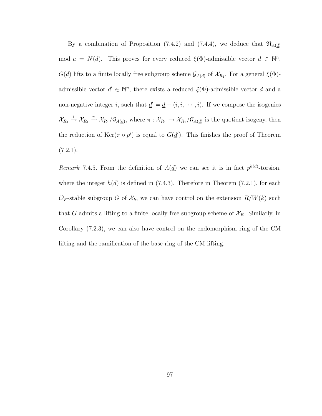By a combination of Proposition [\(7.4.2\)](#page-98-0) and [\(7.4.4\)](#page-104-0), we deduce that  $\mathfrak{N}_{A(\underline{d})}$ mod  $u = N(\underline{d})$ . This proves for every reduced  $\xi(\Phi)$ -admissible vector  $\underline{d} \in \mathbb{N}^n$ ,  $G(\underline{d})$  lifts to a finite locally free subgroup scheme  $\mathcal{G}_{A(\underline{d})}$  of  $\mathcal{X}_{R_1}$ . For a general  $\xi(\Phi)$ admissible vector  $\underline{d}' \in \mathbb{N}^n$ , there exists a reduced  $\xi(\Phi)$ -admissible vector  $\underline{d}$  and a non-negative integer i, such that  $\underline{d}' = \underline{d} + (i, i, \dots, i)$ . If we compose the isogenies  $\mathcal{X}_{R_1} \stackrel{i}{\to} \mathcal{X}_{R_1} \stackrel{\pi}{\to} \mathcal{X}_{R_1}/\mathcal{G}_{A(\underline{d})}$ , where  $\pi : \mathcal{X}_{R_1} \to \mathcal{X}_{R_1}/\mathcal{G}_{A(\underline{d})}$  is the quotient isogeny, then the reduction of  $\text{Ker}(\pi \circ p^i)$  is equal to  $G(\underline{d}')$ . This finishes the proof of Theorem  $(7.2.1).$  $(7.2.1).$ 

Remark 7.4.5. From the definition of  $A(\underline{d})$  we can see it is in fact  $p^{h(\underline{d})}$ -torsion, where the integer  $h(\underline{d})$  is defined in [\(7.4.3\)](#page-104-1). Therefore in Theorem [\(7.2.1\)](#page-88-0), for each  $\mathcal{O}_F$ -stable subgroup G of  $\mathcal{X}_k$ , we can have control on the extension  $R/W(k)$  such that G admits a lifting to a finite locally free subgroup scheme of  $\mathcal{X}_R$ . Similarly, in Corollary [\(7.2.3\)](#page-88-1), we can also have control on the endomorphism ring of the CM lifting and the ramification of the base ring of the CM lifting.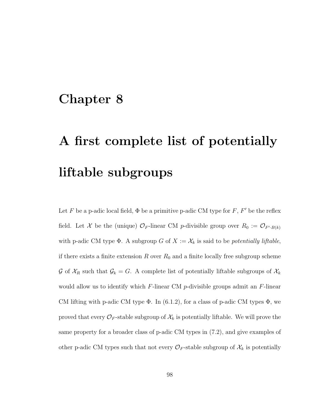### Chapter 8

## A first complete list of potentially liftable subgroups

Let F be a p-adic local field,  $\Phi$  be a primitive p-adic CM type for F, F' be the reflex field. Let X be the (unique)  $\mathcal{O}_F$ -linear CM p-divisible group over  $R_0 := \mathcal{O}_{F \setminus B(k)}$ with p-adic CM type  $\Phi$ . A subgroup G of  $X := \mathcal{X}_k$  is said to be *potentially liftable*, if there exists a finite extension  $R$  over  $R_0$  and a finite locally free subgroup scheme G of  $\mathcal{X}_R$  such that  $\mathcal{G}_k = G$ . A complete list of potentially liftable subgroups of  $\mathcal{X}_k$ would allow us to identify which  $F$ -linear CM  $p$ -divisible groups admit an  $F$ -linear CM lifting with p-adic CM type  $\Phi$ . In [\(6.1.2\)](#page-65-0), for a class of p-adic CM types  $\Phi$ , we proved that every  $\mathcal{O}_F$ -stable subgroup of  $\mathcal{X}_k$  is potentially liftable. We will prove the same property for a broader class of p-adic CM types in [\(7.2\)](#page-87-0), and give examples of other p-adic CM types such that not every  $\mathcal{O}_F$ -stable subgroup of  $\mathcal{X}_k$  is potentially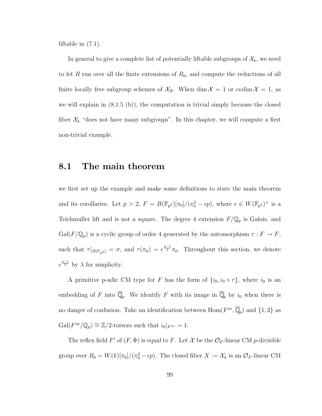liftable in [\(7.1\)](#page-83-0).

In general to give a complete list of potentially liftable subgroups of  $\mathcal{X}_k$ , we need to let R run over all the finite extensions of  $R_0$ , and compute the reductions of all finite locally free subgroup schemes of  $\mathcal{X}_R$ . When dim  $\mathcal{X} = 1$  or codim  $\mathcal{X} = 1$ , as we will explain in  $(8.1.5\,(b))$ , the computation is trivial simply because the closed fiber  $\mathcal{X}_k$  "does not have many subgroups". In this chapter, we will compute a first non-trivial example.

#### 8.1 The main theorem

we first set up the example and make some definitions to state the main theorem and its corollaries. Let  $p > 2$ ,  $F = B(\mathbb{F}_{p^2})[\pi_0]/(\pi_0^2 - \epsilon p)$ , where  $\epsilon \in W(\mathbb{F}_{p^2})^{\times}$  is a Teichmuller lift and is not a square. The degree 4 extension  $F/\mathbb{Q}_p$  is Galois, and  $Gal(F/\mathbb{Q}_p)$  is a cyclic group of order 4 generated by the automorphism  $\tau : F \to F$ , such that  $\tau|_{B(\mathbb{F}_{p^2})} = \sigma$ , and  $\tau(\pi_0) = \epsilon^{\frac{p-1}{2}}\pi_0$ . Throughout this section, we denote  $e^{\frac{p-1}{2}}$  by  $\lambda$  for simplicity.

A primitive p-adic CM type for F has the form of  $\{i_0, i_0 \circ \tau\}$ , where  $i_0$  is an embedding of F into  $\overline{\mathbb{Q}}_p$ . We identify F with its image in  $\overline{\mathbb{Q}}_p$  by  $i_0$  when there is no danger of confusion. Take an identification between  $\mathrm{Hom}(F^{\mathrm{ur}}, \overline{\mathbb{Q}}_p)$  and  $\{1,2\}$  as  $Gal(F^{\text{ur}}/\mathbb{Q}_p) \cong \mathbb{Z}/2$ -torsors such that  $i_0|_{F^{ur}} = 1$ .

The reflex field  $F'$  of  $(F, \Phi)$  is equal to F. Let X be the  $\mathcal{O}_F$ -linear CM p-divisible group over  $R_0 = W(k)[\pi_0]/(\pi_0^2 - \epsilon p)$ . The closed fiber  $X := \mathcal{X}_k$  is an  $\mathcal{O}_F$ -linear CM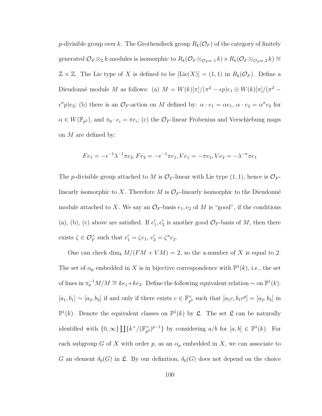*p*-divisible group over k. The Grothendieck group  $R_k(\mathcal{O}_F)$  of the category of finitely generated  $\mathcal{O}_F \otimes_{\mathbb{Z}} k$ -modules is isomorphic to  $R_k(\mathcal{O}_F \otimes_{\mathcal{O}_{F^{\text{ur}}},1} k) \times R_k(\mathcal{O}_F \otimes_{\mathcal{O}_{F^{\text{ur}}},2} k) \cong$  $\mathbb{Z} \times \mathbb{Z}$ . The Lie type of X is defined to be  $[\text{Lie}(X)] = (1,1)$  in  $R_k(\mathcal{O}_F)$ . Define a Dieudonné module M as follows: (a)  $M = W(k)[\pi]/(\pi^2 - \epsilon p)e_1 \oplus W(k)[\pi]/(\pi^2 - \epsilon p)e_2$  $\epsilon^{\sigma} p$ ) $e_2$ ; (b) there is an  $\mathcal{O}_F$ -action on M defined by:  $\alpha \cdot e_1 = \alpha e_1, \ \alpha \cdot e_2 = \alpha^{\sigma} e_2$  for  $\alpha \in W(\mathbb{F}_{p^2})$ , and  $\pi_0 \cdot e_i = \pi e_i$ ; (c) the  $\mathcal{O}_F$ -linear Frobenius and Verschiebung maps on  $M$  are defined by:

$$
Fe_1 = -\epsilon^{-1}\lambda^{-1}\pi e_2, Fe_2 = -\epsilon^{-1}\pi e_1, Ve_1 = -\pi e_2, Ve_2 = -\lambda^{-\sigma}\pi e_1
$$

The *p*-divisible group attached to M is  $\mathcal{O}_F$ -linear with Lie type  $(1, 1)$ , hence is  $\mathcal{O}_F$ linearly isomorphic to X. Therefore M is  $\mathcal{O}_F$ -linearly isomorphic to the Dieudonné module attached to X. We say an  $\mathcal{O}_F$ -basis  $e_1, e_2$  of M is "good", if the conditions (a), (b), (c) above are satisfied. If  $e'_1, e'_2$  is another good  $\mathcal{O}_F$ -basis of M, then there exists  $\zeta \in \mathcal{O}_F^{\times}$  such that  $e'_1 = \zeta e_1, e'_2 = \zeta^{\sigma} e_2$ .

One can check dim<sub>k</sub>  $M/(FM + VM) = 2$ , so the a-number of X is equal to 2. The set of  $\alpha_p$  embedded in X is in bijective correspondence with  $\mathbb{P}^1(k)$ , i.e., the set of lines in  $\pi_0^{-1}M/M \cong ke_1+ke_2$ . Define the following equivalent relation  $\sim$  on  $\mathbb{P}^1(k)$ :  $[a_1, b_1] \sim [a_2, b_2]$  if and only if there exists  $c \in \mathbb{F}_{n^2}^{\times}$  $_{p^2}^{\times}$  such that  $[a_1c, b_1c^p] = [a_2, b_2]$  in  $\mathbb{P}^1(k)$ . Denote the equivalent classes on  $\mathbb{P}^1(k)$  by  $\mathfrak{L}$ . The set  $\mathfrak{L}$  can be naturally identified with  $\{0,\infty\}$   $\prod_{k} {k^{\times}}/{\mathbb{F}_m^{\times}}$  $\binom{x}{p^2}^{p-1}$  by considering  $a/b$  for  $[a, b] \in \mathbb{P}^1(k)$ . For each subgroup G of X with order p, as an  $\alpha_p$  embedded in X, we can associate to G an element  $\delta_0(G)$  in  $\mathfrak{L}$ . By our definition,  $\delta_0(G)$  does not depend on the choice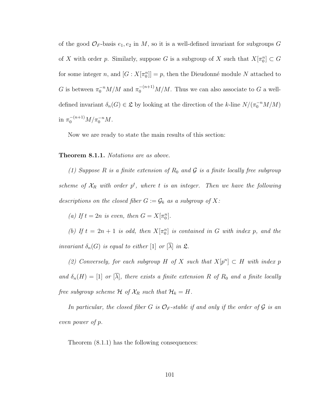of the good  $\mathcal{O}_F$ -basis  $e_1, e_2$  in M, so it is a well-defined invariant for subgroups G of X with order p. Similarly, suppose G is a subgroup of X such that  $X[\pi_0^n] \subset G$ for some integer n, and  $[G: X[\pi_0^n]] = p$ , then the Dieudonné module N attached to G is between  $\pi_0^{-n}M/M$  and  $\pi_0^{-(n+1)}M/M$ . Thus we can also associate to G a welldefined invariant  $\delta_n(G) \in \mathfrak{L}$  by looking at the direction of the k-line  $N/(\pi_0^{-n}M/M)$ in  $\pi_0^{-(n+1)} M / \pi_0^{-n} M$ .

<span id="page-109-0"></span>Now we are ready to state the main results of this section:

#### Theorem 8.1.1. Notations are as above.

(1) Suppose R is a finite extension of  $R_0$  and  $\mathcal G$  is a finite locally free subgroup scheme of  $X_R$  with order  $p^t$ , where t is an integer. Then we have the following descriptions on the closed fiber  $G := \mathcal{G}_k$  as a subgroup of X:

(a) If  $t = 2n$  is even, then  $G = X[\pi_0^n]$ .

(b) If  $t = 2n + 1$  is odd, then  $X[\pi_0^n]$  is contained in G with index p, and the invariant  $\delta_n(G)$  is equal to either [1] or  $[\overline{\lambda}]$  in  $\mathfrak{L}$ .

(2) Conversely, for each subgroup H of X such that  $X[p^n] \subset H$  with index p and  $\delta_n(H) = [1]$  or  $[\overline{\lambda}]$ , there exists a finite extension R of R<sub>0</sub> and a finite locally free subgroup scheme  $\mathcal H$  of  $\mathcal X_R$  such that  $\mathcal H_k = H$ .

In particular, the closed fiber G is  $\mathcal{O}_F$ -stable if and only if the order of G is an even power of p.

Theorem [\(8.1.1\)](#page-109-0) has the following consequences: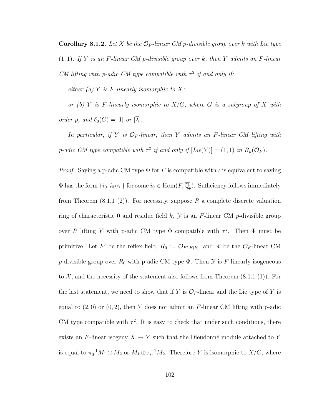**Corollary 8.1.2.** Let X be the  $\mathcal{O}_F$ -linear CM p-divisible group over k with Lie type

 $(1, 1)$ . If Y is an F-linear CM p-divisible group over k, then Y admits an F-linear CM lifting with p-adic CM type compatible with  $\tau^2$  if and only if:

either (a) Y is F-linearly isomorphic to  $X$ ;

or (b) Y is F-linearly isomorphic to  $X/G$ , where G is a subgroup of X with order p, and  $\delta_0(G) = [1]$  or  $[\overline{\lambda}]$ .

In particular, if Y is  $\mathcal{O}_F$ -linear, then Y admits an F-linear CM lifting with p-adic CM type compatible with  $\tau^2$  if and only if  $[Lie(Y)] = (1, 1)$  in  $R_k(\mathcal{O}_F)$ .

*Proof.* Saying a p-adic CM type  $\Phi$  for F is compatible with  $\iota$  is equivalent to saying  $\Phi$  has the form  $\{i_0, i_0 \circ \tau\}$  for some  $i_0 \in \text{Hom}(F, \overline{\mathbb{Q}}_p)$ . Sufficiency follows immediately from Theorem  $(8.1.1 \t(2))$ . For necessity, suppose R a complete discrete valuation ring of characteristic 0 and residue field  $k$ ,  $\mathcal{Y}$  is an F-linear CM p-divisible group over R lifting Y with p-adic CM type  $\Phi$  compatible with  $\tau^2$ . Then  $\Phi$  must be primitive. Let F' be the reflex field,  $R_0 := \mathcal{O}_{F',B(k)}$ , and X be the  $\mathcal{O}_F$ -linear CM p-divisible group over  $R_0$  with p-adic CM type  $\Phi$ . Then  $\mathcal Y$  is F-linearly isogeneous to  $\mathcal{X}$ , and the necessity of the statement also follows from Theorem  $(8.1.1 \text{ } (1))$ . For the last statement, we need to show that if Y is  $\mathcal{O}_F$ -linear and the Lie type of Y is equal to  $(2,0)$  or  $(0,2)$ , then Y does not admit an F-linear CM lifting with p-adic CM type compatible with  $\tau^2$ . It is easy to check that under such conditions, there exists an F-linear isogeny  $X \to Y$  such that the Dieudonné module attached to Y is equal to  $\pi_0^{-1}M_1 \oplus M_2$  or  $M_1 \oplus \pi_0^{-1}M_2$ . Therefore Y is isomorphic to  $X/G$ , where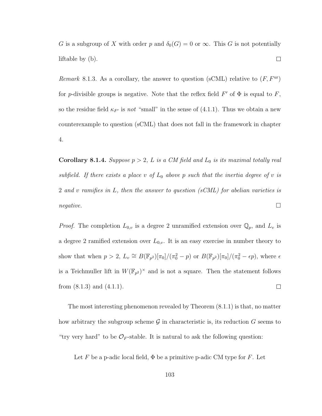G is a subgroup of X with order p and  $\delta_0(G) = 0$  or  $\infty$ . This G is not potentially  $\Box$ liftable by (b).

<span id="page-111-0"></span>Remark 8.1.3. As a corollary, the answer to question (sCML) relative to  $(F, F^{\text{ur}})$ for p-divisible groups is negative. Note that the reflex field  $F'$  of  $\Phi$  is equal to  $F$ , so the residue field  $\kappa_{F}$  is not "small" in the sense of [\(4.1.1\)](#page-38-0). Thus we obtain a new counterexample to question (sCML) that does not fall in the framework in chapter [4.](#page-38-1)

**Corollary 8.1.4.** Suppose  $p > 2$ , L is a CM field and  $L_0$  is its maximal totally real subfield. If there exists a place v of  $L_0$  above p such that the inertia degree of v is 2 and v ramifies in L, then the answer to question (sCML) for abelian varieties is  $negative.$ 

*Proof.* The completion  $L_{0,v}$  is a degree 2 unramified extension over  $\mathbb{Q}_p$ , and  $L_v$  is a degree 2 ramified extension over  $L_{0,v}$ . It is an easy exercise in number theory to show that when  $p > 2$ ,  $L_v \cong B(\mathbb{F}_{p^2})[\pi_0]/(\pi_0^2 - p)$  or  $B(\mathbb{F}_{p^2})[\pi_0]/(\pi_0^2 - \epsilon p)$ , where  $\epsilon$ is a Teichmuller lift in  $W(\mathbb{F}_{p^2})^{\times}$  and is not a square. Then the statement follows from  $(8.1.3)$  and  $(4.1.1)$ .  $\Box$ 

The most interesting phenomenon revealed by Theorem [\(8.1.1\)](#page-109-0) is that, no matter how arbitrary the subgroup scheme  $\mathcal G$  in characteristic is, its reduction  $G$  seems to "try very hard" to be  $\mathcal{O}_F$ -stable. It is natural to ask the following question:

Let F be a p-adic local field,  $\Phi$  be a primitive p-adic CM type for F. Let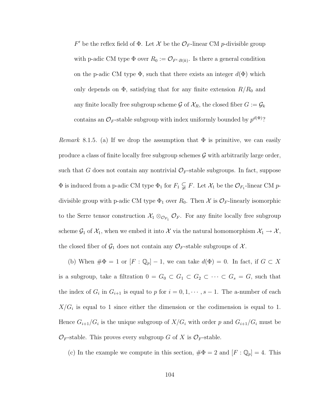F' be the reflex field of  $\Phi$ . Let X be the  $\mathcal{O}_F$ -linear CM p-divisible group with p-adic CM type  $\Phi$  over  $R_0 := \mathcal{O}_{F',B(k)}$ . Is there a general condition on the p-adic CM type  $\Phi$ , such that there exists an integer  $d(\Phi)$  which only depends on  $\Phi$ , satisfying that for any finite extension  $R/R_0$  and any finite locally free subgroup scheme  $\mathcal G$  of  $\mathcal X_R$ , the closed fiber  $G := \mathcal G_k$ contains an  $\mathcal{O}_F$ -stable subgroup with index uniformly bounded by  $p^{d(\Phi)}$ ?

*Remark* 8.1.5. (a) If we drop the assumption that  $\Phi$  is primitive, we can easily produce a class of finite locally free subgroup schemes  $\mathcal G$  with arbitrarily large order, such that G does not contain any nontrivial  $\mathcal{O}_F$ -stable subgroups. In fact, suppose  $\Phi$  is induced from a p-adic CM type  $\Phi_1$  for  $F_1 \subsetneq F$ . Let  $\mathcal{X}_1$  be the  $\mathcal{O}_{F_1}$ -linear CM pdivisible group with p-adic CM type  $\Phi_1$  over  $R_0$ . Then X is  $\mathcal{O}_F$ -linearly isomorphic to the Serre tensor construction  $\mathcal{X}_1 \otimes_{\mathcal{O}_{F_1}} \mathcal{O}_F$ . For any finite locally free subgroup scheme  $\mathcal{G}_1$  of  $\mathcal{X}_1$ , when we embed it into  $\mathcal{X}$  via the natural homomorphism  $\mathcal{X}_1 \to \mathcal{X}$ , the closed fiber of  $\mathcal{G}_1$  does not contain any  $\mathcal{O}_F$ -stable subgroups of  $\mathcal{X}$ .

(b) When  $\#\Phi = 1$  or  $[F : \mathbb{Q}_p] - 1$ , we can take  $d(\Phi) = 0$ . In fact, if  $G \subset X$ is a subgroup, take a filtration  $0 = G_0 \subset G_1 \subset G_2 \subset \cdots \subset G_s = G$ , such that the index of  $G_i$  in  $G_{i+1}$  is equal to p for  $i = 0, 1, \dots, s-1$ . The a-number of each  $X/G_i$  is equal to 1 since either the dimension or the codimension is equal to 1. Hence  $G_{i+1}/G_i$  is the unique subgroup of  $X/G_i$  with order p and  $G_{i+1}/G_i$  must be  $\mathcal{O}_F$ -stable. This proves every subgroup G of X is  $\mathcal{O}_F$ -stable.

(c) In the example we compute in this section,  $\#\Phi = 2$  and  $[F : \mathbb{Q}_p] = 4$ . This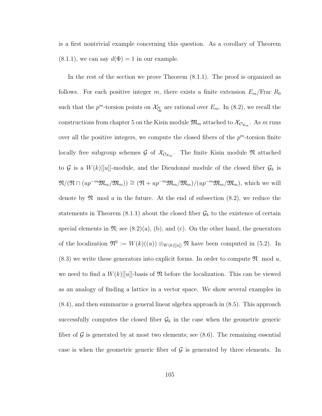is a first nontrivial example concerning this question. As a corollary of Theorem  $(8.1.1)$ , we can say  $d(\Phi) = 1$  in our example.

In the rest of the section we prove Theorem [\(8.1.1\)](#page-109-0). The proof is organized as follows. For each positive integer m, there exists a finite extension  $E_m$ /Frac  $R_0$ such that the  $p^m$ -torsion points on  $\mathcal{X}_{\overline{\mathbb{Q}}_p}$  are rational over  $E_m$ . In [\(8.2\)](#page-114-0), we recall the constructions from chapter [5](#page-45-0) on the Kisin module  $\mathfrak{M}_m$  attached to  $\mathcal{X}_{\mathcal{O}_{E_m}}$ . As  $m$  runs over all the positive integers, we compute the closed fibers of the  $p^m$ -torsion finite locally free subgroup schemes  $\mathcal G$  of  $\mathcal X_{\mathcal O_{E_m}}$ . The finite Kisin module  $\mathfrak N$  attached to  $G$  is a  $W(k)$ [[u]]-module, and the Dieudonné module of the closed fiber  $G_k$  is  $\mathfrak{N}(\mathfrak{N} \cap (up^{-m}\mathfrak{M}_m/\mathfrak{M}_m)) \cong (\mathfrak{N} + up^{-m}\mathfrak{M}_m/\mathfrak{M}_m)/(up^{-m}\mathfrak{M}_m/\mathfrak{M}_m)$ , which we will denote by  $\mathfrak N$  mod u in the future. At the end of subsection [\(8.2\)](#page-114-0), we reduce the statements in Theorem [\(8.1.1\)](#page-109-0) about the closed fiber  $\mathcal{G}_k$  to the existence of certain special elements in  $\mathfrak{N}$ ; see  $(8.2)(a)$ ,  $(b)$ , and  $(c)$ . On the other hand, the generators of the localization  $\mathfrak{N}^0 := W(k)((u)) \otimes_{W(k)[[u]]} \mathfrak{N}$  have been computed in [\(5.2\)](#page-51-0). In  $(8.3)$  we write these generators into explicit forms. In order to compute  $\mathfrak{N}$  mod u, we need to find a  $W(k)[[u]]$ -basis of  $\mathfrak N$  before the localization. This can be viewed as an analogy of finding a lattice in a vector space. We show several examples in [\(8.4\)](#page-120-0), and then summarize a general linear algebra approach in [\(8.5\)](#page-124-0). This approach successfully computes the closed fiber  $\mathcal{G}_k$  in the case when the geometric generic fiber of  $\mathcal G$  is generated by at most two elements; see [\(8.6\)](#page-127-0). The remaining essential case is when the geometric generic fiber of  $\mathcal G$  is generated by three elements. In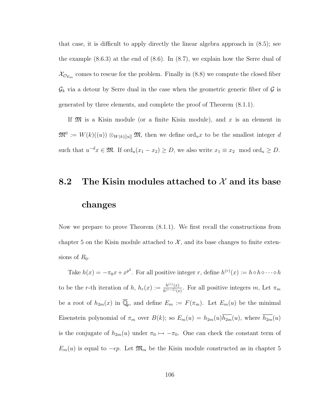that case, it is difficult to apply directly the linear algebra approach in [\(8.5\)](#page-124-0); see the example  $(8.6.3)$  at the end of  $(8.6)$ . In  $(8.7)$ , we explain how the Serre dual of  $\mathcal{X}_{\mathcal{O}_{E_m}}$  comes to rescue for the problem. Finally in [\(8.8\)](#page-139-0) we compute the closed fiber  $\mathcal{G}_k$  via a detour by Serre dual in the case when the geometric generic fiber of  $\mathcal G$  is generated by three elements, and complete the proof of Theorem [\(8.1.1\)](#page-109-0).

If  $\mathfrak{M}$  is a Kisin module (or a finite Kisin module), and x is an element in  $\mathfrak{M}^0 := W(k)((u)) \otimes_{W(k)[[u]]} \mathfrak{M},$  then we define ord<sub>u</sub>x to be the smallest integer d such that  $u^{-d}x \in \mathfrak{M}$ . If  $\text{ord}_u(x_1 - x_2) \geq D$ , we also write  $x_1 \equiv x_2 \mod \text{ord}_u \geq D$ .

# <span id="page-114-0"></span>8.2 The Kisin modules attached to  $\mathcal X$  and its base changes

Now we prepare to prove Theorem [\(8.1.1\)](#page-109-0). We first recall the constructions from chapter [5](#page-45-0) on the Kisin module attached to  $\mathcal{X}$ , and its base changes to finite extensions of  $R_0$ .

Take  $h(x) = -\pi_0 x + x^{p^2}$ . For all positive integer r, define  $h^{(r)}(x) := h \circ h \circ \cdots \circ h$ to be the r-th iteration of h,  $h_r(x) := \frac{h^{(r)}(x)}{h^{(r-1)}(x)}$  $\frac{h^{(r)}(x)}{h^{(r-1)}(x)}$ . For all positive integers m, Let  $\pi_m$ be a root of  $h_{2m}(x)$  in  $\overline{\mathbb{Q}}_p$ , and define  $E_m := F(\pi_m)$ . Let  $E_m(u)$  be the minimal Eisenstein polynomial of  $\pi_m$  over  $B(k)$ ; so  $E_m(u) = h_{2m}(u)\overline{h_{2m}}(u)$ , where  $\overline{h_{2m}}(u)$ is the conjugate of  $h_{2m}(u)$  under  $\pi_0 \mapsto -\pi_0$ . One can check the constant term of  $E_m(u)$  is equal to  $-\epsilon p$ . Let  $\mathfrak{M}_m$  be the Kisin module constructed as in chapter [5](#page-45-0)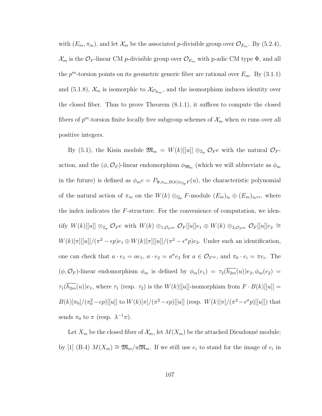with  $(E_m, \pi_m)$ , and let  $\mathcal{X}_m$  be the associated p-divisible group over  $\mathcal{O}_{E_m}$ . By [\(5.2.4\)](#page-55-0),  $\mathcal{X}_m$  is the  $\mathcal{O}_F$ -linear CM p-divisible group over  $\mathcal{O}_{E_m}$  with p-adic CM type  $\Phi$ , and all the  $p^m$ -torsion points on its geometric generic fiber are rational over  $E_m$ . By [\(3.1.1\)](#page-26-0) and [\(5.1.8\)](#page-50-0),  $\mathcal{X}_m$  is isomorphic to  $\mathcal{X}_{\mathcal{O}_{E_m}}$ , and the isomorphism induces identity over the closed fiber. Thus to prove Theorem [\(8.1.1\)](#page-109-0), it suffices to compute the closed fibers of  $p^m$ -torsion finite locally free subgroup schemes of  $\mathcal{X}_m$  when m runs over all positive integers.

By [\(5.1\)](#page-46-0), the Kisin module  $\mathfrak{M}_m = W(k)[[u]] \otimes_{\mathbb{Z}_p} \mathcal{O}_F e$  with the natural  $\mathcal{O}_F$ action, and the  $(\phi, \mathcal{O}_F)$ -linear endomorphism  $\phi_{\mathfrak{M}_m}$  (which we will abbreviate as  $\phi_m$ in the future) is defined as  $\phi_m e = P_{\Phi, \pi_m, B(k) \otimes_{\mathbb{Q}_p} F}(u)$ , the characteristic polynomial of the natural action of  $\pi_m$  on the  $W(k) \otimes_{\mathbb{Q}_p} F$ -module  $(E_m)_{i_0} \oplus (E_m)_{i_0 \circ \tau}$ , where the index indicates the F-structure. For the convenience of computation, we identify  $W(k)[[u]] \otimes_{\mathbb{Z}_p} \mathcal{O}_F e$  with  $W(k) \otimes_{1,\mathcal{O}_F} \mathfrak{w}$   $\mathcal{O}_F[[u]]e_1 \oplus W(k) \otimes_{2,\mathcal{O}_F} \mathfrak{w}$   $\mathcal{O}_F[[u]]e_2 \cong$  $W(k)[\pi][[u]]/(\pi^2 - \epsilon p)e_1 \oplus W(k)[\pi][[u]]/(\pi^2 - \epsilon^{\sigma}p)e_2$ . Under such an identification, one can check that  $a \cdot e_1 = ae_1$ ,  $a \cdot e_2 = a^{\sigma}e_2$  for  $a \in \mathcal{O}_{F^{\text{ur}}},$  and  $\pi_0 \cdot e_i = \pi e_i$ . The  $(\phi, \mathcal{O}_F)$ -linear endomorphism  $\phi_m$  is defined by  $\phi_m(e_1) = \tau_2(\overline{h_{2m}}(u))e_2, \phi_m(e_2)$  $\tau_1(\overline{h_{2m}}(u))e_1$ , where  $\tau_1$  (resp.  $\tau_2$ ) is the  $W(k)[[u]]$ -isomorphism from  $F \cdot B(k)[[u]] =$  $B(k)[\pi_0]/(\pi_0^2 - \epsilon p)[[u]]$  to  $W(k)[\pi]/(\pi^2 - \epsilon p)[[u]]$  (resp.  $W(k)[\pi]/(\pi^2 - \epsilon^{\sigma} p)[[u]]$ ) that sends  $\pi_0$  to  $\pi$  (resp.  $\lambda^{-1}\pi$ ).

Let  $X_m$  be the closed fiber of  $\mathcal{X}_m$ , let  $M(X_m)$  be the attached Dieudonné module; by [\[1\]](#page-243-0) (B.4)  $M(X_m) \cong \mathfrak{M}_m/u\mathfrak{M}_m$ . If we still use  $e_i$  to stand for the image of  $e_i$  in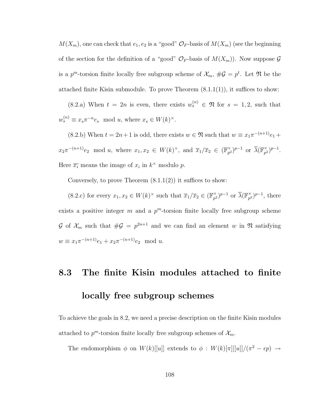$M(X_m)$ , one can check that  $e_1, e_2$  is a "good"  $\mathcal{O}_F$ -basis of  $M(X_m)$  (see the beginning of the section for the definition of a "good"  $\mathcal{O}_F$ -basis of  $M(X_m)$ ). Now suppose  $\mathcal G$ is a  $p^m$ -torsion finite locally free subgroup scheme of  $\mathcal{X}_m$ ,  $\#\mathcal{G} = p^t$ . Let  $\mathfrak{N}$  be the attached finite Kisin submodule. To prove Theorem  $(8.1.1(1))$ , it suffices to show:

 $(8.2.a)$  $(8.2.a)$  When  $t = 2n$  is even, there exists  $w_s^{(n)} \in \mathfrak{N}$  for  $s = 1, 2$ , such that  $w_s^{(n)} \equiv x_s \pi^{-n} e_s \mod u$ , where  $x_s \in W(k)^\times$ .

[\(8.2.](#page-114-0)b) When  $t = 2n + 1$  is odd, there exists  $w \in \mathfrak{N}$  such that  $w \equiv x_1 \pi^{-(n+1)} e_1 +$  $x_2\pi^{-(n+1)}e_2 \mod u$ , where  $x_1, x_2 \in W(k)^{\times}$ , and  $\overline{x}_1/\overline{x}_2 \in (\mathbb{F}_{p^2}^{\times})$  $(\sum_{p^2}^{\times})^{p-1}$  or  $\overline{\lambda}(\mathbb{F}_{p^2}^{\times})$  $_{p^2}^{\times}$ )<sup>p-1</sup>. Here  $\overline{x_i}$  means the image of  $x_i$  in  $k^{\times}$  modulo p.

Conversely, to prove Theorem  $(8.1.1(2))$  it suffices to show:

 $(8.2.c)$  $(8.2.c)$  for every  $x_1, x_2 \in W(k)^\times$  such that  $\overline{x}_1/\overline{x}_2 \in (\mathbb{F}_{p^2}^\times)$  $(\mathbb{F}_{p^2})^{p-1}$  or  $\overline{\lambda}(\mathbb{F}_{p^2}^{\times})$  $_{p^2}^{\times}$ )<sup>p-1</sup>, there exists a positive integer  $m$  and a  $p^m$ -torsion finite locally free subgroup scheme G of  $\mathcal{X}_m$  such that  $\#\mathcal{G} = p^{2n+1}$  and we can find an element w in  $\mathfrak{N}$  satisfying  $w \equiv x_1 \pi^{-(n+1)} e_1 + x_2 \pi^{-(n+1)} e_2 \mod u.$ 

## <span id="page-116-0"></span>8.3 The finite Kisin modules attached to finite locally free subgroup schemes

To achieve the goals in [8.2,](#page-114-0) we need a precise description on the finite Kisin modules attached to  $p^m$ -torsion finite locally free subgroup schemes of  $\mathcal{X}_m$ .

The endomorphism  $\phi$  on  $W(k)[[u]]$  extends to  $\phi : W(k)[\pi][[u]]/(\pi^2 - \epsilon p) \rightarrow$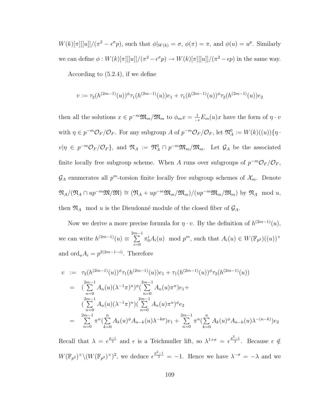$W(k)[\pi][[u]]/(\pi^2 - \epsilon^{\sigma} p)$ , such that  $\phi|_{W(k)} = \sigma$ ,  $\phi(\pi) = \pi$ , and  $\phi(u) = u^p$ . Similarly we can define  $\phi: W(k)[\pi][[u]]/(\pi^2-\epsilon^{\sigma}p) \to W(k)[\pi][[u]]/(\pi^2-\epsilon p)$  in the same way.

According to [\(5.2.4\)](#page-55-0), if we define

$$
v := \tau_2(h^{(2m-1)}(u))^{\phi} \tau_1(h^{(2m-1)}(u)) e_1 + \tau_1(h^{(2m-1)}(u))^{\phi} \tau_2(h^{(2m-1)}(u)) e_2
$$

then all the solutions  $x \in p^{-m} \mathfrak{M}_m / \mathfrak{M}_m$  to  $\phi_m x = \frac{1}{-\epsilon} E_m(u) x$  have the form of  $\eta \cdot v$ with  $\eta \in p^{-m}\mathcal{O}_F/\mathcal{O}_F$ . For any subgroup A of  $p^{-m}\mathcal{O}_F/\mathcal{O}_F$ , let  $\mathfrak{N}_A^0 := W(k)((u))\{\eta \cdot \mathfrak{N}\}$  $v|\eta \in p^{-m}\mathcal{O}_F/\mathcal{O}_F\}$ , and  $\mathfrak{N}_A := \mathfrak{N}_A^0 \cap p^{-m}\mathfrak{M}_m/\mathfrak{M}_m$ . Let  $\mathcal{G}_A$  be the associated finite locally free subgroup scheme. When A runs over subgroups of  $p^{-m}\mathcal{O}_F/\mathcal{O}_F$ ,  $\mathcal{G}_A$  enumerates all  $p^m$ -torsion finite locally free subgroup schemes of  $\mathcal{X}_m$ . Denote  $\mathfrak{N}_A/(\mathfrak{N}_A \cap up^{-m}\mathfrak{M}/\mathfrak{M}) \cong (\mathfrak{N}_A + up^{-m}\mathfrak{M}_m/\mathfrak{M}_m)/(up^{-m}\mathfrak{M}_m/\mathfrak{M}_m)$  by  $\mathfrak{N}_A \mod u$ , then  $\mathfrak{N}_A$  mod u is the Dieudonné module of the closed fiber of  $\mathcal{G}_A$ .

Now we derive a more precise formula for  $\eta \cdot v$ . By the definition of  $h^{(2m-1)}(u)$ , we can write  $h^{(2m-1)}(u) \equiv \sum_{n=1}^{2m-1}$  $i=0$  $\pi_0^i A_i(u) \mod p^m$ , such that  $A_i(u) \in W(\mathbb{F}_{p^2})((u))^{\times}$ and  $\text{ord}_u A_i = p^{2(2m-1-i)}$ . Therefore

$$
v := \tau_2(h^{(2m-1)}(u))^{\phi} \tau_1(h^{(2m-1)}(u)) e_1 + \tau_1(h^{(2m-1)}(u))^{\phi} \tau_2(h^{(2m-1)}(u))
$$
  
\n
$$
= \left( \sum_{n=0}^{2m-1} A_n(u) (\lambda^{-1} \pi)^n \right)^{\phi} \left( \sum_{n=0}^{2m-1} A_n(u) \pi^n \right) e_1 +
$$
  
\n
$$
\left( \sum_{n=0}^{2m-1} A_n(u) (\lambda^{-1} \pi)^n \right) \left( \sum_{n=0}^{2m-1} A_n(u) \pi^n \right)^{\phi} e_2
$$
  
\n
$$
= \sum_{n=0}^{2m-1} \pi^n \left( \sum_{k=0}^n A_k(u)^{\phi} A_{n-k}(u) \lambda^{-k\sigma} \right) e_1 + \sum_{n=0}^{2m-1} \pi^n \left( \sum_{k=0}^n A_k(u)^{\phi} A_{n-k}(u) \lambda^{-(n-k)} \right) e_2
$$

Recall that  $\lambda = \epsilon^{\frac{p-1}{2}}$  and  $\epsilon$  is a Teichmuller lift, so  $\lambda^{1+\sigma} = \epsilon^{\frac{p^2-1}{2}}$ . Because  $\epsilon \notin$  $W(\mathbb{F}_{p^2})^{\times} \backslash (W(\mathbb{F}_{p^2})^{\times})^2$ , we deduce  $\epsilon^{\frac{p^2-1}{2}} = -1$ . Hence we have  $\lambda^{-\sigma} = -\lambda$  and we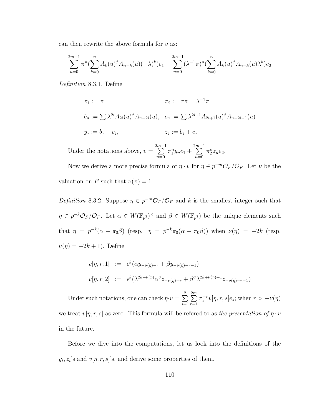can then rewrite the above formula for  $v$  as:

$$
\sum_{n=0}^{2m-1} \pi^n \left( \sum_{k=0}^n A_k(u)^\phi A_{n-k}(u) (-\lambda)^k \right) e_1 + \sum_{n=0}^{2m-1} (\lambda^{-1} \pi)^n \left( \sum_{k=0}^n A_k(u)^\phi A_{n-k}(u) \lambda^k \right) e_2
$$

Definition 8.3.1. Define

$$
\pi_1 := \pi \qquad \qquad \pi_2 := \tau \pi = \lambda^{-1} \pi
$$
  
\n
$$
b_n := \sum \lambda^{2i} A_{2i}(u)^\phi A_{n-2i}(u), \quad c_n := \sum \lambda^{2i+1} A_{2i+1}(u)^\phi A_{n-2i-1}(u)
$$
  
\n
$$
y_j := b_j - c_j, \qquad z_j := b_j + c_j
$$

Under the notations above,  $v = \sum_{n=1}^{2m-1}$  $n=0$  $\pi_1^n y_n e_1 + \sum_{n=1}^{2m-1}$  $n=0$  $\pi_2^n z_n e_2$ .

Now we derive a more precise formula of  $\eta \cdot v$  for  $\eta \in p^{-m} \mathcal{O}_F / \mathcal{O}_F$ . Let  $\nu$  be the valuation on F such that  $\nu(\pi) = 1$ .

Definition 8.3.2. Suppose  $\eta \in p^{-m}\mathcal{O}_F/\mathcal{O}_F$  and k is the smallest integer such that  $\eta \in p^{-k}\mathcal{O}_F/\mathcal{O}_F$ . Let  $\alpha \in W(\mathbb{F}_{p^2})^{\times}$  and  $\beta \in W(\mathbb{F}_{p^2})$  be the unique elements such that  $\eta = p^{-k}(\alpha + \pi_0 \beta)$  (resp.  $\eta = p^{-k} \pi_0(\alpha + \pi_0 \beta)$ ) when  $\nu(\eta) = -2k$  (resp.  $\nu(\eta) = -2k + 1$ ). Define

$$
v[\eta, r, 1] := \epsilon^k (\alpha y_{-\nu(\eta)-r} + \beta y_{-\nu(\eta)-r-1})
$$
  

$$
v[\eta, r, 2] := \epsilon^k (\lambda^{2k+\nu(\eta)} \alpha^{\sigma} z_{-\nu(\eta)-r} + \beta^{\sigma} \lambda^{2k+\nu(\eta)+1} z_{-\nu(\eta)-r-1})
$$

Under such notations, one can check  $\eta \cdot v = \sum^2$  $s=1$  $\sum_{i=1}^{2m}$  $r=1$  $\pi_s^{-r}v[\eta, r, s]e_s$ ; when  $r > -\nu(\eta)$ we treat  $v[\eta, r, s]$  as zero. This formula will be refered to as the presentation of  $\eta \cdot v$ in the future.

<span id="page-118-0"></span>Before we dive into the computations, let us look into the definitions of the  $y_i, z_i$ 's and  $v[\eta, r, s]$ 's, and derive some properties of them.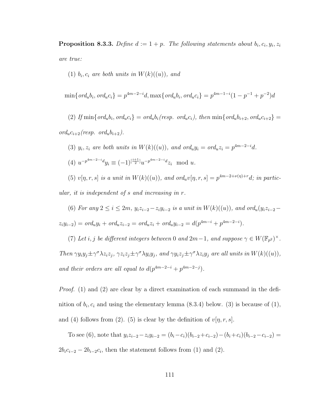**Proposition 8.3.3.** Define  $d := 1 + p$ . The following statements about  $b_i, c_i, y_i, z_i$ are true:

(1)  $b_i, c_i$  are both units in  $W(k)((u))$ , and

$$
\min\{ord_u b_i, ord_u c_i\} = p^{4m-2-i} d, \max\{ord_u b_i, ord_u c_i\} = p^{4m-1-i} (1 - p^{-1} + p^{-2}) d
$$

(2) If  $\min\{ord_u b_i, ord_u c_i\} = ord_u b_i (resp. ord_u c_i), then \min\{ord_u b_{i+2}, ord_u c_{i+2}\} =$  $ord_u c_{i+2} (resp. \ ord_u b_{i+2}).$ 

(3)  $y_i, z_i$  are both units in  $W(k)((u))$ , and ord<sub>u</sub> $y_i = \text{ord}_u z_i = p^{4m-2-i}d$ . (4)  $u^{-p^{4m-2-i}d}y_i \equiv (-1)^{\left[\frac{i+1}{2}\right]}u^{-p^{4m-2-i}d}z_i \mod u.$ (5)  $v[\eta, r, s]$  is a unit in  $W(k)((u))$ , and  $ord_u v[\eta, r, s] = p^{4m-2+\nu(\eta)+r} d$ ; in partic-

ular, it is independent of s and increasing in r.

(6) For any  $2 \le i \le 2m$ ,  $y_i z_{i-2} - z_i y_{i-2}$  is a unit in  $W(k)((u))$ , and ord<sub>u</sub> $(y_i z_{i-2} - z_i y_{i-2})$  $z_i y_{i-2}$ ) =  $ord_u y_i + ord_u z_{i-2} = ord_u z_i + ord_u y_{i-2} = d(p^{4m-i} + p^{4m-2-i}).$ 

(7) Let i, j be different integers between 0 and  $2m-1$ , and suppose  $\gamma \in W(\mathbb{F}_{p^2})^{\times}$ . Then  $\gamma y_i y_j \pm \gamma^\sigma \lambda z_i z_j$ ,  $\gamma z_i z_j \pm \gamma^\sigma \lambda y_i y_j$ , and  $\gamma y_i z_j \pm \gamma^\sigma \lambda z_i y_j$  are all units in  $W(k)((u))$ ,

and their orders are all equal to  $d(p^{4m-2-i}+p^{4m-2-j}).$ 

*Proof.* (1) and (2) are clear by a direct examination of each summand in the definition of  $b_i, c_i$  and using the elementary lemma  $(8.3.4)$  below.  $(3)$  is because of  $(1)$ , and (4) follows from (2). (5) is clear by the definition of  $v[\eta, r, s]$ .

To see (6), note that  $y_iz_{i-2}-z_iy_{i-2} = (b_i-c_i)(b_{i-2}+c_{i-2})-(b_i+c_i)(b_{i-2}-c_{i-2}) =$  $2b_i c_{i-2} - 2b_{i-2} c_i$ , then the statement follows from (1) and (2).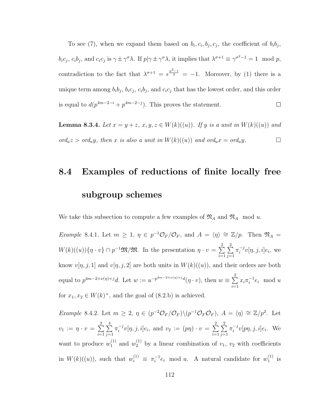To see (7), when we expand them based on  $b_i, c_i, b_j, c_j$ , the coefficient of  $b_i b_j$ ,  $b_i c_j$ ,  $c_i b_j$ , and  $c_i c_j$  is  $\gamma \pm \gamma^\sigma \lambda$ . If  $p | \gamma \pm \gamma^\sigma \lambda$ , it implies that  $\lambda^{\sigma+1} \equiv \gamma^{\sigma^2-1} = 1 \mod p$ , contradiction to the fact that  $\lambda^{\sigma+1} = \epsilon^{\frac{p^2-1}{2}} = -1$ . Moreover, by (1) there is a unique term among  $b_i b_j$ ,  $b_i c_j$ ,  $c_i b_j$ , and  $c_i c_j$  that has the lowest order, and this order is equal to  $d(p^{4m-2-i}+p^{4m-2-j})$ . This proves the statement.  $\Box$ 

<span id="page-120-1"></span>**Lemma 8.3.4.** Let  $x = y + z$ ,  $x, y, z \in W(k)((u))$ . If y is a unit in  $W(k)((u))$  and  $ord_u z > ord_u y$ , then x is also a unit in  $W(k)((u))$  and  $ord_u x = ord_u y$ .

## <span id="page-120-0"></span>8.4 Examples of reductions of finite locally free subgroup schemes

We take this subsection to compute a few examples of  $\mathfrak{N}_A$  and  $\mathfrak{N}_A$  mod u.

*Example* 8.4.1. Let  $m \geq 1$ ,  $\eta \in p^{-1}\mathcal{O}_F/\mathcal{O}_F$ , and  $A = \langle \eta \rangle \cong \mathbb{Z}/p$ . Then  $\mathfrak{N}_A =$  $W(k)((u))\{\eta \cdot v\} \cap p^{-1} \mathfrak{M}/\mathfrak{M}$ . In the presentation  $\eta \cdot v = \sum_{i=1}^{n}$  $i=1$  $\sum_{ }^{2}$  $j=1$  $\pi_i^{-j}$  $i^{-j}v[\eta, j, i]e_i$ , we know  $v[\eta, j, 1]$  and  $v[\eta, j, 2]$  are both units in  $W(k)((u))$ , and their orders are both equal to  $p^{4m-2+\nu(\eta)+j}d$ . Let  $w := u^{-p^{4m-2+\nu(\eta)+j}}d(\eta \cdot v)$ , then  $w \equiv \sum^{2}$  $i=1$  $x_i\pi_i^{-1}$  $i^{-1}e_i \mod u$ for  $x_1, x_2 \in W(k)^{\times}$ , and the goal of [\(8.2.](#page-114-0)b) is achieved.

<span id="page-120-2"></span>Example 8.4.2. Let  $m \geq 2$ ,  $\eta \in (p^{-2}\mathcal{O}_F/\mathcal{O}_F)\backslash(p^{-1}\mathcal{O}_F\mathcal{O}_F)$ ,  $A = \langle \eta \rangle \cong \mathbb{Z}/p^2$ . Let  $v_1\,:=\,\eta\cdot v\,=\,\sum^2$  $i=1$  $\frac{4}{2}$  $j=1$  $\pi_i^{-j}$  $i^{-j}v[\eta, j, i]e_i$ , and  $v_2 := (p\eta) \cdot v = \sum_{i=1}^{n}$  $i=1$  $\sum_{ }^{2}$  $j=1$  $\pi_i^{-j}$  $i^{-j}v[p\eta, j, i]e_i$ . We want to produce  $w_1^{(1)}$  $u_1^{(1)}$  and  $w_2^{(1)}$  by a linear combination of  $v_1, v_2$  with coefficients in  $W(k)((u))$ , such that  $w_i^{(1)} \equiv \pi_i^{-1}$  $i^{-1}e_i$  mod u. A natural candidate for  $w_1^{(1)}$  $_1^{(1)}$  is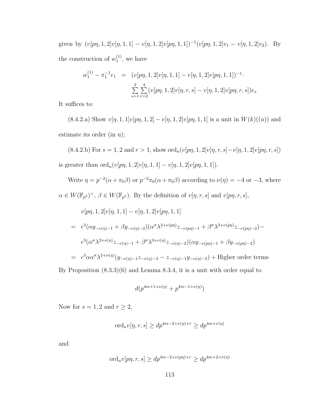given by  $(v[p\eta, 1, 2]v[\eta, 1, 1] - v[\eta, 1, 2]v[p\eta, 1, 1])^{-1}(v[p\eta, 1, 2]v_1 - v[\eta, 1, 2]v_2)$ . By the construction of  $w_1^{(1)}$  $1^{(1)}$ , we have

$$
w_1^{(1)} - \pi_1^{-1}e_1 = (v[p\eta, 1, 2]v[\eta, 1, 1] - v[\eta, 1, 2]v[p\eta, 1, 1])^{-1}.
$$
  

$$
\sum_{s=1}^2 \sum_{r=2}^4 (v[p\eta, 1, 2]v[\eta, r, s] - v[\eta, 1, 2]v[p\eta, r, s])e_s
$$

It suffices to:

[\(8.4.2.](#page-120-2)a) Show  $v[\eta, 1, 1]v[p\eta, 1, 2] - v[\eta, 1, 2]v[p\eta, 1, 1]$  is a unit in  $W(k)((u))$  and estimate its order (in u);

[\(8.4.2.](#page-120-2)b) For  $s = 1, 2$  and  $r > 1$ , show  $\operatorname{ord}_u(v[p\eta, 1, 2]v[\eta, r, s] - v[\eta, 1, 2]v[p\eta, r, s])$ is greater than  $\text{ord}_u(v[p\eta, 1, 2]v[\eta, 1, 1] - v[\eta, 1, 2]v[p\eta, 1, 1]).$ 

Write  $\eta = p^{-2}(\alpha + \pi_0 \beta)$  or  $p^{-2}\pi_0(\alpha + \pi_0 \beta)$  according to  $\nu(\eta) = -4$  or  $-3$ , where  $\alpha \in W(\mathbb{F}_{p^2})^{\times}, \beta \in W(\mathbb{F}_{p^2})$ . By the definition of  $v[\eta, r, s]$  and  $v[p\eta, r, s]$ ,

$$
v[p\eta, 1, 2]v[\eta, 1, 1] - v[\eta, 1, 2]v[p\eta, 1, 1]
$$
  
=  $\epsilon^3(\alpha y_{-\nu(\eta)-1} + \beta y_{-\nu(\eta)-2})(\alpha^{\sigma}\lambda^{2+\nu(p\eta)}z_{-\nu(p\eta)-1} + \beta^{\sigma}\lambda^{3+\nu(p\eta)}z_{-\nu(p\eta)-2}) -$   
 $\epsilon^3(\alpha^{\sigma}\lambda^{2+\nu(\eta)}z_{-\nu(\eta)-1} + \beta^{\sigma}\lambda^{3+\nu(\eta)}z_{-\nu(\eta)-2})(\alpha y_{-\nu(p\eta)-1} + \beta y_{-\nu(p\eta)-2})$   
=  $\epsilon^3\alpha\alpha^{\sigma}\lambda^{2+\nu(\eta)}(y_{-\nu(\eta)-1}z_{-\nu(\eta)-3} - z_{-\nu(\eta)-1}y_{-\nu(\eta)-3}) +$  Higher order terms

By Proposition [\(8.3.3\)](#page-118-0)(6) and Lemma [8.3.4,](#page-120-1) it is a unit with order equal to

$$
d(p^{4m+1+\nu(\eta)}+p^{4m-1+\nu(\eta)})
$$

Now for  $s = 1, 2$  and  $r \geq 2$ ,

$$
\mathrm{ord}_{u}v[\eta,r,s] \ge dp^{4m-2+\nu(\eta)+r} \ge dp^{4m+\nu(\eta)}
$$

and

$$
\mathrm{ord}_{u}v[p\eta,r,s] \ge dp^{4m-2+\nu(p\eta)+r} \ge dp^{4m+2+\nu(\eta)}
$$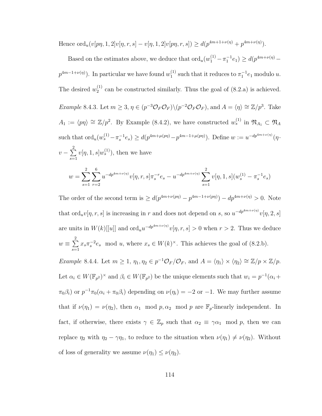Hence  $\text{ord}_u(v[p\eta, 1, 2]v[\eta, r, s] - v[\eta, 1, 2]v[p\eta, r, s]) \ge d(p^{4m+1+\nu(\eta)} + p^{4m+\nu(\eta)}).$ 

Based on the estimates above, we deduce that  $\text{ord}_u(w_1^{(1)} - \pi_1^{-1}e_1) \ge d(p^{4m+\nu(\eta)}$  $p^{4m-1+\nu(\eta)}$ . In particular we have found  $w_1^{(1)}$  $_1^{(1)}$  such that it reduces to  $\pi_1^{-1}e_1$  modulo u. The desired  $w_2^{(1)}$  $2^{(1)}$  can be constructed similarly. Thus the goal of  $(8.2.a)$  is achieved. *Example* 8.4.3. Let  $m \geq 3$ ,  $\eta \in (p^{-3}\mathcal{O}_F\mathcal{O}_F)\backslash(p^{-2}\mathcal{O}_F\mathcal{O}_F)$ , and  $A = \langle \eta \rangle \cong \mathbb{Z}/p^3$ . Take  $A_1 := \langle p\eta \rangle \cong \mathbb{Z}/p^2$ . By Example [\(8.4.2\)](#page-120-2), we have constructed  $w_s^{(1)}$  in  $\mathfrak{N}_{A_1} \subset \mathfrak{N}_A$ such that  $\text{ord}_u(w_s^{(1)} - \pi_s^{-1}e_s) \ge d(p^{4m + \mu(p\eta)} - p^{4m-1+\mu(p\eta)})$ . Define  $w := u^{-dp^{4m+\nu(\eta)}}( \eta \cdot$  $v-\sum^2$  $s=1$  $v[\eta, 1, s]w_s^{(1)}$ , then we have  $w = \sum$ 2  $s=1$  $\sum$ 6  $r=2$  $u^{-dp^{4m+\nu(\eta)}}v[\eta,r,s] \pi_s^{-r} e_s - u^{-dp^{4m+\nu(\eta)}}\sum \limits$ 2  $s=1$  $v[\eta, 1, s](w_s^{(1)} - \pi_s^{-1}e_s)$ 

<span id="page-122-0"></span>The order of the second term is  $\geq d(p^{4m+\nu(p\eta)}-p^{4m-1+\nu(p\eta)})-dp^{4m+\nu(\eta)}>0$ . Note that  $\text{ord}_uv[\eta,r,s]$  is increasing in r and does not depend on s, so  $u^{-dp^{4m+\nu(\eta)}}v[\eta,2,s]$ are units in  $W(k)$ [[u]] and  $\text{ord}_u u^{-dp^{4m+\nu(\eta)}}v[\eta, r, s] > 0$  when  $r > 2$ . Thus we deduce  $w \equiv \sum^2$  $s=1$  $x_s \pi_s^{-2} e_s \mod u$ , where  $x_s \in W(k)^\times$ . This achieves the goal of [\(8.2.](#page-114-0)b). Example 8.4.4. Let  $m \geq 1$ ,  $\eta_1, \eta_2 \in p^{-1}\mathcal{O}_F/\mathcal{O}_F$ , and  $A = \langle \eta_1 \rangle \times \langle \eta_2 \rangle \cong \mathbb{Z}/p \times \mathbb{Z}/p$ . Let  $\alpha_i \in W(\mathbb{F}_{p^2})^{\times}$  and  $\beta_i \in W(\mathbb{F}_{p^2})$  be the unique elements such that  $w_i = p^{-1}(\alpha_i +$  $\pi_0\beta_i$  or  $p^{-1}\pi_0(\alpha_i + \pi_0\beta_i)$  depending on  $\nu(\eta_i) = -2$  or  $-1$ . We may further assume that if  $\nu(\eta_1) = \nu(\eta_2)$ , then  $\alpha_1 \mod p$ ,  $\alpha_2 \mod p$  are  $\mathbb{F}_p$ -linearly independent. In fact, if otherwise, there exists  $\gamma \in \mathbb{Z}_p$  such that  $\alpha_2 \equiv \gamma \alpha_1 \mod p$ , then we can replace  $\eta_2$  with  $\eta_2 - \gamma \eta_1$ , to reduce to the situation when  $\nu(\eta_1) \neq \nu(\eta_2)$ . Without of loss of generality we assume  $\nu(\eta_1) \leq \nu(\eta_2)$ .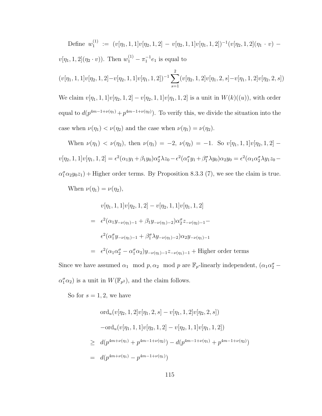Define  $w_1^{(1)}$  $\begin{array}{rcl} \Gamma^{(1)} & := & (v[\eta_1,1,1]v[\eta_2,1,2] \, - \, v[\eta_2,1,1]v[\eta_1,1,2])^{-1}(v[\eta_2,1,2](\eta_1 \, \cdot \, v) \, - \, v \end{array}$  $v[\eta_1, 1, 2](\eta_2 \cdot v)$ . Then  $w_1^{(1)} - \pi_1^{-1} e_1$  is equal to  $(v[\eta_1, 1, 1]v[\eta_2, 1, 2] - v[\eta_2, 1, 1]v[\eta_1, 1, 2])^{-1}\sum$ 2  $s=1$  $(v[\eta_2, 1, 2]v[\eta_1, 2, s] - v[\eta_1, 1, 2]v[\eta_2, 2, s])$ We claim  $v[\eta_1, 1, 1]v[\eta_2, 1, 2] - v[\eta_2, 1, 1]v[\eta_1, 1, 2]$  is a unit in  $W(k)((u))$ , with order equal to  $d(p^{4m-1+\nu(\eta_1)}+p^{4m-1+\nu(\eta_2)})$ . To verify this, we divide the situation into the case when  $\nu(\eta_1) < \nu(\eta_2)$  and the case when  $\nu(\eta_1) = \nu(\eta_2)$ .

When  $\nu(\eta_1) < \nu(\eta_2)$ , then  $\nu(\eta_1) = -2$ ,  $\nu(\eta_2) = -1$ . So  $v[\eta_1, 1, 1]v[\eta_2, 1, 2]$  $v[\eta_2, 1, 1]v[\eta_1, 1, 2] = \epsilon^2(\alpha_1y_1 + \beta_1y_0)\alpha_2^{\sigma}\lambda z_0 - \epsilon^2(\alpha_1^{\sigma}y_1 + \beta_1^{\sigma}\lambda y_0)\alpha_2y_0 = \epsilon^2(\alpha_1\alpha_2^{\sigma}\lambda y_1z_0 \alpha_1^{\sigma} \alpha_2 y_0 z_1$  + Higher order terms. By Proposition [8.3.3](#page-118-0) (7), we see the claim is true.

When  $\nu(\eta_1) = \nu(\eta_2)$ ,

$$
v[\eta_1, 1, 1]v[\eta_2, 1, 2] - v[\eta_2, 1, 1]v[\eta_1, 1, 2]
$$
  
=  $\epsilon^2(\alpha_1 y_{-\nu(\eta_1)-1} + \beta_1 y_{-\nu(\eta_1)-2})\alpha_2^{\sigma} z_{-\nu(\eta_2)-1} -$   
 $\epsilon^2(\alpha_1^{\sigma} y_{-\nu(\eta_1)-1} + \beta_1^{\sigma} \lambda y_{-\nu(\eta_1)-2})\alpha_2 y_{-\nu(\eta_1)-1}$   
=  $\epsilon^2(\alpha_1 \alpha_2^{\sigma} - \alpha_1^{\sigma} \alpha_2) y_{-\nu(\eta_1)-1} z_{-\nu(\eta_1)-1} +$  Higher order terms

Since we have assumed  $\alpha_1 \mod p, \alpha_2 \mod p$  are  $\mathbb{F}_p$ -linearly independent,  $(\alpha_1 \alpha_2^{\sigma} \alpha_1^{\sigma}\alpha_2$ ) is a unit in  $W(\mathbb{F}_{p^2})$ , and the claim follows.

So for  $s = 1, 2$ , we have

$$
\operatorname{ord}_{u}(v[\eta_{2}, 1, 2]v[\eta_{1}, 2, s] - v[\eta_{1}, 1, 2]v[\eta_{2}, 2, s])
$$
  
\n
$$
-\operatorname{ord}_{u}(v[\eta_{1}, 1, 1]v[\eta_{2}, 1, 2] - v[\eta_{2}, 1, 1]v[\eta_{1}, 1, 2])
$$
  
\n
$$
\geq d(p^{4m+\nu(\eta_{1})} + p^{4m-1+\nu(\eta_{2})}) - d(p^{4m-1+\nu(\eta_{1})} + p^{4m-1+\nu(\eta_{2})})
$$
  
\n
$$
= d(p^{4m+\nu(\eta_{1})} - p^{4m-1+\nu(\eta_{1})})
$$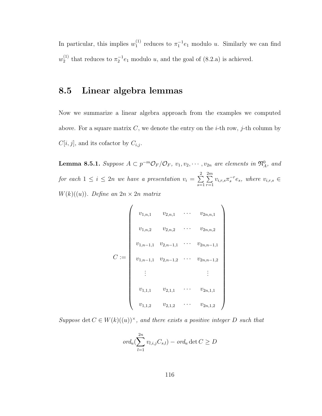In particular, this implies  $w_1^{(1)}$  $_1^{(1)}$  reduces to  $\pi_1^{-1}e_1$  modulo u. Similarly we can find  $w_2^{(1)}$  $n_2^{(1)}$  that reduces to  $\pi_2^{-1}e_1$  modulo u, and the goal of [\(8.2.](#page-114-0)a) is achieved.

### <span id="page-124-0"></span>8.5 Linear algebra lemmas

Now we summarize a linear algebra approach from the examples we computed above. For a square matrix C, we denote the entry on the *i*-th row, *j*-th column by  $C[i, j]$ , and its cofactor by  $C_{i,j}$ .

<span id="page-124-1"></span>**Lemma 8.5.1.** Suppose  $A \subset p^{-m} \mathcal{O}_F/\mathcal{O}_F$ ,  $v_1, v_2, \cdots, v_{2n}$  are elements in  $\mathfrak{N}_A^0$ , and for each  $1 \leq i \leq 2n$  we have a presentation  $v_i = \sum^2$  $s=1$  $\sum_{i=1}^{2m}$  $r=1$  $v_{i,r,s}\pi_s^{-r}e_s$ , where  $v_{i,r,s} \in$  $W(k)((u))$ . Define an  $2n \times 2n$  matrix

$$
C := \begin{pmatrix} v_{1,n,1} & v_{2,n,1} & \cdots & v_{2n,n,1} \\ v_{1,n,2} & v_{2,n,2} & \cdots & v_{2n,n,2} \\ v_{1,n-1,1} & v_{2,n-1,1} & \cdots & v_{2n,n-1,1} \\ v_{1,n-1,1} & v_{2,n-1,2} & \cdots & v_{2n,n-1,2} \\ \vdots & & & \vdots \\ v_{1,1,1} & v_{2,1,1} & \cdots & v_{2n,1,1} \\ v_{1,1,2} & v_{2,1,2} & \cdots & v_{2n,1,2} \end{pmatrix}
$$

Suppose det  $C \in W(k)((u))^{\times}$ , and there exists a positive integer D such that

$$
ord_u(\sum_{l=1}^{2n} v_{l,i,j}C_{s,l}) - ord_u \det C \ge D
$$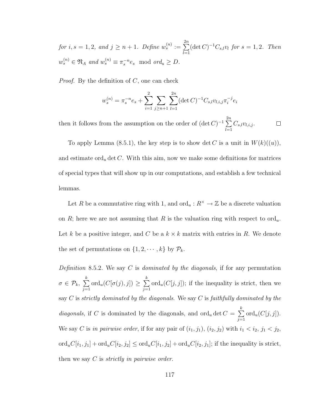for  $i, s = 1, 2, and j \geq n + 1$ . Define  $w_s^{(n)} := \sum^{2n}$  $_{l=1}$  $(\det C)^{-1}C_{s,l}v_l$  for  $s = 1, 2$ . Then  $w_s^{(n)} \in \mathfrak{N}_A$  and  $w_s^{(n)} \equiv \pi_s^{-n} e_s \mod ord_u \ge D$ .

*Proof.* By the definition of  $C$ , one can check

$$
w_s^{(n)} = \pi_s^{-n} e_s + \sum_{i=1}^2 \sum_{j \ge n+1} \sum_{l=1}^{2n} (\det C)^{-1} C_{s,l} v_{l,i,j} \pi_i^{-j} e_i
$$

then it follows from the assumption on the order of  $(\det C)^{-1} \sum_{n=1}^{2n}$  $C_{s,l}v_{l,i,j}$ .  $\Box$  $_{l=1}$ 

To apply Lemma [\(8.5.1\)](#page-124-1), the key step is to show det C is a unit in  $W(k)((u))$ , and estimate ord<sub>u</sub> det C. With this aim, now we make some definitions for matrices of special types that will show up in our computations, and establish a few technical lemmas.

Let R be a commutative ring with 1, and  $\text{ord}_u: R^\times \to \mathbb{Z}$  be a discrete valuation on R; here we are not assuming that R is the valuation ring with respect to  $\text{ord}_u$ . Let k be a positive integer, and C be a  $k \times k$  matrix with entries in R. We denote the set of permutations on  $\{1, 2, \dots, k\}$  by  $\mathcal{P}_k$ .

<span id="page-125-0"></span>Definition 8.5.2. We say C is dominated by the diagonals, if for any permutation  $\sigma \in \mathcal{P}_k,~ \sum\limits_{}^k$  $j=1$ ord<sub>u</sub> $(C[\sigma(j), j]) \geq \sum_{i=1}^{k}$  $j=1$  $\mathrm{ord}_u(C[j,j])$ ; if the inequality is strict, then we say  $C$  is strictly dominated by the diagonals. We say  $C$  is faithfully dominated by the diagonals, if C is dominated by the diagonals, and  $\text{ord}_u \det C = \sum_{k=1}^{k}$  $j=1$  $\mathrm{ord}_u(C[j,j]).$ We say C is in pairwise order, if for any pair of  $(i_1, j_1)$ ,  $(i_2, j_2)$  with  $i_1 < i_2$ ,  $j_1 < j_2$ ,  $\text{ord}_u C[i_1, j_1] + \text{ord}_u C[i_2, j_2] \leq \text{ord}_u C[i_1, j_2] + \text{ord}_u C[i_2, j_1]$ ; if the inequality is strict, then we say  $C$  is *strictly in pairwise order*.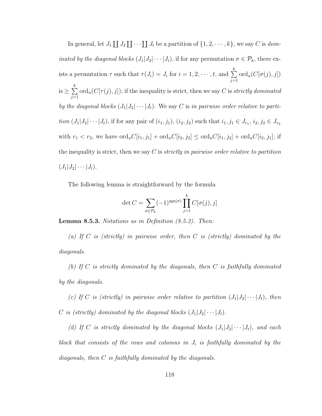In general, let  $J_1 \coprod J_2 \coprod \cdots \coprod J_t$  be a partition of  $\{1, 2, \cdots, k\}$ , we say C is dominated by the diagonal blocks  $(J_1|J_2|\cdots|J_t)$ , if for any permutation  $\sigma \in \mathcal{P}_k$ , there exists a permutation  $\tau$  such that  $\tau(J_i) = J_i$  for  $i = 1, 2, \dots, t$ , and  $\sum_{i=1}^{k} I_i$  $j=1$  $\operatorname{ord}_u(C[\sigma(j),j])$ is  $\geq \sum^k$  $j=1$  $\mathrm{ord}_u(C[\tau(j),j])$ ; if the inequality is strict, then we say C is strictly dominated by the diagonal blocks  $(J_1|J_2|\cdots|J_t)$ . We say C is in pairwise order relative to parti*tion*  $(J_1|J_2|\cdots|J_t)$ , if for any pair of  $(i_1, j_1), (i_2, j_2)$  such that  $i_1, j_1 \in J_{r_1}, i_2, j_2 \in J_{r_2}$ with  $r_1 < r_2$ , we have  $\text{ord}_u C[i_1, j_1] + \text{ord}_u C[i_2, j_2] \le \text{ord}_u C[i_1, j_2] + \text{ord}_u C[i_2, j_1]$ ; if the inequality is strict, then we say C is *strictly in pairwise order relative to partition*  $(J_1|J_2|\cdots|J_t).$ 

The following lemma is straightforward by the formula

$$
\det C = \sum_{\sigma \in \mathcal{P}_k} (-1)^{\text{sgn}(\sigma)} \prod_{j=1}^k C[\sigma(j), j]
$$

<span id="page-126-0"></span>**Lemma 8.5.3.** Notations as in Definition  $(8.5.2)$ . Then:

(a) If C is (strictly) in pairwise order, then C is (strictly) dominated by the diagonals.

(b) If  $C$  is strictly dominated by the diagonals, then  $C$  is faithfully dominated by the diagonals.

(c) If C is (strictly) in pairwise order relative to partition  $(J_1|J_2|\cdots|J_t)$ , then C is (strictly) dominated by the diagonal blocks  $(J_1|J_2|\cdots|J_t)$ .

(d) If C is strictly dominated by the diagonal blocks  $(J_1|J_2|\cdots|J_t)$ , and each block that consists of the rows and columns in  $J_i$  is faithfully dominated by the diagonals, then C is faithfully dominated by the diagonals.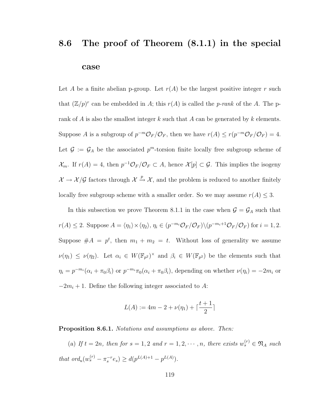## <span id="page-127-0"></span>8.6 The proof of Theorem [\(8.1.1\)](#page-109-0) in the special case

Let A be a finite abelian p-group. Let  $r(A)$  be the largest positive integer r such that  $(\mathbb{Z}/p)^r$  can be embedded in A; this  $r(A)$  is called the p-rank of the A. The prank of A is also the smallest integer k such that A can be generated by k elements. Suppose A is a subgroup of  $p^{-m}\mathcal{O}_F/\mathcal{O}_F$ , then we have  $r(A) \le r(p^{-m}\mathcal{O}_F/\mathcal{O}_F) = 4$ . Let  $\mathcal{G} := \mathcal{G}_A$  be the associated  $p^m$ -torsion finite locally free subgroup scheme of  $\mathcal{X}_m$ . If  $r(A) = 4$ , then  $p^{-1}\mathcal{O}_F/\mathcal{O}_F \subset A$ , hence  $\mathcal{X}[p] \subset \mathcal{G}$ . This implies the isogeny  $\mathcal{X} \to \mathcal{X}/\mathcal{G}$  factors through  $\mathcal{X} \to \mathcal{X}$ , and the problem is reduced to another finitely locally free subgroup scheme with a smaller order. So we may assume  $r(A) \leq 3$ .

In this subsection we prove Theorem [8.1.1](#page-109-0) in the case when  $\mathcal{G} = \mathcal{G}_A$  such that  $r(A) \leq 2$ . Suppose  $A = \langle \eta_1 \rangle \times \langle \eta_2 \rangle$ ,  $\eta_i \in (p^{-m_i} \mathcal{O}_F / \mathcal{O}_F) \setminus (p^{-m_i+1} \mathcal{O}_F / \mathcal{O}_F)$  for  $i = 1, 2$ . Suppose  $#A = p^t$ , then  $m_1 + m_2 = t$ . Without loss of generality we assume  $\nu(\eta_1) \leq \nu(\eta_2)$ . Let  $\alpha_i \in W(\mathbb{F}_{p^2})^{\times}$  and  $\beta_i \in W(\mathbb{F}_{p^2})$  be the elements such that  $\eta_i = p^{-m_i}(\alpha_i + \pi_0 \beta_i)$  or  $p^{-m_i} \pi_0(\alpha_i + \pi_0 \beta_i)$ , depending on whether  $\nu(\eta_i) = -2m_i$  or  $-2m_i + 1$ . Define the following integer associated to A:

$$
L(A) := 4m - 2 + \nu(\eta_1) + \lceil \frac{t+1}{2} \rceil
$$

<span id="page-127-1"></span>Proposition 8.6.1. Notations and assumptions as above. Then:

(a) If  $t = 2n$ , then for  $s = 1, 2$  and  $r = 1, 2, \dots, n$ , there exists  $w_s^{(r)} \in \mathfrak{N}_A$  such that  $ord_u(w_s^{(r)} - \pi_s^{-r} e_s) \geq d(p^{L(A)+1} - p^{L(A)}).$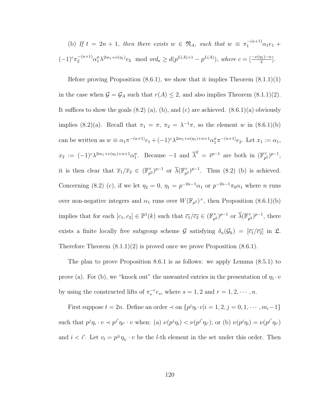(b) If 
$$
t = 2n + 1
$$
, then there exists  $w \in \mathfrak{N}_A$ , such that  $w \equiv \pi_1^{-(n+1)} \alpha_1 e_1 + (-1)^c \pi_2^{-(n+1)} \alpha_1^c \lambda^{2m_1 + \nu(n_1)} e_2$  mod  $ord_u \geq d(p^{L(A)+1} - p^{L(A)})$ , where  $c = \left[\frac{-\nu(n_1) - n}{2}\right]$ .

Before proving Proposition  $(8.6.1)$ , we show that it implies Theorem  $(8.1.1)(1)$ in the case when  $G = G_A$  such that  $r(A) \leq 2$ , and also implies Theorem [\(8.1.1\)](#page-109-0)(2). It suffices to show the goals  $(8.2)$  (a), (b), and (c) are achieved.  $(8.6.1)(a)$  obviously implies [\(8.2\)](#page-114-0)(a). Recall that  $\pi_1 = \pi$ ,  $\pi_2 = \lambda^{-1}\pi$ , so the element w in [\(8.6.1\)](#page-127-1)(b) can be written as  $w \equiv \alpha_1 \pi^{-(n+1)} e_1 + (-1)^c \lambda^{2m_1 + \nu(\eta_1) + n + 1} \alpha_1^{\sigma} \pi^{-(n+1)} e_2$ . Let  $x_1 := \alpha_1$ ,  $x_2 := (-1)^c \lambda^{2m_1 + \nu(\eta_1) + n + 1} \alpha_1^{\sigma}$ . Because  $-1$  and  $\overline{\lambda}^2 = \overline{\epsilon}^{p-1}$  are both in  $(\mathbb{F}_{p^2}^{\times})$  $_{p^{2}}^{\times}$ )<sup>p-1</sup>, it is then clear that  $\overline{x}_1/\overline{x}_2 \in (\mathbb{F}_{p^2}^{\times})$  $(\mathbb{F}_{p^2})^{p-1}$  or  $\overline{\lambda}(\mathbb{F}_{p^2}^{\times})$  $_{p^2}^{\times}$ )<sup>p-1</sup>. Thus [\(8.2\)](#page-114-0) (b) is achieved. Concerning [\(8.2\)](#page-114-0) (c), if we let  $\eta_2 = 0$ ,  $\eta_1 = p^{-2n-1}\alpha_1$  or  $p^{-2n-1}\pi_0\alpha_1$  where *n* runs over non-negative integers and  $\alpha_1$  runs over  $W(\mathbb{F}_{p^2})^{\times}$ , then Proposition [\(8.6.1\)](#page-127-1)(b) implies that for each  $[c_1, c_2] \in \mathbb{P}^1(k)$  such that  $\overline{c_1}/\overline{c_2} \in (\mathbb{F}_{p^2}^{\times})$  $(\mathbb{F}_{p^2})^{p-1}$  or  $\overline{\lambda}(\mathbb{F}_{p^2}^{\times})$  $_{p^2}^{\times}$ )<sup>p-1</sup>, there exists a finite locally free subgroup scheme G satisfying  $\delta_n(\mathcal{G}_k) = [\overline{c_1}/\overline{c_2}]$  in  $\mathfrak{L}$ . Therefore Theorem  $(8.1.1)(2)$  is proved once we prove Proposition  $(8.6.1)$ .

The plan to prove Proposition [8.6.1](#page-127-1) is as follows: we apply Lemma [\(8.5.1\)](#page-124-1) to prove (a). For (b), we "knock out" the unwanted entries in the presentation of  $\eta_1 \cdot v$ by using the constructed lifts of  $\pi_s^{-r}e_s$ , where  $s = 1, 2$  and  $r = 1, 2, \cdots, n$ .

First suppose  $t = 2n$ . Define an order  $\prec$  on  $\{p^j \eta_i \cdot v | i = 1, 2, j = 0, 1, \cdots, m_i - 1\}$ such that  $p^j \eta_i \cdot v \prec p^{j'} \eta_{i'} \cdot v$  when: (a)  $\nu(p^j \eta_i) \prec \nu(p^{j'} \eta_{i'});$  or (b)  $\nu(p^j \eta_i) = \nu(p^{j'} \eta_{i'})$ and  $i < i'$ . Let  $v_l = p^{j_l} \eta_{i_l} \cdot v$  be the *l*-th element in the set under this order. Then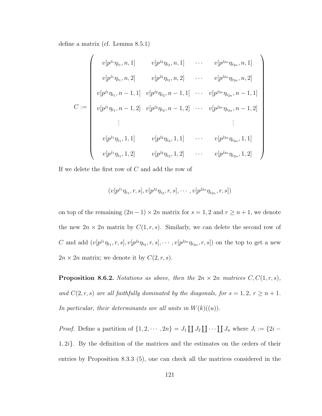define a matrix (cf. Lemma [8.5.1\)](#page-124-1)

$$
C := \begin{pmatrix} v[p^{j_1}\eta_{i_1}, n, 1] & v[p^{j_2}\eta_{i_2}, n, 1] & \cdots & v[p^{j_{2n}}\eta_{i_{2n}}, n, 1] \\ v[p^{j_1}\eta_{i_1}, n, 2] & v[p^{j_2}\eta_{i_2}, n, 2] & \cdots & v[p^{j_{2n}}\eta_{i_{2n}}, n, 2] \\ v[p^{j_1}\eta_{i_1}, n-1, 1] & v[p^{j_2}\eta_{i_2}, n-1, 1] & \cdots & v[p^{j_{2n}}\eta_{i_{2n}}, n-1, 1] \\ v[p^{j_1}\eta_{i_1}, n-1, 2] & v[p^{j_2}\eta_{i_2}, n-1, 2] & \cdots & v[p^{j_{2n}}\eta_{i_{2n}}, n-1, 2] \\ \vdots & & \vdots & \\ v[p^{j_1}\eta_{i_1}, 1, 1] & v[p^{j_2}\eta_{i_2}, 1, 1] & \cdots & v[p^{j_{2n}}\eta_{i_{2n}}, 1, 1] \\ v[p^{j_1}\eta_{i_1}, 1, 2] & v[p^{j_2}\eta_{i_2}, 1, 2] & \cdots & v[p^{j_{2n}}\eta_{i_{2n}}, 1, 2] \end{pmatrix}
$$

If we delete the first row of C and add the row of

$$
(v[p^{j_1}\eta_{i_1},r,s],v[p^{j_2}\eta_{i_2},r,s],\cdots,v[p^{j_{2n}}\eta_{i_{2n}},r,s])
$$

on top of the remaining  $(2n - 1) \times 2n$  matrix for  $s = 1, 2$  and  $r \ge n + 1$ , we denote the new  $2n \times 2n$  matrix by  $C(1, r, s)$ . Similarly, we can delete the second row of C and add  $(v[p^{j_1}\eta_{i_1}, r, s], v[p^{j_2}\eta_{i_2}, r, s], \cdots, v[p^{j_{2n}}\eta_{i_{2n}}, r, s])$  on the top to get a new  $2n \times 2n$  matrix; we denote it by  $C(2, r, s)$ .

<span id="page-129-0"></span>**Proposition 8.6.2.** Notations as above, then the  $2n \times 2n$  matrices  $C, C(1, r, s)$ , and  $C(2, r, s)$  are all faithfully dominated by the diagonals, for  $s = 1, 2, r \ge n + 1$ . In particular, their determinants are all units in  $W(k)((u))$ .

*Proof.* Define a partition of  $\{1, 2, \dots, 2n\} = J_1 \coprod J_2 \coprod \dots \coprod J_n$  where  $J_i := \{2i 1, 2i$ . By the definition of the matrices and the estimates on the orders of their entries by Proposition [8.3.3](#page-118-0) (5), one can check all the matrices considered in the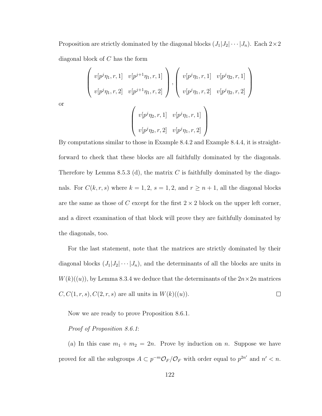Proposition are strictly dominated by the diagonal blocks  $(J_1|J_2|\cdots|J_n)$ . Each  $2\times 2$ diagonal block of C has the form

$$
\left(\begin{array}{cc} v[p^j\eta_1, r, 1] & v[p^{j+1}\eta_1, r, 1] \\ v[p^j\eta_1, r, 2] & v[p^{j+1}\eta_1, r, 2] \end{array}\right), \left(\begin{array}{cc} v[p^j\eta_1, r, 1] & v[p^j\eta_2, r, 1] \\ v[p^j\eta_1, r, 2] & v[p^j\eta_2, r, 2] \end{array}\right)
$$

$$
\left(\begin{array}{cc} v[p^j\eta_2, r, 1] & v[p^j\eta_1, r, 1] \end{array}\right)
$$

or

$$
\left( \begin{array}{cc} v[p^j \eta_2, r, 1] & v[p^j \eta_1, r, 1] \\ v[p^j \eta_2, r, 2] & v[p^j \eta_1, r, 2] \end{array} \right)
$$

By computations similar to those in Example [8.4.2](#page-120-2) and Example [8.4.4,](#page-122-0) it is straightforward to check that these blocks are all faithfully dominated by the diagonals. Therefore by Lemma [8.5.3](#page-126-0) (d), the matrix  $C$  is faithfully dominated by the diagonals. For  $C(k, r, s)$  where  $k = 1, 2, s = 1, 2,$  and  $r \ge n + 1$ , all the diagonal blocks are the same as those of C except for the first  $2 \times 2$  block on the upper left corner, and a direct examination of that block will prove they are faithfully dominated by the diagonals, too.

For the last statement, note that the matrices are strictly dominated by their diagonal blocks  $(J_1|J_2|\cdots|J_n)$ , and the determinants of all the blocks are units in  $W(k)((u))$ , by Lemma [8.3.4](#page-120-1) we deduce that the determinants of the  $2n \times 2n$  matrices  $C, C(1, r, s), C(2, r, s)$  are all units in  $W(k)((u))$ .  $\Box$ 

Now we are ready to prove Proposition [8.6.1.](#page-127-1)

#### Proof of Proposition [8.6.1](#page-127-1):

(a) In this case  $m_1 + m_2 = 2n$ . Prove by induction on n. Suppose we have proved for all the subgroups  $A \subset p^{-m} \mathcal{O}_F / \mathcal{O}_F$  with order equal to  $p^{2n'}$  and  $n' < n$ .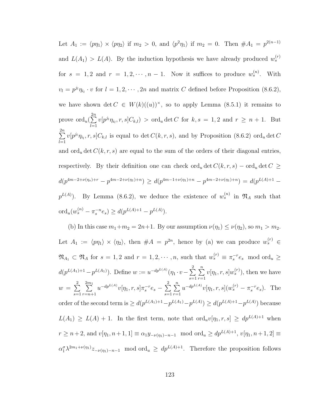Let  $A_1 := \langle p\eta_1 \rangle \times \langle p\eta_2 \rangle$  if  $m_2 > 0$ , and  $\langle p^2\eta_1 \rangle$  if  $m_2 = 0$ . Then  $\#A_1 = p^{2(n-1)}$ and  $L(A_1) > L(A)$ . By the induction hypothesis we have already produced  $w_s^{(r)}$ for  $s = 1, 2$  and  $r = 1, 2, \cdots, n - 1$ . Now it suffices to produce  $w_s^{(n)}$ . With  $v_l = p^{j_l} \eta_{i_l} \cdot v$  for  $l = 1, 2, \dots, 2n$  and matrix C defined before Proposition [\(8.6.2\)](#page-129-0), we have shown det  $C \in W(k)((u))^{\times}$ , so to apply Lemma [\(8.5.1\)](#page-124-1) it remains to prove  $\operatorname{ord}_u(\sum^{2n}$  $_{l=1}$  $v[p^{j_l}\eta_{i_l}, r, s]C_{k,l}$  > ord<sub>u</sub> det C for  $k, s = 1, 2$  and  $r \geq n + 1$ . But  $\sum_{n=1}^{2n}$  $_{l=1}$  $v[p^{j_l}\eta_{i_l}, r, s]C_{k,l}$  is equal to det  $C(k, r, s)$ , and by Proposition [\(8.6.2\)](#page-129-0) ord<sub>u</sub> det C and ord<sub>u</sub> det  $C(k, r, s)$  are equal to the sum of the orders of their diagonal entries, respectively. By their definition one can check  $\text{ord}_u \det C(k, r, s) - \text{ord}_u \det C \geq$  $d(p^{4m-2+\nu(\eta_s)+r}-p^{4m-2+\nu(\eta_1)+n})\geq d(p^{4m-1+\nu(\eta_1)+n}-p^{4m-2+\nu(\eta_1)+n})=d(p^{L(A)+1}-n)$  $p^{L(A)}$ ). By Lemma [\(8.6.2\)](#page-129-0), we deduce the existence of  $w_s^{(n)}$  in  $\mathfrak{N}_A$  such that ord<sub>u</sub> $(w_s^{(n)} - \pi_s^{-n} e_s) \ge d(p^{L(A)+1} - p^{L(A)}).$ 

(b) In this case  $m_1+m_2=2n+1$ . By our assumption  $\nu(\eta_1) \leq \nu(\eta_2)$ , so  $m_1 > m_2$ . Let  $A_1 := \langle p\eta_1 \rangle \times \langle \eta_2 \rangle$ , then  $\#A = p^{2n}$ , hence by (a) we can produce  $w_s^{(r)} \in$  $\mathfrak{N}_{A_1} \subset \mathfrak{N}_A$  for  $s = 1, 2$  and  $r = 1, 2, \cdots, n$ , such that  $w_s^{(r)} \equiv \pi_s^{-r} e_s \mod \text{ord}_u \geq 0$  $d(p^{L(A_1)+1}-p^{L(A_1)})$ . Define  $w:=u^{-dp^{L(A)}}(\eta_1\cdot v-\sum_{i=1}^2$  $s=1$  $\sum_{n=1}^{\infty}$  $r=1$  $v[\eta_1, r, s]w_s^{(r)}$ ), then we have  $w = \sum^2$  $s=1$  $\sum_{ }^{2m_{1}}$  $r=n+1$  $u^{-dp^{L(A)}}v[\eta_1, r, s]\pi_s^{-r}e_s - \sum^2$  $s=1$  $\sum_{n=1}^{\infty}$  $r=1$  $u^{-dp^{L(A)}}v[\eta_1, r, s](w_s^{(r)} - \pi_s^{-r}e_s).$  The order of the second term is  $\geq d(p^{L(A_1)+1}-p^{L(A_1)}-p^{L(A)}) \geq d(p^{L(A)+1}-p^{L(A)})$  because  $L(A_1) \geq L(A) + 1$ . In the first term, note that  $\text{ord}_u v[\eta_1, r, s] \geq dp^{L(A)+1}$  when  $r \ge n+2$ , and  $v[\eta_1, n+1, 1] \equiv \alpha_1 y_{-\nu(\eta_1)-n-1} \mod \text{ord}_u \ge dp^{L(A)+1}, v[\eta_1, n+1, 2] \equiv$  $\alpha_1^{\sigma} \lambda^{2m_1+\nu(\eta_1)} z_{-\nu(\eta_1)-n-1}$  mod ord<sub>u</sub>  $\geq dp^{L(A)+1}$ . Therefore the proposition follows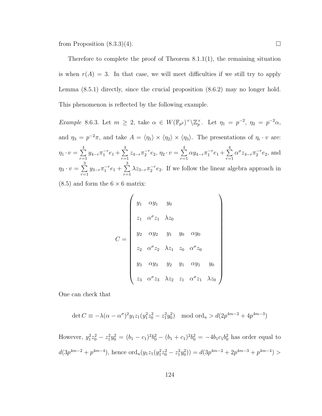from Proposition  $(8.3.3)(4)$ .

Therefore to complete the proof of Theorem  $8.1.1(1)$  $8.1.1(1)$ , the remaining situation is when  $r(A) = 3$ . In that case, we will meet difficulties if we still try to apply Lemma [\(8.5.1\)](#page-124-1) directly, since the crucial proposition [\(8.6.2\)](#page-129-0) may no longer hold. This phenomenon is reflected by the following example.

<span id="page-132-0"></span>Example 8.6.3. Let  $m \geq 2$ , take  $\alpha \in W(\mathbb{F}_{p^2})^{\times} \backslash \mathbb{Z}_p^{\times}$ . Let  $\eta_1 = p^{-2}$ ,  $\eta_2 = p^{-2} \alpha$ , and  $\eta_3 = p^{-2}\pi$ , and take  $A = \langle \eta_1 \rangle \times \langle \eta_2 \rangle \times \langle \eta_3 \rangle$ . The presentations of  $\eta_i \cdot v$  are:  $\eta_1 \cdot v = \sum^4$  $r=1$  $y_{4-r}\pi_1^{-r}e_1+\sum_1^4$  $r=1$  $z_{4-r}\pi_2^{-r}e_2, \eta_2 \cdot v = \sum_{r=1}^4$  $r=1$  $\alpha y_{4-r} \pi_1^{-r} e_1 + \sum_{r=1}^4$  $r=1$  $\alpha^{\sigma} z_{4-r} \pi_2^{-r} e_2$ , and  $\eta_3 \cdot v = \sum^3$  $r=1$  $y_{3-r}\pi_1^{-r}e_1+\sum_{r=1}^3$  $r=1$  $\lambda z_{3-r} \pi_2^{-r} e_2$ . If we follow the linear algebra approach in

 $(8.5)$  and form the  $6 \times 6$  matrix:

$$
C = \begin{pmatrix} y_1 & \alpha y_1 & y_0 \\ z_1 & \alpha^{\sigma} z_1 & \lambda z_0 \\ y_2 & \alpha y_2 & y_1 & y_0 & \alpha y_0 \\ z_2 & \alpha^{\sigma} z_2 & \lambda z_1 & z_0 & \alpha^{\sigma} z_0 \\ y_3 & \alpha y_3 & y_2 & y_1 & \alpha y_1 & y_0 \\ z_3 & \alpha^{\sigma} z_3 & \lambda z_2 & z_1 & \alpha^{\sigma} z_1 & \lambda z_0 \end{pmatrix}
$$

One can check that

$$
\det C \equiv -\lambda(\alpha - \alpha^{\sigma})^2 y_1 z_1 (y_1^2 z_0^2 - z_1^2 y_0^2) \mod \text{ord}_u > d(2p^{4m-2} + 4p^{4m-3})
$$

However,  $y_1^2 z_0^2 - z_1^2 y_0^2 = (b_1 - c_1)^2 b_0^2 - (b_1 + c_1)^2 b_0^2 = -4b_1 c_1 b_0^2$  has order equal to  $d(3p^{4m-2} + p^{4m-4}),$  hence  $\text{ord}_u(y_1z_1(y_1^2z_0^2 - z_1^2y_0^2)) = d(3p^{4m-2} + 2p^{4m-3} + p^{4m-4}) >$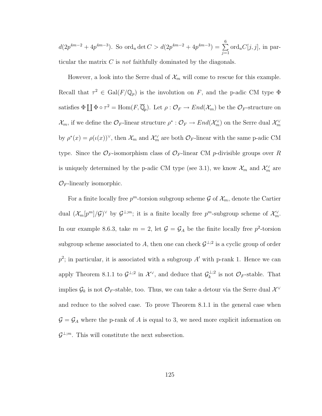$d(2p^{4m-2} + 4p^{4m-3})$ . So ord<sub>u</sub> det  $C > d(2p^{4m-2} + 4p^{4m-3}) = \sum_{n=0}^{6}$  $j=1$  $\operatorname{ord}_uC[j,j],$  in particular the matrix  $C$  is *not* faithfully dominated by the diagonals.

However, a look into the Serre dual of  $\mathcal{X}_m$  will come to rescue for this example. Recall that  $\tau^2 \in \text{Gal}(F/\mathbb{Q}_p)$  is the involution on F, and the p-adic CM type  $\Phi$ satisfies  $\Phi \coprod \Phi \circ \tau^2 = \text{Hom}(F, \overline{\mathbb{Q}}_p)$ . Let  $\rho : \mathcal{O}_F \to End(\mathcal{X}_m)$  be the  $\mathcal{O}_F$ -structure on  $\mathcal{X}_m$ , if we define the  $\mathcal{O}_F$ -linear structure  $\rho^*:\mathcal{O}_F\to End(\mathcal{X}_m^{\vee})$  on the Serre dual  $\mathcal{X}_m^{\vee}$ by  $\rho^*(x) = \rho(\iota(x))^\vee$ , then  $\mathcal{X}_m$  and  $\mathcal{X}_m^\vee$  are both  $\mathcal{O}_F$ -linear with the same p-adic CM type. Since the  $\mathcal{O}_F$ -isomorphism class of  $\mathcal{O}_F$ -linear CM p-divisible groups over R is uniquely determined by the p-adic CM type (see [3.1\)](#page-23-0), we know  $\mathcal{X}_m$  and  $\mathcal{X}_m^{\vee}$  are  $\mathcal{O}_F$ -linearly isomorphic.

For a finite locally free  $p^m$ -torsion subgroup scheme G of  $\mathcal{X}_m$ , denote the Cartier dual  $(\mathcal{X}_m[p^m]/\mathcal{G})^{\vee}$  by  $\mathcal{G}^{\perp;m}$ ; it is a finite locally free  $p^m$ -subgroup scheme of  $\mathcal{X}_m^{\vee}$ . In our example [8.6.3,](#page-132-0) take  $m = 2$ , let  $\mathcal{G} = \mathcal{G}_A$  be the finite locally free  $p^2$ -torsion subgroup scheme associated to A, then one can check  $\mathcal{G}^{\perp;2}$  is a cyclic group of order  $p^2$ ; in particular, it is associated with a subgroup  $A'$  with p-rank 1. Hence we can apply Theorem [8.1.1](#page-109-0) to  $\mathcal{G}^{\perp;2}$  in  $\mathcal{X}^{\vee}$ , and deduce that  $\mathcal{G}_k^{\perp;2}$  $\mathcal{C}_k^{\perp;2}$  is not  $\mathcal{O}_F$ -stable. That implies  $\mathcal{G}_k$  is not  $\mathcal{O}_F$ -stable, too. Thus, we can take a detour via the Serre dual  $\mathcal{X}^{\vee}$ and reduce to the solved case. To prove Theorem [8.1.1](#page-109-0) in the general case when  $\mathcal{G} = \mathcal{G}_A$  where the p-rank of A is equal to 3, we need more explicit information on  $\mathcal{G}^{\perp;m}$ . This will constitute the next subsection.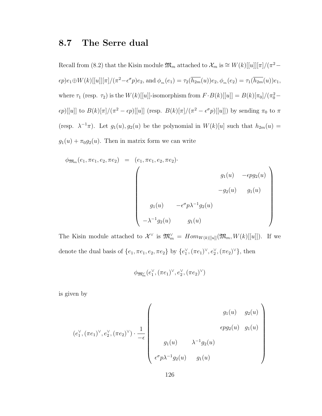### <span id="page-134-0"></span>8.7 The Serre dual

Recall from [\(8.2\)](#page-114-0) that the Kisin module  $\mathfrak{M}_m$  attached to  $\mathcal{X}_m$  is  $\cong W(k)[[u]][\pi]/(\pi^2 \epsilon p)e_1\oplus W(k)[[u]][\pi]/(\pi^2-\epsilon^{\sigma}p)e_2$ , and  $\phi_m(e_1)=\tau_2(\overline{h_{2m}}(u))e_2, \phi_m(e_2)=\tau_1(\overline{h_{2m}}(u))e_1$ , where  $\tau_1$  (resp.  $\tau_2$ ) is the  $W(k)$ [[u]]-isomorphism from  $F \cdot B(k)$ [[u]] =  $B(k) [\pi_0] / (\pi_0^2 \epsilon p)[[u]]$  to  $B(k)[\pi]/(\pi^2 - \epsilon p)[[u]]$  (resp.  $B(k)[\pi]/(\pi^2 - \epsilon^{\sigma}p)[[u]]$ ) by sending  $\pi_0$  to  $\pi$ (resp.  $\lambda^{-1}\pi$ ). Let  $g_1(u), g_2(u)$  be the polynomial in  $W(k)[u]$  such that  $h_{2m}(u)$  =  $g_1(u) + \pi_0 g_2(u)$ . Then in matrix form we can write

$$
\phi_{\mathfrak{M}_m}(e_1, \pi e_1, e_2, \pi e_2) = (e_1, \pi e_1, e_2, \pi e_2)
$$
\n
$$
g_1(u) - \epsilon p g_2(u)
$$
\n
$$
-g_2(u) - g_1(u)
$$
\n
$$
g_1(u) - \epsilon^{\sigma} p \lambda^{-1} g_2(u)
$$
\n
$$
-\lambda^{-1} g_2(u) - g_1(u)
$$

The Kisin module attached to  $\mathcal{X}^{\vee}$  is  $\mathfrak{M}_{m}^{\vee} = Hom_{W(k)[[u]]}(\mathfrak{M}_{m}, W(k)[[u]])$ . If we denote the dual basis of  $\{e_1, \pi e_1, e_2, \pi e_2\}$  by  $\{e_1^{\vee}, (\pi e_1)^{\vee}, e_2^{\vee}, (\pi e_2)^{\vee}\},\$  then

$$
\phi_{\mathfrak{M}_m^\vee}(e_1^\vee,(\pi e_1)^\vee,e_2^\vee,(\pi e_2)^\vee)
$$

is given by

$$
(e_1^{\vee}, (\pi e_1)^{\vee}, e_2^{\vee}, (\pi e_2)^{\vee}) \cdot \frac{1}{-\epsilon} \left( \begin{array}{cc} g_1(u) & g_2(u) \\ & \epsilon p g_2(u) & g_1(u) \\ & \\ g_1(u) & \lambda^{-1} g_2(u) \\ & \\ \epsilon^{\sigma} p \lambda^{-1} g_2(u) & g_1(u) \end{array} \right)
$$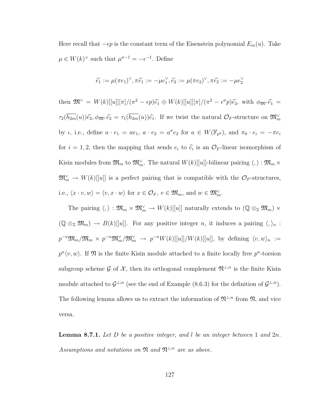Here recall that  $-\epsilon p$  is the constant term of the Eisenstein polynomial  $E_m(u)$ . Take  $\mu \in W(k)^{\times}$  such that  $\mu^{\sigma-1} = -\epsilon^{-1}$ . Define

$$
\widehat{e_1} := \mu(\pi e_1)^{\vee}, \pi \widehat{e_1} := -\mu e_1^{\vee}, \widehat{e_2} := \mu(\pi e_2)^{\vee}, \pi \widehat{e_2} := -\mu e_2^{\vee}
$$

then  $\mathfrak{M}^{\vee} = W(k)[[u]][\pi]/(\pi^2 - \epsilon p)\hat{e}_1 \oplus W(k)[[u]][\pi]/(\pi^2 - \epsilon^{\sigma}p)\hat{e}_2$ , with  $\phi_{\mathfrak{M}} \hat{e}_1 =$  $\tau_2(\overline{h_{2m}}(u))\widehat{\epsilon_2}, \phi_{\mathfrak{M}}\widetilde{\epsilon_2} = \tau_1(\overline{h_{2m}}(u))\widehat{\epsilon_1}$ . If we twist the natural  $\mathcal{O}_F$ -structure on  $\mathfrak{M}_m^{\vee}$ by *i*, i.e., define  $a \cdot e_1 = ae_1$ ,  $a \cdot e_2 = a^{\sigma}e_2$  for  $a \in W(\mathbb{F}_{p^2})$ , and  $\pi_0 \cdot e_i = -\pi e_i$ for  $i = 1, 2$ , then the mapping that sends  $e_i$  to  $\hat{e}_i$  is an  $\mathcal{O}_F$ -linear isomorphism of Kisin modules from  $\mathfrak{M}_m$  to  $\mathfrak{M}_m^{\vee}$ . The natural  $W(k)[[u]]$ -bilinear pairing  $\langle, \rangle : \mathfrak{M}_m \times$  $\mathfrak{M}_{m}^{\vee} \to W(k)[[u]]$  is a perfect pairing that is compatible with the  $\mathcal{O}_F$ -structures, i.e.,  $\langle x \cdot v, w \rangle = \langle v, x \cdot w \rangle$  for  $x \in \mathcal{O}_F$ ,  $v \in \mathfrak{M}_m$ , and  $w \in \mathfrak{M}_m^{\vee}$ .

The pairing  $\langle,\rangle : \mathfrak{M}_m \times \mathfrak{M}_m^{\vee} \to W(k)[[u]]$  naturally extends to  $(\mathbb{Q} \otimes_{\mathbb{Z}} \mathfrak{M}_m) \times$  $(\mathbb{Q} \otimes_{\mathbb{Z}} \mathfrak{M}_m) \to B(k)[[u]]$ . For any positive integer n, it induces a pairing  $\langle, \rangle_n$ :  $p^{-n}\mathfrak{M}_m/\mathfrak{M}_m\times p^{-n}\mathfrak{M}_m^\vee/\mathfrak{M}_m^\vee\;\to\;p^{-n}W(k)[[u]]/W(k)[[u]],\, \text{ by defining }\,\langle v,w\rangle_n\;:=$  $p^{n}\langle v, w \rangle$ . If  $\mathfrak{N}$  is the finite Kisin module attached to a finite locally free  $p^{n}$ -torsion subgroup scheme G of  $\mathcal{X}$ , then its orthogonal complement  $\mathfrak{N}^{\perp;n}$  is the finite Kisin module attached to  $\mathcal{G}^{\perp;n}$  (see the end of Example [\(8.6.3\)](#page-132-0) for the definition of  $\mathcal{G}^{\perp;n}$ ). The following lemma allows us to extract the information of  $\mathfrak{N}^{\perp,n}$  from  $\mathfrak{N}$ , and vice versa.

<span id="page-135-0"></span>**Lemma 8.7.1.** Let  $D$  be a positive integer, and  $l$  be an integer between 1 and  $2n$ . Assumptions and notations on  $\mathfrak{N}$  and  $\mathfrak{N}^{\perp;n}$  are as above.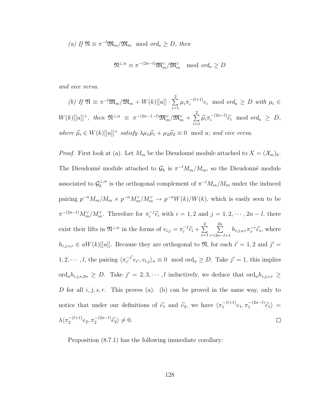(a) If 
$$
\mathfrak{N} \equiv \pi^{-l} \mathfrak{M}_m / \mathfrak{M}_m \mod ord_u \geq D
$$
, then

$$
\mathfrak{N}^{\perp;n} \equiv \pi^{-(2n-l)} \mathfrak{M}^{\vee}_{m} / \mathfrak{M}^{\vee}_{m} \mod ord_u \geq D
$$

and vice versa.

(b) If 
$$
\mathfrak{N} \equiv \pi^{-l} \mathfrak{M}_m / \mathfrak{M}_m + W(k)[[u]] \cdot \sum_{i=1}^2 \mu_i \pi_i^{-(l+1)} e_i \mod ord_u \geq D
$$
 with  $\mu_i \in W(k)[[u]]^{\times}$ , then  $\mathfrak{N}^{\perp;n} \equiv \pi^{-(2n-1-l)} \mathfrak{M}_m^{\vee} / \mathfrak{M}_m^{\vee} + \sum_{i=1}^2 \widehat{\mu_i} \pi_i^{-(2n-l)} \widehat{e_i} \mod ord_u \geq D$ ,  
where  $\widehat{\mu_i} \in W(k)[[u]]^{\times}$  satisfy  $\lambda \mu_1 \widehat{\mu_1} + \mu_2 \widehat{\mu_2} \equiv 0 \mod u$ ; and vice versa.

*Proof.* First look at (a). Let  $M_m$  be the Dieudonné module attached to  $X = (\mathcal{X}_m)_k$ . The Dieudonné module attached to  $\mathcal{G}_k$  is  $\pi^{-l}M_m/M_m$ , so the Dieudonné module associated to  $\mathcal{G}_k^{\perp;n}$  $\int_{k}^{\perp;n}$  is the orthogonal complement of  $\pi^{-l}M_m/M_m$  under the induced pairing  $p^{-n}M_m/M_m \times p^{-n}M_m^{\vee}/M_m^{\vee} \to p^{-n}W(k)/W(k)$ , which is easily seen to be  $\pi^{-(2n-l)} M_m^{\vee} / M_m^{\vee}$ . Therefore for  $\pi_i^{-j}$  $i^{j} \hat{e}_i$  with  $i = 1, 2$  and  $j = 1, 2, \dots, 2n - l$ , there  $\sum_{i}^{-j}\widehat{e_{i}} + \sum_{s=1}^{2}$  $\sum_{n=1}^{2n}$ exist their lifts in  $\mathfrak{N}^{\perp;n}$  in the forms of  $v_{i,j} = \pi_i^{-j}$  $h_{i,j,s,r}\pi_s^{-r}\widehat{e_s}$ , where  $s=1$  $r=2n-l+1$  $h_{i,j,s,r} \in uW(k)[[u]]$ . Because they are orthogonal to  $\mathfrak{N}$ , for each  $i' = 1, 2$  and  $j' =$  $1, 2, \cdots, l$ , the pairing  $\langle \pi_{i'}^{-j'} \rangle$  $\int_{i'}^{-j'} e_{i'}, v_{i,j} \rangle_n \equiv 0 \mod \text{ord}_u \geq D.$  Take  $j' = 1$ , this implies ord<sub>u</sub> $h_{i,j,s,2n} \geq D$ . Take  $j' = 2,3,\dots, l$  inductively, we deduce that ord<sub>u</sub> $h_{i,j,s,r} \geq$ D for all  $i, j, s, r$ . This proves (a). (b) can be proved in the same way, only to notice that under our definitions of  $\hat{e}_1$  and  $\hat{e}_2$ , we have  $\langle \pi_1^{-(l+1)} \rangle$  $e_1^{-\left(l+1\right)}e_1, \pi_1^{-\left(2n-l\right)}$  $e_1^{-(2n-l)}\widehat{e}_1$  =  $\lambda \langle \pi_2^{-(l+1)} \rangle$  $e_2^{- (l+1)} e_2, \pi_2^{-(2n-l)}$  $e^{-\left(2n-l\right)}\widehat{e}_{2}\rangle\neq 0.$  $\Box$ 

<span id="page-136-0"></span>Proposition [\(8.7.1\)](#page-135-0) has the following immediate corollary: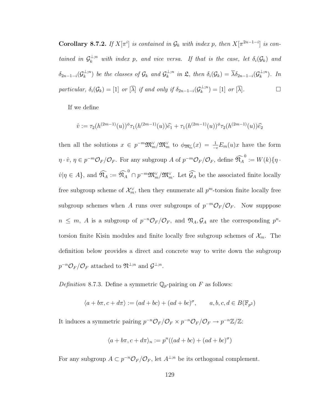**Corollary 8.7.2.** If  $X[\pi^i]$  is contained in  $\mathcal{G}_k$  with index p, then  $X[\pi^{2n-1-i}]$  is contained in  $\mathcal{G}_k^{\perp;n}$  with index p, and vice versa. If that is the case, let  $\delta_i(\mathcal{G}_k)$  and  $\delta_{2n-1-i} (\mathcal{G}^{\perp;n}_k$  $(\frac{1}{k};n)$  be the classes of  $\mathcal{G}_k$  and  $\mathcal{G}_k^{\perp;n}$  $\lambda_k^{\perp;n}$  in  $\mathfrak{L}$ , then  $\delta_i(\mathcal{G}_k) = \overline{\lambda} \delta_{2n-1-i}(\mathcal{G}_k^{\perp;n})$  $\binom{m}{k}$ . In particular,  $\delta_i(\mathcal{G}_k) = [1]$  or  $[\overline{\lambda}]$  if and only if  $\delta_{2n-1-i}(\mathcal{G}_k^{\perp;n})$  $\mathcal{L}_k^{\perp,n}$  = [1] or  $[\overline{\lambda}]$ .

If we define

$$
\hat{v} := \tau_2(h^{(2m-1)}(u))^{\phi} \tau_1(h^{(2m-1)}(u)) \hat{e}_1 + \tau_1(h^{(2m-1)}(u))^{\phi} \tau_2(h^{(2m-1)}(u)) \hat{e}_2
$$

then all the solutions  $x \in p^{-m} \mathfrak{M}_m^{\vee} / \mathfrak{M}_m^{\vee}$  to  $\phi_{\mathfrak{M}_m^{\vee}}(x) = \frac{1}{-\epsilon} E_m(u)x$  have the form  $\eta \cdot \hat{v}, \eta \in p^{-m} \mathcal{O}_F / \mathcal{O}_F$ . For any subgroup A of  $p^{-m} \mathcal{O}_F / \mathcal{O}_F$ , define  $\widehat{\mathfrak{N}_A}^0 := W(k) \{ \eta \cdot \widehat{\mathfrak{N}}_A : W(k) \}$  $\hat{v}|\eta \in A\}$ , and  $\widehat{\mathfrak{N}_A} := \widehat{\mathfrak{N}_A}^0 \cap p^{-m} \mathfrak{M}_m^{\vee}/\mathfrak{M}_m^{\vee}$ . Let  $\widehat{\mathcal{G}_A}$  be the associated finite locally free subgroup scheme of  $\mathcal{X}_m^{\vee}$ , then they enumerate all  $p^m$ -torsion finite locally free subgroup schemes when A runs over subgroups of  $p^{-m}\mathcal{O}_F/\mathcal{O}_F$ . Now supppose  $n \leq m$ , A is a subgroup of  $p^{-n}\mathcal{O}_F/\mathcal{O}_F$ , and  $\mathfrak{N}_A$ ,  $\mathcal{G}_A$  are the corresponding  $p^{n}$ torsion finite Kisin modules and finite locally free subgroup schemes of  $\mathcal{X}_m$ . The definition below provides a direct and concrete way to write down the subgroup  $p^{-n}\mathcal{O}_F/\mathcal{O}_F$  attached to  $\mathfrak{N}^{\perp;n}$  and  $\mathcal{G}^{\perp;n}$ .

Definition 8.7.3. Define a symmetric  $\mathbb{Q}_p$ -pairing on F as follows:

$$
\langle a+b\pi, c+d\pi \rangle := (ad+bc) + (ad+bc)^{\sigma}, \qquad a, b, c, d \in B(\mathbb{F}_{p^2})
$$

It induces a symmetric pairing  $p^{-n} \mathcal{O}_F / \mathcal{O}_F \times p^{-n} \mathcal{O}_F / \mathcal{O}_F \to p^{-n} \mathbb{Z}/\mathbb{Z}$ :

$$
\langle a + b\pi, c + d\pi \rangle_n := p^n((ad + bc) + (ad + bc)^{\sigma})
$$

For any subgroup  $A \subset p^{-n} \mathcal{O}_F / \mathcal{O}_F$ , let  $A^{\perp; n}$  be its orthogonal complement.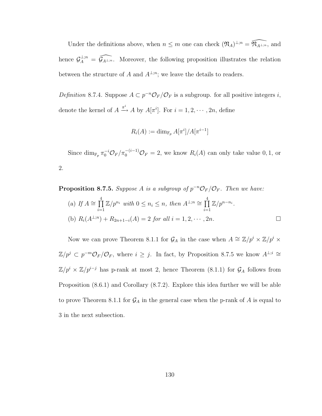Under the definitions above, when  $n \leq m$  one can check  $(\mathfrak{N}_A)^{\perp;n} = \widehat{\mathfrak{N}_{A^{\perp;n}}}$ , and hence  $\mathcal{G}_A^{\perp,n} = \widehat{\mathcal{G}_{A^{\perp,n}}}$ . Moreover, the following proposition illustrates the relation between the structure of A and  $A^{\perp,n}$ ; we leave the details to readers.

Definition 8.7.4. Suppose  $A \subset p^{-n} \mathcal{O}_F / \mathcal{O}_F$  is a subgroup. for all positive integers i, denote the kernel of  $A \xrightarrow{\pi^i} A$  by  $A[\pi^i]$ . For  $i = 1, 2, \cdots, 2n$ , define

$$
R_i(A) := \dim_{\mathbb{F}_p} A[\pi^i]/A[\pi^{i-1}]
$$

Since  $\dim_{\mathbb{F}_p} \pi_0^{-i} \mathcal{O}_F / \pi_0^{-(i-1)} \mathcal{O}_F = 2$ , we know  $R_i(A)$  can only take value 0, 1, or 2.

<span id="page-138-0"></span>**Proposition 8.7.5.** Suppose A is a subgroup of  $p^{-n}\mathcal{O}_F/\mathcal{O}_F$ . Then we have: (a) If  $A \cong \prod^4$  $i=1$  $\mathbb{Z}/p^{n_i}$  with  $0 \leq n_i \leq n$ , then  $A^{\perp;n} \cong \prod^4$  $i=1$  $\mathbb{Z}/p^{n-n_i}$ . (b)  $R_i(A^{\perp;n}) + R_{2n+1-i}(A) = 2$  for all  $i = 1, 2, \dots, 2n$ .

Now we can prove Theorem [8.1.1](#page-109-0) for  $\mathcal{G}_A$  in the case when  $A \cong \mathbb{Z}/p^i \times \mathbb{Z}/p^i \times$  $\mathbb{Z}/p^j \subset p^{-m}\mathcal{O}_F/\mathcal{O}_F$ , where  $i \geq j$ . In fact, by Proposition [8.7.5](#page-138-0) we know  $A^{\perp,i} \cong$  $\mathbb{Z}/p^i \times \mathbb{Z}/p^{i-j}$  has p-rank at most 2, hence Theorem [\(8.1.1\)](#page-109-0) for  $\mathcal{G}_A$  follows from Proposition [\(8.6.1\)](#page-127-1) and Corollary [\(8.7.2\)](#page-136-0). Explore this idea further we will be able to prove Theorem [8.1.1](#page-109-0) for  $\mathcal{G}_A$  in the general case when the p-rank of A is equal to 3 in the next subsection.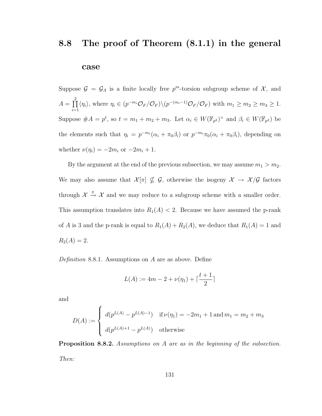### <span id="page-139-0"></span>8.8 The proof of Theorem [\(8.1.1\)](#page-109-0) in the general

#### case

Suppose  $\mathcal{G} = \mathcal{G}_A$  is a finite locally free  $p^m$ -torsion subgroup scheme of  $\mathcal{X}$ , and  $A = \prod^3$  $i=1$  $\langle \eta_i \rangle$ , where  $\eta_i \in (p^{-m_i} \mathcal{O}_F/\mathcal{O}_F) \setminus (p^{-(m_i-1)} \mathcal{O}_F/\mathcal{O}_F)$  with  $m_1 \geq m_2 \geq m_3 \geq 1$ . Suppose  $#A = p^t$ , so  $t = m_1 + m_2 + m_3$ . Let  $\alpha_i \in W(\mathbb{F}_{p^2})^{\times}$  and  $\beta_i \in W(\mathbb{F}_{p^2})$  be the elements such that  $\eta_i = p^{-m_i}(\alpha_i + \pi_0 \beta_i)$  or  $p^{-m_i} \pi_0(\alpha_i + \pi_0 \beta_i)$ , depending on whether  $\nu(\eta_i) = -2m_i$  or  $-2m_i + 1$ .

By the argument at the end of the previous subsection, we may assume  $m_1 > m_2$ . We may also assume that  $\mathcal{X}[\pi] \nsubseteq \mathcal{G}$ , otherwise the isogeny  $\mathcal{X} \to \mathcal{X}/\mathcal{G}$  factors through  $\mathcal{X} \stackrel{\pi}{\rightarrow} \mathcal{X}$  and we may reduce to a subgroup scheme with a smaller order. This assumption translates into  $R_1(A) < 2$ . Because we have assumed the p-rank of A is 3 and the p-rank is equal to  $R_1(A) + R_2(A)$ , we deduce that  $R_1(A) = 1$  and  $R_2(A) = 2.$ 

Definition 8.8.1. Assumptions on  $A$  are as above. Define

$$
L(A) := 4m - 2 + \nu(\eta_1) + \lceil \frac{t+1}{2} \rceil
$$

and

$$
D(A) := \begin{cases} d(p^{L(A)} - p^{L(A)-1}) & \text{if } \nu(\eta_1) = -2m_1 + 1 \text{ and } m_1 = m_2 + m_3 \\ d(p^{L(A)+1} - p^{L(A)}) & \text{otherwise} \end{cases}
$$

<span id="page-139-1"></span>Proposition 8.8.2. Assumptions on A are as in the beginning of the subsection. Then: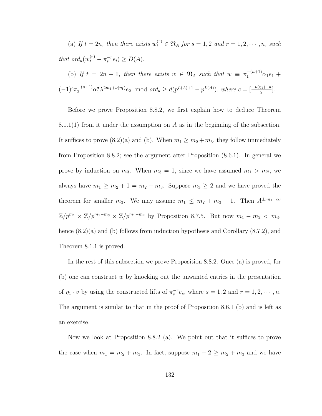(a) If  $t = 2n$ , then there exists  $w_s^{(r)} \in \mathfrak{N}_A$  for  $s = 1, 2$  and  $r = 1, 2, \cdots, n$ , such that  $ord_u(w_s^{(r)} - \pi_s^{-r}e_i) \geq D(A)$ .

(b) If 
$$
t = 2n + 1
$$
, then there exists  $w \in \mathfrak{N}_A$  such that  $w \equiv \pi_1^{-(n+1)} \alpha_1 e_1 + (-1)^c \pi_2^{-(n+1)} \alpha_1^c \lambda^{2m_1 + \nu(\eta_1)} e_2$  mod  $ord_u \geq d(p^{L(A)+1} - p^{L(A)})$ , where  $c = \left[\frac{-\nu(\eta_1) - n}{2}\right]$ .

Before we prove Proposition [8.8.2,](#page-139-1) we first explain how to deduce Theorem [8.1.1\(](#page-109-0)1) from it under the assumption on A as in the beginning of the subsection. It suffices to prove [\(8.2\)](#page-114-0)(a) and (b). When  $m_1 \ge m_2 + m_3$ , they follow immediately from Proposition [8.8.2;](#page-139-1) see the argument after Proposition [\(8.6.1\)](#page-127-1). In general we prove by induction on  $m_3$ . When  $m_3 = 1$ , since we have assumed  $m_1 > m_2$ , we always have  $m_1 \ge m_2 + 1 = m_2 + m_3$ . Suppose  $m_3 \ge 2$  and we have proved the theorem for smaller  $m_3$ . We may assume  $m_1 \leq m_2 + m_3 - 1$ . Then  $A^{\perp;m_1} \cong$  $\mathbb{Z}/p^{m_1} \times \mathbb{Z}/p^{m_1-m_3} \times \mathbb{Z}/p^{m_1-m_2}$  by Proposition [8.7.5.](#page-138-0) But now  $m_1 - m_2 < m_3$ , hence  $(8.2)(a)$  and (b) follows from induction hypothesis and Corollary  $(8.7.2)$ , and Theorem [8.1.1](#page-109-0) is proved.

In the rest of this subsection we prove Proposition [8.8.2.](#page-139-1) Once (a) is proved, for (b) one can construct  $w$  by knocking out the unwanted entries in the presentation of  $\eta_1 \cdot v$  by using the constructed lifts of  $\pi_s^{-r} e_s$ , where  $s = 1, 2$  and  $r = 1, 2, \dots, n$ . The argument is similar to that in the proof of Proposition [8.6.1](#page-127-1) (b) and is left as an exercise.

Now we look at Proposition [8.8.2](#page-139-1) (a). We point out that it suffices to prove the case when  $m_1 = m_2 + m_3$ . In fact, suppose  $m_1 - 2 \ge m_2 + m_3$  and we have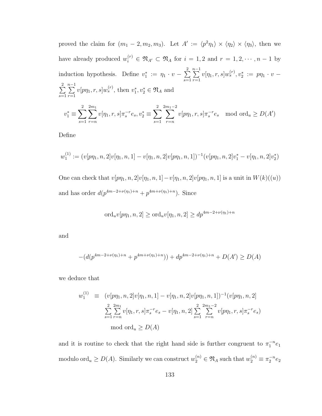proved the claim for  $(m_1 - 2, m_2, m_3)$ . Let  $A' := \langle p^2 \eta_1 \rangle \times \langle \eta_2 \rangle \times \langle \eta_3 \rangle$ , then we have already produced  $w_i^{(r)} \in \mathfrak{N}_{A'} \subset \mathfrak{N}_A$  for  $i = 1, 2$  and  $r = 1, 2, \cdots, n - 1$  by induction hypothesis. Define  $v_1^* := \eta_1 \cdot v - \sum_{i=1}^2$  $s=1$  $\sum_{ }^{n-1}$  $r=1$  $v[\eta_1, r, s]w_s^{(r)}, v_2^* := p\eta_1 \cdot v \sum_{ }^{2}$  $s=1$  $\sum_{ }^{n-1}$  $r=1$  $v[p\eta_1, r, s]w_s^{(r)}$ , then  $v_1^*, v_2^* \in \mathfrak{N}_A$  and  $v_1^* \equiv \sum$ 2  $s=1$  $\sum$  $_{2m_1}$ r=n  $v[\eta_1, r, s] \pi_s^{-r} e_s, v_2^* \equiv \sum$ 2  $s=1$  $\sum^{2m_1-2}$ r=n  $v[p\eta_1, r, s]\pi_s^{-r} e_s \mod \text{ord}_u \ge D(A')$ 

Define

$$
w_1^{(1)} := (v[p\eta_1, n, 2]v[\eta_1, n, 1] - v[\eta_1, n, 2]v[p\eta_1, n, 1])^{-1}(v[p\eta_1, n, 2]v_1^* - v[\eta_1, n, 2]v_2^*)
$$
  
One can check that  $v[p\eta_1, n, 2]v[\eta_1, n, 1] - v[\eta_1, n, 2]v[p\eta_1, n, 1]$  is a unit in  $W(k)((u))$ 

and has order  $d(p^{4m-2+\nu(\eta_1)+n}+p^{4m+\nu(\eta_1)+n})$ . Since

$$
\text{ord}_{u}v[p\eta_{1}, n, 2] \ge \text{ord}_{u}v[\eta_{1}, n, 2] \ge dp^{4m-2+\nu(\eta_{1})+n}
$$

and

$$
-(d(p^{4m-2+\nu(\eta_1)+n}+p^{4m+\nu(\eta_1)+n}))+dp^{4m-2+\nu(\eta_1)+n}+D(A')\geq D(A)
$$

we deduce that

$$
w_1^{(1)} \equiv (v[p\eta_1, n, 2]v[\eta_1, n, 1] - v[\eta_1, n, 2]v[p\eta_1, n, 1])^{-1}(v[p\eta_1, n, 2])
$$
  

$$
\sum_{s=1}^2 \sum_{r=n}^{2m_1} v[\eta_1, r, s] \pi_s^{-r} e_s - v[\eta_1, n, 2] \sum_{s=1}^2 \sum_{r=n}^{2m_1-2} v[p\eta_1, r, s] \pi_s^{-r} e_s
$$
  
mod ord<sub>u</sub>  $\geq D(A)$ 

and it is routine to check that the right hand side is further congruent to  $\pi_1^{-n}e_1$ modulo ord<sub>u</sub>  $\geq D(A)$ . Similarly we can construct  $w_2^{(n)} \in \mathfrak{N}_A$  such that  $w_2^{(n)} \equiv \pi_2^{-n} e_2$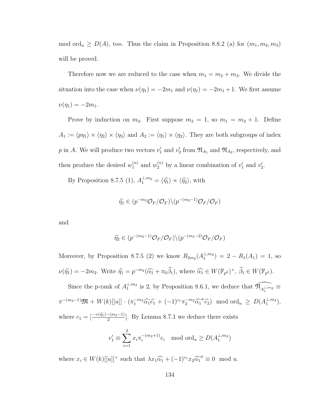mod ord<sub>u</sub>  $\geq D(A)$ , too. Thus the claim in Proposition [8.8.2](#page-139-1) (a) for  $(m_1, m_2, m_3)$ will be proved.

Therefore now we are reduced to the case when  $m_1 = m_2 + m_3$ . We divide the situation into the case when  $\nu(\eta_1) = -2m_1$  and  $\nu(\eta_1) = -2m_1 + 1$ . We first assume  $\nu(\eta_1) = -2m_1.$ 

Prove by induction on  $m_3$ . First suppose  $m_3 = 1$ , so  $m_1 = m_2 + 1$ . Define  $A_1 := \langle p\eta_1 \rangle \times \langle \eta_2 \rangle \times \langle \eta_3 \rangle$  and  $A_2 := \langle \eta_1 \rangle \times \langle \eta_2 \rangle$ . They are both subgroups of index p in A. We will produce two vectors  $v'_1$  and  $v'_2$  from  $\mathfrak{N}_{A_1}$  and  $\mathfrak{N}_{A_2}$ , respectively, and then produce the desired  $w_1^{(n)}$  $u_1^{(n)}$  and  $w_2^{(n)}$  by a linear combination of  $v_1'$  and  $v_2'$ .

By Proposition [8.7.5](#page-138-0) (1),  $A_1^{\perp,m_2} = \langle \hat{\eta}_1 \rangle \times \langle \hat{\eta}_2 \rangle$ , with

$$
\widehat{\eta}_1 \in (p^{-m_2} \mathcal{O}_F / \mathcal{O}_F) \backslash (p^{-(m_2-1)} \mathcal{O}_F / \mathcal{O}_F)
$$

and

$$
\widehat{\eta_2} \in (p^{-(m_2-1)}\mathcal{O}_F/\mathcal{O}_F)\backslash (p^{-(m_2-2)}\mathcal{O}_F/\mathcal{O}_F)
$$

Moreover, by Proposition [8.7.5](#page-138-0) (2) we know  $R_{2m_2}(A_1^{\perp;m_2}) = 2 - R_1(A_1) = 1$ , so  $\nu(\widehat{\eta}_1) = -2m_2$ . Write  $\widehat{\eta}_1 = p^{-m_2}(\widehat{\alpha_1} + \pi_0 \widehat{\beta_1})$ , where  $\widehat{\alpha_1} \in W(\mathbb{F}_{p^2})^{\times}$ ,  $\widehat{\beta_1} \in W(\mathbb{F}_{p^2})$ .

Since the p-rank of  $A_1^{\perp;m_2}$  is 2, by Proposition [8.6.1,](#page-127-1) we deduce that  $\widehat{\mathfrak{N}_{A_1^{\perp;m_2}}}$  $\pi^{-(m_2-1)}\mathfrak{M} + W(k)[[u]] \cdot (\pi_1^{-m_2} \widehat{\alpha_1} \widehat{e_1} + (-1)^{c_1} \pi_2^{-m_2} \widehat{\alpha_1}^{\sigma} \widehat{e_2}) \mod \text{ord}_u \ge D(A_1^{\perp; m_2}),$ where  $c_1 = \left[\frac{-\nu(\hat{n}) - (m_2 - 1)}{2}\right]$ . By Lemma [8.7.1](#page-135-0) we deduce there exists

$$
v_1' \equiv \sum_{i=1}^2 x_i \pi_i^{-(m_2+1)} e_i \mod \text{ord}_u \ge D(A_1^{\perp; m_2})
$$

where  $x_i \in W(k)[[u]]^{\times}$  such that  $\lambda x_1 \widehat{\alpha_1} + (-1)^{c_1} x_2 \widehat{\alpha_1}^{\sigma} \equiv 0 \mod u$ .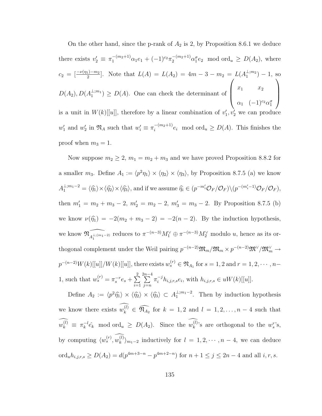On the other hand, since the p-rank of  $A_2$  is 2, by Proposition [8.6.1](#page-127-1) we deduce there exists  $v_2' \equiv \pi_1^{-(m_2+1)} \alpha_1 e_1 + (-1)^{c_2} \pi_2^{-(m_2+1)} \alpha_1^{\sigma} e_2 \mod \text{ord}_u \ge D(A_2)$ , where  $c_2 = \left[\frac{-\nu(\eta_1) - m_2}{2}\right]$ . Note that  $L(A) = L(A_2) = 4m - 3 - m_2 = L(A_1^{\perp; m_2}) - 1$ , so  $D(A_2), D(A_1^{\perp;m_1}) \geq D(A)$ . One can check the determinant of  $\sqrt{ }$  $\overline{\phantom{a}}$  $x_1$   $x_2$  $\alpha_1 \quad (-1)^{c_2} \alpha_1^{\sigma}$  $\setminus$  $\Big\}$ is a unit in  $W(k)$ [[u]], therefore by a linear combination of  $v'_1, v'_2$  we can produce  $w'_1$  and  $w'_2$  in  $\mathfrak{N}_A$  such that  $w'_i \equiv \pi_i^{-(m_2+1)}$  $e_i^{-(m_2+1)}e_i$  mod ord<sub>u</sub>  $\geq D(A)$ . This finishes the proof when  $m_3 = 1$ .

Now suppose  $m_2 \geq 2$ ,  $m_1 = m_2 + m_3$  and we have proved Proposition [8.8.2](#page-139-1) for a smaller  $m_3$ . Define  $A_1 := \langle p^2 \eta_1 \rangle \times \langle \eta_2 \rangle \times \langle \eta_3 \rangle$ , by Proposition [8.7.5](#page-138-0) (a) we know  $A_1^{\perp;m_1-2} = \langle \widehat{\eta_1} \rangle \times \langle \widehat{\eta_2} \rangle \times \langle \widehat{\eta_3} \rangle$ , and if we assume  $\widehat{\eta_i} \in (p^{-m'_i} \mathcal{O}_F / \mathcal{O}_F) \setminus (p^{-(m'_i-1)} \mathcal{O}_F / \mathcal{O}_F)$ , then  $m'_1 = m_2 + m_3 - 2$ ,  $m'_2 = m_2 - 2$ ,  $m'_3 = m_3 - 2$ . By Proposition [8.7.5](#page-138-0) (b) we know  $\nu(\hat{\eta}_1) = -2(m_2 + m_3 - 2) = -2(n - 2)$ . By the induction hypothesis, we know  $\widehat{\mathfrak{N}_{A_1^{\perp,(m_1-2)}}}$  reduces to  $\pi^{-(n-3)}M_1^{\vee} \oplus \pi^{-(n-3)}M_2^{\vee}$  modulo u, hence as its orthogonal complement under the Weil pairing  $p^{-(n-2)} \mathfrak{M}_m / \mathfrak{M}_m \times p^{-(n-2)} \mathfrak{M}^{\vee} / \mathfrak{M}_m^{\vee} \to$  $p^{-(n-2)}W(k)[[u]]/W(k)[[u]]$ , there exists  $w_s^{(r)} \in \mathfrak{N}_{A_1}$  for  $s = 1, 2$  and  $r = 1, 2, \cdots, n-$ 1, such that  $w_s^{(r)} = \pi_s^{-r} e_s + \sum^2$  $i=1$  $\sum_{ }^{2n-4}$  $j=n$  $\pi_i^{-j} h_{i,j,r,s} e_i$ , with  $h_{i,j,r,s} \in uW(k) [[u]].$ 

Define  $A_2 := \langle p^2 \hat{\eta}_1 \rangle \times \langle \hat{\eta}_2 \rangle \times \langle \hat{\eta}_3 \rangle \subset A_1^{\perp; m_1-2}$ . Then by induction hypothesis we know there exists  $w_k^{(l)} \in \widehat{\mathfrak{N}_{A_2}}$  for  $k = 1, 2$  and  $l = 1, 2, ..., n-4$  such that  $w_k^{(l)}~\equiv~\pi_k^{-l}$  $k^{-l}\hat{e_k}$  mod ord<sub>u</sub>  $\ge D(A_2)$ . Since the  $w_k^{(l)}$ 's are orthogonal to the  $w_s^{r}$ 's, by computing  $\langle w_s^{(r)}, w_k^{(l)} \rangle_{m_1-2}$  inductively for  $l = 1, 2, \dots, n-4$ , we can deduce ord<sub>u</sub> $h_{i,j,r,s} \ge D(A_2) = d(p^{4m+3-n} - p^{4m+2-n})$  for  $n+1 \le j \le 2n-4$  and all  $i, r, s$ .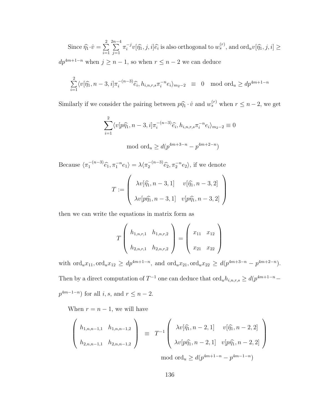Since  $\widehat{\eta}_1 \cdot \widehat{v} = \sum_{i=1}^2$  $i=1$  $\sum_{ }^{2n-4}$  $j=1$  $\pi_i^{-j}$  $\{\hat{y}_i^{-j}v[\hat{\eta}_1, j, i]\hat{\epsilon}_i\}$  is also orthogonal to  $w_s^{(r)}$ , and  $\text{ord}_u v[\hat{\eta}_1, j, i] \geq 0$  $dp^{4m+1-n}$  when  $j \geq n-1$ , so when  $r \leq n-2$  we can deduce

$$
\sum_{i=1}^{2} \langle v[\hat{\eta}_1, n-3, i] \pi_i^{-(n-3)} \hat{e}_i, h_{i,n,r,s} \pi_i^{-n} e_i \rangle_{m_2-2} \equiv 0 \mod \text{ord}_u \ge dp^{4m+1-n}
$$

Similarly if we consider the pairing between  $p\hat{\eta}_1 \cdot \hat{v}$  and  $w_s^{(r)}$  when  $r \leq n-2$ , we get

$$
\sum_{i=1}^{2} \langle v[p\hat{\eta}_1, n-3, i] \pi_i^{-(n-3)} \hat{e}_i, h_{i,n,r,s} \pi_i^{-n} e_i \rangle_{m_2-2} \equiv 0
$$
  
mod ord<sub>u</sub>  $\geq d(p^{4m+3-n} - p^{4m+2-n})$ 

Because  $\langle \pi_1^{-(n-3)} \rangle$  $\overline{e_1}^{(n-3)}\widehat{e_1}, \pi_1^{-n}e_1\rangle = \lambda \langle \pi_2^{-(n-3)}\rangle$  $e_2^{-(n-3)}\hat{e}_2, \pi_2^{-n}e_2\rangle$ , if we denote  $\sqrt{2}$  $\setminus$ 

$$
T := \begin{pmatrix} \lambda v[\hat{\eta_1}, n-3, 1] & v[\hat{\eta_1}, n-3, 2] \\ \lambda v[p\hat{\eta_1}, n-3, 1] & v[p\hat{\eta_1}, n-3, 2] \end{pmatrix}
$$

then we can write the equations in matrix form as

$$
T\left(\begin{array}{cc} h_{1,n,r,1} & h_{1,n,r,2} \\ h_{2,n,r,1} & h_{2,n,r,2} \end{array}\right) = \left(\begin{array}{cc} x_{11} & x_{12} \\ x_{21} & x_{22} \end{array}\right)
$$

with  $\text{ord}_ux_{11}, \text{ord}_ux_{12} \ge dp^{4m+1-n}$ , and  $\text{ord}_ux_{21}, \text{ord}_ux_{22} \ge d(p^{4m+3-n} - p^{4m+2-n})$ . Then by a direct computation of  $T^{-1}$  one can deduce that  $\text{ord}_u h_{i,n,r,s} \geq d(p^{4m+1-n}-1)$  $p^{4m-1-n}$  for all i, s, and  $r \leq n-2$ .

When  $r = n - 1$ , we will have

$$
\begin{pmatrix} h_{1,n,n-1,1} & h_{1,n,n-1,2} \\ h_{2,n,n-1,1} & h_{2,n,n-1,2} \end{pmatrix} \equiv T^{-1} \begin{pmatrix} \lambda v[\hat{\eta}_1, n-2,1] & v[\hat{\eta}_1, n-2,2] \\ \lambda v[p\hat{\eta}_1, n-2,1] & v[p\hat{\eta}_1, n-2,2] \end{pmatrix}
$$

mod ord<sub>u</sub>  $\geq d(p^{4m+1-n} - p^{4m-1-n})$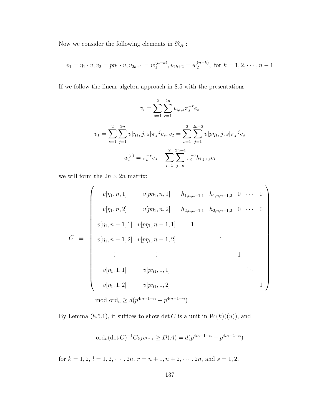Now we consider the following elements in  $\mathfrak{N}_{A_1}$ :

$$
v_1 = \eta_1 \cdot v, v_2 = p\eta_1 \cdot v, v_{2k+1} = w_1^{(n-k)}, v_{2k+2} = w_2^{(n-k)}, \text{ for } k = 1, 2, \cdots, n-1
$$

If we follow the linear algebra approach in [8.5](#page-124-0) with the presentations

$$
v_i = \sum_{s=1}^{2} \sum_{r=1}^{2n} v_{i,r,s} \pi_s^{-r} e_s
$$
  

$$
v_1 = \sum_{s=1}^{2} \sum_{j=1}^{2n} v[\eta_1, j, s] \pi_s^{-j} e_s, v_2 = \sum_{s=1}^{2} \sum_{j=1}^{2n-2} v[p\eta_1, j, s] \pi_s^{-j} e_s
$$
  

$$
w_s^{(r)} = \pi_s^{-r} e_s + \sum_{i=1}^{2} \sum_{j=n}^{2n-4} \pi_i^{-j} h_{i,j,r,s} e_i
$$

we will form the  $2n\times 2n$  matrix:

$$
C \equiv \begin{pmatrix} v[\eta_1, n, 1] & v[p\eta_1, n, 1] & h_{1, n, n-1, 1} & h_{1, n, n-1, 2} & 0 & \cdots & 0 \\ v[\eta_1, n, 2] & v[p\eta_1, n, 2] & h_{2, n, n-1, 1} & h_{2, n, n-1, 2} & 0 & \cdots & 0 \\ v[\eta_1, n-1, 1] & v[p\eta_1, n-1, 1] & 1 & & & & \\ v[\eta_1, n-1, 2] & v[p\eta_1, n-1, 2] & 1 & & & \\ & \vdots & \vdots & & & 1 \\ v[\eta_1, 1, 1] & v[p\eta_1, 1, 1] & \cdots & 1 \\ v[\eta_1, 1, 2] & v[p\eta_1, 1, 2] & & & \\ \text{mod ord}_u \geq d(p^{4m+1-n} - p^{4m-1-n}) & & & \end{pmatrix}
$$

By Lemma [\(8.5.1\)](#page-124-1), it suffices to show det C is a unit in  $W(k)((u))$ , and

$$
\text{ord}_u(\det C)^{-1}C_{k,l}v_{l,r,s} \ge D(A) = d(p^{4m-1-n} - p^{4m-2-n})
$$

for  $k = 1, 2, l = 1, 2, \cdots, 2n, r = n + 1, n + 2, \cdots, 2n,$  and  $s = 1, 2$ .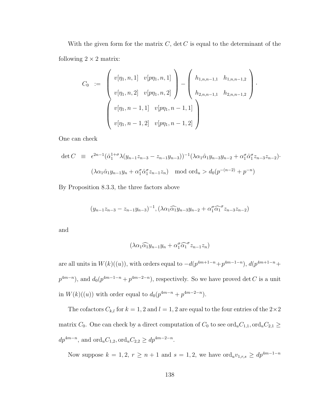With the given form for the matrix  $C$ ,  $\det C$  is equal to the determinant of the following  $2 \times 2$  matrix:

$$
C_0 := \begin{pmatrix} v[\eta_1, n, 1] & v[p\eta_1, n, 1] \\ v[\eta_1, n, 2] & v[p\eta_1, n, 2] \end{pmatrix} - \begin{pmatrix} h_{1,n,n-1,1} & h_{1,n,n-1,2} \\ h_{2,n,n-1,1} & h_{2,n,n-1,2} \end{pmatrix}.
$$
  

$$
v[\eta_1, n-1, 1] \quad v[p\eta_1, n-1, 1]
$$
  

$$
v[\eta_1, n-1, 2] \quad v[p\eta_1, n-1, 2]
$$

One can check

$$
\det C \equiv \epsilon^{2n-1} (\hat{\alpha}_1^{1+\sigma} \lambda (y_{n-1} z_{n-3} - z_{n-1} y_{n-3}))^{-1} (\lambda \alpha_1 \hat{\alpha}_1 y_{n-3} y_{n-2} + \alpha_1^{\sigma} \hat{\alpha}_1^{\sigma} z_{n-3} z_{n-2}) \cdot
$$
  

$$
(\lambda \alpha_1 \hat{\alpha}_1 y_{n-1} y_n + \alpha_1^{\sigma} \hat{\alpha}_1^{\sigma} z_{n-1} z_n) \mod \text{ord}_u > d_0(p^{-(n-2)} + p^{-n})
$$

By Proposition [8.3.3,](#page-118-0) the three factors above

$$
(y_{n-1}z_{n-3}-z_{n-1}y_{n-3})^{-1}, (\lambda\alpha_1\widehat{\alpha_1}y_{n-3}y_{n-2}+\alpha_1^{\sigma}\widehat{\alpha_1}^{\sigma}z_{n-3}z_{n-2})
$$

and

$$
(\lambda \alpha_1 \widehat{\alpha_1} y_{n-1} y_n + \alpha_1^{\sigma} \widehat{\alpha_1}^{\sigma} z_{n-1} z_n)
$$

are all units in  $W(k)((u))$ , with orders equal to  $-d(p^{4m+1-n}+p^{4m-1-n})$ ,  $d(p^{4m+1-n}+p^{4m-1-n})$  $p^{4m-n}$ ), and  $d_0(p^{4m-1-n}+p^{4m-2-n})$ , respectively. So we have proved det C is a unit in  $W(k)((u))$  with order equal to  $d_0(p^{4m-n} + p^{4m-2-n}).$ 

The cofactors  $C_{k,l}$  for  $k = 1, 2$  and  $l = 1, 2$  are equal to the four entries of the  $2 \times 2$ matrix  $C_0$ . One can check by a direct computation of  $C_0$  to see ord<sub>u</sub> $C_{1,1}$ , ord<sub>u</sub> $C_{2,1} \geq$  $dp^{4m-n}$ , and  $\text{ord}_u C_{1,2}, \text{ord}_u C_{2,2} \ge dp^{4m-2-n}$ .

Now suppose  $k = 1, 2, r \ge n + 1$  and  $s = 1, 2$ , we have  $\text{ord}_u v_{1,r,s} \ge dp^{4m-1-n}$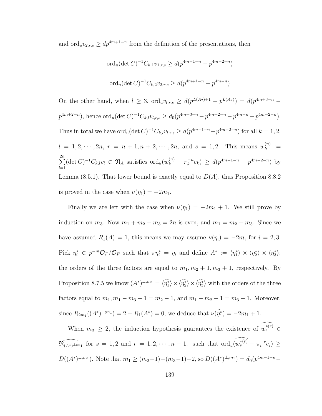and ord<sub>u</sub> $v_{2,r,s} \ge dp^{4m+1-n}$  from the definition of the presentations, then

$$
\begin{aligned} \n\text{ord}_u(\det C)^{-1} C_{k,1} v_{1,r,s} &\ge d(p^{4m-1-n} - p^{4m-2-n})\\ \n\text{ord}_u(\det C)^{-1} C_{k,2} v_{2,r,s} &\ge d(p^{4m+1-n} - p^{4m-n}) \n\end{aligned}
$$

On the other hand, when  $l \geq 3$ ,  $\text{ord}_u v_{l,r,s} \geq d(p^{L(A_2)+1} - p^{L(A_2)}) = d(p^{4m+3-n} - p^{L(A_2)})$  $p^{4m+2-n}$ , hence  $\text{ord}_u(\det C)^{-1}C_{k,l}v_{l,r,s} \geq d_0(p^{4m+3-n}-p^{4m+2-n}-p^{4m-n}-p^{4m-2-n}).$ Thus in total we have  $\text{ord}_u(\det C)^{-1}C_{k,l}v_{l,r,s} \geq d(p^{4m-1-n}-p^{4m-2-n})$  for all  $k=1,2$ ,  $l = 1, 2, \dots, 2n, r = n + 1, n + 2, \dots, 2n, \text{ and } s = 1, 2.$  This means  $w_k^{(n)}$  $k^{(n)} :=$  $\sum_{n=1}^{2n}$  $_{l=1}$  $(\det C)^{-1}C_{k,l}v_l \in \mathfrak{N}_A$  satisfies  $\mathrm{ord}_u(w_k^{(n)} - \pi_k^{-n})$  $e_k^{-n}e_k$ )  $\geq d(p^{4m-1-n}-p^{4m-2-n})$  by Lemma [\(8.5.1\)](#page-124-1). That lower bound is exactly equal to  $D(A)$ , thus Proposition [8.8.2](#page-139-0) is proved in the case when  $\nu(\eta_1) = -2m_1$ .

Finally we are left with the case when  $\nu(\eta_1) = -2m_1 + 1$ . We still prove by induction on  $m_3$ . Now  $m_1 + m_2 + m_3 = 2n$  is even, and  $m_1 = m_2 + m_3$ . Since we have assumed  $R_1(A) = 1$ , this means we may assume  $\nu(\eta_i) = -2m_i$  for  $i = 2, 3$ . Pick  $\eta_i^* \in p^{-m} \mathcal{O}_F / \mathcal{O}_F$  such that  $\pi \eta_i^* = \eta_i$  and define  $A^* := \langle \eta_1^* \rangle \times \langle \eta_2^* \rangle \times \langle \eta_3^* \rangle$ ; the orders of the three factors are equal to  $m_1, m_2 + 1, m_3 + 1$ , respectively. By Proposition [8.7.5](#page-138-0) we know  $(A^*)^{\perp;m_1} = \langle \hat{\eta}_1^* \rangle \times \langle \hat{\eta}_2^* \rangle \times \langle \hat{\eta}_3^* \rangle$  with the orders of the three factors equal to  $m_1, m_1 - m_3 - 1 = m_2 - 1$ , and  $m_1 - m_2 - 1 = m_3 - 1$ . Moreover, since  $R_{2m_1}((A^*)^{\perp;m_1}) = 2 - R_1(A^*) = 0$ , we deduce that  $\nu(\hat{\eta_1^*}) = -2m_1 + 1$ .

When  $m_3 \geq 2$ , the induction hypothesis guarantees the existence of  $\widehat{w_s^{*(r)}} \in$  $\widehat{\mathfrak{N}_{(A^*)^{\perp; m_1}}}$  for  $s = 1, 2$  and  $r = 1, 2, \cdots, n - 1$ . such that  $\widehat{\text{ord}_u(w_s^{*(r)}} - \pi_i^{-r})$  $e_i^{-r}e_i) \geq$  $D((A^*)^{\perp;m_1})$ . Note that  $m_1 \ge (m_2-1)+(m_3-1)+2$ , so  $D((A^*)^{\perp;m_1})=d_0(p^{4m-1-n}-1)$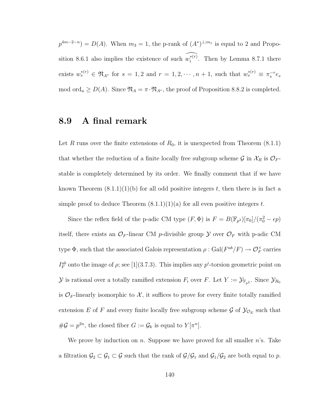$p^{4m-2-n} = D(A)$ . When  $m_3 = 1$ , the p-rank of  $(A^*)^{\perp;m_1}$  is equal to 2 and Propo-sition [8.6.1](#page-127-0) also implies the existence of such  $\widehat{w_i^{*(r)}}$ . Then by Lemma [8.7.1](#page-135-0) there exists  $w_s^{*(r)} \in \mathfrak{N}_{A^*}$  for  $s = 1, 2$  and  $r = 1, 2, \cdots, n + 1$ , such that  $w_s^{*(r)} \equiv \pi_s^{-r} e_s$ mod ord<sub>u</sub>  $\geq D(A)$ . Since  $\mathfrak{N}_A = \pi \cdot \mathfrak{N}_{A^*}$ , the proof of Proposition [8.8.2](#page-139-0) is completed.

#### 8.9 A final remark

Let R runs over the finite extensions of  $R_0$ , it is unexpected from Theorem  $(8.1.1)$ that whether the reduction of a finite locally free subgroup scheme  $\mathcal G$  in  $\mathcal X_R$  is  $\mathcal O_F$ stable is completely determined by its order. We finally comment that if we have known Theorem  $(8.1.1)(1)(b)$  for all odd positive integers t, then there is in fact a simple proof to deduce Theorem  $(8.1.1)(1)(a)$  for all even positive integers t.

Since the reflex field of the p-adic CM type  $(F, \Phi)$  is  $F = B(\mathbb{F}_{p^2})[\pi_0]/(\pi_0^2 - \epsilon p)$ itself, there exists an  $\mathcal{O}_F$ -linear CM p-divisible group  $\mathcal Y$  over  $\mathcal{O}_F$  with p-adic CM type  $\Phi$ , such that the associated Galois representation  $\rho : Gal(F^{ab}/F) \to \mathcal{O}_F^{\times}$  carries  $I_F^{ab}$  onto the image of  $\rho$ ; see [\[1\]](#page-243-0)(3.7.3). This implies any  $p^i$ -torsion geometric point on  $\mathcal Y$  is rational over a totally ramified extension  $F_i$  over  $F$ . Let  $Y := \mathcal Y_{\mathbb F_{p^2}}$ . Since  $\mathcal Y_{R_0}$ is  $\mathcal{O}_F$ -linearly isomorphic to X, it suffices to prove for every finite totally ramified extension E of F and every finite locally free subgroup scheme  $\mathcal{G}$  of  $\mathcal{Y}_{\mathcal{O}_E}$  such that  $\#\mathcal{G} = p^{2n}$ , the closed fiber  $G := \mathcal{G}_k$  is equal to  $Y[\pi^n]$ .

We prove by induction on n. Suppose we have proved for all smaller  $n$ 's. Take a filtration  $\mathcal{G}_2 \subset \mathcal{G}_1 \subset \mathcal{G}$  such that the rank of  $\mathcal{G}/\mathcal{G}_1$  and  $\mathcal{G}_1/\mathcal{G}_2$  are both equal to p.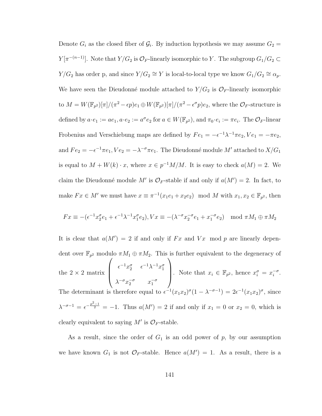Denote  $G_i$  as the closed fiber of  $\mathcal{G}_i$ . By induction hypothesis we may assume  $G_2$  =  $Y[\pi^{-(n-1)}]$ . Note that  $Y/G_2$  is  $\mathcal{O}_F$ -linearly isomorphic to Y. The subgroup  $G_1/G_2 \subset$  $Y/G_2$  has order p, and since  $Y/G_2 \cong Y$  is local-to-local type we know  $G_1/G_2 \cong \alpha_p$ . We have seen the Dieudonné module attached to  $Y/G_2$  is  $\mathcal{O}_F$ -linearly isomorphic to  $M = W(\mathbb{F}_{p^2})[\pi] / (\pi^2 - \epsilon p) e_1 \oplus W(\mathbb{F}_{p^2})[\pi] / (\pi^2 - \epsilon^{\sigma} p) e_2$ , where the  $\mathcal{O}_F$ -structure is defined by  $a \cdot e_1 := ae_1, a \cdot e_2 := a^{\sigma} e_2$  for  $a \in W(\mathbb{F}_{p^2})$ , and  $\pi_0 \cdot e_i := \pi e_i$ . The  $\mathcal{O}_F$ -linear Frobenius and Verschiebung maps are defined by  $Fe_1 = -\epsilon^{-1}\lambda^{-1}\pi e_2$ ,  $Ve_1 = -\pi e_2$ , and  $Fe_2 = -\epsilon^{-1} \pi e_1$ ,  $Ve_2 = -\lambda^{-\sigma} \pi e_1$ . The Dieudonné module  $M'$  attached to  $X/G_1$ is equal to  $M + W(k) \cdot x$ , where  $x \in p^{-1}M/M$ . It is easy to check  $a(M) = 2$ . We claim the Dieudonné module M' is  $\mathcal{O}_F$ -stable if and only if  $a(M') = 2$ . In fact, to make  $Fx \in M'$  we must have  $x \equiv \pi^{-1}(x_1e_1 + x_2e_2) \mod M$  with  $x_1, x_2 \in \mathbb{F}_{p^2}$ , then

$$
Fx \equiv -(\epsilon^{-1}x_2^{\sigma}e_1 + \epsilon^{-1}\lambda^{-1}x_1^{\sigma}e_2), Vx \equiv -(\lambda^{-\sigma}x_2^{-\sigma}e_1 + x_1^{-\sigma}e_2) \mod \pi M_1 \oplus \pi M_2
$$

It is clear that  $a(M') = 2$  if and only if Fx and Vx mod p are linearly dependent over  $\mathbb{F}_{p^2}$  modulo  $\pi M_1 \oplus \pi M_2$ . This is further equivalent to the degeneracy of the  $2 \times 2$  matrix  $\sqrt{ }$  $\overline{\phantom{a}}$  $\epsilon^{-1} x_2^{\sigma} \quad \epsilon^{-1} \lambda^{-1} x_1^{\sigma}$  $\lambda^{-\sigma} x_2^{-\sigma} \qquad x_1^{-\sigma}$  $\setminus$ Note that  $x_i \in \mathbb{F}_{p^2}$ , hence  $x_i^{\sigma} = x_i^{-\sigma}$  $\frac{-\sigma}{i}$ . The determinant is therefore equal to  $\epsilon^{-1}(x_1x_2)^\sigma(1-\lambda^{-\sigma-1})=2\epsilon^{-1}(x_1x_2)^\sigma$ , since  $\lambda^{-\sigma-1} = \epsilon^{-\frac{p^2-1}{2}} = -1$ . Thus  $a(M') = 2$  if and only if  $x_1 = 0$  or  $x_2 = 0$ , which is clearly equivalent to saying  $M'$  is  $\mathcal{O}_F$ -stable.

As a result, since the order of  $G_1$  is an odd power of p, by our assumption we have known  $G_1$  is not  $\mathcal{O}_F$ -stable. Hence  $a(M') = 1$ . As a result, there is a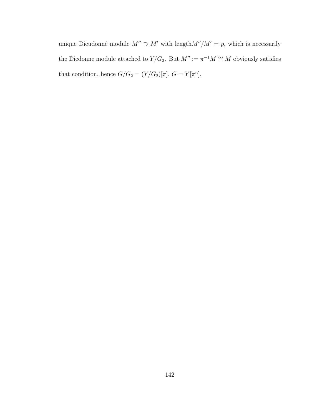unique Dieudonné module  $M'' \supset M'$  with length $M''/M' = p$ , which is necessarily the Diedonne module attached to  $Y/G_2$ . But  $M' := \pi^{-1}M \cong M$  obviously satisfies that condition, hence  $G/G_2 = (Y/G_2)[\pi]$ ,  $G = Y[\pi^n]$ .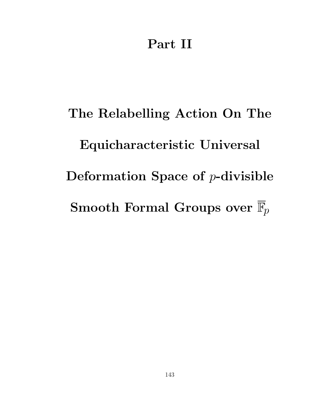## Part II

# The Relabelling Action On The Equicharacteristic Universal Deformation Space of  $p$ -divisible Smooth Formal Groups over  $\overline{\mathbb{F}}_p$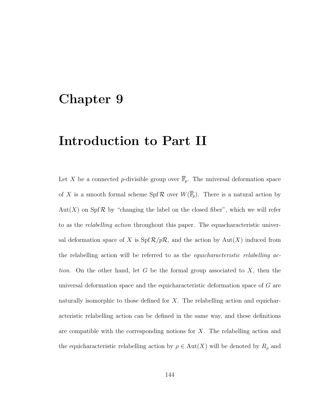### Chapter 9

## Introduction to Part II

Let X be a connected p-divisible group over  $\overline{\mathbb{F}}_p$ . The universal deformation space of X is a smooth formal scheme  $\text{Spf } \mathcal{R}$  over  $W(\overline{\mathbb{F}}_p)$ . There is a natural action by Aut(X) on Spf R by "changing the label on the closed fiber", which we will refer to as the *relabelling action* throughout this paper. The equacharacteristic universal deformation space of X is  $\text{Spf } R/pR$ , and the action by  $\text{Aut}(X)$  induced from the relabelling action will be referred to as the *equicharacteristic relabelling ac*tion. On the other hand, let G be the formal group associated to  $X$ , then the universal deformation space and the equicharacteristic deformation space of G are naturally isomorphic to those defined for  $X$ . The relabelling action and equicharacteristic relabelling action can be defined in the same way, and these definitions are compatible with the corresponding notions for  $X$ . The relabelling action and the equicharacteristic relabelling action by  $\rho \in Aut(X)$  will be denoted by  $R_{\rho}$  and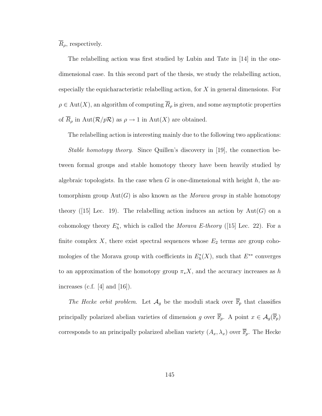$\overline{R}_{\rho}$ , respectively.

The relabelling action was first studied by Lubin and Tate in [\[14\]](#page-244-0) in the onedimensional case. In this second part of the thesis, we study the relabelling action, especially the equicharacteristic relabelling action, for  $X$  in general dimensions. For  $\rho \in \text{Aut}(X)$ , an algorithm of computing  $\overline{R}_{\rho}$  is given, and some asymptotic properties of  $\overline{R}_{\rho}$  in Aut $(\mathcal{R}/p\mathcal{R})$  as  $\rho \to 1$  in Aut $(X)$  are obtained.

The relabelling action is interesting mainly due to the following two applications:

Stable homotopy theory. Since Quillen's discovery in [\[19\]](#page-245-0), the connection between formal groups and stable homotopy theory have been heavily studied by algebraic topologists. In the case when G is one-dimensional with height  $h$ , the automorphism group  $Aut(G)$  is also known as the *Morava group* in stable homotopy theory([\[15\]](#page-244-1) Lec. 19). The relabelling action induces an action by  $Aut(G)$  on a cohomology theory  $E_h^*$ , which is called the *Morava E-theory* ([\[15\]](#page-244-1) Lec. 22). For a finite complex  $X$ , there exist spectral sequences whose  $E_2$  terms are group cohomologies of the Morava group with coefficients in  $E_h^*(X)$ , such that  $E^{**}$  converges to an approximation of the homotopy group  $\pi_* X$ , and the accuracy increases as h increases (c.f.  $[4]$  and  $[16]$ ).

The Hecke orbit problem. Let  $\mathcal{A}_g$  be the moduli stack over  $\overline{\mathbb{F}}_p$  that classifies principally polarized abelian varieties of dimension g over  $\overline{\mathbb{F}}_p$ . A point  $x \in \mathcal{A}_g(\overline{\mathbb{F}}_p)$ corresponds to an principally polarized abelian variety  $(A_x, \lambda_x)$  over  $\overline{\mathbb{F}}_p$ . The Hecke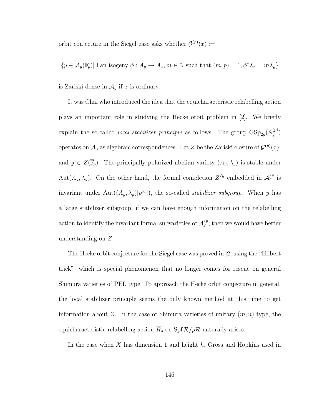orbit conjecture in the Siegel case asks whether  $\mathcal{G}^{(p)}(x) :=$ 

$$
\{y \in \mathcal{A}_g(\overline{\mathbb{F}}_p) | \exists \text{ an isogeny } \phi: A_y \to A_x, m \in \mathbb{N} \text{ such that } (m, p) = 1, \phi^* \lambda_x = m \lambda_y \}
$$

is Zariski dense in  $\mathcal{A}_g$  if x is ordinary.

It was Chai who introduced the idea that the equicharacteristic relabelling action plays an important role in studying the Hecke orbit problem in [\[2\]](#page-243-2). We briefly explain the so-called *local stabilizer principle* as follows. The group  $GSp_{2g}(\mathbb{A}_f^{(p)})$  $\genfrac{(}{)}{0pt}{}{p}{f}$ operates on  $\mathcal{A}_g$  as algebraic correspondences. Let Z be the Zariski closure of  $\mathcal{G}^{(p)}(x)$ , and  $y \in Z(\overline{\mathbb{F}}_p)$ . The principally polarized abelian variety  $(A_y, \lambda_y)$  is stable under Aut $(A_y, \lambda_y)$ . On the other hand, the formal completion  $Z^{/y}$  embedded in  $\mathcal{A}_g^{/y}$  is invariant under  $Aut((A_y, \lambda_y)[p^\infty])$ , the so-called *stabilizer subgroup*. When y has a large stabilizer subgroup, if we can have enough information on the relabelling action to identify the invariant formal subvarieties of  $\mathcal{A}_g^{/y}$ , then we would have better understanding on Z.

The Hecke orbit conjecture for the Siegel case was proved in [\[2\]](#page-243-2) using the "Hilbert trick", which is special phenomenon that no longer comes for rescue on general Shimura varieties of PEL type. To approach the Hecke orbit conjecture in general, the local stabilizer principle seems the only known method at this time to get information about Z. In the case of Shimura varieties of unitary  $(m, n)$  type, the equicharacteristic relabelling action  $\overline{R}_{\rho}$  on Spf  $\mathcal{R}/p\mathcal{R}$  naturally arises.

In the case when  $X$  has dimension 1 and height  $h$ , Gross and Hopkins used in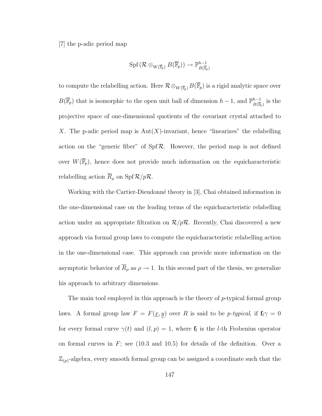[\[7\]](#page-244-2) the p-adic period map

$$
\operatorname{Spf}(\mathcal{R}\otimes_{W(\overline{\mathbb{F}}_p)}B(\overline{\mathbb{F}}_p))\to\mathbb{P}^{h-1}_{B(\overline{\mathbb{F}}_p)}
$$

to compute the relabelling action. Here  $\mathcal{R} \otimes_{W(\overline{\mathbb{F}}_p)} B(\overline{\mathbb{F}}_p)$  is a rigid analytic space over  $B(\overline{\mathbb{F}}_p)$  that is isomorphic to the open unit ball of dimension  $h-1$ , and  $\mathbb{P}^{h-1}_{B(\overline{\mathbb{F}})}$  $\frac{h-1}{B(\overline{\mathbb{F}}_p)}$  is the projective space of one-dimensional quotients of the covariant crystal attached to X. The p-adic period map is  $Aut(X)$ -invariant, hence "linearizes" the relabelling action on the "generic fiber" of  $Spf\mathcal{R}$ . However, the period map is not defined over  $W(\overline{\mathbb{F}}_p)$ , hence does not provide much information on the equicharacteristic relabelling action  $\overline{R}_{\rho}$  on Spf  $\mathcal{R}/p\mathcal{R}$ .

Working with the Cartier-Dieudonné theory in [\[3\]](#page-243-3), Chai obtained information in the one-dimensional case on the leading terms of the equicharacteristic relabelling action under an appropriate filtration on  $\mathcal{R}/p\mathcal{R}$ . Recently, Chai discovered a new approach via formal group laws to compute the equicharacteristic relabelling action in the one-dimensional case. This approach can provide more information on the asymptotic behavior of  $\overline{R}_{\rho}$  as  $\rho \to 1$ . In this second part of the thesis, we generalize his approach to arbitrary dimensions.

The main tool employed in this approach is the theory of  $p$ -typical formal group laws. A formal group law  $F = F(\underline{x}, \underline{y})$  over R is said to be p-typical, if  $f_i \gamma = 0$ for every formal curve  $\gamma(t)$  and  $(l, p) = 1$ , where  $f_l$  is the *l*-th Frobenius operator on formal curves in  $F$ ; see [\(10.3](#page-164-0) and [10.5\)](#page-174-0) for details of the definition. Over a  $\mathbb{Z}_{(p)}$ -algebra, every smooth formal group can be assigned a coordinate such that the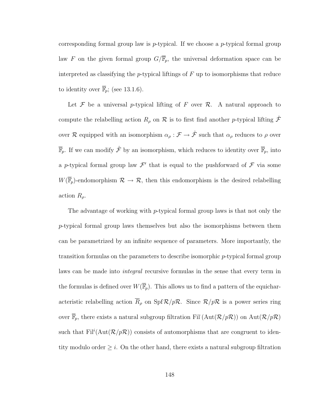corresponding formal group law is  $p$ -typical. If we choose a  $p$ -typical formal group law F on the given formal group  $G/\overline{\mathbb{F}}_p$ , the universal deformation space can be interpreted as classifying the *p*-typical liftings of  $F$  up to isomorphisms that reduce to identity over  $\overline{\mathbb{F}}_p$ ; (see [13.1.6\)](#page-223-0).

Let  $\mathcal F$  be a universal p-typical lifting of F over  $\mathcal R$ . A natural approach to compute the relabelling action  $R_\rho$  on  $\mathcal R$  is to first find another p-typical lifting  $\hat{\mathcal F}$ over R equipped with an isomorphism  $\alpha_{\rho} : \mathcal{F} \to \hat{\mathcal{F}}$  such that  $\alpha_{\rho}$  reduces to  $\rho$  over  $\overline{\mathbb{F}}_p$ . If we can modify  $\hat{\mathcal{F}}$  by an isomorphism, which reduces to identity over  $\overline{\mathbb{F}}_p$ , into a p-typical formal group law  $\mathcal{F}'$  that is equal to the pushforward of  $\mathcal F$  via some  $W(\overline{\mathbb{F}}_p)$ -endomorphism  $\mathcal{R} \to \mathcal{R}$ , then this endomorphism is the desired relabelling action  $R_{\rho}$ .

The advantage of working with p-typical formal group laws is that not only the p-typical formal group laws themselves but also the isomorphisms between them can be parametrized by an infinite sequence of parameters. More importantly, the transition formulas on the parameters to describe isomorphic p-typical formal group laws can be made into *integral* recursive formulas in the sense that every term in the formulas is defined over  $W(\overline{\mathbb{F}}_p)$ . This allows us to find a pattern of the equicharacteristic relabelling action  $\overline{R}_{\rho}$  on Spf  $\mathcal{R}/p\mathcal{R}$ . Since  $\mathcal{R}/p\mathcal{R}$  is a power series ring over  $\overline{\mathbb{F}}_p$ , there exists a natural subgroup filtration Fil (Aut $(\mathcal{R}/p\mathcal{R})$ ) on Aut $(\mathcal{R}/p\mathcal{R})$ such that  $\text{Fil}^i(\text{Aut}(\mathcal{R}/p\mathcal{R}))$  consists of automorphisms that are congruent to identity modulo order  $\geq i$ . On the other hand, there exists a natural subgroup filtration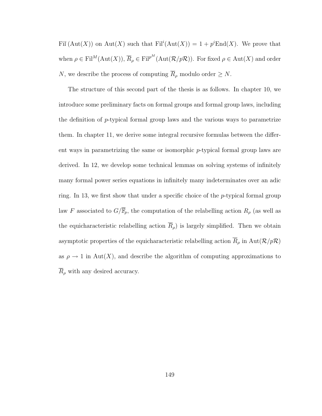Fil  $(\text{Aut}(X))$  on  $\text{Aut}(X)$  such that  $\text{Fil}^i(\text{Aut}(X)) = 1 + p^i \text{End}(X)$ . We prove that when  $\rho \in \text{Fil}^M(\text{Aut}(X)), \overline{R}_\rho \in \text{Fil}^{p^M}(\text{Aut}(\mathcal{R}/p\mathcal{R}))$ . For fixed  $\rho \in \text{Aut}(X)$  and order N, we describe the process of computing  $\overline{R}_{\rho}$  modulo order  $\geq N$ .

The structure of this second part of the thesis is as follows. In chapter [10,](#page-158-0) we introduce some preliminary facts on formal groups and formal group laws, including the definition of  $p$ -typical formal group laws and the various ways to parametrize them. In chapter [11,](#page-185-0) we derive some integral recursive formulas between the different ways in parametrizing the same or isomorphic p-typical formal group laws are derived. In [12,](#page-209-0) we develop some technical lemmas on solving systems of infinitely many formal power series equations in infinitely many indeterminates over an adic ring. In [13,](#page-220-0) we first show that under a specific choice of the p-typical formal group law F associated to  $G/\overline{\mathbb{F}}_p$ , the computation of the relabelling action  $R_\rho$  (as well as the equicharacteristic relabelling action  $\overline{R}_{\rho}$  is largely simplified. Then we obtain asymptotic properties of the equicharacteristic relabelling action  $\overline{R}_{\rho}$  in Aut $(\mathcal{R}/p\mathcal{R})$ as  $\rho \to 1$  in Aut(X), and describe the algorithm of computing approximations to  $\overline{R}_{\rho}$  with any desired accuracy.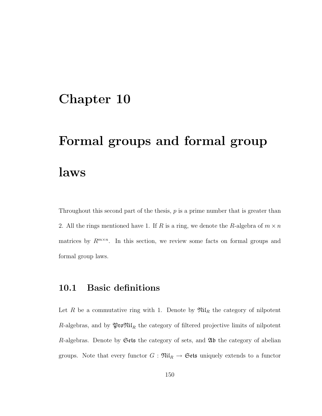## <span id="page-158-0"></span>Chapter 10

## Formal groups and formal group laws

Throughout this second part of the thesis,  $p$  is a prime number that is greater than 2. All the rings mentioned have 1. If R is a ring, we denote the R-algebra of  $m \times n$ matrices by  $R^{m \times n}$ . In this section, we review some facts on formal groups and formal group laws.

#### 10.1 Basic definitions

Let R be a commutative ring with 1. Denote by  $\mathfrak{Nil}_R$  the category of nilpotent  $R\text{-algebras},$  and by  $\mathfrak{ProNil}_R$  the category of filtered projective limits of nilpotent R-algebras. Denote by  $\mathfrak{Sets}$  the category of sets, and  $\mathfrak{Ab}$  the category of abelian groups. Note that every functor  $G : \mathfrak{Nil}_R \to \mathfrak{Sets}$  uniquely extends to a functor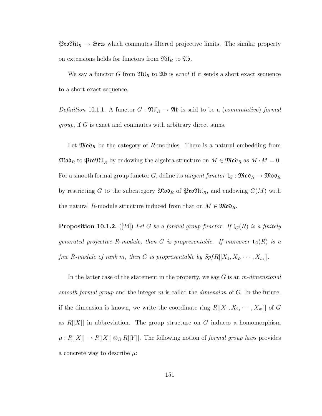$\mathfrak{ProNil}_R \to \mathfrak{Sets}$  which commutes filtered projective limits. The similar property on extensions holds for functors from  $\mathfrak{Nil}_R$  to  $\mathfrak{Ab}$ .

We say a functor G from  $\mathfrak{Nil}_R$  to  $\mathfrak{Ab}$  is *exact* if it sends a short exact sequence to a short exact sequence.

Definition 10.1.1. A functor  $G: \mathfrak{Nil}_R \to \mathfrak{Ab}$  is said to be a (commutative) formal group, if G is exact and commutes with arbitrary direct sums.

Let  $\mathfrak{Mod}_R$  be the category of R-modules. There is a natural embedding from  $\mathfrak{Mod}_R$  to  $\mathfrak{Mod}_R$  by endowing the algebra structure on  $M \in \mathfrak{Mod}_R$  as  $M \cdot M = 0$ . For a smooth formal group functor G, define its tangent functor  $\mathfrak{t}_G : \mathfrak{Mod}_R \to \mathfrak{Mod}_R$ by restricting G to the subcategory  $\mathfrak{Mod}_R$  of  $\mathfrak{Mod}_R$ , and endowing  $G(M)$  with the natural R-module structure induced from that on  $M \in \mathfrak{Mod}_{R}$ .

**Proposition 10.1.2.** ([\[24\]](#page-245-2)) Let G be a formal group functor. If  $\mathfrak{t}_G(R)$  is a finitely generated projective R-module, then G is propresentable. If moreover  $\mathfrak{t}_G(R)$  is a free R-module of rank m, then G is propresentable by  $SpfR[[X_1, X_2, \cdots, X_m]]$ .

In the latter case of the statement in the property, we say  $G$  is an m-dimensional smooth formal group and the integer m is called the *dimension* of  $G$ . In the future, if the dimension is known, we write the coordinate ring  $R[[X_1, X_2, \cdots, X_m]]$  of G as  $R[[X]]$  in abbreviation. The group structure on G induces a homomorphism  $\mu: R[[X]] \to R[[X]] \otimes_R R[[Y]]$ . The following notion of *formal group laws* provides a concrete way to describe  $\mu$ :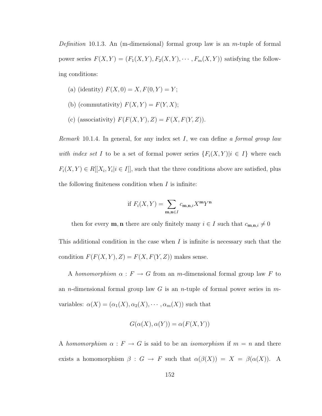Definition 10.1.3. An (m-dimensional) formal group law is an  $m$ -tuple of formal power series  $F(X, Y) = (F_1(X, Y), F_2(X, Y), \cdots, F_m(X, Y))$  satisfying the following conditions:

- (a) (identity)  $F(X, 0) = X, F(0, Y) = Y;$
- (b) (commutativity)  $F(X, Y) = F(Y, X);$
- (c) (associativity)  $F(F(X, Y), Z) = F(X, F(Y, Z)).$

*Remark* 10.1.4. In general, for any index set  $I$ , we can define a formal group law with index set I to be a set of formal power series  $\{F_i(X, Y)|i \in I\}$  where each  $F_i(X, Y) \in R[[X_i, Y_i | i \in I]],$  such that the three conditions above are satisfied, plus the following finiteness condition when  $I$  is infinite:

if 
$$
F_i(X, Y) = \sum_{\mathbf{m}, \mathbf{n} \in I} c_{\mathbf{m}, \mathbf{n}, i} X^{\mathbf{m}} Y^{\mathbf{n}}
$$

then for every **m**, **n** there are only finitely many  $i \in I$  such that  $c_{\mathbf{m},\mathbf{n},i} \neq 0$ 

This additional condition in the case when  $I$  is infinite is necessary such that the condition  $F(F(X, Y), Z) = F(X, F(Y, Z))$  makes sense.

A homomorphism  $\alpha$  :  $F \to G$  from an m-dimensional formal group law F to an *n*-dimensional formal group law  $G$  is an *n*-tuple of formal power series in  $m$ variables:  $\alpha(X) = (\alpha_1(X), \alpha_2(X), \cdots, \alpha_m(X))$  such that

$$
G(\alpha(X), \alpha(Y)) = \alpha(F(X, Y))
$$

A homomorphism  $\alpha$ :  $F \to G$  is said to be an *isomorphism* if  $m = n$  and there exists a homomorphism  $\beta : G \to F$  such that  $\alpha(\beta(X)) = X = \beta(\alpha(X))$ . A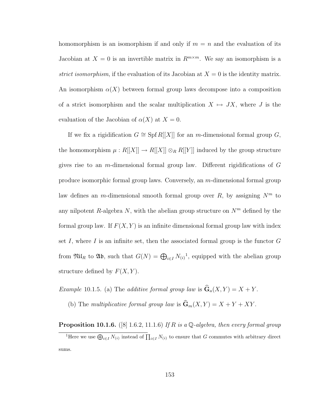homomorphism is an isomorphism if and only if  $m = n$  and the evaluation of its Jacobian at  $X = 0$  is an invertible matrix in  $R^{m \times m}$ . We say an isomorphism is a strict isomorphism, if the evaluation of its Jacobian at  $X = 0$  is the identity matrix. An isomorphism  $\alpha(X)$  between formal group laws decompose into a composition of a strict isomorphism and the scalar multiplication  $X \mapsto JX$ , where J is the evaluation of the Jacobian of  $\alpha(X)$  at  $X = 0$ .

If we fix a rigidification  $G \cong Spf R[[X]]$  for an m-dimensional formal group  $G$ , the homomorphism  $\mu : R[[X]] \to R[[X]] \otimes_R R[[Y]]$  induced by the group structure gives rise to an m-dimensional formal group law. Different rigidifications of G produce isomorphic formal group laws. Conversely, an m-dimensional formal group law defines an *m*-dimensional smooth formal group over R, by assigning  $N<sup>m</sup>$  to any nilpotent R-algebra N, with the abelian group structure on  $N<sup>m</sup>$  defined by the formal group law. If  $F(X, Y)$  is an infinite dimensional formal group law with index set I, where I is an infinite set, then the associated formal group is the functor  $G$ from  $\mathfrak{Nil}_R$  to  $\mathfrak{Ab}$ , such that  $G(N) = \bigoplus_{i \in I} N_{(i)}^1$ , equipped with the abelian group structure defined by  $F(X, Y)$ .

Example 10.1.5. (a) The additive formal group law is  $\hat{\mathbf{G}}_a(X, Y) = X + Y$ .

(b) The multiplicative formal group law is  $\widehat{\mathbf{G}}_m(X, Y) = X + Y + XY$ .

**Proposition 10.1.6.** ([\[8\]](#page-244-3) 1.6.2, 11.1.6) If R is a Q-algebra, then every formal group

<sup>&</sup>lt;sup>1</sup>Here we use  $\bigoplus_{i\in I} N_{(i)}$  instead of  $\prod_{i\in I} N_{(i)}$  to ensure that G commutes with arbitrary direct sums.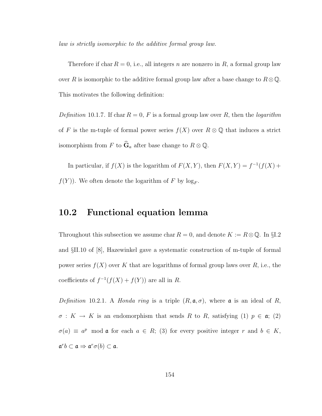law is strictly isomorphic to the additive formal group law.

Therefore if char  $R = 0$ , i.e., all integers n are nonzero in R, a formal group law over R is isomorphic to the additive formal group law after a base change to  $R \otimes \mathbb{Q}$ . This motivates the following definition:

Definition 10.1.7. If char  $R = 0$ , F is a formal group law over R, then the logarithm of F is the m-tuple of formal power series  $f(X)$  over  $R \otimes \mathbb{Q}$  that induces a strict isomorphism from F to  $\widehat{\mathbf{G}}_a$  after base change to  $R \otimes \mathbb{Q}$ .

In particular, if  $f(X)$  is the logarithm of  $F(X, Y)$ , then  $F(X, Y) = f^{-1}(f(X) +$  $f(Y)$ ). We often denote the logarithm of F by  $\log_F$ .

#### 10.2 Functional equation lemma

Throughout this subsection we assume char  $R = 0$ , and denote  $K := R \otimes \mathbb{Q}$ . In §1.2 and §II.10 of [\[8\]](#page-244-3), Hazewinkel gave a systematic construction of m-tuple of formal power series  $f(X)$  over K that are logarithms of formal group laws over R, i.e., the coefficients of  $f^{-1}(f(X) + f(Y))$  are all in R.

<span id="page-162-0"></span>Definition 10.2.1. A Honda ring is a triple  $(R, \mathfrak{a}, \sigma)$ , where  $\mathfrak{a}$  is an ideal of R,  $\sigma: K \to K$  is an endomorphism that sends R to R, satisfying (1)  $p \in \mathfrak{a}$ ; (2)  $\sigma(a) \equiv a^p \mod{a}$  for each  $a \in R$ ; (3) for every positive integer r and  $b \in K$ ,  $\mathfrak{a}^r b \subset \mathfrak{a} \Rightarrow \mathfrak{a}^r \sigma(b) \subset \mathfrak{a}.$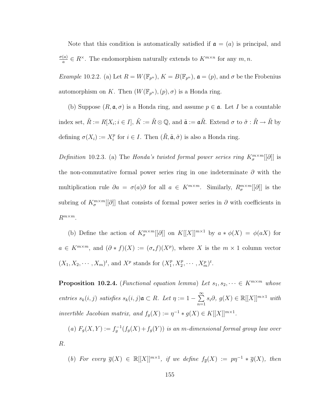Note that this condition is automatically satisfied if  $a = (a)$  is principal, and  $\sigma(a)$  $\frac{a}{a} \in R^{\times}$ . The endomorphism naturally extends to  $K^{m \times n}$  for any  $m, n$ .

Example 10.2.2. (a) Let  $R = W(\mathbb{F}_{p^n})$ ,  $K = B(\mathbb{F}_{p^n})$ ,  $\mathfrak{a} = (p)$ , and  $\sigma$  be the Frobenius automorphism on K. Then  $(W(\mathbb{F}_{p^n}), (p), \sigma)$  is a Honda ring.

(b) Suppose  $(R, \mathfrak{a}, \sigma)$  is a Honda ring, and assume  $p \in \mathfrak{a}$ . Let I be a countable index set,  $\tilde{R} := R[X_i; i \in I], \tilde{K} := \tilde{R} \otimes \mathbb{Q}$ , and  $\tilde{\mathfrak{a}} := \mathfrak{a}\tilde{R}$ . Extend  $\sigma$  to  $\tilde{\sigma} : \tilde{R} \to \tilde{R}$  by defining  $\sigma(X_i) := X_i^p$  $i_i^p$  for  $i \in I$ . Then  $(\tilde{R}, \tilde{\mathfrak{a}}, \tilde{\sigma})$  is also a Honda ring.

Definition 10.2.3. (a) The Honda's twisted formal power series ring  $K^{\{m \times m}{\sigma}}_{\sigma}[[\partial]]$  is the non-commutative formal power series ring in one indeterminate  $\partial$  with the multiplication rule  $\partial a = \sigma(a)\partial$  for all  $a \in K^{m \times m}$ . Similarly,  $R_{\sigma}^{m \times m}[[\partial]]$  is the subring of  $K^{\{m \times m}{\sigma}[\partial]$  that consists of formal power series in  $\partial$  with coefficients in  $R^{m \times m}$ .

(b) Define the action of  $K^{\{m \times m}{\ [\![\partial]\!] \}}$  on  $K[[X]]^{m \times 1}$  by  $a * \phi(X) = \phi(aX)$  for  $a \in K^{m \times m}$ , and  $(\partial * f)(X) := (\sigma_* f)(X^p)$ , where X is the  $m \times 1$  column vector  $(X_1, X_2, \cdots, X_m)^t$ , and  $X^p$  stands for  $(X_1^p)$  $T_1^p, X_2^p, \cdots, X_m^p)^t.$ 

<span id="page-163-0"></span>**Proposition 10.2.4.** (Functional equation lemma) Let  $s_1, s_2, \dots \in K^{m \times m}$  whose entries  $s_k(i, j)$  satisfies  $s_k(i, j)$  $\mathfrak{a} \subset R$ . Let  $\eta := 1 - \sum_{i=1}^{\infty}$  $n=1$  $s_i\partial, g(X) \in \mathbb{R}[[X]]^{m \times 1}$  with invertible Jacobian matrix, and  $f_g(X) := \eta^{-1} * g(X) \in K[[X]]^{m \times 1}$ .

(a)  $F_g(X,Y) := f_g^{-1}(f_g(X) + f_g(Y))$  is an m-dimensional formal group law over R.

(b) For every  $\overline{g}(X) \in \mathbb{R}[[X]]^{m \times 1}$ , if we define  $f_{\overline{g}}(X) := p\eta^{-1} * \overline{g}(X)$ , then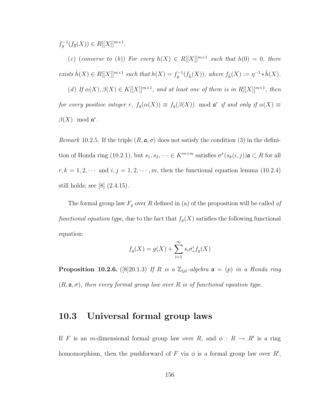$f_g^{-1}(f_{\overline{g}}(X)) \in R[[X]]^{m \times 1}.$ 

(c) (converse to (b)) For every  $h(X) \in R[[X]]^{m \times 1}$  such that  $h(0) = 0$ , there exists  $\hat{h}(X) \in R[[X]]^{m \times 1}$  such that  $h(X) = f_g^{-1}(f_{\hat{h}}(X))$ , where  $f_{\hat{h}}(X) := \eta^{-1} * \hat{h}(X)$ .

(d) If  $\alpha(X), \beta(X) \in K[[X]]^{m \times 1}$ , and at least one of them is in  $R[[X]]^{m \times 1}$ , then for every positive integer r,  $f_g(\alpha(X)) \equiv f_g(\beta(X)) \mod \mathfrak{a}^r$  if and only if  $\alpha(X) \equiv$  $\beta(X) \mod \mathfrak{a}^r$ .

Remark 10.2.5. If the triple  $(R, \mathfrak{a}, \sigma)$  does not satisfy the condition (3) in the defini-tion of Honda ring [\(10.2.1\)](#page-162-0), but  $s_1, s_2, \dots \in K^{m \times m}$  satisfies  $\sigma^r(s_k(i,j))$ **a**  $\subset R$  for all  $r, k = 1, 2, \cdots$  and  $i, j = 1, 2, \cdots, m$ , then the functional equation lemma [\(10.2.4\)](#page-163-0) still holds; see [\[8\]](#page-244-3) (2.4.15).

The formal group law  $F_g$  over R defined in (a) of the proposition will be called of functional equation type, due to the fact that  $f_g(X)$  satisfies the following functional equation:

$$
f_g(X) = g(X) + \sum_{i=1}^{\infty} s_i \sigma_*^i f_g(X)
$$

<span id="page-164-1"></span>**Proposition 10.2.6.** ([\[8\]](#page-244-3) 20.1.3) If R is a  $\mathbb{Z}_{(p)}$ -algebra  $\mathfrak{a} = (p)$  in a Honda ring  $(R, \mathfrak{a}, \sigma)$ , then every formal group law over R is of functional equation type.

#### <span id="page-164-0"></span>10.3 Universal formal group laws

If F is an m-dimensional formal group law over R, and  $\phi: R \to R'$  is a ring homomorphism, then the pushforward of F via  $\phi$  is a formal group law over R',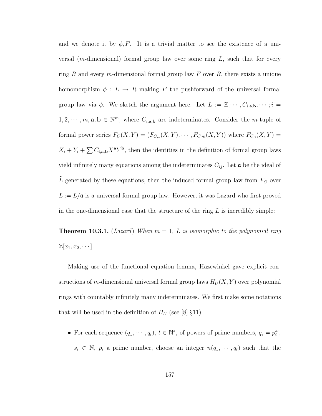and we denote it by  $\phi_* F$ . It is a trivial matter to see the existence of a universal (*m*-dimensional) formal group law over some ring  $L$ , such that for every ring R and every m-dimensional formal group law F over R, there exists a unique homomorphism  $\phi: L \to R$  making F the pushforward of the universal formal group law via  $\phi$ . We sketch the argument here. Let  $\tilde{L} := \mathbb{Z}[\cdots, C_{i,a,b}, \cdots; i]$  $1, 2, \dots, m, \mathbf{a}, \mathbf{b} \in \mathbb{N}^m$  where  $C_{i, \mathbf{a}, \mathbf{b}}$  are indeterminates. Consider the *m*-tuple of formal power series  $F_C(X, Y) = (F_{C,1}(X, Y), \cdots, F_{C,m}(X, Y))$  where  $F_{C,i}(X, Y) =$  $X_i + Y_i + \sum C_{i,a,b} X^a Y^b$ , then the identities in the definition of formal group laws yield infinitely many equations among the indeterminates  $C_{ij}$ . Let  $\boldsymbol{\alpha}$  be the ideal of L generated by these equations, then the induced formal group law from  $F_C$  over  $L := \tilde{L}/\mathfrak{a}$  is a universal formal group law. However, it was Lazard who first proved in the one-dimensional case that the structure of the ring  $L$  is incredibly simple:

**Theorem 10.3.1.** (Lazard) When  $m = 1$ , L is isomorphic to the polynomial ring  $\mathbb{Z}[x_1, x_2, \cdots].$ 

Making use of the functional equation lemma, Hazewinkel gave explicit constructions of m-dimensional universal formal group laws  $H_U(X, Y)$  over polynomial rings with countably infinitely many indeterminates. We first make some notations that will be used in the definition of  $H_U$  (see [\[8\]](#page-244-3) §11):

• For each sequence  $(q_1, \dots, q_t)$ ,  $t \in \mathbb{N}^*$ , of powers of prime numbers,  $q_i = p_i^{s_i}$ ,  $s_i \in \mathbb{N}, p_i$  a prime number, choose an integer  $n(q_1, \dots, q_t)$  such that the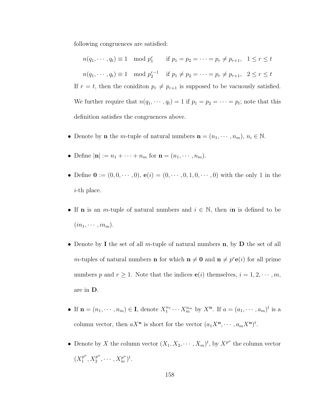following congruences are satisfied:

 $n(q_1, \dots, q_t) \equiv 1 \mod p_1^r$  if  $p_1 = p_2 = \dots = p_r \neq p_{r+1}, \quad 1 \leq r \leq t$  $n(q_1, \dots, q_t) \equiv 1 \mod p_2^{r-1}$  if  $p_1 \neq p_2 = \dots = p_r \neq p_{r+1}, \quad 2 \leq r \leq t$ If  $r = t$ , then the coniditon  $p_r \neq p_{r+1}$  is supposed to be vacuously satisfied. We further require that  $n(q_1, \dots, q_t) = 1$  if  $p_1 = p_2 = \dots = p_t$ ; note that this definition satisfies the congruences above.

- Denote by **n** the *m*-tuple of natural numbers  $\mathbf{n} = (n_1, \dots, n_m)$ ,  $n_i \in \mathbb{N}$ .
- Define  $|\mathbf{n}| := n_1 + \cdots + n_m$  for  $\mathbf{n} = (n_1, \cdots, n_m)$ .
- Define  $\mathbf{0} := (0, 0, \dots, 0), \mathbf{e}(i) = (0, \dots, 0, 1, 0, \dots, 0)$  with the only 1 in the i-th place.
- If **n** is an *m*-tuple of natural numbers and  $i \in \mathbb{N}$ , then *in* is defined to be  $(in_1, \cdots, in_m).$
- Denote by I the set of all m-tuple of natural numbers  $n$ , by  $D$  the set of all *m*-tuples of natural numbers **n** for which  $\mathbf{n} \neq \mathbf{0}$  and  $\mathbf{n} \neq p^r \mathbf{e}(i)$  for all prime numbers p and  $r \ge 1$ . Note that the indices  $e(i)$  themselves,  $i = 1, 2, \dots, m$ , are in D.
- If  $\mathbf{n} = (n_1, \dots, n_m) \in \mathbf{I}$ , denote  $X_1^{n_1} \cdots X_m^{n_m}$  by  $X^{\mathbf{n}}$ . If  $a = (a_1, \dots, a_m)^t$  is a column vector, then  $aX^{\mathbf{n}}$  is short for the vector  $(a_1X^{\mathbf{n}}, \dots, a_mX^{\mathbf{n}})^t$ .
- Denote by X the column vector  $(X_1, X_2, \dots, X_m)^t$ , by  $X^{p^n}$  the column vector  $(X_1^{p^n})$  $j^{p^n}, X_2^{p^n}$  $\frac{p^{n}}{2}, \cdots, X_{m}^{p^{n}})^{t}.$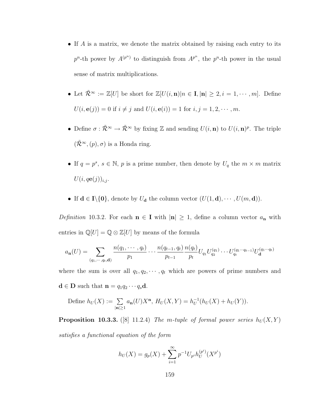- If A is a matrix, we denote the matrix obtained by raising each entry to its  $p^{n}$ -th power by  $A^{(p^{n})}$  to distinguish from  $A^{p^{n}}$ , the  $p^{n}$ -th power in the usual sense of matrix multiplications.
- Let  $\tilde{\mathcal{R}}^{\infty} := \mathbb{Z}[U]$  be short for  $\mathbb{Z}[U(i, n)|n \in I, |n| \geq 2, i = 1, \dots, m]$ . Define  $U(i, e(j)) = 0$  if  $i \neq j$  and  $U(i, e(i)) = 1$  for  $i, j = 1, 2, \dots, m$ .
- Define  $\sigma : \tilde{\mathcal{R}}^{\infty} \to \tilde{\mathcal{R}}^{\infty}$  by fixing Z and sending  $U(i, \mathbf{n})$  to  $U(i, \mathbf{n})^p$ . The triple  $(\tilde{\mathcal{R}}^{\infty},(p),\sigma)$  is a Honda ring.
- If  $q = p^s$ ,  $s \in \mathbb{N}$ , p is a prime number, then denote by  $U_q$  the  $m \times m$  matrix  $U(i, q\mathbf{e}(j))_{i,j}$ .
- If  $\mathbf{d} \in \mathbf{I} \setminus \{0\}$ , denote by  $U_{\mathbf{d}}$  the column vector  $(U(1, \mathbf{d}), \cdots, U(m, \mathbf{d}))$ .

<span id="page-167-0"></span>*Definition* 10.3.2. For each  $n \in I$  with  $|n| \geq 1$ , define a column vector  $a_n$  with entries in  $\mathbb{Q}[U] = \mathbb{Q} \otimes \mathbb{Z}[U]$  by means of the formula

$$
a_{n}(U) = \sum_{(q_{1}, \cdots, q_{t}, \mathbf{d})} \frac{n(q_{1}, \cdots, q_{t})}{p_{1}} \cdots \frac{n(q_{t-1}, q_{t})}{p_{t-1}} \frac{n(q_{t})}{p_{t}} U_{q_{1}} U_{q_{2}}^{(q_{1})} \cdots U_{q_{t}}^{(q_{1} \cdots q_{t-1})} U_{\mathbf{d}}^{(q_{1} \cdots q_{t})}
$$

where the sum is over all  $q_1, q_2, \dots, q_t$  which are powers of prime numbers and  $\mathbf{d} \in \mathbf{D}$  such that  $\mathbf{n} = q_1 q_2 \cdots q_s \mathbf{d}$ .

Define 
$$
h_U(X) := \sum_{|\mathbf{n}| \ge 1} a_{\mathbf{n}}(U) X^{\mathbf{n}}, H_U(X, Y) = h_U^{-1}(h_U(X) + h_U(Y)).
$$

<span id="page-167-1"></span>**Proposition 10.3.3.** ([\[8\]](#page-244-3) 11.2.4) The m-tuple of formal power series  $h_U(X, Y)$ satisfies a functional equation of the form

$$
h_U(X) = g_p(X) + \sum_{i=1}^{\infty} p^{-1} U_{p^i} h_U^{(p^i)}(X^{p^i})
$$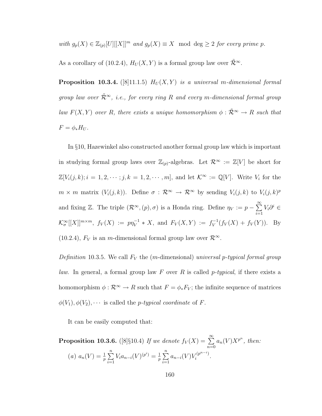with  $g_p(X) \in \mathbb{Z}_{(p)}[U][[X]]^m$  and  $g_p(X) \equiv X \mod \deg \geq 2$  for every prime p.

As a corollary of [\(10.2.4\)](#page-163-0),  $H_U(X, Y)$  is a formal group law over  $\tilde{\mathcal{R}}^{\infty}$ .

**Proposition 10.3.4.** ([\[8\]](#page-244-3)11.1.5)  $H_U(X, Y)$  is a universal m-dimensional formal group law over  $\tilde{\mathcal{R}}^{\infty}$ , i.e., for every ring R and every m-dimensional formal group law  $F(X, Y)$  over R, there exists a unique homomorphism  $\phi : \tilde{\mathcal{R}}^{\infty} \to R$  such that  $F = \phi_* H_U.$ 

In §10, Hazewinkel also constructed another formal group law which is important in studying formal group laws over  $\mathbb{Z}_{(p)}$ -algebras. Let  $\mathcal{R}^{\infty} := \mathbb{Z}[V]$  be short for  $\mathbb{Z}[V_i(j,k); i = 1, 2, \cdots; j, k = 1, 2, \cdots, m]$ , and let  $\mathcal{K}^{\infty} := \mathbb{Q}[V]$ . Write  $V_i$  for the  $m \times m$  matrix  $(V_i(j,k))$ . Define  $\sigma : \mathcal{R}^{\infty} \to \mathcal{R}^{\infty}$  by sending  $V_i(j,k)$  to  $V_i(j,k)^p$ and fixing Z. The triple  $(\mathcal{R}^{\infty}, (p), \sigma)$  is a Honda ring. Define  $\eta_V := p - \sum_{n=1}^{\infty}$  $i=1$  $V_i\partial^i \in$  $\mathcal{K}_{\sigma}^{\infty}[[X]]^{m \times m}$ ,  $f_V(X) := p\eta_V^{-1} * X$ , and  $F_V(X, Y) := f_V^{-1}$  $V_V^{-1}(f_V(X) + f_V(Y)).$  By [\(10.2.4\)](#page-163-0),  $F_V$  is an m-dimensional formal group law over  $\mathcal{R}^{\infty}$ .

Definition 10.3.5. We call  $F_V$  the (m-dimensional) universal p-typical formal group law. In general, a formal group law  $F$  over  $R$  is called p-typical, if there exists a homomorphism  $\phi : \mathcal{R}^{\infty} \to R$  such that  $F = \phi_* F_V$ ; the infinite sequence of matrices  $\phi(V_1), \phi(V_2), \cdots$  is called the *p-typical coordinate* of *F*.

It can be easily computed that:

<span id="page-168-0"></span>**Proposition 10.3.6.** ([\[8\]](#page-244-3)§10.4) If we denote  $f_V(X) = \sum^{\infty}$  $n=0$  $a_n(V)X^{p^n}$ , then: (*a*)  $a_n(V) = \frac{1}{p} \sum_{i=1}^{n}$  $i=1$  $V_i a_{n-i}(V)^{(p^i)} = \frac{1}{n}$  $\frac{1}{p}$  $\sum_{n=1}^{n}$  $i=1$  $a_{n-i}(V)V_i^{(p^{n-i})}$  $\frac{r(p^{n-1})}{i}$ .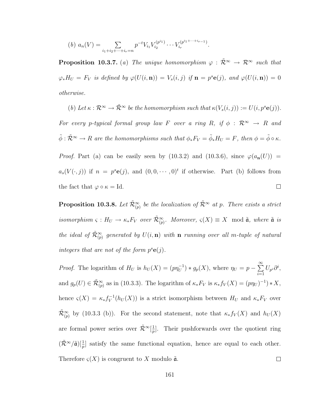(b) 
$$
a_n(V) = \sum_{i_1+i_2+\cdots+i_r=n} p^{-t} V_{i_1} V_{i_2}^{(p^{i_1})} \cdots V_{i_r}^{(p^{i_1+\cdots+i_r-1})}
$$
.

**Proposition 10.3.7.** (a) The unique homomorphism  $\varphi : \tilde{\mathcal{R}}^{\infty} \to \mathcal{R}^{\infty}$  such that  $\varphi_* H_U = F_V$  is defined by  $\varphi(U(i, n)) = V_s(i, j)$  if  $n = p^s e(j)$ , and  $\varphi(U(i, n)) = 0$ otherwise.

(b) Let  $\kappa : \mathcal{R}^{\infty} \to \tilde{\mathcal{R}}^{\infty}$  be the homomorphism such that  $\kappa(V_s(i,j)) := U(i, p^s \mathbf{e}(j)).$ For every p-typical formal group law F over a ring R, if  $\phi$  :  $\mathcal{R}^{\infty} \to R$  and  $\tilde{\phi} : \tilde{\mathcal{R}}^{\infty} \to R$  are the homomorphisms such that  $\phi_* F_V = \tilde{\phi}_* H_U = F$ , then  $\phi = \tilde{\phi} \circ \kappa$ . *Proof.* Part (a) can be easily seen by [\(10.3.2\)](#page-167-0) and [\(10.3.6\)](#page-168-0), since  $\varphi(a_n(U))$  =  $a_s(V(\cdot, j))$  if  $n = p^s \mathbf{e}(j)$ , and  $(0, 0, \dots, 0)^t$  if otherwise. Part (b) follows from the fact that  $\varphi \circ \kappa = Id$ .  $\Box$ 

**Proposition 10.3.8.** Let  $\tilde{\mathcal{R}}_{(p)}^{\infty}$  be the localization of  $\tilde{\mathcal{R}}^{\infty}$  at p. There exists a strict isomorphism  $\varsigma: H_U \to \kappa_* F_V$  over  $\tilde{\mathcal{R}}_{(p)}^{\infty}$ . Moreover,  $\varsigma(X) \equiv X \mod \tilde{a}$ , where  $\tilde{a}$  is the ideal of  $\tilde{\mathcal{R}}_{(p)}^{\infty}$  generated by  $U(i, \mathbf{n})$  with  $\mathbf{n}$  running over all m-tuple of natural integers that are not of the form  $p^s \mathbf{e}(j)$ .

*Proof.* The logarithm of  $H_U$  is  $h_U(X) = (p\eta_U^{-1}) * g_p(X)$ , where  $\eta_U = p - \sum_{i=1}^{\infty}$  $U_{p^i}\partial^i,$  $i=1$ and  $g_p(U) \in \tilde{\mathcal{R}}_{(p)}^{\infty}$  as in [\(10.3.3\)](#page-167-1). The logarithm of  $\kappa_* F_V$  is  $\kappa_* f_V(X) = (p\eta_U)^{-1} * X$ , hence  $\varsigma(X) = \kappa_* f_V^{-1}$  $V^{-1}(h_U(X))$  is a strict isomorphism between  $H_U$  and  $\kappa_* F_V$  over  $\tilde{\mathcal{R}}_{(p)}^{\infty}$  by [\(10.3.3](#page-167-1) (b)). For the second statement, note that  $\kappa_* f_V(X)$  and  $h_U(X)$ are formal power series over  $\tilde{\mathcal{R}}^{\infty}[\frac{1}{n}]$  $\frac{1}{p}$ . Their pushforwards over the quotient ring  $(\tilde{\mathcal{R}}^{\infty}/\tilde{\mathfrak{a}})[\frac{1}{p}]$  satisfy the same functional equation, hence are equal to each other. Therefore  $\varsigma(X)$  is congruent to X modulo  $\tilde{a}$ .  $\Box$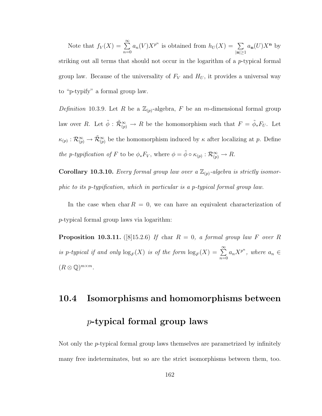Note that  $f_V(X) = \sum_{n=1}^{\infty}$  $n=0$  $a_n(V)X^{p^n}$  is obtained from  $h_U(X) = \sum$  $|\mathbf{n}|\geq 1$  $a_{\mathbf{n}}(U)X^{\mathbf{n}}$  by striking out all terms that should not occur in the logarithm of a p-typical formal group law. Because of the universality of  $F_V$  and  $H_U$ , it provides a universal way to "p-typify" a formal group law.

Definition 10.3.9. Let R be a  $\mathbb{Z}_{(p)}$ -algebra, F be an m-dimensional formal group law over R. Let  $\tilde{\phi}$  :  $\tilde{\mathcal{R}}_{(p)}^{\infty} \to R$  be the homomorphism such that  $F = \tilde{\phi}_{*}F_{U}$ . Let  $\kappa_{(p)} : \mathcal{R}_{(p)}^{\infty} \to \tilde{\mathcal{R}}_{(p)}^{\infty}$  be the homomorphism induced by  $\kappa$  after localizing at p. Define the p-typification of F to be  $\phi_* F_V$ , where  $\phi = \tilde{\phi} \circ \kappa_{(p)} : \mathcal{R}_{(p)}^{\infty} \to R$ .

**Corollary 10.3.10.** Every formal group law over a  $\mathbb{Z}_{(p)}$ -algebra is strictly isomorphic to its p-typification, which in particular is a p-typical formal group law.

In the case when char  $R = 0$ , we can have an equivalent characterization of p-typical formal group laws via logarithm:

<span id="page-170-0"></span>**Proposition 10.3.11.** ([\[8\]](#page-244-3)15.2.6) If char  $R = 0$ , a formal group law F over R is p-typical if and only  $\log_F(X)$  is of the form  $\log_F(X) = \sum^{\infty}$  $n=0$  $a_n X^{p^n}$ , where  $a_n \in$  $(R \otimes \mathbb{Q})^{m \times m}$ .

## 10.4 Isomorphisms and homomorphisms between p-typical formal group laws

Not only the p-typical formal group laws themselves are parametrized by infinitely many free indeterminates, but so are the strict isomorphisms between them, too.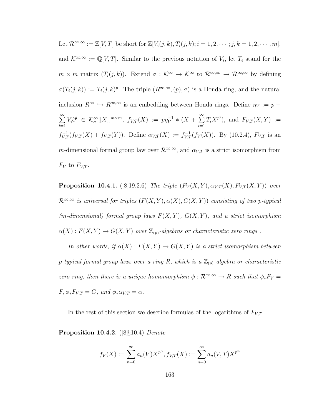Let  $\mathcal{R}^{\infty,\infty} := \mathbb{Z}[V,T]$  be short for  $\mathbb{Z}[V_i(j,k), T_i(j,k); i = 1, 2, \cdots; j, k = 1, 2, \cdots, m],$ and  $\mathcal{K}^{\infty,\infty} := \mathbb{Q}[V,T]$ . Similar to the previous notation of  $V_i$ , let  $T_i$  stand for the  $m \times m$  matrix  $(T_i(j,k))$ . Extend  $\sigma : \mathcal{K}^{\infty} \to \mathcal{K}^{\infty}$  to  $\mathcal{R}^{\infty,\infty} \to \mathcal{R}^{\infty,\infty}$  by defining  $\sigma(T_i(j,k)) := T_i(j,k)^p$ . The triple  $(R^{\infty,\infty}, (p), \sigma)$  is a Honda ring, and the natural inclusion  $R^{\infty} \hookrightarrow R^{\infty,\infty}$  is an embedding between Honda rings. Define  $\eta_V := p \sum_{i=1}^{\infty}$  $i=1$  $V_i\partial^i \in \mathcal{K}^{\infty}_{\sigma}[[X]]^{m\times m}, \ f_{V,T}(X) := pp_V^{-1} * (X + \sum^{\infty}$  $i=1$  $T_iX^{p^i}$ , and  $F_{V,T}(X,Y) :=$  $f_{V,T}^{-1}(f_{V,T}(X) + f_{V,T}(Y))$ . Define  $\alpha_{V,T}(X) := f_{V,T}^{-1}(f_V(X))$ . By [\(10.2.4\)](#page-163-0),  $F_{V,T}$  is an m-dimensional formal group law over  $\mathcal{R}^{\infty,\infty}$ , and  $\alpha_{V,T}$  is a strict isomorphism from  $F_V$  to  $F_{V,T}$ .

**Proposition 10.4.1.** ([\[8\]](#page-244-3) 19.2.6) The triple  $(F_V(X, Y), \alpha_{V,T}(X), F_{V,T}(X, Y))$  over  $\mathcal{R}^{\infty,\infty}$  is universal for triples  $(F(X, Y), \alpha(X), G(X, Y))$  consisting of two p-typical (m-dimensional) formal group laws  $F(X, Y)$ ,  $G(X, Y)$ , and a strict isomorphism  $\alpha(X): F(X,Y) \to G(X,Y)$  over  $\mathbb{Z}_{(p)}$ -algebras or characteristic zero rings.

In other words, if  $\alpha(X) : F(X,Y) \to G(X,Y)$  is a strict isomorphism between p-typical formal group laws over a ring R, which is a  $\mathbb{Z}_{(p)}$ -algebra or characteristic zero ring, then there is a unique homomorphism  $\phi : \mathcal{R}^{\infty,\infty} \to R$  such that  $\phi_* F_V =$  $F, \phi_* F_{V,T} = G$ , and  $\phi_* \alpha_{V,T} = \alpha$ .

In the rest of this section we describe formulas of the logarithms of  $F_{V,T}$ .

Proposition 10.4.2. ([\[8\]](#page-244-3)§10.4) Denote

$$
f_V(X) := \sum_{n=0}^{\infty} a_n(V) X^{p^n}, f_{V,T}(X) := \sum_{n=0}^{\infty} a_n(V,T) X^{p^n}
$$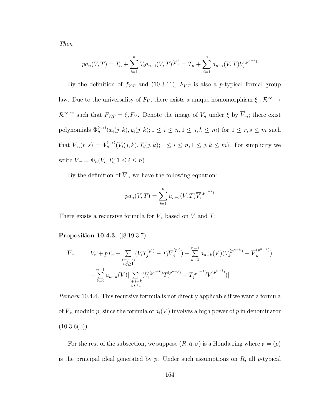Then

$$
pa_n(V,T) = T_n + \sum_{i=1}^n V_i a_{n-i}(V,T)^{(p^i)} = T_n + \sum_{i=1}^n a_{n-i}(V,T) V_i^{(p^{n-i})}
$$

By the definition of  $f_{V,T}$  and [\(10.3.11\)](#page-170-0),  $F_{V,T}$  is also a p-typical formal group law. Due to the universality of  $F_V$ , there exists a unique homomorphism  $\xi : \mathcal{R}^{\infty} \to$  $\mathcal{R}^{\infty,\infty}$  such that  $F_{V,T} = \xi_* F_V$ . Denote the image of  $V_n$  under  $\xi$  by  $\overline{V}_n$ ; there exist polynomials  $\Phi_n^{(r,s)}(x_i(j,k), y_i(j,k); 1 \leq i \leq n, 1 \leq j, k \leq m)$  for  $1 \leq r, s \leq m$  such that  $\overline{V}_n(r,s) = \Phi_n^{(r,s)}(V_i(j,k), T_i(j,k); 1 \le i \le n, 1 \le j, k \le m)$ . For simplicity we write  $\overline{V}_n = \Phi_n(V_i, T_i; 1 \leq i \leq n)$ .

By the definition of  $\overline{V}_n$  we have the following equation:

$$
pa_n(V,T) = \sum_{i=1}^n a_{n-i}(V,T)\overline{V_i}^{(p^{n-i})}
$$

There exists a recursive formula for  $\overline{V}_i$  based on V and T:

Proposition 10.4.3. ([\[8\]](#page-244-3)19.3.7)

$$
\overline{V}_n = V_n + pT_n + \sum_{\substack{i+j=n \ i,j \ge 1}} (V_i T_j^{(p^i)} - T_j \overline{V}_i^{(p^i)}) + \sum_{k=1}^{n-1} a_{n-k}(V)(V_k^{(p^{n-k})} - \overline{V}_k^{(p^{n-k})})
$$
  
+ 
$$
\sum_{k=2}^{n-1} a_{n-k}(V) [\sum_{\substack{i+j=k \ i,j \ge 1}} (V_i^{(p^{n-k})} T_j^{(p^{n-j})} - T_j^{(p^{n-k})} \overline{V}_i^{(p^{n-i})})]
$$

Remark 10.4.4. This recursive formula is not directly applicable if we want a formula of  $\overline{V}_n$  modulo p, since the formula of  $a_i(V)$  involves a high power of p in denominator  $(10.3.6(b)).$  $(10.3.6(b)).$ 

For the rest of the subsection, we suppose  $(R, \mathfrak{a}, \sigma)$  is a Honda ring where  $\mathfrak{a} = (p)$ is the principal ideal generated by  $p$ . Under such assumptions on  $R$ , all  $p$ -typical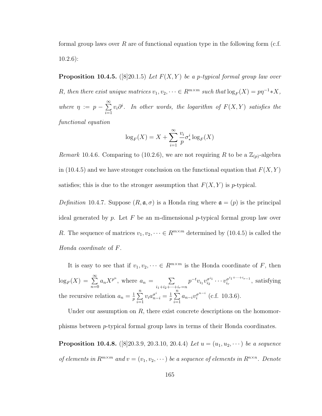formal group laws over  $R$  are of functional equation type in the following form (c.f. [10.2.6\)](#page-164-1):

<span id="page-173-0"></span>**Proposition 10.4.5.** ([\[8\]](#page-244-3)20.1.5) Let  $F(X, Y)$  be a p-typical formal group law over R, then there exist unique matrices  $v_1, v_2, \dots \in R^{m \times m}$  such that  $\log_F(X) = p\eta^{-1} * X$ , where  $\eta := p - \sum_{n=1}^{\infty}$  $i=1$  $v_i\partial^i$ . In other words, the logarithm of  $F(X,Y)$  satisfies the functional equation

$$
\log_F(X) = X + \sum_{i=1}^{\infty} \frac{v_i}{p} \sigma_*^i \log_F(X)
$$

*Remark* 10.4.6. Comparing to [\(10.2.6\)](#page-164-1), we are not requiring R to be a  $\mathbb{Z}_{(p)}$ -algebra in [\(10.4.5\)](#page-173-0) and we have stronger conclusion on the functional equation that  $F(X, Y)$ satisfies; this is due to the stronger assumption that  $F(X, Y)$  is p-typical.

Definition 10.4.7. Suppose  $(R, \mathfrak{a}, \sigma)$  is a Honda ring where  $\mathfrak{a} = (p)$  is the principal ideal generated by p. Let F be an m-dimensional p-typical formal group law over R. The sequence of matrices  $v_1, v_2, \dots \in R^{m \times m}$  determined by [\(10.4.5\)](#page-173-0) is called the Honda coordinate of F.

It is easy to see that if  $v_1, v_2, \dots \in R^{m \times m}$  is the Honda coordinate of F, then  $\log_F(X) = \sum^{\infty}$  $n=0$  $a_n X^{p^n}$ , where  $a_n = \sum$  $i_1+i_2+\cdots+i_r=n$  $p^{-t}v_{i_1}v_{i_2}^{\sigma^{i_1}}$  $\frac{\sigma^{i_1}}{i_2}\cdots v^{\sigma^{i_1+\cdots+i_{r-1}}}_{i_r}$  $\frac{\sigma^{i_1+\cdots+i_{r-1}}}{\sigma^{i_r}},$  satisfying the recursive relation  $a_n = \frac{1}{n}$  $\frac{1}{p}$  $\sum_{n=1}^{n}$  $i=1$  $v_i a_{n-i}^{\sigma^i} = \frac{1}{p}$  $\frac{1}{p}$  $\sum_{n=1}^{n}$  $i=1$  $a_{n-i}v_i^{\sigma^{n-i}}$  $i^{\sigma^{n-i}}$  (c.f. [10.3.6\)](#page-168-0).

Under our assumption on  $R$ , there exist concrete descriptions on the homomorphisms between p-typical formal group laws in terms of their Honda coordinates. **Proposition 10.4.8.** ([\[8\]](#page-244-3)20.3.9, 20.3.10, 20.4.4) Let  $u = (u_1, u_2, \dots)$  be a sequence of elements in  $R^{m \times m}$  and  $v = (v_1, v_2, \dots)$  be a sequence of elements in  $R^{n \times n}$ . Denote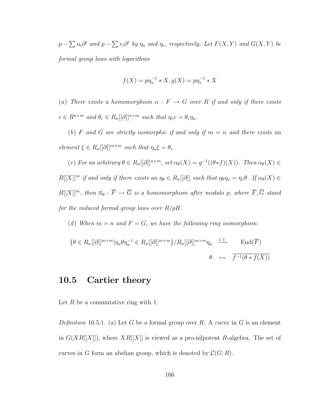$p-\sum u_i\partial^i$  and  $p-\sum v_i\partial^i$  by  $\eta_u$  and  $\eta_v$ , respectively. Let  $F(X,Y)$  and  $G(X,Y)$  be formal group laws with logarithms

$$
f(X) = p\eta_u^{-1} * X, g(X) = p\eta_v^{-1} * X
$$

(a) There exists a homomorphism  $\alpha : F \to G$  over R if and only if there exists  $c \in R^{n \times m}$  and  $\theta_c \in R_{\sigma}[[\partial]]^{n \times m}$  such that  $\eta_v c = \theta_c \eta_u$ .

(b) F and G are strictly isomorphic if and only if  $m = n$  and there exists an element  $\xi \in R_{\sigma}[[\partial]]^{m \times m}$  such that  $\eta_u \xi = \theta_v$ .

(c) For an arbitrary  $\theta \in R_{\sigma}[[\partial]]^{n \times m}$ , set  $\alpha_{\theta}(X) = g^{-1}((\theta * f)(X))$ . Then  $\alpha_{\theta}(X) \in$  $R[[X]]^m$  if and only if there exists an  $\eta_\theta \in R_\sigma[[\partial]]$  such that  $\eta_\theta \eta_u = \eta_v \theta$ . If  $\alpha_\theta(X) \in$  $R[[X]]^m$ , then  $\overline{\alpha}_{\theta} : \overline{F} \to \overline{G}$  is a homomorphism after modulo p, where  $\overline{F}, \overline{G}$  stand for the induced formal group laws over  $R/pR$ .

(d) When  $m = n$  and  $F = G$ , we have the following ring isomorphism:

$$
\{\theta \in R_{\sigma}[[\partial]]^{m \times m}|\eta_u \theta \eta_u^{-1} \in R_{\sigma}[[\partial]]^{m \times m}\} / R_{\sigma}[[\partial]]^{m \times m} \eta_u \xrightarrow{1-1} \text{End}(\overline{F})
$$
  

$$
\theta \mapsto \overline{f^{-1}(\theta * f(X))}
$$

#### <span id="page-174-0"></span>10.5 Cartier theory

Let  $R$  be a commutative ring with 1.

Definition 10.5.1. (a) Let G be a formal group over R. A curve in G is an element in  $G(XR[[X]])$ , where  $XR[[X]]$  is viewed as a pro-nilpotent R-algebra. The set of curves in G form an abelian group, which is denoted by  $\mathcal{C}(G;R)$ .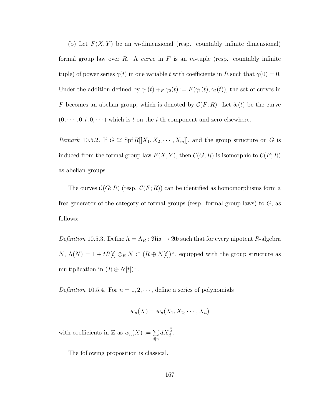(b) Let  $F(X, Y)$  be an m-dimensional (resp. countably infinite dimensional) formal group law over  $R$ . A *curve* in  $F$  is an  $m$ -tuple (resp. countably infinite tuple) of power series  $\gamma(t)$  in one variable t with coefficients in R such that  $\gamma(0) = 0$ . Under the addition defined by  $\gamma_1(t) + F \gamma_2(t) := F(\gamma_1(t), \gamma_2(t))$ , the set of curves in F becomes an abelian group, which is denoted by  $\mathcal{C}(F;R)$ . Let  $\delta_i(t)$  be the curve  $(0, \dots, 0, t, 0, \dots)$  which is t on the *i*-th component and zero elsewhere.

Remark 10.5.2. If  $G \cong Spf R[[X_1, X_2, \cdots, X_m]],$  and the group structure on G is induced from the formal group law  $F(X, Y)$ , then  $\mathcal{C}(G; R)$  is isomorphic to  $\mathcal{C}(F; R)$ as abelian groups.

The curves  $\mathcal{C}(G;R)$  (resp.  $\mathcal{C}(F;R)$ ) can be identified as homomorphisms form a free generator of the category of formal groups (resp. formal group laws) to  $G$ , as follows:

Definition 10.5.3. Define  $\Lambda = \Lambda_R : \mathfrak{Nip} \to \mathfrak{Ab}$  such that for every nipotent R-algebra  $N, \Lambda(N) = 1 + tR[t] \otimes_R N \subset (R \oplus N[t])^{\times}$ , equipped with the group structure as multiplication in  $(R \oplus N[t])^{\times}$ .

Definition 10.5.4. For  $n = 1, 2, \dots$ , define a series of polynomials

$$
w_n(X) = w_n(X_1, X_2, \cdots, X_n)
$$

with coefficients in Z as  $w_n(X) := \sum$  $d|n$  $dX_d^{\frac{n}{d}}$ .

The following proposition is classical.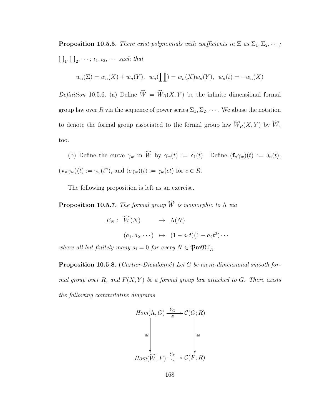**Proposition 10.5.5.** There exist polynomials with coefficients in  $\mathbb{Z}$  as  $\Sigma_1, \Sigma_2, \cdots$ ;  $\prod_1, \prod_2, \cdots; \iota_1, \iota_2, \cdots$  such that

$$
w_n(\Sigma) = w_n(X) + w_n(Y), w_n(\prod) = w_n(X)w_n(Y), w_n(\iota) = -w_n(X)
$$

Definition 10.5.6. (a) Define  $\widehat{W} = \widehat{W}_R(X, Y)$  be the infinite dimensional formal group law over R via the sequence of power series  $\Sigma_1, \Sigma_2, \cdots$ . We abuse the notation to denote the formal group associated to the formal group law  $\widehat{W}_R(X, Y)$  by  $\widehat{W}$ , too.

(b) Define the curve  $\gamma_w$  in  $\widehat{W}$  by  $\gamma_w(t) := \delta_1(t)$ . Define  $(\mathbf{f}_n \gamma_w)(t) := \delta_n(t)$ ,  $(\mathbf{v}_n\gamma_w)(t) := \gamma_w(t^n)$ , and  $(c\gamma_w)(t) := \gamma_w(ct)$  for  $c \in R$ .

The following proposition is left as an exercise.

**Proposition 10.5.7.** The formal group  $\widehat{W}$  is isomorphic to  $\Lambda$  via

 $E_N: \widehat{W}(N) \longrightarrow \Lambda(N)$  $(a_1, a_2, \dots) \mapsto (1 - a_1 t)(1 - a_2 t^2) \dots$ where all but finitely many  $a_i = 0$  for every  $N \in \mathfrak{P}$ to $\mathfrak{Nil}_R$ .

<span id="page-176-0"></span>**Proposition 10.5.8.** (Cartier-Dieudonné) Let G be an m-dimensional smooth formal group over R, and  $F(X, Y)$  be a formal group law attached to G. There exists the following commutative diagrams

$$
Hom(\Lambda, G) \xrightarrow{\underline{Y_G}} \mathcal{C}(G; R)
$$
  
\n
$$
\cong \qquad \qquad \downarrow \qquad \qquad \downarrow
$$
  
\n
$$
Hom(\widehat{W}, F) \xrightarrow{\underline{Y_F}} \mathcal{C}(F; R)
$$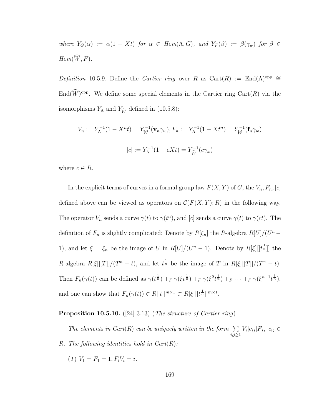where  $Y_G(\alpha) := \alpha(1 - Xt)$  for  $\alpha \in Hom(\Lambda, G)$ , and  $Y_F(\beta) := \beta(\gamma_w)$  for  $\beta \in$  $Hom(\widehat{W}, F)$ .

Definition 10.5.9. Define the Cartier ring over R as Cart $(R) := \text{End}(\Lambda)^\text{opp} \cong$  $\text{End}(\widetilde{W})^{\text{opp}}$ . We define some special elements in the Cartier ring  $\text{Cart}(R)$  via the isomorphisms  $Y_{\Lambda}$  and  $Y_{\widehat{W}}$  defined in [\(10.5.8\)](#page-176-0):

$$
V_n := Y_{\Lambda}^{-1}(1 - X^n t) = Y_{\widehat{W}}^{-1}(\mathbf{v}_n \gamma_w), F_n := Y_{\Lambda}^{-1}(1 - Xt^n) = Y_{\widehat{W}}^{-1}(\mathbf{f}_n \gamma_w)
$$

$$
[c] := Y_{\Lambda}^{-1}(1 - cXt) = Y_{\widehat{W}}^{-1}(c\gamma_w)
$$

where  $c \in R$ .

In the explicit terms of curves in a formal group law  $F(X, Y)$  of  $G$ , the  $V_n, F_n, [c]$ defined above can be viewed as operators on  $\mathcal{C}(F(X, Y); R)$  in the following way. The operator  $V_n$  sends a curve  $\gamma(t)$  to  $\gamma(t^n)$ , and [c] sends a curve  $\gamma(t)$  to  $\gamma(ct)$ . The definition of  $F_n$  is slightly complicated: Denote by  $R[\xi_n]$  the R-algebra  $R[U]/(U^n -$ 1), and let  $\xi = \xi_n$  be the image of U in  $R[U]/(U^n - 1)$ . Denote by  $R[\xi][[t^{\frac{1}{n}}]]$  the R-algebra  $R[\xi][[T]]/(T^n - t)$ , and let  $t^{\frac{1}{n}}$  be the image of T in  $R[\xi][[T]]/(T^n - t)$ . Then  $F_n(\gamma(t))$  can be defined as  $\gamma(t^{\frac{1}{n}}) +_F \gamma(\xi t^{\frac{1}{n}}) +_F \gamma(\xi^2 t^{\frac{1}{n}}) +_F \cdots +_F \gamma(\xi^{n-1} t^{\frac{1}{n}})$ , and one can show that  $F_n(\gamma(t)) \in R[[t]]^{m \times 1} \subset R[\xi] [[t^{\frac{1}{n}}]]^{m \times 1}$ .

#### Proposition 10.5.10. ([\[24\]](#page-245-2) 3.13) (The structure of Cartier ring)

The elements in Cart(R) can be uniquely written in the form  $\Sigma$  $i,j\geq 1$  $V_i[c_{ij}]F_j, c_{ij} \in$ R. The following identities hold in  $Cart(R)$ :

(1)  $V_1 = F_1 = 1, F_i V_i = i.$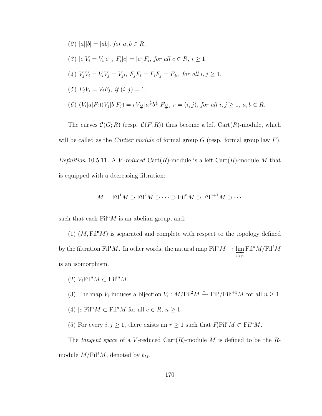(2) 
$$
[a][b] = [ab]
$$
, for  $a, b \in R$ .  
\n(3)  $[c]V_i = V_i[c^i]$ ,  $F_i[c] = [c^i]F_i$ , for all  $c \in R$ ,  $i \ge 1$ .  
\n(4)  $V_j V_i = V_i V_j = V_{ji}$ ,  $F_j F_i = F_i F_j = F_{ji}$ , for all  $i, j \ge 1$ .  
\n(5)  $F_j V_i = V_i F_j$ , if  $(i, j) = 1$ .  
\n(6)  $(V_i[a]F_i)(V_j[b]F_j) = r V_{\frac{ij}{r}}[a^{\frac{i}{r}}b^{\frac{j}{r}}]F_{\frac{ij}{r}}$ ,  $r = (i, j)$ , for all  $i, j \ge 1$ ,  $a, b \in R$ .

The curves  $\mathcal{C}(G;R)$  (resp.  $\mathcal{C}(F,R)$ ) thus become a left Cart(R)-module, which will be called as the *Cartier module* of formal group  $G$  (resp. formal group law  $F$ ). Definition 10.5.11. A V-reduced Cart $(R)$ -module is a left Cart $(R)$ -module M that

is equipped with a decreasing filtration:

$$
M = \text{Fil}^1 M \supset \text{Fil}^2 M \supset \cdots \supset \text{Fil}^n M \supset \text{Fil}^{n+1} M \supset \cdots
$$

such that each  $\text{Fil}^nM$  is an abelian group, and:

(1)  $(M, \text{Fil}^{\bullet}M)$  is separated and complete with respect to the topology defined by the filtration Fil<sup>•</sup>M. In other words, the natural map  $\text{Fil}^n M \to \varprojlim_{i\geq n} \text{Fil}^n M/\text{Fil}^i M$ is an isomorphism.

- (2)  $V_i \text{Fil}^n M \subset \text{Fil}^{in} M$ .
- (3) The map  $V_i$  induces a bijection  $V_i: M/\mathrm{Fil}^2M \xrightarrow{\sim} \mathrm{Fil}^i/\mathrm{Fil}^{i+1}M$  for all  $n \geq 1$ .
- (4)  $[c]$ Fil<sup>n</sup> $M \subset$  Fil<sup>n</sup> $M$  for all  $c \in R$ ,  $n \ge 1$ .
- (5) For every  $i, j \geq 1$ , there exists an  $r \geq 1$  such that  $F_i \text{Fil}^r M \subset \text{Fil}^n M$ .

The tangent space of a V-reduced Cart $(R)$ -module M is defined to be the Rmodule  $M/\mathrm{Fil}^1M$ , denoted by  $t_M$ .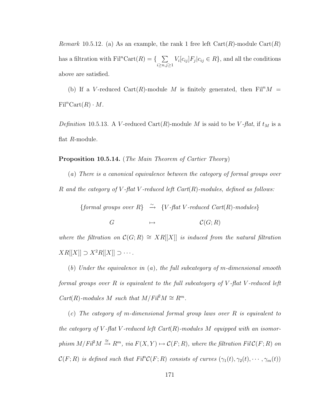*Remark* 10.5.12. (a) As an example, the rank 1 free left  $Cart(R)$ -module  $Cart(R)$ has a filtration with  $\text{Fil}^n\text{Cart}(R) = \{-\sum_{k=1}^{\infty}$  $i \geq n, j \geq 1$  $V_i[c_{ij}]F_j[c_{ij} \in R],$  and all the conditions above are satisfied.

(b) If a V-reduced Cart $(R)$ -module M is finitely generated, then Fil<sup>n</sup>M =  $\mathrm{Fil}^n\mathrm{Cart}(R)\cdot M$ .

Definition 10.5.13. A V-reduced Cart(R)-module M is said to be V-flat, if  $t_M$  is a flat R-module.

Proposition 10.5.14. (The Main Theorem of Cartier Theory)

(a) There is a canonical equivalence between the category of formal groups over R and the category of V-flat V-reduced left  $Cart(R)$ -modules, defined as follows:

{formal groups over  $R$ }  $\stackrel{\sim}{\rightarrow}$  {*V*-flat *V*-reduced *Cart*(*R*)-modules}

 $G \longrightarrow \mathcal{C}(G; R)$ 

where the filtration on  $\mathcal{C}(G;R) \cong XR[[X]]$  is induced from the natural filtration  $XR[[X]] \supset X^2R[[X]] \supset \cdots$ .

(b) Under the equivalence in  $(a)$ , the full subcategory of m-dimensional smooth formal groups over  $R$  is equivalent to the full subcategory of  $V$ -flat  $V$ -reduced left  $Cart(R)$ -modules M such that  $M/Fi^2M \cong R^m$ .

(c) The category of m-dimensional formal group laws over R is equivalent to the category of V-flat V-reduced left  $Cart(R)$ -modules M equipped with an isomorphism  $M/Fil^2M \stackrel{\cong}{\longrightarrow} R^m$ , via  $F(X,Y) \mapsto \mathcal{C}(F;R)$ , where the filtration  $Fil\mathcal{C}(F;R)$  on  $\mathcal{C}(F;R)$  is defined such that  $Fil^{n}\mathcal{C}(F;R)$  consists of curves  $(\gamma_1(t),\gamma_2(t),\cdots,\gamma_m(t))$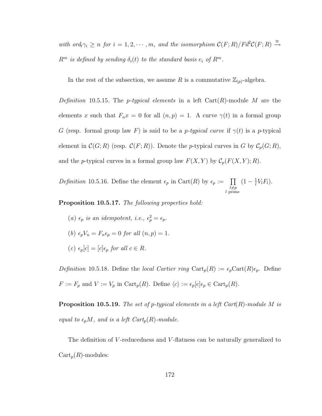with ord<sub>t</sub> $\gamma_i \ge n$  for  $i = 1, 2, \cdots, m$ , and the isomorphism  $\mathcal{C}(F;R)/Fil^2\mathcal{C}(F;R) \stackrel{\cong}{\rightarrow}$  $R^m$  is defined by sending  $\delta_i(t)$  to the standard basis  $e_i$  of  $R^m$ .

In the rest of the subsection, we assume R is a commutative  $\mathbb{Z}_{(p)}$ -algebra.

Definition 10.5.15. The *p*-typical elements in a left Cart $(R)$ -module M are the elements x such that  $F_n x = 0$  for all  $(n, p) = 1$ . A curve  $\gamma(t)$  in a formal group G (resp. formal group law F) is said to be a p-typical curve if  $\gamma(t)$  is a p-typical element in  $\mathcal{C}(G;R)$  (resp.  $\mathcal{C}(F;R)$ ). Denote the p-typical curves in G by  $\mathcal{C}_p(G;R)$ , and the p-typical curves in a formal group law  $F(X, Y)$  by  $C_p(F(X, Y); R)$ .

Definition 10.5.16. Define the element  $\epsilon_p$  in Cart(R) by  $\epsilon_p := \prod$  $l \neq p$ l prime  $(1 - \frac{1}{l})$  $\frac{1}{l}V_lF_l$ .

Proposition 10.5.17. The following properties hold:

(a)  $\epsilon_p$  is an idempotent, i.e.,  $\epsilon_p^2 = \epsilon_p$ . (b)  $\epsilon_p V_n = F_n \epsilon_p = 0$  for all  $(n, p) = 1$ .

(c)  $\epsilon_p[c] = [c] \epsilon_p$  for all  $c \in R$ .

Definition 10.5.18. Define the local Cartier ring  $\text{Cart}_p(R) := \epsilon_p \text{Cart}(R) \epsilon_p$ . Define  $F := F_p$  and  $V := V_p$  in  $\text{Cart}_p(R)$ . Define  $\langle c \rangle := \epsilon_p[c] \epsilon_p \in \text{Cart}_p(R)$ .

**Proposition 10.5.19.** The set of p-typical elements in a left  $Cart(R)$ -module M is equal to  $\epsilon_p M$ , and is a left  $Cart_p(R)$ -module.

The definition of V-reducedness and V-flatness can be naturally generalized to  $Cart_p(R)$ -modules: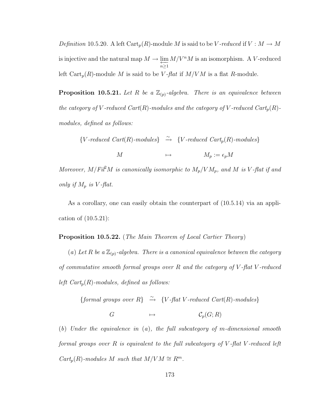Definition 10.5.20. A left  $\text{Cart}_p(R)$ -module M is said to be V-reduced if  $V : M \to M$ is injective and the natural map  $M \to \varprojlim_{n \geq 1} M/V^nM$  is an isomorphism. A V-reduced left Cart<sub>p</sub> $(R)$ -module M is said to be V-flat if  $M/VM$  is a flat R-module.

<span id="page-181-0"></span>**Proposition 10.5.21.** Let R be a  $\mathbb{Z}_{(p)}$ -algebra. There is an equivalence between the category of V-reduced Cart(R)-modules and the category of V-reduced Cart<sub>p</sub>(R)modules, defined as follows:

 ${V-reduced \, Cart(R)-modules} \rightarrow {V-reduced \, Cart_p(R)-modules}$  $M \longrightarrow M_p := \epsilon_p M$ 

Moreover,  $M/Fil^2M$  is canonically isomorphic to  $M_p/VM_p$ , and M is V-flat if and only if  $M_p$  is V-flat.

As a corollary, one can easily obtain the counterpart of [\(10.5.14\)](#page-179-0) via an application of [\(10.5.21\)](#page-181-0):

Proposition 10.5.22. (The Main Theorem of Local Cartier Theory)

(a) Let R be a  $\mathbb{Z}_{(p)}$ -algebra. There is a canonical equivalence between the category of commutative smooth formal groups over  $R$  and the category of  $V$ -flat  $V$ -reduced left  $Cart_p(R)$ -modules, defined as follows:

{formal groups over  $R$ }  $\stackrel{\sim}{\rightarrow}$  {*V*-flat *V*-reduced *Cart*(*R*)-modules}

$$
G \qquad \qquad \mapsto \qquad \qquad \mathcal{C}_p(G;R)
$$

(b) Under the equivalence in (a), the full subcategory of m-dimensional smooth formal groups over  $R$  is equivalent to the full subcategory of  $V$ -flat  $V$ -reduced left  $Cart_p(R)$ -modules M such that  $M/VM \cong R^m$ .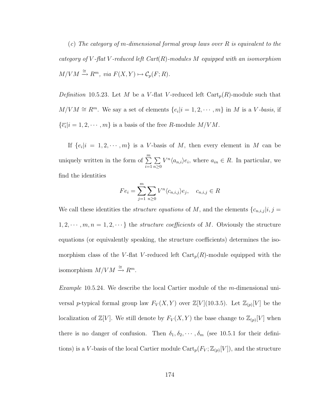(c) The category of m-dimensional formal group laws over R is equivalent to the category of V-flat V-reduced left  $Cart(R)$ -modules M equipped with an isomorphism  $M/VM \stackrel{\cong}{\longrightarrow} R^m$ , via  $F(X, Y) \mapsto C_p(F; R)$ .

*Definition* 10.5.23. Let M be a V-flat V-reduced left  $\text{Cart}_p(R)$ -module such that  $M/VM \cong R^m$ . We say a set of elements  $\{e_i|i=1,2,\cdots,m\}$  in M is a V-basis, if  $\{\overline{e_i}|i=1,2,\cdots,m\}$  is a basis of the free R-module  $M/VM$ .

If  $\{e_i|i=1,2,\cdots,m\}$  is a V-basis of M, then every element in M can be uniquely written in the form of  $\sum_{m=1}^{m}$  $i=1$  $\sum$  $n\geq 0$  $V^n\langle a_{n,i}\rangle e_i$ , where  $a_{in} \in R$ . In particular, we find the identities

$$
Fe_i = \sum_{j=1}^m \sum_{n \ge 0} V^n \langle c_{n,i,j} \rangle e_j, \quad c_{n,i,j} \in R
$$

We call these identities the *structure equations* of M, and the elements  $\{c_{n,i,j} | i, j = 1\}$  $1, 2, \dots, m, n = 1, 2, \dots$ } the *structure coefficients* of M. Obviously the structure equations (or equivalently speaking, the structure coefficients) determines the isomorphism class of the V-flat V-reduced left  $\text{Cart}_p(R)$ -module equipped with the isomorphism  $M/VM \stackrel{\cong}{\rightarrow} R^m$ .

Example 10.5.24. We describe the local Cartier module of the m-dimensional universal p-typical formal group law  $F_V(X, Y)$  over  $\mathbb{Z}[V](10.3.5)$  $\mathbb{Z}[V](10.3.5)$ . Let  $\mathbb{Z}_{(p)}[V]$  be the localization of  $\mathbb{Z}[V]$ . We still denote by  $F_V(X, Y)$  the base change to  $\mathbb{Z}_{(p)}[V]$  when there is no danger of confusion. Then  $\delta_1, \delta_2, \cdots, \delta_m$  (see [10.5.1](#page-174-0) for their definitions) is a V-basis of the local Cartier module  $\text{Cart}_p(F_V; \mathbb{Z}_{(p)}[V])$ , and the structure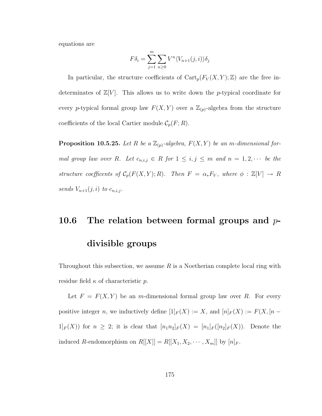equations are

$$
F\delta_i = \sum_{j=1}^m \sum_{n\geq 0} V^n \langle V_{n+1}(j,i) \rangle \delta_j
$$

In particular, the structure coefficients of  $Cart_p(F_V(X, Y); \mathbb{Z})$  are the free indeterminates of  $\mathbb{Z}[V]$ . This allows us to write down the p-typical coordinate for every p-typical formal group law  $F(X, Y)$  over a  $\mathbb{Z}_{(p)}$ -algebra from the structure coefficients of the local Cartier module  $\mathcal{C}_p(F;R)$ .

**Proposition 10.5.25.** Let R be a  $\mathbb{Z}_{(p)}$ -algebra,  $F(X, Y)$  be an m-dimensional formal group law over R. Let  $c_{n,i,j} \in R$  for  $1 \leq i,j \leq m$  and  $n = 1,2,\cdots$  be the structure coefficents of  $C_p(F(X, Y); R)$ . Then  $F = \alpha_* F_V$ , where  $\phi : \mathbb{Z}[V] \to R$ sends  $V_{n+1}(j,i)$  to  $c_{n,i,j}$ .

### 10.6 The relation between formal groups and  $p$ -

#### divisible groups

Throughout this subsection, we assume  $R$  is a Noetherian complete local ring with residue field  $\kappa$  of characteristic p.

Let  $F = F(X, Y)$  be an m-dimensional formal group law over R. For every positive integer n, we inductively define  $[1]_F(X) := X$ , and  $[n]_F(X) := F(X, [n 1_F(X)$  for  $n \geq 2$ ; it is clear that  $[n_1n_2]_F(X) = [n_1]_F([n_2]_F(X))$ . Denote the induced R-endomorphism on  $R[[X]] = R[[X_1, X_2, \cdots, X_m]]$  by  $[n]_F$ .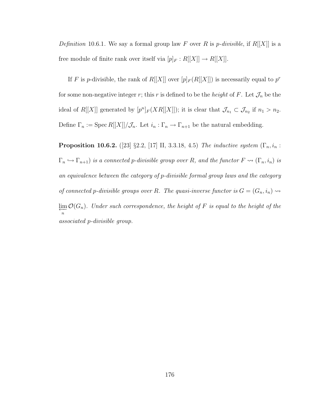Definition 10.6.1. We say a formal group law F over R is p-divisible, if  $R[[X]]$  is a free module of finite rank over itself via  $[p]_F : R[[X]] \to R[[X]].$ 

If F is p-divisible, the rank of  $R[[X]]$  over  $[p]_F(R[[X]])$  is necessarily equal to  $p^r$ for some non-negative integer r; this r is defined to be the *height* of F. Let  $\mathcal{J}_n$  be the ideal of R[[X]] generated by  $[p^n]_F(XR[[X]])$ ; it is clear that  $\mathcal{J}_{n_1} \subset \mathcal{J}_{n_2}$  if  $n_1 > n_2$ . Define  $\Gamma_n := \operatorname{Spec} R[[X]] / \mathcal{J}_n$ . Let  $i_n : \Gamma_n \to \Gamma_{n+1}$  be the natural embedding.

**Proposition 10.6.2.** ([\[23\]](#page-245-0) §2.2, [\[17\]](#page-245-1) II, 3.3.18, 4.5) The inductive system ( $\Gamma_n$ ,  $i_n$ :  $\Gamma_n \hookrightarrow \Gamma_{n+1}$ ) is a connected p-divisible group over R, and the functor  $F \rightsquigarrow (\Gamma_n, i_n)$  is an equivalence between the category of p-divisible formal group laws and the category of connected p-divisible groups over R. The quasi-inverse functor is  $G = (G_n, i_n) \rightarrow$  $\varprojlim_n {\cal O}(G_n)$ . Under such correspondence, the height of F is equal to the height of the associated p-divisible group.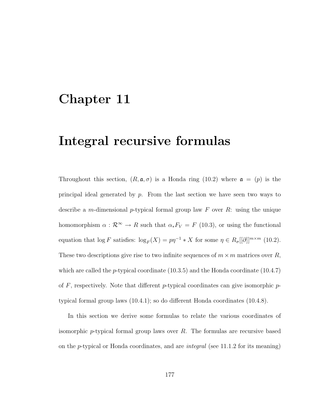### Chapter 11

### Integral recursive formulas

Throughout this section,  $(R, \mathfrak{a}, \sigma)$  is a Honda ring [\(10.2\)](#page-162-0) where  $\mathfrak{a} = (p)$  is the principal ideal generated by  $p$ . From the last section we have seen two ways to describe a m-dimensional p-typical formal group law  $F$  over  $R$ : using the unique homomorphism  $\alpha : \mathcal{R}^{\infty} \to R$  such that  $\alpha_* F_V = F(10.3)$  $\alpha_* F_V = F(10.3)$ , or using the functional equation that  $\log F$  satisfies:  $\log_F(X) = p\eta^{-1} * X$  for some  $\eta \in R_{\sigma}[[\partial]]^{m \times m}$  [\(10.2\)](#page-162-0). These two descriptions give rise to two infinite sequences of  $m \times m$  matrices over  $R$ , which are called the *p*-typical coordinate  $(10.3.5)$  and the Honda coordinate  $(10.4.7)$ of  $F$ , respectively. Note that different p-typical coordinates can give isomorphic  $p$ typical formal group laws [\(10.4.1\)](#page-171-0); so do different Honda coordinates [\(10.4.8\)](#page-173-1).

In this section we derive some formulas to relate the various coordinates of isomorphic p-typical formal group laws over  $R$ . The formulas are recursive based on the p-typical or Honda coordinates, and are integral (see [11.1.2](#page-186-0) for its meaning)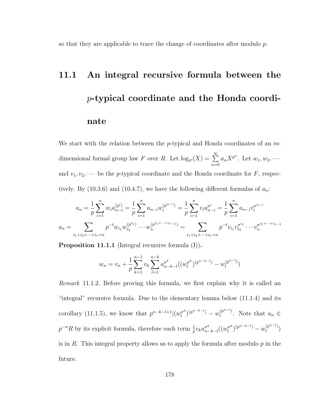so that they are applicable to trace the change of coordinates after modulo p.

# 11.1 An integral recursive formula between the p-typical coordinate and the Honda coordinate

We start with the relation between the p-typical and Honda coordinates of an  $m$ dimensional formal group law F over R. Let  $\log_F(X) = \sum^{\infty}$  $n=0$  $a_n X^{p^n}$ . Let  $w_1, w_2, \cdots$ and  $v_1, v_2, \dots$  be the *p*-typical coordinate and the Honda coordinate for *F*, respec-tively. By [\(10.3.6\)](#page-168-1) and [\(10.4.7\)](#page-173-0), we have the following different formulas of  $a_n$ .

$$
a_n = \frac{1}{p} \sum_{i=1}^n w_i a_{n-i}^{(p^i)} = \frac{1}{p} \sum_{i=1}^n a_{n-i} w_i^{(p^{n-i})} = \frac{1}{p} \sum_{i=1}^n v_i a_{n-i}^{(p^{n-i})} = \frac{1}{p} \sum_{i=1}^n a_{n-i} v_i^{(p^{n-i})}
$$

$$
a_n = \sum_{i_1+i_2+\dots+i_r=n} p^{-t} w_{i_1} w_{i_2}^{(p^{i_1})} \dots w_{i_r}^{(p^{i_1+\dots+i_r-1})} = \sum_{i_1+i_2+\dots+i_r=n} p^{-t} v_{i_1} v_{i_2}^{(p^{i_1})} \dots v_{i_r}^{(p^{i_1+\dots+i_r-1})}
$$

<span id="page-186-1"></span>Proposition 11.1.1 (Integral recursive formula (I)).

$$
w_n = v_n + \frac{1}{p} \sum_{k=1}^{n-1} v_k \sum_{l=1}^{n-k} a_{n-k-l}^{\sigma^k} ((w_l^{\sigma^k})^{(p^{n-k-l})} - w_l^{(p^{n-l})})
$$

<span id="page-186-2"></span><span id="page-186-0"></span>Remark 11.1.2. Before proving this formula, we first explain why it is called an "integral" recursive formula. Due to the elementary lemma below [\(11.1.4\)](#page-187-0) and its corollary [\(11.1.5\)](#page-187-1), we know that  $p^{n-k-l+1}$  $(w_l^{\sigma^k})$  $\binom{a^k}{l}$  $\binom{p^{n-k-l}}{l}$  –  $w_l^{(p^{n-l})}$  $\binom{p^{n-r}}{l}$ . Note that  $a_n \in$  $p^{-n}R$  by its explicit formula, therefore each term  $\frac{1}{p}v_ka_n^{\sigma^k}$  $_{n-k-l}^{\sigma^{k}}((w^{\sigma^{k}}_{l}% ,w^{\sigma^{k}}_{l})_{i\in [m+n]})\in ((w^{\sigma^{k}}_{l}% ,w^{\sigma^{k}}_{l})_{i\in [m+n]}),$  $\binom{\sigma^k}{l}^{(p^{n-k-l})} - w_l^{(p^{n-l})}$  $\binom{p^n-1}{l}$ is in  $R$ . This integral property allows us to apply the formula after modulo  $p$  in the future.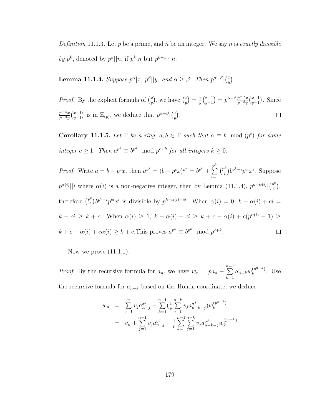Definition 11.1.3. Let p be a prime, and n be an integer. We say n is exactly divisible by  $p^k$ , denoted by  $p^k||n$ , if  $p^k|n$  but  $p^{k+1} \nmid n$ .

<span id="page-187-0"></span>**Lemma 11.1.4.** Suppose  $p^{\alpha}|x, p^{\beta}|y$ , and  $\alpha \geq \beta$ . Then  $p^{\alpha-\beta}|{x \choose y}$  $\binom{x}{y}$  .

 $y^{-1}_{y-1}$ ) =  $p^{\alpha-\beta} \frac{p^{-\alpha}x}{p^{-\beta}y}$ *Proof.* By the explicit formula of  $\binom{x}{y}$  $\binom{x}{y}$ , we have  $\binom{x}{y}$  $\binom{x}{y} = \frac{x}{y}$  $rac{x}{y}$  $\binom{x-1}{y-1}$  $\frac{p^{-\alpha}x}{p^{-\beta}y}\binom{x-1}{y-1}$  $_{y-1}^{x-1}$ ). Since  $p^{-\alpha}x$  $\frac{p^{-\alpha}x}{p^{-\beta}y}\binom{x-1}{y-1}$  $\begin{bmatrix} x^{-1} \\ y^{-1} \end{bmatrix}$  is in  $\mathbb{Z}_{(p)}$ , we deduce that  $p^{\alpha-\beta}$  $\Big| \begin{bmatrix} x \\ y \end{bmatrix}$  $\binom{x}{y}$  .  $\Box$ 

<span id="page-187-1"></span>**Corollary 11.1.5.** Let  $\Gamma$  be a ring,  $a, b \in \Gamma$  such that  $a \equiv b \mod (p^c)$  for some integer  $c \geq 1$ . Then  $a^{p^k} \equiv b^{p^k} \mod p^{c+k}$  for all integers  $k \geq 0$ .

 $\sum_{k=1}^{n}$  $\binom{p^k}{k}$ *Proof.* Write  $a = b + p^c x$ , then  $a^{p^k} = (b + p^c x)^{p^k} = b^{p^k} + b^r x$  $\int_{i}^{k}$ ) $b^{p^k-i}p^{ci}x^i$ . Suppose  $i=1$  $p^{\alpha(i)}$ ||i where  $\alpha(i)$  is a non-negative integer, then by Lemma [\(11.1.4\)](#page-187-0),  $p^{k-\alpha(i)}$ | $\binom{p^k}{i}$  $\binom{p^{\kappa}}{i},$ therefore  $\binom{p^k}{i}$  $\int_{i}^{k}$ ) $b^{p^{k}-i}p^{ci}x^{i}$  is divisible by  $p^{k-\alpha(i)+ci}$ . When  $\alpha(i) = 0$ ,  $k - \alpha(i) + ci = 0$  $k + ci \geq k + c$ . When  $\alpha(i) \geq 1$ ,  $k - \alpha(i) + ci \geq k + c - \alpha(i) + c(p^{\alpha(i)} - 1) \geq$  $k + c - \alpha(i) + c\alpha(i) \geq k + c$ . This proves  $a^{p^k} \equiv b^{p^k} \mod p^{c+k}$ .  $\Box$ 

Now we prove  $(11.1.1)$ .

*Proof.* By the recursive formula for  $a_n$ , we have  $w_n = pa_n - \sum_{n=1}^{n-1}$  $k=1$  $a_{n-k}w_k^{(p^{n-k})}$  $\binom{p}{k}$ . Use

the recursive formula for  $a_{n-k}$  based on the Honda coordinate, we deduce

$$
w_n = \sum_{j=1}^n v_j a_{n-j}^{\sigma^j} - \sum_{k=1}^{n-1} \left(\frac{1}{p} \sum_{j=1}^{n-k} v_j a_{n-k-j}^{\sigma^j}\right) w_k^{(p^{n-k})}
$$
  

$$
= v_n + \sum_{j=1}^{n-1} v_j a_{n-j}^{\sigma^j} - \frac{1}{p} \sum_{k=1}^{n-1} \sum_{j=1}^{n-k} v_j a_{n-k-j}^{\sigma^j} w_k^{(p^{n-k})}
$$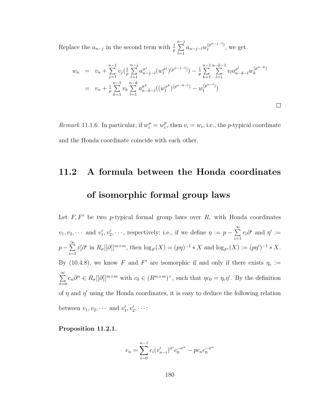Replace the  $a_{n-j}$  in the second term with  $\frac{1}{p}$  $\sum_{j=1}^{n-j}$  $_{l=1}$  $a_{n-j-l}w_l^{(p^{n-j-l})}$  $\iota^{(p^{n-j-1})}$ , we get

$$
w_n = v_n + \sum_{j=1}^{n-1} v_j \left(\frac{1}{p} \sum_{l=1}^{n-j} a_{n-j-l}^{\sigma^j} (w_l^{\sigma^j})^{(p^{n-j-l})}\right) - \frac{1}{p} \sum_{k=1}^{n-1} \sum_{l=1}^{n-k-1} v_l a_{n-k-l}^{\sigma^l} w_k^{(p^{n-k})}
$$
  

$$
= v_n + \frac{1}{p} \sum_{k=1}^{n-1} v_k \sum_{l=1}^{n-k} a_{n-k-l}^{\sigma^k} ((w_l^{\sigma^k})^{(p^{n-k-l})} - w_l^{(p^{n-l})})
$$

Remark 11.1.6. In particular, if  $w_i^{\sigma} = w_i^p$  $i<sup>p</sup>$ , then  $v<sub>i</sub> = w<sub>i</sub>$ , i.e., the *p*-typical coordinate and the Honda coordinate coincide with each other.

### 11.2 A formula between the Honda coordinates of isomorphic formal group laws

Let  $F, F'$  be two p-typical formal group laws over  $R$ , with Honda coordinates  $v_1, v_2, \cdots$  and  $v'_1, v'_2, \cdots$ , respectively; i.e., if we define  $\eta := p - \sum_{i=1}^{\infty}$  $i=1$  $v_i \partial^i$  and  $\eta' :=$  $p-\sum^{\infty}$  $i=1$  $v_i' \partial^i$  in  $R_{\sigma}[[\partial]]^{m \times m}$ , then  $\log_F(X) = (p\eta)^{-1} * X$  and  $\log_{F'}(X) := (p\eta')^{-1} * X$ . By [\(10.4.8\)](#page-173-1), we know F and F' are isomorphic if and only if there exists  $\eta_c :=$  $\sum_{i=1}^{\infty}$  $n=0$  $c_n\partial^n \in R_{\sigma}[[\partial]]^{m\times m}$  with  $c_0 \in (R^{m\times m})^{\times}$ , such that  $\eta c_0 = \eta_c \eta'$ . By the definition of  $\eta$  and  $\eta'$  using the Honda coordinates, it is easy to deduce the following relation between  $v_1, v_2, \cdots$  and  $v'_1, v'_2, \cdots$ :

<span id="page-188-0"></span>Proposition 11.2.1.

$$
v_n = \sum_{i=0}^{n-1} c_i (v'_{n-i})^{\sigma^i} c_0^{-\sigma^n} - p c_n c_0^{-\sigma^n}
$$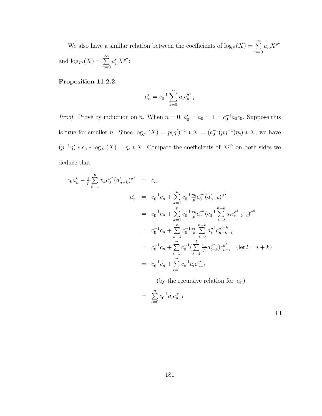We also have a similar relation between the coefficients of  $\log_F(X) = \sum^{\infty}$  $n=0$  $a_n X^{p^n}$ and  $\log_{F'}(X) = \sum_{n=0}^{\infty}$  $a'_n X^{p^n}$ :

#### Proposition 11.2.2.

$$
a'_n = c_0^{-1} \sum_{i=0}^n a_i c_{n-i}^{\sigma^i}
$$

*Proof.* Prove by induction on n. When  $n = 0$ ,  $a'_0 = a_0 = 1 = c_0^{-1} a_0 c_0$ . Suppose this is true for smaller *n*. Since  $\log_{F'}(X) = p(\eta')^{-1} * X = (c_0^{-1}(p\eta^{-1})\eta_c) * X$ , we have  $(p^{-1}\eta) * c_0 * \log_{F'}(X) = \eta_c * X$ . Compare the coefficients of  $X^{p^n}$  on both sides we deduce that

$$
c_0 a'_n - \frac{1}{p} \sum_{k=1}^n v_k c_0^{\sigma^k} (a'_{n-k})^{\sigma^k} = c_n
$$
  
\n
$$
a'_n = c_0^{-1} c_n + \sum_{k=1}^n c_0^{-1} \frac{v_k}{p} c_0^{\sigma^k} (a'_{n-k})^{\sigma^k}
$$
  
\n
$$
= c_0^{-1} c_n + \sum_{k=1}^n c_0^{-1} \frac{v_k}{p} c_0^{\sigma^k} (c_0^{-1} \sum_{i=0}^{n-k} a_i c_{n-k-i}^{\sigma^i})^{\sigma^k}
$$
  
\n
$$
= c_0^{-1} c_n + \sum_{k=1}^n c_0^{-1} \frac{v_k}{p} \sum_{i=0}^{n-k} a_i^{\sigma^k} c_{n-k-i}^{\sigma^{i+k}}
$$
  
\n
$$
= c_0^{-1} c_n + \sum_{l=1}^n c_0^{-1} (\sum_{k=1}^l \frac{v_k}{p} a_{l-k}^{\sigma^k}) c_{n-l}^{\sigma^l} \quad (\text{let } l = i + k)
$$
  
\n
$$
= c_0^{-1} c_n + \sum_{l=1}^n c_0^{-1} a_l c_{n-l}^{\sigma^l}
$$

(by the recursive relation for  $a_n$ )

$$
= \sum_{l=0}^{n} c_0^{-1} a_l c_{n-l}^{\sigma^l}
$$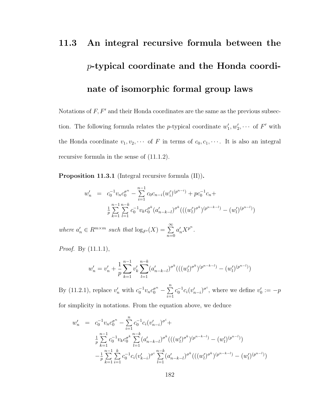# 11.3 An integral recursive formula between the p-typical coordinate and the Honda coordinate of isomorphic formal group laws

Notations of  $F, F'$  and their Honda coordinates are the same as the previous subsection. The following formula relates the *p*-typical coordinate  $w'_1, w'_2, \cdots$  of  $F'$  with the Honda coordinate  $v_1, v_2, \cdots$  of F in terms of  $c_0, c_1, \cdots$ . It is also an integral recursive formula in the sense of [\(11.1.2\)](#page-186-0).

Proposition 11.3.1 (Integral recursive formula (II)).

$$
w'_{n} = c_{0}^{-1}v_{n}c_{0}^{n} - \sum_{i=1}^{n-1} c_{0}c_{n-i}(w'_{i})^{(p^{n-i})} + pc_{0}^{-1}c_{n} + \frac{1}{p} \sum_{k=1}^{n-1} \sum_{l=1}^{n-k} c_{0}^{-1}v_{k}c_{0}^{n-k}(a'_{n-k-l})^{\sigma^{k}((w'_{l})^{\sigma^{k}})^{(p^{n-k-l})} - (w'_{l})^{(p^{n-l})})
$$

where  $a'_n \in R^{m \times m}$  such that  $\log_{F'}(X) = \sum_{n=0}^{\infty}$  $a'_n X^{p^n}.$ 

Proof. By [\(11.1.1\)](#page-186-1),

$$
w'_{n} = v'_{n} + \frac{1}{p} \sum_{k=1}^{n-1} v'_{k} \sum_{l=1}^{n-k} (a'_{n-k-l})^{\sigma^{k}} (((w'_{l})^{\sigma^{k}})^{(p^{n-k-l})} - (w'_{l})^{(p^{n-l})})
$$

By [\(11.2.1\)](#page-188-0), replace  $v'_n$  with  $c_0^{-1}v_n c_0^{\sigma^n} - \sum_{n=0}^{\infty}$  $i=1$  $c_0^{-1}c_i(v'_{n-i})^{\sigma^i}$ , where we define  $v'_0:=-p$ 

for simplicity in notations. From the equation above, we deduce

$$
w'_{n} = c_{0}^{-1}v_{n}c_{0}^{\sigma^{n}} - \sum_{i=1}^{n} c_{0}^{-1}c_{i}(v'_{n-i})^{\sigma^{i}} +
$$
  
\n
$$
\frac{1}{p} \sum_{k=1}^{n-1} c_{0}^{-1}v_{k}c_{0}^{\sigma^{k}} \sum_{l=1}^{n-k} (a'_{n-k-l})^{\sigma^{k}}(((w'_{l})^{\sigma^{k}})^{(p^{n-k-l})} - (w'_{l})^{(p^{n-l})})
$$
  
\n
$$
-\frac{1}{p} \sum_{k=1}^{n-1} \sum_{i=1}^{k} c_{0}^{-1}c_{i}(v'_{k-i})^{\sigma^{i}} \sum_{l=1}^{n-k} (a'_{n-k-l})^{\sigma^{k}}(((w'_{l})^{\sigma^{k}})^{(p^{n-k-l})} - (w'_{l})^{(p^{n-l})})
$$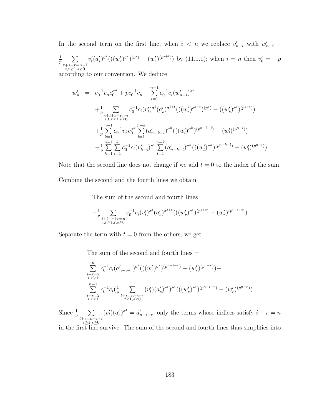In the second term on the first line, when  $i \leq n$  we replace  $v'_{n-i}$  with  $w'_{n-i}$ 

$$
\frac{1}{p} \sum_{\substack{t+s+r=n-i \\ t,r \ge 1, s \ge 0}} v'_t (a'_s)^{\sigma^t} (((w'_r)^{\sigma^t})^{(p^s)} - (w'_r)^{(p^{s+t})})
$$
 by (11.1.1); when  $i = n$  then  $v'_0 = -p$ 

according to our convention. We deduce

$$
w'_{n} = c_{0}^{-1}v_{n}c_{0}^{\sigma^{n}} + pc_{0}^{-1}c_{n} - \sum_{i=1}^{n-1} c_{0}^{-1}c_{i}(w'_{n-i})^{\sigma^{i}}
$$
  
+
$$
\frac{1}{p} \sum_{\substack{i+t+s+r=n\\i,t,r \geq 1, s \geq 0}} c_{0}^{-1}c_{i}(v'_{t})^{\sigma^{i}}(a'_{s})^{\sigma^{i+t}}(((w'_{r})^{\sigma^{i+t}})^{(p^{s})} - ((w'_{r})^{\sigma^{i}})^{(p^{s+t})})
$$
  
+
$$
\frac{1}{p} \sum_{k=1}^{n-1} c_{0}^{-1}v_{k}c_{0}^{\sigma^{k}} \sum_{l=1}^{n-k} (a'_{n-k-l})^{\sigma^{k}}(((w'_{l})^{\sigma^{k}})^{(p^{n-k-l})} - (w'_{l})^{(p^{n-l})})
$$
  
-
$$
\frac{1}{p} \sum_{k=1}^{n-1} \sum_{i=1}^{k} c_{0}^{-1}c_{i}(v'_{k-i})^{\sigma^{i}} \sum_{l=1}^{n-k} (a'_{n-k-l})^{\sigma^{k}}(((w'_{l})^{\sigma^{k}})^{(p^{n-k-l})} - (w'_{l})^{(p^{n-l})})
$$

Note that the second line does not change if we add  $t = 0$  to the index of the sum.

Combine the second and the fourth lines we obtain

The sum of the second and fourth lines  $=$ 

$$
- \frac{1}{p} \sum_{\substack{i+t+s+r=n \\ i,r \geq 1, t,s \geq 0}} c_0^{-1} c_i (v'_t)^{\sigma^i} (a'_s)^{\sigma^{i+t}} ( ( (w'_r)^{\sigma^i})^{(p^{s+t})} - (w'_r)^{(p^{i+s+t})})
$$

Separate the term with  $t = 0$  from the others, we get

The sum of the second and fourth lines  $=$ 

$$
\sum_{\substack{i+r=2\\i,r\geq 1}}^{n}c_0^{-1}c_i(a_{n-i-r}')^{\sigma^i}(((w_r')^{\sigma^i})^{(p^{n-i-r})} - (w_r')^{(p^{n-r})}) -
$$
\n
$$
\sum_{\substack{i+r=2\\i+r\geq 1}}^{n-1}c_0^{-1}c_i\left(\frac{1}{p}\sum_{\substack{t+s=n-i-r\\t\geq 1,s\geq 0}} (v_t')(a_s')^{\sigma^t}\right)^{\sigma^i}(((w_r')^{\sigma^i})^{(p^{n-i-r})} - (w_r')^{(p^{n-r})})
$$

Since  $\frac{1}{p}$   $\sum$ t+s=n−i−r<br>t≥1,s≥0  $(v'_t)(a'_s)^{\sigma^t} = a'_{n-i-r}$ , only the terms whose indices satisfy  $i + r = n$ 

in the first line survive. The sum of the second and fourth lines thus simplifies into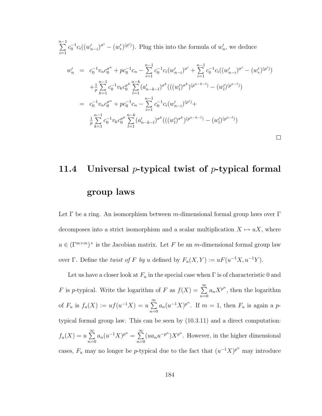$\sum_{ }^{n-1}$  $i=1$  $c_0^{-1}c_i((w'_{n-i})^{\sigma^i}-(w'_r)^{(p^i)})$ . Plug this into the formula of  $w'_n$ , we deduce

$$
w'_{n} = c_{0}^{-1}v_{n}c_{0}^{\sigma^{n}} + pc_{0}^{-1}c_{n} - \sum_{i=1}^{n-1} c_{0}^{-1}c_{i}(w'_{n-i})^{\sigma^{i}} + \sum_{i=1}^{n-1} c_{0}^{-1}c_{i}((w'_{n-i})^{\sigma^{i}} - (w'_{r})^{(p^{i})})
$$
  
\n
$$
+ \frac{1}{p} \sum_{k=1}^{n-1} c_{0}^{-1}v_{k}c_{0}^{\sigma^{k}} \sum_{l=1}^{n-k} (a'_{n-k-l})^{\sigma^{k}}(((w'_{l})^{\sigma^{k}})^{(p^{n-k-l}}) - (w'_{l})^{(p^{n-l})})
$$
  
\n
$$
= c_{0}^{-1}v_{n}c_{0}^{\sigma^{n}} + pc_{0}^{-1}c_{n} - \sum_{i=1}^{n-1} c_{0}^{-1}c_{i}(w'_{n-i})^{(p^{i})} + \frac{1}{p} \sum_{k=1}^{n-1} c_{0}^{-1}v_{k}c_{0}^{\sigma^{k}} \sum_{l=1}^{n-k} (a'_{n-k-l})^{\sigma^{k}}(((w'_{l})^{\sigma^{k}})^{(p^{n-k-l}}) - (w'_{l})^{(p^{n-l})})
$$

 $\Box$ 

## 11.4 Universal *p*-typical twist of *p*-typical formal group laws

Let  $\Gamma$  be a ring. An isomorphism between m-dimensional formal group laws over  $\Gamma$ decomposes into a strict isomorphism and a scalar multiplication  $X \mapsto uX$ , where  $u \in (\Gamma^{m \times m})^{\times}$  is the Jacobian matrix. Let F be an m-dimensional formal group law over Γ. Define the *twist of F by u* defined by  $F_u(X,Y) := uF(u^{-1}X, u^{-1}Y)$ .

Let us have a closer look at  $F_u$  in the special case when  $\Gamma$  is of characteristic 0 and F is p-typical. Write the logarithm of F as  $f(X) = \sum_{n=0}^{\infty}$  $n=0$  $a_n X^{p^n}$ , then the logarithm of  $F_u$  is  $f_u(X) := uf(u^{-1}X) = u \sum_{n=0}^{\infty}$  $n=0$  $a_n(u^{-1}X)^{p^n}$ . If  $m=1$ , then  $F_u$  is again a ptypical formal group law. This can be seen by [\(10.3.11\)](#page-170-0) and a direct computation:  $f_u(X) = u \sum^{\infty}$  $n=0$  $a_n(u^{-1}X)^{p^n} = \sum^{\infty}$  $n=0$  $(ua_nu^{-p^n})X^{p^n}$ . However, in the higher dimensional cases,  $F_u$  may no longer be p-typical due to the fact that  $(u^{-1}X)^{p^n}$  may introduce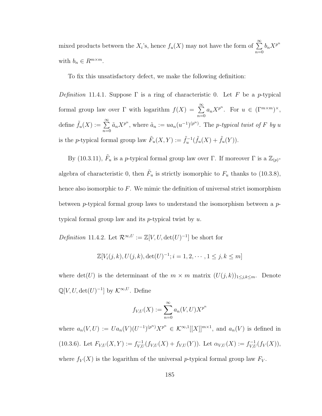mixed products between the  $X_i$ 's, hence  $f_u(X)$  may not have the form of  $\sum_{n=1}^{\infty}$  $n=0$  $b_n X^{p^n}$ with  $b_n \in R^{m \times m}$ .

<span id="page-193-0"></span>To fix this unsatisfactory defect, we make the following definition:

Definition 11.4.1. Suppose  $\Gamma$  is a ring of characteristic 0. Let F be a p-typical formal group law over Γ with logarithm  $f(X) = \sum_{n=0}^{\infty}$  $n=0$  $a_n X^{p^n}$ . For  $u \in (\Gamma^{m \times m})^{\times}$ , define  $\tilde{f}_u(X) := \sum_{n=0}^{\infty}$  $n=0$  $\tilde{a}_n X^{p^n}$ , where  $\tilde{a}_n := ua_n(u^{-1})^{(p^n)}$ . The *p*-typical twist of *F* by u is the p-typical formal group law  $\tilde{F}_u(X,Y) := \tilde{f}_u^{-1}(\tilde{f}_u(X) + \tilde{f}_u(Y)).$ 

By [\(10.3.11\)](#page-170-0),  $\tilde{F}_u$  is a p-typical formal group law over  $\Gamma$ . If moreover  $\Gamma$  is a  $\mathbb{Z}_{(p)}$ algebra of characteristic 0, then  $\tilde{F}_u$  is strictly isomorphic to  $F_u$  thanks to [\(10.3.8\)](#page-169-0), hence also isomorphic to  $F$ . We mimic the definition of universal strict isomorphism between p-typical formal group laws to understand the isomorphism between a  $p$ typical formal group law and its  $p$ -typical twist by  $u$ .

Definition 11.4.2. Let  $\mathcal{R}^{\infty,U} := \mathbb{Z}[V,U,\det(U)^{-1}]$  be short for

$$
\mathbb{Z}[V_i(j,k), U(j,k), \det(U)^{-1}; i = 1, 2, \cdots, 1 \le j, k \le m]
$$

where  $\det(U)$  is the determinant of the  $m \times m$  matrix  $(U(j, k))_{1 \leq j,k \leq m}$ . Denote  $\mathbb{Q}[V, U, \det(U)^{-1}]$  by  $\mathcal{K}^{\infty, U}$ . Define

$$
f_{V,U}(X) := \sum_{n=0}^{\infty} a_n(V, U) X^{p^n}
$$

where  $a_n(V,U) := U a_n(V) (U^{-1})^{(p^n)} X^{p^n} \in \mathcal{K}^{\infty,1}[[X]]^{m \times 1}$ , and  $a_n(V)$  is defined in [\(10.3.6\)](#page-168-1). Let  $F_{V,U}(X,Y) := f_{V,U}^{-1}(f_{V,U}(X) + f_{V,U}(Y))$ . Let  $\alpha_{V,U}(X) := f_{V,U}^{-1}(f_V(X)),$ where  $f_V(X)$  is the logarithm of the universal p-typical formal group law  $F_V$ .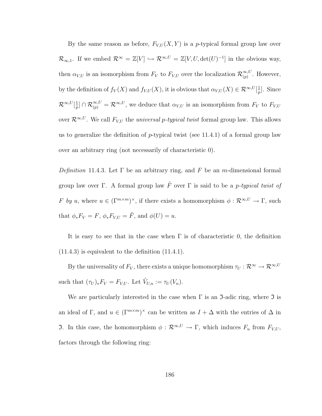By the same reason as before,  $F_{V,U}(X, Y)$  is a p-typical formal group law over  $\mathcal{R}_{\infty,1}$ . If we embed  $\mathcal{R}^{\infty} = \mathbb{Z}[V] \hookrightarrow \mathcal{R}^{\infty,U} = \mathbb{Z}[V,U,\det(U)^{-1}]$  in the obvious way, then  $\alpha_{V,U}$  is an isomorphism from  $F_V$  to  $F_{V,U}$  over the localization  $\mathcal{R}_{(n)}^{\infty,U}$  $\sum_{(p)}^{\infty, U}$ . However, by the definition of  $f_V(X)$  and  $f_{V,U}(X)$ , it is obvious that  $\alpha_{V,U}(X) \in \mathcal{R}^{\infty,U}[\frac{1}{n}]$  $\frac{1}{p}$ . Since  $\mathcal{R}^{\infty,U}[\frac{1}{n}]$  $\frac{1}{p}$   $\bigcap \mathcal{R}_{(p)}^{\infty,U} = \mathcal{R}^{\infty,U}$ , we deduce that  $\alpha_{V,U}$  is an isomorphism from  $F_V$  to  $F_{V,U}$ over  $\mathcal{R}^{\infty,U}$ . We call  $F_{V,U}$  the *universal p-typical twist* formal group law. This allows us to generalize the definition of  $p$ -typical twist (see [11.4.1\)](#page-193-0) of a formal group law over an arbitrary ring (not necessarily of characteristic 0).

<span id="page-194-0"></span>Definition 11.4.3. Let  $\Gamma$  be an arbitrary ring, and F be an m-dimensional formal group law over Γ. A formal group law  $\tilde{F}$  over Γ is said to be a *p-typical twist of* F by u, where  $u \in (\Gamma^{m \times m})^{\times}$ , if there exists a homomorphism  $\phi : \mathcal{R}^{\infty, U} \to \Gamma$ , such that  $\phi_* F_V = F$ ,  $\phi_* F_{V,U} = \tilde{F}$ , and  $\phi(U) = u$ .

It is easy to see that in the case when  $\Gamma$  is of characteristic 0, the definition  $(11.4.3)$  is equivalent to the definition  $(11.4.1)$ .

By the universality of  $F_V$ , there exists a unique homomorphism  $\tau_U : \mathcal{R}^\infty \to \mathcal{R}^{\infty, U}$ such that  $(\tau_U)_* F_V = F_{V,U}$ . Let  $\tilde{V}_{U,n} := \tau_U(V_n)$ .

<span id="page-194-1"></span>We are particularly interested in the case when  $\Gamma$  is an  $\mathfrak I$ -adic ring, where  $\mathfrak I$  is an ideal of Γ, and  $u \in (\Gamma^{m \times m})^{\times}$  can be written as  $I + \Delta$  with the entries of  $\Delta$  in J. In this case, the homomorphism  $\phi : \mathcal{R}^{\infty,U} \to \Gamma$ , which induces  $F_u$  from  $F_{V,U}$ , factors through the following ring: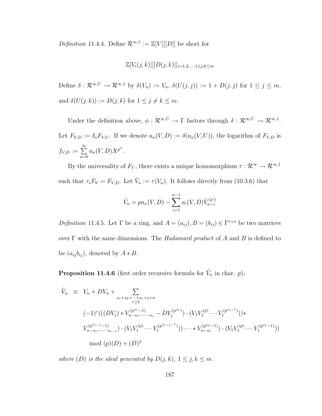Definition 11.4.4. Define  $\mathcal{R}^{\infty,1} := \mathbb{Z}[V][[D]]$  be short for

$$
\mathbb{Z}[V_i(j,k)][[D(j,k)]]_{i=1,2,\cdots,1\leq j,k\leq m}
$$

Define  $\delta: \mathcal{R}^{\infty,U} \to \mathcal{R}^{\infty,1}$  by  $\delta(V_n) := V_n$ ,  $\delta(U(j,j)) := 1 + D(j,j)$  for  $1 \leq j \leq m$ , and  $\delta(U(j,k)) := D(j,k)$  for  $1 \leq j \neq k \leq m$ .

Under the definition above,  $\phi: \mathcal{R}^{\infty,U} \to \Gamma$  factors through  $\delta: \mathcal{R}^{\infty,U} \to \mathcal{R}^{\infty,1}$ . Let  $F_{V,D} := \delta_* F_{V,U}$ . If we denote  $a_n(V,D) := \delta(a_n(V,U))$ , the logarithm of  $F_{V,D}$  is  $f_{V,D} := \sum^{\infty}$  $n=0$  $a_n(V,D)X^{p^n}.$ 

By the universality of  $F_V$ , there exists a unique homomorphism  $\tau : \mathcal{R}^{\infty} \to \mathcal{R}^{\infty,1}$ such that  $\tau_* F_V = F_{V,D}$ . Let  $\tilde{V}_n := \tau(V_n)$ . It follows directly from [\(10.3.6\)](#page-168-1) that

$$
\tilde{V}_n = pa_n(V, D) - \sum_{i=1}^{n-1} a_i(V, D)\tilde{V}_{n-i}^{(p^i)}
$$

Definition 11.4.5. Let  $\Gamma$  be a ring, and  $A = (a_{ij}), B = (b_{ij}) \in \Gamma^{r \times s}$  be two matrices over  $\Gamma$  with the same dimensions. The Hadamard product of A and B is defined to be  $(a_{ij}b_{ij})$ , denoted by  $A * B$ .

<span id="page-195-0"></span>**Proposition 11.4.6** (first order recursive formula for  $\tilde{V}_n$  in char. p).

$$
\tilde{V}_n \equiv V_n + DV_n + \sum_{\substack{s_1+s_2+\dots+s_r+j=n \ (-1)^r \big( ((DV_j) * V_{n-s_1-\dots-s_r}^{(p^{s_r}-1)} - DV_j^{(p^{s_r})} \big) \cdot (V_1V_1^{(p)} \cdots V_1^{(p^{s_r-1})}))^*}} \ \nV_{n-s_1-\dots-s_{r-1}}^{(p^{s_{r-1}})-1)} \cdot (V_1V_1^{(p)} \cdots V_1^{(p^{s_{r-1}-1})}) \cdots * V_{n-s_1}^{(p^{s_1}-1)} \cdot (V_1V_1^{(p)} \cdots V_1^{(p^{s_1}-1)}) \ \nmod (p)(D) + (D)^2
$$

where (D) is the ideal generated by  $D(j,k)$ ,  $1 \leq j, k \leq m$ .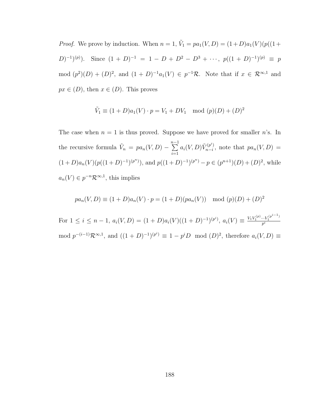*Proof.* We prove by induction. When  $n = 1$ ,  $\tilde{V}_1 = pa_1(V, D) = (1 + D)a_1(V)(p((1 + D)a_1(V))$  $(D)^{-1}(p)$ . Since  $(1 + D)^{-1} = 1 - D + D^2 - D^3 + \cdots$ ,  $p((1 + D)^{-1})(p) \equiv p$ mod  $(p^2)(D) + (D)^2$ , and  $(1+D)^{-1}a_1(V) \in p^{-1}\mathcal{R}$ . Note that if  $x \in \mathcal{R}^{\infty,1}$  and  $px \in (D)$ , then  $x \in (D)$ . This proves

$$
\tilde{V}_1 \equiv (1+D)a_1(V) \cdot p = V_1 + DV_1 \mod (p)(D) + (D)^2
$$

The case when  $n = 1$  is thus proved. Suppose we have proved for smaller n's. In the recursive formula  $\tilde{V}_n = pa_n(V,D) - \sum_{n=1}^{n-1}$  $i=1$  $a_i(V,D)\tilde{V}_{n-i}^{(p^i)}$  $r_{n-i}^{(p^{\circ})}$ , note that  $pa_n(V,D) =$  $(1+D)a_n(V)(p((1+D)^{-1})^{(p^n)})$ , and  $p((1+D)^{-1})^{(p^n)}-p \in (p^{n+1})(D)+(D)^2$ , while  $a_n(V) \in p^{-n} \mathcal{R}^{\infty,1}$ , this implies

$$
pa_n(V, D) \equiv (1 + D)a_n(V) \cdot p = (1 + D)(pa_n(V)) \mod (p)(D) + (D)^2
$$

For  $1 \leq i \leq n-1$ ,  $a_i(V, D) = (1+D)a_i(V)((1+D)^{-1})^{(p^i)}$ ,  $a_i(V) \equiv \frac{V_1 V_1^{(p)} \cdots V_1^{(p^{i-1})}}{p^i}$ mod  $p^{-(i-1)}\mathcal{R}^{\infty,1}$ , and  $((1+D)^{-1})^{(p^i)} \equiv 1-p^iD \mod (D)^2$ , therefore  $a_i(V,D) \equiv$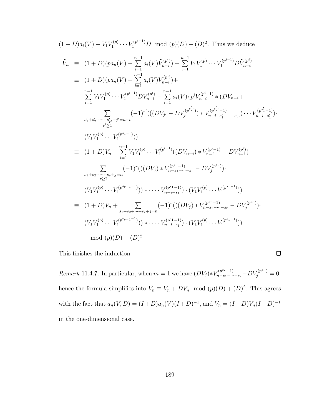$$
(1+D)a_i(V) - V_1V_1^{(p)} \cdots V_1^{(p^{i-1})}D \mod (p)(D) + (D)^2
$$
. Thus we deduce

$$
\tilde{V}_{n} \equiv (1+D)(pa_{n}(V) - \sum_{i=1}^{n-1} a_{i}(V)\tilde{V}_{n-i}^{(p^{i})}) + \sum_{i=1}^{n-1} V_{1}V_{1}^{(p)} \cdots V_{1}^{(p^{i-1})}D\tilde{V}_{n-i}^{(p^{i})}
$$
\n
$$
\equiv (1+D)(pa_{n}(V) - \sum_{i=1}^{n-1} a_{i}(V)V_{n-i}^{(p^{i})}) + \sum_{i=1}^{n-1} V_{1}V_{1}^{(p)} \cdots V_{1}^{(p^{i-1})}D V_{n-i}^{(p^{i})} - \sum_{i=1}^{n-1} a_{i}(V)\{p^{i}V_{n-i}^{(p^{i}-1)} * (D V_{n-i} + \sum_{i=1}^{n-1} V_{1}V_{1}^{(p)} \cdots V_{1}^{(p^{i-1})}D V_{n-i}^{(p^{i})} - \sum_{i=1}^{n-1} a_{i}(V)\{p^{i}V_{n-i}^{(p^{i}-1)} * (D V_{n-i} + \sum_{i'=1}^{n-1} V_{1}V_{1}^{(p)} \cdots V_{1}^{(p^{i}-1)})\}
$$
\n
$$
= (1+D)V_{n} - \sum_{i=1}^{n-1} V_{1}V_{1}^{(p)} \cdots V_{1}^{(p^{i-1})}((D V_{n-i}) * V_{n-i}^{(p^{i}-1)} - DV_{n-i}^{(p^{i})}) + \sum_{i=1}^{n-1} \sum_{i=1}^{n-1} (-1)^{r}(((DV_{j}) * V_{n-s_{1}-\cdots-s_{r}} - DV_{j}^{(p^{s})}).
$$
\n
$$
(V_{1}V_{1}^{(p)} \cdots V_{1}^{(p^{s_{r}-1-1)})) * \cdots V_{n-i-s_{1}}^{(p^{s_{1}-1})} \cdot (V_{1}V_{1}^{(p)} \cdots V_{1}^{(p^{s_{1}-1})}))
$$
\n
$$
\equiv (1+D)V_{n} + \sum_{s_{1}+s_{2}+\cdots+s_{r}+j=n} (-1)^{r}(((DV_{j}) * V_{n-s_{1}-\cdots-s_{r}} - DV_{j}^{(p^{s})}).
$$
\n
$$
(V_{1}V_{1}^{(p
$$

This finishes the induction.

$$
\Box
$$

*Remark* 11.4.7. In particular, when  $m = 1$  we have  $(DV_j) * V_{n-s_1-\cdots-s_r}^{(p^{s_r}-1)} - DV_j^{(p^{s_r})} = 0$ , hence the formula simplifies into  $\tilde{V}_n \equiv V_n + DV_n \mod (p)(D) + (D)^2$ . This agrees with the fact that  $a_n(V, D) = (I + D)a_n(V)(I + D)^{-1}$ , and  $\tilde{V}_n = (I + D)V_n(I + D)^{-1}$ in the one-dimensional case.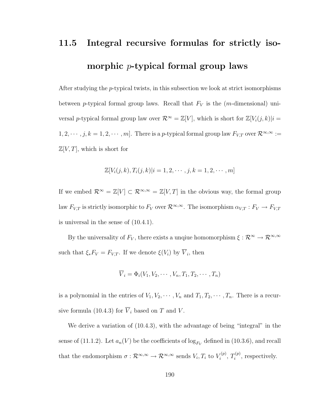### 11.5 Integral recursive formulas for strictly isomorphic p-typical formal group laws

After studying the p-typical twists, in this subsection we look at strict isomorphisms between p-typical formal group laws. Recall that  $F_V$  is the (m-dimensional) universal p-typical formal group law over  $\mathcal{R}^{\infty} = \mathbb{Z}[V]$ , which is short for  $\mathbb{Z}[V_i(j,k)|i =$  $1, 2, \cdots, j, k = 1, 2, \cdots, m$ . There is a p-typical formal group law  $F_{V,T}$  over  $\mathcal{R}^{\infty,\infty}$  :=  $\mathbb{Z}[V,T]$ , which is short for

$$
\mathbb{Z}[V_i(j,k), T_i(j,k)|i = 1, 2, \cdots, j, k = 1, 2, \cdots, m]
$$

If we embed  $\mathcal{R}^{\infty} = \mathbb{Z}[V] \subset \mathcal{R}^{\infty,\infty} = \mathbb{Z}[V,T]$  in the obvious way, the formal group law  $F_{V,T}$  is strictly isomorphic to  $F_V$  over  $\mathcal{R}^{\infty,\infty}$ . The isomorphism  $\alpha_{V,T}: F_V \to F_{V,T}$ is universal in the sense of [\(10.4.1\)](#page-171-0).

By the universality of  $F_V$ , there exists a unqiue homomorphism  $\xi : \mathcal{R}^{\infty} \to \mathcal{R}^{\infty,\infty}$ such that  $\xi_* F_V = F_{V,T}$ . If we denote  $\xi(V_i)$  by  $V_i$ , then

$$
\overline{V}_i = \Phi_i(V_1, V_2, \cdots, V_n, T_1, T_2, \cdots, T_n)
$$

is a polynomial in the entries of  $V_1, V_2, \cdots, V_n$  and  $T_1, T_2, \cdots, T_n$ . There is a recur-sive formula [\(10.4.3\)](#page-172-0) for  $\overline{V}_i$  based on T and V.

<span id="page-198-0"></span>We derive a variation of [\(10.4.3\)](#page-172-0), with the advantage of being "integral" in the sense of [\(11.1.2\)](#page-186-0). Let  $a_n(V)$  be the coefficients of  $\log_{F_V}$  defined in [\(10.3.6\)](#page-168-1), and recall that the endomorphism  $\sigma: \mathcal{R}^{\infty,\infty} \to \mathcal{R}^{\infty,\infty}$  sends  $V_i, T_i$  to  $V_i^{(p)}$  $T_i^{(p)},\ T_i^{(p)}$  $i^{(p)}$ , respectively.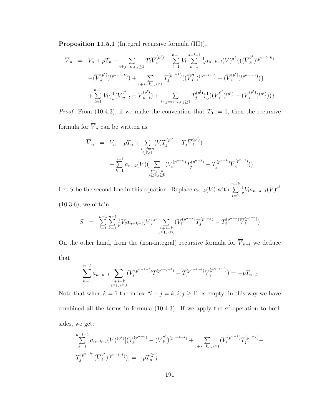Proposition 11.5.1 (Integral recursive formula (III)).

$$
\overline{V}_{n} = V_{n} + pT_{n} - \sum_{i+j=n,i,j\geq 1} T_{j} \overline{V}_{i}^{(p^{j})} + \sum_{l=1}^{n-1} V_{l} \sum_{k=1}^{n-l-1} \frac{1}{p} a_{n-k-l}(V)^{\sigma^{l}} \{((\overline{V}_{k}^{\sigma^{l}})^{(p^{n-l-k})} - (\overline{V}_{k}^{(p^{l})})^{(p^{n-l-k})}) + \sum_{i+j=k,i,j\geq 1} T_{j}^{(p^{n-k})}((\overline{V}_{i}^{\sigma^{l}})^{(p^{n-l-i})} - (\overline{V}_{i}^{(p^{l})})^{(p^{n-l-i})})\} + \sum_{l=1}^{n-1} V_{l} \{(\overline{V}_{n-l}^{\sigma^{l}} - \overline{V}_{n-l}^{(p^{l})}) + \sum_{i+j=n-l,i,j\geq 1} T_{j}^{(p^{l})}(\frac{1}{p}((\overline{V}_{i}^{\sigma^{l}})^{(p^{j})} - (\overline{V}_{i}^{(p^{l})})^{(p^{j})}))\}
$$

*Proof.* From [\(10.4.3\)](#page-172-0), if we make the convention that  $T_0 := 1$ , then the recursive formula for  $\overline{V}_n$  can be written as

$$
\overline{V}_n = V_n + pT_n + \sum_{\substack{i+j=n \ i,j \ge 1}} (V_i T_j^{(p^i)} - T_j \overline{V}_i^{(p^i)}) + \sum_{\substack{i,j=1 \ k=1}}^{n-1} a_{n-k}(V) \left( \sum_{\substack{i+j=k \ i \ge 1, j \ge 0}} (V_i^{(p^{n-k})} T_j^{(p^{n-j})} - T_j^{(p^{n-k})} \overline{V}_i^{(p^{n-i})} ) \right)
$$

Let S be the second line in this equation. Replace  $a_{n-k}(V)$  with  $\sum_{n=k}^{n-k}$  $_{l=1}$ 1  $\frac{1}{p}V_l a_{n-k-l}(V)^{\sigma^l}$ [\(10.3.6\)](#page-168-1), we obtain

$$
S = \sum_{l=1}^{n-1} \sum_{k=1}^{n-l} \frac{1}{p} V_l a_{n-k-l}(V)^{\sigma^l} \sum_{\substack{i+j=k \ i \ge 1, j \ge 0}} (V_i^{(p^{n-k})} T_j^{(p^{n-j})} - T_j^{(p^{n-k})} \overline{V}_i^{(p^{n-i})})
$$

On the other hand, from the (non-integral) recursive formula for  $\overline{V}_{n-l}$  we deduce that

$$
\sum_{k=1}^{n-l} a_{n-k-l} \sum_{\substack{i+j=k \ i \ge 1, j \ge 0}} (V_i^{(p^{n-k-l})} T_j^{(p^{n-j-l})} - T_j^{(p^{n-k-l})} \overline{V}_i^{(p^{n-i-l})}) = -pT_{n-l}
$$

Note that when  $k = 1$  the index " $i + j = k, i, j \ge 1$ " is empty; in this way we have combined all the terms in formula [\(10.4.3\)](#page-172-0). If we apply the  $\sigma^l$  operation to both sides, we get:

$$
\sum_{k=1}^{n-l-1} a_{n-k-l}(V)^{(\sigma^{l})} [(V_k^{(p^{n-k})} - (\overline{V}_k^{\sigma^{l}})^{(p^{n-k-l})} + \sum_{i+j=k, i,j \ge 1} (V_i^{(p^{n-k})} T_j^{(p^{n-j})} - T_j^{(p^{n-k})} (\overline{V}_i^{\sigma^{l}})^{(p^{n-i-l})})] = -p T_{n-l}^{(p^{l})}
$$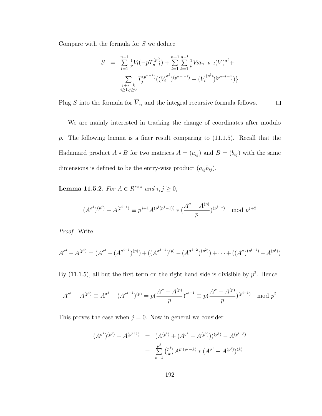Compare with the formula for S we deduce

$$
S = \sum_{l=1}^{n-1} \frac{1}{p} V_l(-pT_{n-l}^{(p^l)}) + \sum_{l=1}^{n-1} \sum_{k=1}^{n-l} \frac{1}{p} V_l a_{n-k-l}(V)^{\sigma^l} + \sum_{\substack{i+j=k \ i \geq 1, j \geq 0}} T_j^{(p^{n-k})} ((\overline{V_i}^{\sigma^l})^{(p^{n-l-i})} - (\overline{V_i}^{(p^l)})^{(p^{n-l-i})})
$$

Plug S into the formula for  $\overline{V}_n$  and the integral recursive formula follows.  $\Box$ 

We are mainly interested in tracking the change of coordinates after modulo p. The following lemma is a finer result comparing to [\(11.1.5\)](#page-187-1). Recall that the Hadamard product  $A * B$  for two matrices  $A = (a_{ij})$  and  $B = (b_{ij})$  with the same dimensions is defined to be the entry-wise product  $(a_{ij}b_{ij})$ .

<span id="page-200-0"></span>**Lemma 11.5.2.** For  $A \in R^{r \times s}$  and  $i, j \ge 0$ ,

$$
(A^{\sigma^i})^{(p^j)} - A^{(p^{i+j})} \equiv p^{j+1} A^{(p^i(p^j-1))} * ( \frac{A^{\sigma} - A^{(p)}}{p})^{(p^{i-1})} \mod p^{j+2}
$$

Proof. Write

$$
A^{\sigma^i} - A^{(p^i)} = (A^{\sigma^i} - (A^{\sigma^{i-1}})^{(p)}) + ((A^{\sigma^{i-1}})^{(p)} - (A^{\sigma^{i-2}})^{(p^2)}) + \cdots + ((A^{\sigma})^{(p^{i-1})} - A^{(p^i)})
$$

By  $(11.1.5)$ , all but the first term on the right hand side is divisible by  $p^2$ . Hence

$$
A^{\sigma^i} - A^{(p^i)} \equiv A^{\sigma^i} - (A^{\sigma^{i-1}})^{(p)} = p(\frac{A^{\sigma} - A^{(p)}}{p})^{\sigma^{i-1}} \equiv p(\frac{A^{\sigma} - A^{(p)}}{p})^{(p^{i-1})} \mod p^2
$$

This proves the case when  $j = 0$ . Now in general we consider

$$
(A^{\sigma^i})^{(p^j)} - A^{(p^{i+j})} = (A^{(p^i)} + (A^{\sigma^i} - A^{(p^i)}))^{(p^j)} - A^{(p^{i+j})}
$$

$$
= \sum_{k=1}^{p^j} {p^j \choose k} A^{p^i (p^j - k)} * (A^{\sigma^i} - A^{(p^i)})^{(k)}
$$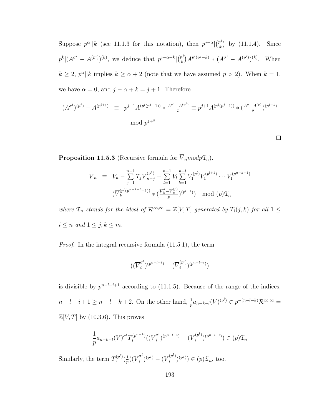Suppose  $p^{\alpha}$ ||k (see [11.1.3](#page-186-2) for this notation), then  $p^{j-\alpha}$ | $\binom{p^j}{k}$  $\binom{p^j}{k}$  by [\(11.1.4\)](#page-187-0). Since  $p^k|(A^{\sigma^i}-A^{(p^i)})^{(k)},$  we deduce that  $p^{j-\alpha+k}|{p^j \choose k}$  $(k)_{k}^{p^{j}}(p^{j}-k) * (A^{\sigma^{i}} - A^{(p^{i})})^{(k)}$ . When  $k \geq 2$ ,  $p^{\alpha}$ ||k implies  $k \geq \alpha + 2$  (note that we have assumed  $p > 2$ ). When  $k = 1$ , we have  $\alpha = 0$ , and  $j - \alpha + k = j + 1$ . Therefore

$$
(A^{\sigma^i})^{(p^j)} - A^{(p^{i+j})} \equiv p^{j+1} A^{(p^i(p^j-1))} * \frac{A^{\sigma^i} - A^{(p^i)}}{p} \equiv p^{j+1} A^{(p^i(p^j-1))} * (\frac{A^{\sigma} - A^{(p)}}{p})^{(p^{i-1})}
$$
  
mod  $p^{j+2}$ 

 $\Box$ 

<span id="page-201-0"></span>**Proposition 11.5.3** (Recursive formula for  $\overline{V}_n \text{mod} p \mathfrak{T}_n$ ).

$$
\overline{V}_n \equiv V_n - \sum_{j=1}^{n-1} T_j \overline{V}_{n-j}^{(p^j)} + \sum_{l=1}^{n-1} V_l \sum_{k=1}^{n-l} V_1^{(p^l)} V_1^{(p^{l+1})} \cdots V_1^{(p^{n-k-1})}
$$

$$
(\overline{V}_k^{(p^l(p^{n-k-l}-1))} * (\frac{\overline{V}_k^{\sigma} - \overline{V}_k^{(p)}}{p})^{(p^{l-1})}) \mod (p) \mathfrak{T}_n
$$

where  $\mathfrak{T}_n$  stands for the ideal of  $\mathcal{R}^{\infty,\infty} = \mathbb{Z}[V,T]$  generated by  $T_i(j,k)$  for all  $1 \leq$  $i \leq n$  and  $1 \leq j, k \leq m$ .

Proof. In the integral recursive formula [\(11.5.1\)](#page-198-0), the term

$$
\bigl((\overline{V}^{\sigma^l}_i)^{(p^{n-l-i})}-(\overline{V}^{(p^l)}_i)^{(p^{n-l-i})}\bigr)
$$

is divisible by  $p^{n-l-i+1}$  according to [\(11.1.5\)](#page-187-1). Because of the range of the indices,  $n-l-i+1 \geq n-l-k+2$ . On the other hand,  $\frac{1}{p} a_{n-k-l}(V)^{(p^l)} \in p^{-(n-l-k)} \mathcal{R}^{\infty,\infty}$  $\mathbb{Z}[V,T]$  by [\(10.3.6\)](#page-168-1). This proves

$$
\frac{1}{p}a_{n-k-l}(V)^{\sigma^l}T_j^{(p^{n-k})}((\overline{V}_i^{\sigma^l})^{(p^{n-l-i})} - (\overline{V}_i^{(p^l)})^{(p^{n-l-i})}) \in (p)\mathfrak{T}_n
$$

Similarly, the term  $T_i^{(p^l)}$  $j^{(p^{\iota})}(\frac{1}{p^{\iota}})$  $\frac{1}{p}((\overline{V}_{i}^{\sigma^{l}}% -\overline{V}_{i}^{\sigma^{l}})^{l})$  $\frac{\sigma^l}{i})^{(p^j)} - (\overline{V}_i^{(p^l)})$  $\binom{(p^i)}{i}$  $(p^j) \in (p) \mathfrak{T}_n$ , too.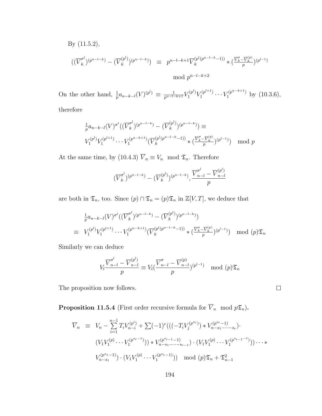By [\(11.5.2\)](#page-200-0),

$$
((\overline{V}_k^{\sigma^l})^{(p^{n-l-k})} - (\overline{V}_k^{(p^l)})^{(p^{n-l-k})}) \equiv p^{n-l-k+1} \overline{V}_k^{(p^l(p^{n-l-k}-1))} * (\frac{\overline{V}_k^{\sigma} - \overline{V}_k^{(p)}}{p})^{(p^{l-1})}
$$
  
mod  $p^{n-l-k+2}$ 

On the other hand,  $\frac{1}{p} a_{n-k-l}(V)^{(p^l)} \equiv \frac{1}{p^{n-l-k+1}} V_1^{(p^l)} V_1^{(p^{l+1})}$  $V_1^{(p^{l+1})} \cdots V_1^{(p^{n-k+1})}$  by  $(10.3.6)$ , therefore

$$
\frac{1}{p} a_{n-k-l}(V)^{\sigma^l} ((\overline{V}_k^{\sigma^l})^{(p^{n-l-k})} - (\overline{V}_k^{(p^l)})^{(p^{n-l-k})}) \equiv
$$
\n
$$
V_1^{(p^l)} V_1^{(p^{l+1})} \cdots V_1^{(p^{n-k+1})} (\overline{V}_k^{(p^l(p^{n-l-k}-1))} * (\frac{\overline{V}_k^{\sigma} - \overline{V}_k^{(p)}}{p})^{(p^{l-1})}) \mod p
$$

At the same time, by [\(10.4.3\)](#page-172-0)  $\overline{V}_n \equiv V_n \mod \mathfrak{T}_n$ . Therefore

$$
(\overline{V}_k^{\sigma^l})^{(p^{n-l-k})} - (\overline{V}_k^{(p^l)})^{(p^{n-l-k})}, \frac{\overline{V}_{n-l}^{\sigma^l} - \overline{V}_{n-l}^{(p^l)}}{p}
$$

are both in  $\mathfrak{T}_n$ , too. Since  $(p) \cap \mathfrak{T}_n = (p) \mathfrak{T}_n$  in  $\mathbb{Z}[V, T]$ , we deduce that

$$
\frac{1}{p} a_{n-k-l}(V)^{\sigma^{l}} ((\overline{V}_{k}^{\sigma^{l}})^{(p^{n-l-k})} - (\overline{V}_{k}^{(p^{l})})^{(p^{n-l-k})})
$$
\n
$$
\equiv V_{1}^{(p^{l})} V_{1}^{(p^{l+1})} \cdots V_{1}^{(p^{n-k+1})} (\overline{V}_{k}^{(p^{l}(p^{n-l-k}-1))} * (\frac{\overline{V}_{k}^{\sigma} - \overline{V}_{k}^{(p)}}{p})^{(p^{l-1})}) \mod (p) \mathfrak{T}_{n}
$$

Similarly we can deduce

$$
V_l \frac{\overline{V}_{n-l}^{\sigma^l} - \overline{V}_{n-l}^{(p^l)}}{p} \equiv V_l \left( \frac{\overline{V}_{n-l}^{\sigma} - \overline{V}_{n-l}^{(p)}}{p} \right)^{(p^{l-1})} \mod (p)\mathfrak{T}_n
$$

 $\Box$ 

The proposition now follows.

<span id="page-202-0"></span>**Proposition 11.5.4** (First order recursive formula for  $\overline{V}_n$  mod  $p\mathfrak{T}_n$ ).

$$
\overline{V}_n \equiv V_n - \sum_{i=1}^{n-1} T_i V_{n-i}^{(p^i)} + \sum (-1)^r \left( \left( (-T_i V_j^{(p^{s_r})}) * V_{n-s_1-\cdots-s_r}^{(p^{s_r}-1)} \right) \right. \\
\left. \left( V_1 V_1^{(p)} \cdots V_1^{(p^{s_r-1})} \right) \right) * V_{n-s_1-\cdots-s_{r-1}}^{(p^{s_r}-1)} \cdot \left( V_1 V_1^{(p)} \cdots V_1^{(p^{s_r-1}-1)} \right) \cdots \\
\left. V_{n-s_1}^{(p^{s_1}-1)} \right) \cdot \left( V_1 V_1^{(p)} \cdots V_1^{(p^{s_1}-1)} \right) \mod (p) \mathfrak{T}_n + \mathfrak{T}_{n-1}^2
$$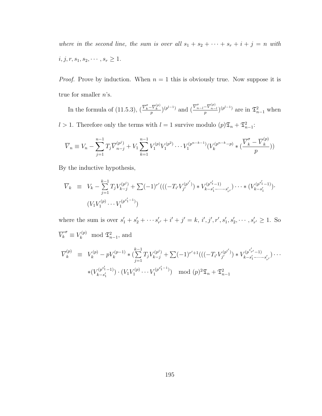where in the second line, the sum is over all  $s_1 + s_2 + \cdots + s_r + i + j = n$  with  $i, j, r, s_1, s_2, \cdots, s_r \geq 1.$ 

*Proof.* Prove by induction. When  $n = 1$  this is obviously true. Now suppose it is true for smaller  $n$ 's.

In the formula of [\(11.5.3\)](#page-201-0),  $\left(\frac{\overline{V}_{k}^{\sigma}-\overline{V}_{k}^{(p)}}{p}\right)^{(p^{l-1})}$  and  $\left(\frac{\overline{V}_{n-l}^{\sigma}-\overline{V}_{n-l}^{(p)}}{p}\right)^{(p^{l-1})}$  are in  $\mathfrak{T}_{n-1}^{2}$  when l > 1. Therefore only the terms with  $l = 1$  survive modulo  $(p)\mathfrak{T}_n + \mathfrak{T}_{n-1}^2$ :

$$
\overline{V}_n \equiv V_n - \sum_{j=1}^{n-1} T_j \overline{V}_{n-j}^{(p^j)} + V_1 \sum_{k=1}^{n-1} V_1^{(p)} V_1^{(p^2)} \cdots V_1^{(p^{n-k-1})} (V_k^{(p^{n-k}-p)} * (\frac{\overline{V}_k^{\sigma} - \overline{V}_k^{(p)}}{p}))
$$

By the inductive hypothesis,

V <sup>k</sup> ≡ V<sup>k</sup> − k P−1 j=1 TjV (p j ) <sup>k</sup>−<sup>j</sup> + P(−1)<sup>r</sup> 0 (((−T<sup>i</sup> 0V (p i 0 ) j <sup>0</sup> ) ∗ V (p s 0 t−1) k−s 0 <sup>1</sup>−···−s 0 r0 )· · · ∗ (V (p s 0 1−1) k−s 0 1 )· (V1V (p) 1 · · · V (p s 0 <sup>1</sup>−<sup>1</sup> ) 1 )

where the sum is over  $s'_1 + s'_2 + \cdots + s'_{r'} + i' + j' = k$ ,  $i', j', r', s'_1, s'_2, \cdots, s'_{r'} \geq 1$ . So  $\overline{V_k}^{\sigma} \equiv V_k^{(p)} \mod \mathfrak{S}_{n-1}^2$ , and

$$
\overline{V}_{k}^{(p)} \equiv V_{k}^{(p)} - pV_{k}^{(p-1)} * (\sum_{j=1}^{k-1} T_{j}V_{k-j}^{(p^{j})} + \sum (-1)^{r'+1}(((-T_{i'}V_{j'}^{(p^{i'})}) * V_{k-s'_{1}-\cdots-s'_{r'}}^{(p^{s'_{r'}}-1)}) \cdots
$$

$$
* (V_{k-s'_{1}}^{(p^{s'_{1}}-1)}) \cdot (V_{1}V_{1}^{(p)} \cdots V_{1}^{(p^{s'_{1}}-1)}) \mod (p)^{2} \mathfrak{T}_{n} + \mathfrak{T}_{n-1}^{2}
$$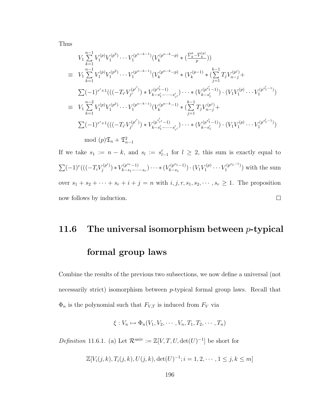Thus

$$
V_{1} \sum_{k=1}^{n-1} V_{1}^{(p)} V_{1}^{(p^{2})} \cdots V_{1}^{(p^{n-k-1})} (V_{k}^{(p^{n-k}-p)} * (\frac{\overline{V}_{k}^{\sigma} - \overline{V}_{k}^{(p)}}{p}))
$$
  
\n
$$
\equiv V_{1} \sum_{k=1}^{n-1} V_{1}^{(p)} V_{1}^{(p^{2})} \cdots V_{1}^{(p^{n-k-1})} (V_{k}^{(p^{n-k}-p)} * (V_{k}^{(p-1)} * (\sum_{j=1}^{k-1} T_{j} V_{n-j}^{(p^{j})} + \sum_{j=1}^{k-1} (-1)^{r'+1} (((-T_{i'} V_{j'}^{(p^{i'})}) * V_{k-s'_{1} - \cdots - s'_{r'}}^{(p^{s'_{t}}-1)} \cdots * (V_{k-s'_{1}}^{(p^{s'_{1}}-1)}) \cdot (V_{1} V_{1}^{(p)} \cdots V_{1}^{(p^{s'_{1}}-1)})
$$
  
\n
$$
= V_{1} \sum_{k=1}^{n-2} V_{1}^{(p)} V_{1}^{(p^{2})} \cdots V_{1}^{(p^{n-k-1})} (V_{k}^{(p^{n-k}-1)} * (\sum_{j=1}^{k-1} T_{j} V_{n-j}^{(p^{j})} + \sum_{j=1}^{k-1} (-1)^{r'+1} (((-T_{i'} V_{j'}^{(p^{i'})}) * V_{k-s'_{1} - \cdots - s'_{r'}}^{(p^{s'_{r'}}-1)} \cdots * (V_{k-s'_{1}}^{(p^{s'_{1}}-1)}) \cdot (V_{1} V_{1}^{(p)} \cdots V_{1}^{(p^{s'_{1}}-1)})
$$
  
\n
$$
\mod (p) \mathfrak{I}_{n} + \mathfrak{I}_{n-1}^{2}
$$

If we take  $s_1 := n - k$ , and  $s_i := s'_{i-1}$  for  $l \geq 2$ , this sum is exactly equal to  $\sum (-1)^r (((-T_i V_j^{(p^i)}$  $y_j^{(p^i)}$   $\ast$   $V_{k-s_1-\cdots}^{(p^{s_r}-1)}$  $\binom{r(p^{s_r}-1)}{k-s_1-\cdots-s_r}\cdots*(\binom{(p^{s_1}-1)}{k-s_1}$  $V_1^{(p)}\cdots V_1^{(p^{s_1-1})}$  $\binom{(p^{s_1}-1)}{k-s_1}\cdot (V_1V_1^{(p)})$  $\binom{p^{r_1-r_1}}{r_1}$  with the sum over  $s_1 + s_2 + \cdots + s_r + i + j = n$  with  $i, j, r, s_1, s_2, \dots, s_r \ge 1$ . The proposition  $\Box$ now follows by induction.

### 11.6 The universal isomorphism between  $p$ -typical formal group laws

Combine the results of the previous two subsections, we now define a universal (not necessarily strict) isomorphism between p-typical formal group laws. Recall that  $\Phi_n$  is the polynomial such that  $F_{V,T}$  is induced from  $F_V$  via

$$
\xi: V_n \mapsto \Phi_n(V_1, V_2, \cdots, V_n, T_1, T_2, \cdots, T_n)
$$

Definition 11.6.1. (a) Let  $\mathcal{R}^{\text{univ}} := \mathbb{Z}[V, T, U, \det(U)^{-1}]$  be short for

$$
\mathbb{Z}[V_i(j,k), T_i(j,k), U(j,k), \det(U)^{-1}; i = 1, 2, \cdots, 1 \le j, k \le m]
$$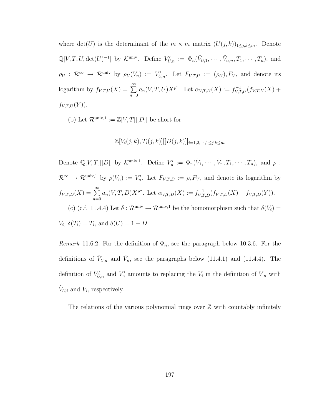where  $\det(U)$  is the determinant of the  $m \times m$  matrix  $(U(j, k))_{1 \leq j,k \leq m}$ . Denote  $\mathbb{Q}[V, T, U, \det(U)^{-1}]$  by K<sup>univ</sup>. Define  $V'_{U,n} := \Phi_n(\tilde{V}_{U,1}, \cdots, \tilde{V}_{U,n}, T_1, \cdots, T_n)$ , and  $\rho_U: \mathcal{R}^{\infty} \to \mathcal{R}^{\text{univ}}$  by  $\rho_U(V_n) := V'_{U,n}$ . Let  $F_{V,T,U} := (\rho_U)_* F_V$ , and denote its logarithm by  $f_{V,T,U}(X) = \sum_{i=1}^{\infty}$  $n=0$  $a_n(V, T, U)X^{p^n}$ . Let  $\alpha_{V,T,U}(X) := f_{V,T,U}^{-1}(f_{V,T,U}(X)) +$  $f_{V,T,U}(Y)$ ).

(b) Let  $\mathcal{R}^{\text{univ},1} := \mathbb{Z}[V,T][[D]]$  be short for

#### $\mathbb{Z}[V_i(j,k), T_i(j,k)][[D(j,k)]_{i=1,2,\dots,1\leq i,k\leq m}]$

Denote  $\mathbb{Q}[V,T][[D]]$  by  $\mathcal{K}^{\text{univ},1}$ . Define  $V'_n := \Phi_n(\tilde{V}_1,\cdots,\tilde{V}_n,T_1,\cdots,T_n)$ , and  $\rho$ :  $\mathcal{R}^{\infty} \to \mathcal{R}^{\text{univ},1}$  by  $\rho(V_n) := V'_n$ . Let  $F_{V,T,D} := \rho_* F_V$ , and denote its logarithm by  $f_{V,T,D}(X) = \sum_{i=1}^{\infty}$  $n=0$  $a_n(V, T, D)X^{p^n}$ . Let  $\alpha_{V,T,D}(X) := f_{V,T,D}^{-1}(f_{V,T,D}(X) + f_{V,T,D}(Y)).$ (c) (c.f. [11.4.4\)](#page-194-1) Let  $\delta : \mathcal{R}^{\text{univ}} \to \mathcal{R}^{\text{univ},1}$  be the homomorphism such that  $\delta(V_i)$  $V_i$ ,  $\delta(T_i) = T_i$ , and  $\delta(U) = 1 + D$ .

*Remark* 11.6.2. For the definition of  $\Phi_n$ , see the paragraph below [10.3.6.](#page-168-1) For the definitions of  $V_{U,n}$  and  $\tilde{V}_n$ , see the paragraphs below [\(11.4.1\)](#page-194-0) and [\(11.4.4\)](#page-194-1). The definition of  $V'_{U,n}$  and  $V'_n$  amounts to replacing the  $V_i$  in the definition of  $\overline{V}_n$  with  $\tilde{V}_{U,i}$  and  $V_i$ , respectively.

The relations of the various polynomial rings over  $\mathbb Z$  with countably infinitely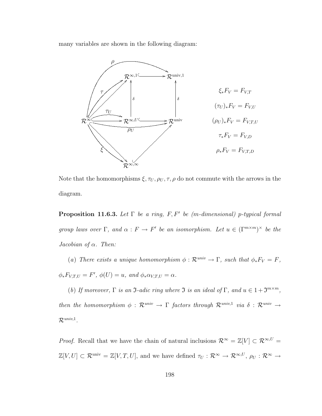many variables are shown in the following diagram:



Note that the homomorphisms  $\xi, \tau_U, \rho_U, \tau, \rho$  do not commute with the arrows in the diagram.

**Proposition 11.6.3.** Let  $\Gamma$  be a ring, F, F' be (m-dimensional) p-typical formal group laws over  $\Gamma$ , and  $\alpha : F \to F'$  be an isomorphism. Let  $u \in (\Gamma^{m \times m})^{\times}$  be the Jacobian of  $\alpha$ . Then:

(a) There exists a unique homomorphism  $\phi : \mathcal{R}^{univ} \to \Gamma$ , such that  $\phi_* F_V = F$ ,  $\phi_*F_{V,T,U} = F'$ ,  $\phi(U) = u$ , and  $\phi_*\alpha_{V,T,U} = \alpha$ .

(b) If moreover,  $\Gamma$  is an  $\mathfrak{I}\text{-}adic$  ring where  $\mathfrak{I}$  is an ideal of  $\Gamma$ , and  $u \in 1+\mathfrak{I}^{m \times m}$ , then the homomorphism  $\phi$  :  $\mathcal{R}^{univ} \to \Gamma$  factors through  $\mathcal{R}^{univ,1}$  via  $\delta$  :  $\mathcal{R}^{univ} \to$  $\mathcal{R}^{univ,1}.$ 

*Proof.* Recall that we have the chain of natural inclusions  $\mathcal{R}^{\infty} = \mathbb{Z}[V] \subset \mathcal{R}^{\infty, U}$  $\mathbb{Z}[V,U] \subset \mathcal{R}^{\text{univ}} = \mathbb{Z}[V,T,U]$ , and we have defined  $\tau_U : \mathcal{R}^{\infty} \to \mathcal{R}^{\infty,U}$ ,  $\rho_U : \mathcal{R}^{\infty} \to$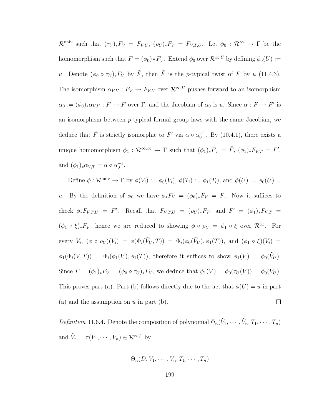$\mathcal{R}^{\text{univ}}$  such that  $(\tau_U)_*F_V = F_{V,U}, \ (\rho_U)_*F_V = F_{V,T,U}.$  Let  $\phi_0 : \mathcal{R}^{\infty} \to \Gamma$  be the homomorphism such that  $F = (\phi_0) * F_V$ . Extend  $\phi_0$  over  $\mathcal{R}^{\infty,U}$  by defining  $\phi_0(U) :=$ u. Denote  $(\phi_0 \circ \tau_U)_* F_V$  by  $\tilde{F}$ , then  $\tilde{F}$  is the p-typical twist of F by u [\(11.4.3\)](#page-194-0). The isomorphism  $\alpha_{V,U} : F_V \to F_{V,U}$  over  $\mathcal{R}^{\infty,U}$  pushes forward to an isomorphism  $\alpha_0 := (\phi_0)_*\alpha_{V,U} : F \to \tilde{F}$  over  $\Gamma$ , and the Jacobian of  $\alpha_0$  is u. Since  $\alpha : F \to F'$  is an isomorphism between  $p$ -typical formal group laws with the same Jacobian, we deduce that  $\tilde{F}$  is strictly isomorphic to  $F'$  via  $\alpha \circ \alpha_0^{-1}$ . By [\(10.4.1\)](#page-171-0), there exists a unique homomorphism  $\phi_1 : \mathcal{R}^{\infty,\infty} \to \Gamma$  such that  $(\phi_1)_* F_V = \tilde{F}$ ,  $(\phi_1)_* F_{V,T} = F'$ , and  $(\phi_1)_*\alpha_{V,T} = \alpha \circ \alpha_0^{-1}$ .

Define  $\phi : \mathcal{R}^{\text{univ}} \to \Gamma$  by  $\phi(V_i) := \phi_0(V_i)$ ,  $\phi(T_i) := \phi_1(T_i)$ , and  $\phi(U) := \phi_0(U)$ u. By the definition of  $\phi_0$  we have  $\phi_* F_V = (\phi_0)_* F_V = F$ . Now it suffices to check  $\phi_* F_{V,T,U} = F'$ . Recall that  $F_{V,T,U} = (\rho_U)_* F_V$ , and  $F' = (\phi_1)_* F_{V,T}$  $(\phi_1 \circ \xi)_* F_V$ , hence we are reduced to showing  $\phi \circ \rho_U = \phi_1 \circ \xi$  over  $\mathcal{R}^{\infty}$ . For every  $V_i$ ,  $(\phi \circ \rho_U)(V_i) = \phi(\Phi_i(\tilde{V}_U, T)) = \Phi_i(\phi_0(\tilde{V}_U), \phi_1(T))$ , and  $(\phi_1 \circ \xi)(V_i) =$  $\phi_1(\Phi_i(V,T)) = \Phi_i(\phi_1(V), \phi_1(T))$ , therefore it suffices to show  $\phi_1(V) = \phi_0(\tilde{V}_U)$ . Since  $\tilde{F} = (\phi_1)_* F_V = (\phi_0 \circ \tau_U)_* F_V$ , we deduce that  $\phi_1(V) = \phi_0(\tau_U(V)) = \phi_0(\tilde{V}_U)$ . This proves part (a). Part (b) follows directly due to the act that  $\phi(U) = u$  in part (a) and the assumption on  $u$  in part (b).  $\Box$ 

Definition 11.6.4. Denote the composition of polynomial  $\Phi_n(\tilde{V}_1, \dots, \tilde{V}_n, T_1, \dots, T_n)$ and  $\tilde{V}_n = \tau(V_1, \dots, V_n) \in \mathcal{R}^{\infty,1}$  by

$$
\Theta_n(D, V_1, \cdots, V_n, T_1, \cdots, T_n)
$$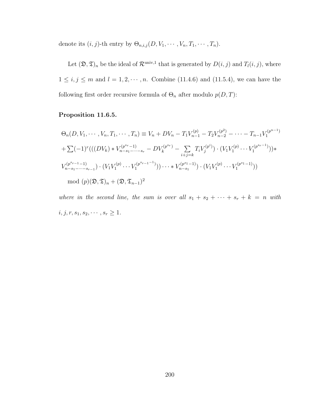denote its  $(i, j)$ -th entry by  $\Theta_{n,i,j}(D, V_1, \cdots, V_n, T_1, \cdots, T_n)$ .

Let  $(\mathfrak{D}, \mathfrak{T})_n$  be the ideal of  $\mathcal{R}^{\text{univ},1}$  that is generated by  $D(i, j)$  and  $T_l(i, j)$ , where  $1 \le i, j \le m$  and  $l = 1, 2, \dots, n$ . Combine [\(11.4.6\)](#page-195-0) and [\(11.5.4\)](#page-202-0), we can have the following first order recursive formula of  $\Theta_n$  after modulo  $p(D, T)$ :

#### Proposition 11.6.5.

$$
\Theta_n(D, V_1, \cdots, V_n, T_1, \cdots, T_n) \equiv V_n + DV_n - T_1 V_{n-1}^{(p)} - T_2 V_{n-2}^{(p^2)} - \cdots - T_{n-1} V_1^{(p^{n-1})}
$$
  
+  $\sum (-1)^r (((DV_k) * V_{n-s_1-\cdots-s_r}^{(p^{sr}-1)} - DV_k^{(p^{sr})} - \sum_{i+j=k} T_i V_j^{(p^i)}) \cdot (V_1 V_1^{(p)} \cdots V_1^{(p^{sr}-1)})) *$   
 $V_{n-s_1-\cdots-s_{r-1}}^{(p^{sr}-1)} \cdot (V_1 V_1^{(p)} \cdots V_1^{(p^{sr}-1)})) \cdots * V_{n-s_1}^{(p^{s_1}-1)} \cdot (V_1 V_1^{(p)} \cdots V_1^{(p^{s_1}-1)}))$   
mod  $(p)(\mathfrak{D}, \mathfrak{D})_n + (\mathfrak{D}, \mathfrak{T}_{n-1})^2$ 

where in the second line, the sum is over all  $s_1 + s_2 + \cdots + s_r + k = n$  with  $i, j, r, s_1, s_2, \cdots, s_r \geq 1.$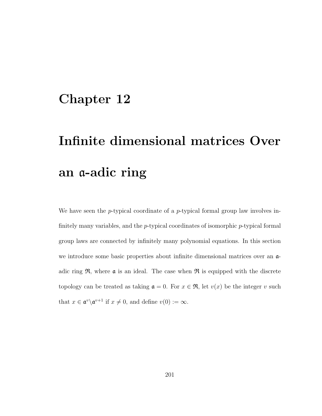### Chapter 12

# Infinite dimensional matrices Over an a-adic ring

We have seen the  $p$ -typical coordinate of a  $p$ -typical formal group law involves infinitely many variables, and the  $p$ -typical coordinates of isomorphic  $p$ -typical formal group laws are connected by infinitely many polynomial equations. In this section we introduce some basic properties about infinite dimensional matrices over an  $\alpha$ adic ring  $\mathfrak{R}$ , where **a** is an ideal. The case when  $\mathfrak{R}$  is equipped with the discrete topology can be treated as taking  $a = 0$ . For  $x \in \mathfrak{R}$ , let  $v(x)$  be the integer v such that  $x \in \mathfrak{a}^v \backslash \mathfrak{a}^{v+1}$  if  $x \neq 0$ , and define  $v(0) := \infty$ .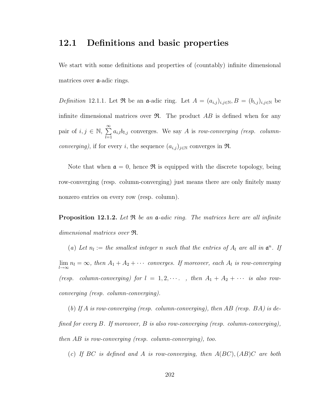#### 12.1 Definitions and basic properties

We start with some definitions and properties of (countably) infinite dimensional matrices over a-adic rings.

Definition 12.1.1. Let  $\Re$  be an a-adic ring. Let  $A = (a_{i,j})_{i,j \in \mathbb{N}}, B = (b_{i,j})_{i,j \in \mathbb{N}}$  be infinite dimensional matrices over  $\mathfrak{R}$ . The product AB is defined when for any pair of  $i, j \in \mathbb{N}, \sum_{i=1}^{\infty}$  $_{l=1}$  $a_{i,l}b_{l,j}$  converges. We say A is row-converging (resp. columnconverging), if for every i, the sequence  $(a_{i,j})_{j\in\mathbb{N}}$  converges in  $\Re$ .

Note that when  $\mathfrak{a} = 0$ , hence  $\mathfrak{R}$  is equipped with the discrete topology, being row-converging (resp. column-converging) just means there are only finitely many nonzero entries on every row (resp. column).

<span id="page-210-0"></span>**Proposition 12.1.2.** Let  $\Re$  be an  $\mathfrak{a}$ -adic ring. The matrices here are all infinite dimensional matrices over R.

(a) Let  $n_l :=$  the smallest integer n such that the entries of  $A_l$  are all in  $\mathfrak{a}^n$ . If  $\lim_{l\to\infty} n_l = \infty$ , then  $A_1 + A_2 + \cdots$  converges. If moreover, each  $A_l$  is row-converging (resp. column-converging) for  $l = 1, 2, \cdots$ , then  $A_1 + A_2 + \cdots$  is also rowconverging (resp. column-converging).

(b) If A is row-converging (resp. column-converging), then AB (resp.  $BA$ ) is defined for every  $B$ . If moreover,  $B$  is also row-converging (resp. column-converging), then AB is row-converging (resp. column-converging), too.

(c) If BC is defined and A is row-converging, then  $A(BC)$ ,  $(AB)C$  are both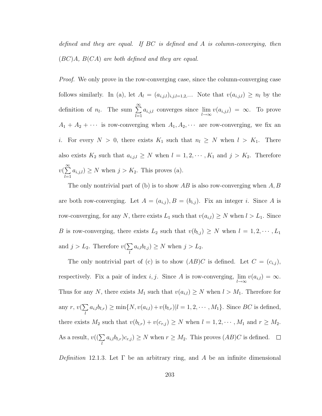defined and they are equal. If  $BC$  is defined and  $A$  is column-converging, then  $(BC)A$ ,  $B(CA)$  are both defined and they are equal.

*Proof.* We only prove in the row-converging case, since the column-converging case follows similarly. In (a), let  $A_l = (a_{i,j,l})_{i,j,l=1,2,\cdots}$ . Note that  $v(a_{i,j,l}) \geq n_l$  by the definition of  $n_l$ . The sum  $\sum_{l=1}^{\infty}$  $_{l=1}$  $a_{i,j,l}$  converges since  $\lim_{l\to\infty} v(a_{i,j,l}) = \infty$ . To prove  $A_1 + A_2 + \cdots$  is row-converging when  $A_1, A_2, \cdots$  are row-converging, we fix an i. For every  $N > 0$ , there exists  $K_1$  such that  $n_l \geq N$  when  $l > K_1$ . There also exists  $K_2$  such that  $a_{i,j,l} \geq N$  when  $l = 1, 2, \dots, K_1$  and  $j > K_2$ . Therefore  $v(\sum_{n=1}^{\infty}$  $l=1$  $a_{i,j,l}$ ) ≥ N when  $j > K_2$ . This proves (a).

The only nontrivial part of (b) is to show AB is also row-converging when  $A, B$ are both row-converging. Let  $A = (a_{i,j}), B = (b_{i,j})$ . Fix an integer i. Since A is row-converging, for any N, there exists  $L_1$  such that  $v(a_{i,l}) \geq N$  when  $l > L_1$ . Since B is row-converging, there exists  $L_2$  such that  $v(b_{l,j}) \geq N$  when  $l = 1, 2, \cdots, L_1$ and  $j > L_2$ . Therefore  $v(\sum)$ l  $a_{i,l}b_{l,j}$   $\geq N$  when  $j > L_2$ .

The only nontrivial part of (c) is to show  $(AB)C$  is defined. Let  $C = (c_{i,j})$ , respectively. Fix a pair of index *i*, *j*. Since *A* is row-converging,  $\lim_{l\to\infty} v(a_{i,l}) = \infty$ . Thus for any N, there exists  $M_1$  such that  $v(a_{i,l}) \geq N$  when  $l > M_1$ . Therefore for any  $r, v(\sum)$ l  $a_{i,l}b_{l,r} \geq \min\{N, v(a_{i,l}) + v(b_{l,r})|l = 1, 2, \cdots, M_1\}.$  Since BC is defined, there exists  $M_2$  such that  $v(b_{l,r}) + v(c_{r,j}) \ge N$  when  $l = 1, 2, \dots, M_1$  and  $r \ge M_2$ . As a result,  $v((\sum$ l  $a_{i,l}b_{l,r}c_{r,j} \geq N$  when  $r \geq M_2$ . This proves  $(AB)C$  is defined.

Definition 12.1.3. Let  $\Gamma$  be an arbitrary ring, and A be an infinite dimensional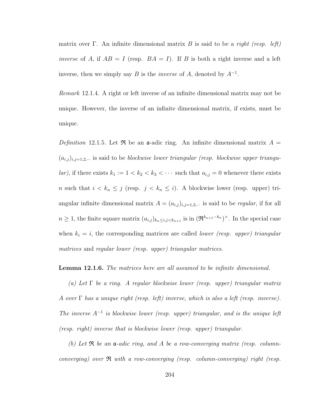matrix over Γ. An infinite dimensional matrix B is said to be a right (resp. left) inverse of A, if  $AB = I$  (resp.  $BA = I$ ). If B is both a right inverse and a left inverse, then we simply say B is the *inverse* of A, denoted by  $A^{-1}$ .

Remark 12.1.4. A right or left inverse of an infinite dimensional matrix may not be unique. However, the inverse of an infinite dimensional matrix, if exists, must be unique.

Definition 12.1.5. Let  $\Re$  be an a-adic ring. An infinite dimensional matrix  $A =$  $(a_{i,j})_{i,j=1,2,\cdots}$  is said to be blockwise lower triangular (resp. blockwise upper triangular), if there exists  $k_1 := 1 < k_2 < k_3 < \cdots$  such that  $a_{i,j} = 0$  whenever there exists n such that  $i < k_n \leq j$  (resp.  $j < k_n \leq i$ ). A blockwise lower (resp. upper) triangular infinite dimensional matrix  $A = (a_{i,j})_{i,j=1,2,\dots}$  is said to be *regular*, if for all  $n \geq 1$ , the finite square matrix  $(a_{i,j})_{k_n \leq i,j \leq k_{n+1}}$  is in  $(\mathfrak{R}^{k_{n+1}-k_n})^{\times}$ . In the special case when  $k_i = i$ , the corresponding matrices are called *lower (resp. upper) triangular* matrices and regular lower (resp. upper) triangular matrices.

#### **Lemma 12.1.6.** The matrices here are all assumed to be infinite dimensional.

(a) Let  $\Gamma$  be a ring. A regular blockwise lower (resp. upper) triangular matrix A over  $\Gamma$  has a unique right (resp. left) inverse, which is also a left (resp. inverse). The inverse  $A^{-1}$  is blockwise lower (resp. upper) triangular, and is the unique left (resp. right) inverse that is blockwise lower (resp. upper) triangular.

(b) Let  $\Re$  be an  $\mathfrak{a}$ -adic ring, and A be a row-converging matrix (resp. columnconverging) over  $\Re$  with a row-converging (resp. column-converging) right (resp.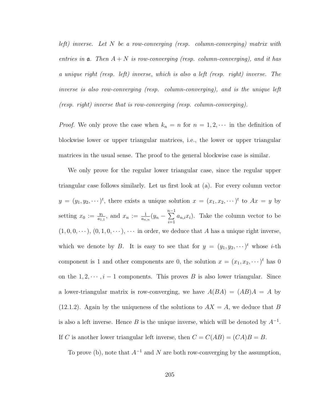left) inverse. Let N be a row-converging (resp. column-converging) matrix with entries in  $a$ . Then  $A + N$  is row-converging (resp. column-converging), and it has a unique right (resp. left) inverse, which is also a left (resp. right) inverse. The inverse is also row-converging (resp. column-converging), and is the unique left (resp. right) inverse that is row-converging (resp. column-converging).

*Proof.* We only prove the case when  $k_n = n$  for  $n = 1, 2, \cdots$  in the definition of blockwise lower or upper triangular matrices, i.e., the lower or upper triangular matrices in the usual sense. The proof to the general blockwise case is similar.

We only prove for the regular lower triangular case, since the regular upper triangular case follows similarly. Let us first look at (a). For every column vector  $y = (y_1, y_2, \dots)^t$ , there exists a unique solution  $x = (x_1, x_2, \dots)^t$  to  $Ax = y$  by setting  $x_0 := \frac{y_1}{a_1}$  $\frac{y_1}{a_{1,1}},$  and  $x_n := \frac{1}{a_{n,n}}(y_n - \sum_{i=1}^{n-1}$  $i=1$  $a_{n,i}x_i$ ). Take the column vector to be  $(1, 0, 0, \dots), (0, 1, 0, \dots), \dots$  in order, we deduce that A has a unique right inverse, which we denote by B. It is easy to see that for  $y = (y_1, y_2, \dots)^t$  whose *i*-th component is 1 and other components are 0, the solution  $x = (x_1, x_2, \dots)^t$  has 0 on the  $1, 2, \dots, i-1$  components. This proves B is also lower triangular. Since a lower-triangular matrix is row-converging, we have  $A(BA) = (AB)A = A$  by [\(12.1.2\)](#page-210-0). Again by the uniqueness of the solutions to  $AX = A$ , we deduce that B is also a left inverse. Hence B is the unique inverse, which will be denoted by  $A^{-1}$ . If C is another lower triangular left inverse, then  $C = C(AB) = (CA)B = B$ .

To prove (b), note that  $A^{-1}$  and N are both row-converging by the assumption,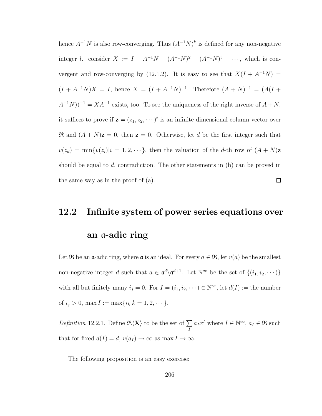hence  $A^{-1}N$  is also row-converging. Thus  $(A^{-1}N)^k$  is defined for any non-negative integer l. consider  $X := I - A^{-1}N + (A^{-1}N)^2 - (A^{-1}N)^3 + \cdots$ , which is con-vergent and row-converging by [\(12.1.2\)](#page-210-0). It is easy to see that  $X(I + A^{-1}N) =$  $(I + A^{-1}N)X = I$ , hence  $X = (I + A^{-1}N)^{-1}$ . Therefore  $(A + N)^{-1} = (A(I + A^{-1}N)X)$  $(A^{-1}N))^{-1} = XA^{-1}$  exists, too. To see the uniqueness of the right inverse of  $A + N$ , it suffices to prove if  $\mathbf{z} = (z_1, z_2, \dots)^t$  is an infinite dimensional column vector over  $\Re$  and  $(A + N)\mathbf{z} = 0$ , then  $\mathbf{z} = 0$ . Otherwise, let d be the first integer such that  $v(z_d) = \min\{v(z_i)|i=1,2,\cdots\},\$  then the valuation of the d-th row of  $(A+N)\mathbf{z}$ should be equal to  $d$ , contradiction. The other statements in (b) can be proved in  $\Box$ the same way as in the proof of (a).

### 12.2 Infinite system of power series equations over

#### an a-adic ring

Let R be an  $\alpha$ -adic ring, where  $\alpha$  is an ideal. For every  $a \in \mathfrak{R}$ , let  $v(a)$  be the smallest non-negative integer d such that  $a \in \mathfrak{a}^d \setminus \mathfrak{a}^{d+1}$ . Let  $\mathbb{N}^\infty$  be the set of  $\{(i_1, i_2, \dots)\}$ with all but finitely many  $i_j = 0$ . For  $I = (i_1, i_2, \dots) \in \mathbb{N}^{\infty}$ , let  $d(I) :=$  the number of  $i_j > 0$ , max  $I := \max\{i_k | k = 1, 2, \dots\}.$ 

Definition 12.2.1. Define  $\Re\langle X\rangle$  to be the set of  $\Sigma$ I  $a_I x^I$  where  $I \in \mathbb{N}^\infty$ ,  $a_I \in \mathfrak{R}$  such that for fixed  $d(I) = d$ ,  $v(a_I) \to \infty$  as max  $I \to \infty$ .

The following proposition is an easy exercise: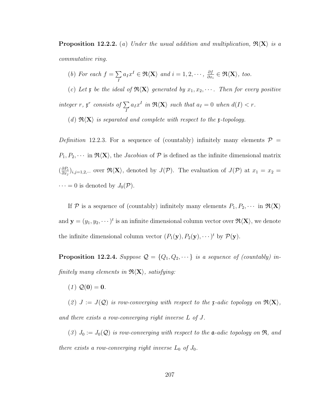**Proposition 12.2.2.** (a) Under the usual addition and multiplication,  $\mathfrak{R}\langle X \rangle$  is a commutative ring.

(b) For each  $f = \sum$ I  $a_I x^I \in \Re \langle X \rangle$  and  $i = 1, 2, \cdots, \frac{\partial f}{\partial x^I}$  $\frac{\partial f}{\partial x_i} \in \Re \langle \mathbf{X} \rangle$ , too.

(c) Let x be the ideal of  $\mathfrak{R}\langle X\rangle$  generated by  $x_1, x_2, \cdots$ . Then for every positive integer r,  $\mathfrak{x}^r$  consists of  $\Sigma$ I  $a_I x^I$  in  $\Re \langle X \rangle$  such that  $a_I = 0$  when  $d(I) < r$ .

(d)  $\mathfrak{R}(X)$  is separated and complete with respect to the x-topology.

Definition 12.2.3. For a sequence of (countably) infinitely many elements  $\mathcal{P}$  =  $P_1, P_2, \cdots$  in  $\mathfrak{R}\langle X\rangle$ , the *Jacobian* of  $P$  is defined as the infinite dimensional matrix  $\left(\frac{\partial P_i}{\partial x}\right)$  $\frac{\partial P_i}{\partial x_j}\big)_{i,j=1,2,\cdots}$  over  $\Re\langle X\rangle$ , denoted by  $J(\mathcal{P})$ . The evaluation of  $J(\mathcal{P})$  at  $x_1=x_2=x_3$  $\cdots = 0$  is denoted by  $J_0(\mathcal{P})$ .

If P is a sequence of (countably) infinitely many elements  $P_1, P_2, \cdots$  in  $\mathfrak{R}\langle X\rangle$ and  $\mathbf{y} = (y_1, y_2, \dots)^t$  is an infinite dimensional column vector over  $\mathfrak{R} \langle X \rangle$ , we denote the infinite dimensional column vector  $(P_1(\mathbf{y}), P_2(\mathbf{y}), \dots)^t$  by  $\mathcal{P}(\mathbf{y})$ .

**Proposition 12.2.4.** Suppose  $\mathcal{Q} = \{Q_1, Q_2, \dots\}$  is a sequence of (countably) infinitely many elements in  $\mathfrak{R}\langle X\rangle$ , satisfying:

 $(1) Q(0) = 0.$ 

(2)  $J := J(Q)$  is row-converging with respect to the x-adic topology on  $\mathfrak{R}(X)$ , and there exists a row-converging right inverse L of J.

(3)  $J_0 := J_0(\mathcal{Q})$  is row-converging with respect to the  $\mathfrak{a}$ -adic topology on  $\mathfrak{R}$ , and there exists a row-converging right inverse  $L_0$  of  $J_0$ .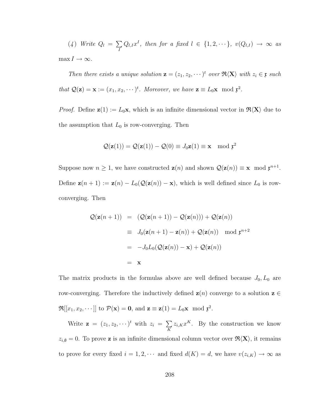(4) Write 
$$
Q_l = \sum_{I} Q_{l,I} x^I
$$
, then for a fixed  $l \in \{1, 2, \dots\}$ ,  $v(Q_{l,I}) \to \infty$  as  
max  $I \to \infty$ .

Then there exists a unique solution  $\mathbf{z} = (z_1, z_2, \dots)^t$  over  $\Re\langle \mathbf{X} \rangle$  with  $z_i \in \mathfrak{x}$  such that  $\mathcal{Q}(\mathbf{z}) = \mathbf{x} := (x_1, x_2, \dots)^t$ . Moreover, we have  $\mathbf{z} \equiv L_0 \mathbf{x} \mod \mathfrak{x}^2$ .

*Proof.* Define  $z(1) := L_0x$ , which is an infinite dimensional vector in  $\mathcal{R}(X)$  due to the assumption that  $L_0$  is row-converging. Then

$$
\mathcal{Q}(\mathbf{z}(1)) = \mathcal{Q}(\mathbf{z}(1)) - \mathcal{Q}(0) \equiv J_0 \mathbf{z}(1) \equiv \mathbf{x} \mod \mathfrak{x}^2
$$

Suppose now  $n \geq 1$ , we have constructed  $\mathbf{z}(n)$  and shown  $\mathcal{Q}(\mathbf{z}(n)) \equiv \mathbf{x} \mod \mathfrak{z}^{n+1}$ . Define  $\mathbf{z}(n+1) := \mathbf{z}(n) - L_0(\mathcal{Q}(\mathbf{z}(n)) - \mathbf{x})$ , which is well defined since  $L_0$  is rowconverging. Then

$$
Q(\mathbf{z}(n+1)) = (Q(\mathbf{z}(n+1)) - Q(\mathbf{z}(n))) + Q(\mathbf{z}(n))
$$
  
\n
$$
\equiv J_0(\mathbf{z}(n+1) - \mathbf{z}(n)) + Q(\mathbf{z}(n)) \mod \mathfrak{x}^{n+2}
$$
  
\n
$$
= -J_0L_0(Q(\mathbf{z}(n)) - \mathbf{x}) + Q(\mathbf{z}(n))
$$
  
\n
$$
= \mathbf{x}
$$

The matrix products in the formulas above are well defined because  $J_0, L_0$  are row-converging. Therefore the inductively defined  $z(n)$  converge to a solution  $z \in$  $\mathfrak{R}[[x_1, x_2, \cdots]]$  to  $\mathcal{P}(\mathbf{x}) = \mathbf{0}$ , and  $\mathbf{z} \equiv \mathbf{z}(1) = L_0 \mathbf{x} \mod \mathfrak{r}^2$ .

Write  $\mathbf{z} = (z_1, z_2, \dots)^t$  with  $z_i = \sum$ K  $z_{i,K}x^K$ . By the construction we know  $z_{i,\emptyset} = 0$ . To prove **z** is an infinite dimensional column vector over  $\mathfrak{R}\langle X\rangle$ , it remains to prove for every fixed  $i = 1, 2, \cdots$  and fixed  $d(K) = d$ , we have  $v(z_{i,K}) \to \infty$  as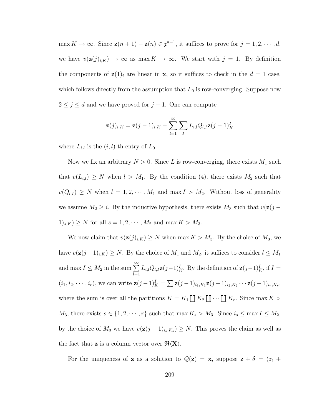max  $K \to \infty$ . Since  $\mathbf{z}(n+1) - \mathbf{z}(n) \in \mathfrak{x}^{n+1}$ , it suffices to prove for  $j = 1, 2, \cdots, d$ , we have  $v(\mathbf{z}(j)_{i,K}) \to \infty$  as max  $K \to \infty$ . We start with  $j = 1$ . By definition the components of  $z(1)_i$  are linear in **x**, so it suffices to check in the  $d = 1$  case, which follows directly from the assumption that  $L_0$  is row-converging. Suppose now  $2 \leq j \leq d$  and we have proved for  $j - 1$ . One can compute

$$
\mathbf{z}(j)_{i,K} = \mathbf{z}(j-1)_{i,K} - \sum_{l=1}^{\infty} \sum_{I} L_{i,l} Q_{l,I} \mathbf{z}(j-1)_{K}^{I}
$$

where  $L_{i,l}$  is the  $(i, l)$ -th entry of  $L_0$ .

Now we fix an arbitrary  $N > 0$ . Since L is row-converging, there exists  $M_1$  such that  $v(L_{i,l}) \geq N$  when  $l > M_1$ . By the condition (4), there exists  $M_2$  such that  $v(Q_{l,I}) \geq N$  when  $l = 1, 2, \dots, M_1$  and  $\max I > M_2$ . Without loss of generality we assume  $M_2 \geq i$ . By the inductive hypothesis, there exists  $M_3$  such that  $v(\mathbf{z}(j (1)_{s,K}$ )  $\geq N$  for all  $s = 1, 2, \cdots, M_2$  and max  $K > M_3$ .

We now claim that  $v(\mathbf{z}(j)_{i,K}) \geq N$  when max  $K > M_3$ . By the choice of  $M_3$ , we have  $v(\mathbf{z}(j-1)_{i,K}) \geq N$ . By the choice of  $M_1$  and  $M_2$ , it suffices to consider  $l \leq M_1$ and max  $I \leq M_2$  in the sum  $\sum_{n=1}^{\infty}$  $_{l=1}$  $L_{i,l}Q_{l,I}\mathbf{z}(j-1)_{K}^{I}$ . By the definition of  $\mathbf{z}(j-1)_{K}^{I}$ , if  $I =$  $(i_1, i_2, \cdots, i_r)$ , we can write  $\mathbf{z}(j-1)_{K}^I = \sum \mathbf{z}(j-1)_{i_1, K_1} \mathbf{z}(j-1)_{i_2, K_2} \cdots \mathbf{z}(j-1)_{i_r, K_r}$ , where the sum is over all the partitions  $K = K_1 \coprod K_2 \coprod \cdots \coprod K_r$ . Since max  $K >$  $M_3$ , there exists  $s \in \{1, 2, \dots, r\}$  such that max  $K_s > M_3$ . Since  $i_s \le \max I \le M_2$ , by the choice of  $M_3$  we have  $v(\mathbf{z}(j-1)_{i_s,K_s}) \geq N$ . This proves the claim as well as the fact that **z** is a column vector over  $\mathcal{R}(X)$ .

For the uniqueness of **z** as a solution to  $\mathcal{Q}(\mathbf{z}) = \mathbf{x}$ , suppose  $\mathbf{z} + \delta = (z_1 + \delta)$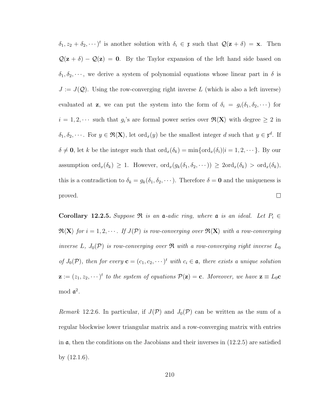$\delta_1, z_2 + \delta_2, \dots$ <sup>t</sup> is another solution with  $\delta_i \in \mathfrak{x}$  such that  $\mathcal{Q}(\mathbf{z} + \delta) = \mathbf{x}$ . Then  $\mathcal{Q}(\mathbf{z} + \delta) - \mathcal{Q}(\mathbf{z}) = \mathbf{0}$ . By the Taylor expansion of the left hand side based on  $\delta_1, \delta_2, \dots$ , we derive a system of polynomial equations whose linear part in  $\delta$  is  $J := J(\mathcal{Q})$ . Using the row-converging right inverse L (which is also a left inverse) evaluated at **z**, we can put the system into the form of  $\delta_i = g_i(\delta_1, \delta_2, \cdots)$  for  $i = 1, 2, \cdots$  such that  $g_i$ 's are formal power series over  $\Re(X)$  with degree  $\geq 2$  in  $\delta_1, \delta_2, \cdots$ . For  $y \in \mathfrak{R}\langle X \rangle$ , let ord<sub>x</sub> $(y)$  be the smallest integer d such that  $y \in \mathfrak{r}^d$ . If  $\delta \neq \mathbf{0}$ , let k be the integer such that  $\text{ord}_x(\delta_k) = \min{\text{ord}_x(\delta_i)}|i = 1, 2, \cdots$ . By our assumption  $\text{ord}_x(\delta_k) \geq 1$ . However,  $\text{ord}_x(g_k(\delta_1, \delta_2, \dots)) \geq 2\text{ord}_x(\delta_k) > \text{ord}_x(\delta_k)$ , this is a contradiction to  $\delta_k = g_k(\delta_1, \delta_2, \dots)$ . Therefore  $\delta = \mathbf{0}$  and the uniqueness is proved.  $\Box$ 

<span id="page-218-0"></span>Corollary 12.2.5. Suppose  $\Re$  is an a-adic ring, where a is an ideal. Let  $P_i \in$  $\mathfrak{R}\langle \mathbf{X}\rangle$  for  $i = 1, 2, \cdots$ . If  $J(\mathcal{P})$  is row-converging over  $\mathfrak{R}\langle \mathbf{X}\rangle$  with a row-converging inverse L,  $J_0(\mathcal{P})$  is row-converging over  $\mathfrak{R}$  with a row-converging right inverse  $L_0$ of  $J_0(\mathcal{P})$ , then for every  $\mathbf{c} = (c_1, c_2, \dots)^t$  with  $c_i \in \mathfrak{a}$ , there exists a unique solution  $\mathbf{z} := (z_1, z_2, \dots)^t$  to the system of equations  $\mathcal{P}(\mathbf{z}) = \mathbf{c}$ . Moreover, we have  $\mathbf{z} \equiv L_0 \mathbf{c}$ mod  $\mathfrak{a}^2$ .

<span id="page-218-1"></span>Remark 12.2.6. In particular, if  $J(\mathcal{P})$  and  $J_0(\mathcal{P})$  can be written as the sum of a regular blockwise lower triangular matrix and a row-converging matrix with entries in  $\alpha$ , then the conditions on the Jacobians and their inverses in  $(12.2.5)$  are satisfied by [\(12.1.6\)](#page-212-0).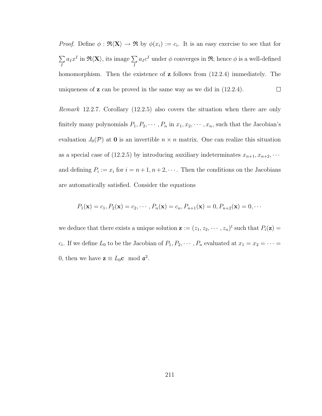*Proof.* Define  $\phi : \mathfrak{R}\langle X \rangle \to \mathfrak{R}$  by  $\phi(x_i) := c_i$ . It is an easy exercise to see that for  $a_I x^I$  in  $\Re \langle \mathbf{X} \rangle$ , its image  $\sum$  $a_I c^I$  under  $\phi$  converges in  $\Re$ ; hence  $\phi$  is a well-defined  $\sum$ I I homomorphism. Then the existence of **z** follows from  $(12.2.4)$  immediately. The  $\Box$ uniqueness of z can be proved in the same way as we did in [\(12.2.4\)](#page-215-0).

<span id="page-219-0"></span>Remark 12.2.7. Corollary [\(12.2.5\)](#page-218-0) also covers the situation when there are only finitely many polynomials  $P_1, P_2, \cdots, P_n$  in  $x_1, x_2, \cdots, x_n$ , such that the Jacobian's evaluation  $J_0(\mathcal{P})$  at **0** is an invertible  $n \times n$  matrix. One can realize this situation as a special case of [\(12.2.5\)](#page-218-0) by introducing auxiliary indeterminates  $x_{n+1}, x_{n+2}, \cdots$ and defining  $P_i := x_i$  for  $i = n+1, n+2, \cdots$ . Then the conditions on the Jacobians are automatically satisfied. Consider the equations

$$
P_1(\mathbf{x}) = c_1, P_2(\mathbf{x}) = c_2, \cdots, P_n(\mathbf{x}) = c_n, P_{n+1}(\mathbf{x}) = 0, P_{n+2}(\mathbf{x}) = 0, \cdots
$$

we deduce that there exists a unique solution  $\mathbf{z} := (z_1, z_2, \dots, z_n)^t$  such that  $P_i(\mathbf{z}) =$  $c_i$ . If we define  $L_0$  to be the Jacobian of  $P_1, P_2, \cdots, P_n$  evaluated at  $x_1 = x_2 = \cdots =$ 0, then we have  $z \equiv L_0 c \mod \mathfrak{a}^2$ .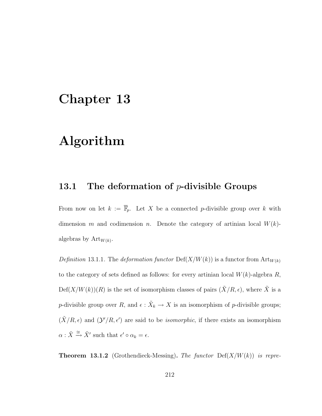### Chapter 13

### Algorithm

#### 13.1 The deformation of  $p$ -divisible Groups

From now on let  $k := \overline{\mathbb{F}}_p$ . Let X be a connected p-divisible group over k with dimension m and codimension n. Denote the category of artinian local  $W(k)$ algebras by  $Art_{W(k)}$ .

Definition 13.1.1. The deformation functor  $\text{Def}(X/W(k))$  is a functor from  $\text{Art}_{W(k)}$ to the category of sets defined as follows: for every artinian local  $W(k)$ -algebra R,  $Def(X/W(k))(R)$  is the set of isomorphism classes of pairs  $(\tilde{X}/R, \epsilon)$ , where  $\tilde{X}$  is a p-divisible group over R, and  $\epsilon : \tilde{X}_k \to X$  is an isomorphism of p-divisible groups;  $(\tilde{X}/R, \epsilon)$  and  $(\mathcal{Y}'/R, \epsilon')$  are said to be *isomorphic*, if there exists an isomorphism  $\alpha : \tilde{X} \xrightarrow{\cong} \tilde{X}'$  such that  $\epsilon' \circ \alpha_k = \epsilon$ .

<span id="page-220-0"></span>**Theorem 13.1.2** (Grothendieck-Messing). The functor  $\text{Def}(X/W(k))$  is repre-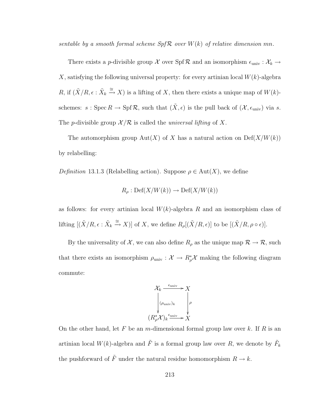sentable by a smooth formal scheme  $Spf \mathcal{R}$  over  $W(k)$  of relative dimension mn.

There exists a *p*-divisible group  $\mathcal X$  over  $\text{Spf } \mathcal R$  and an isomorphism  $\epsilon_{\text{univ}} : \mathcal X_k \to$ X, satisfying the following universal property: for every artinian local  $W(k)$ -algebra R, if  $(\tilde{X}/R, \epsilon : \tilde{X}_k \stackrel{\cong}{\to} X)$  is a lifting of X, then there exists a unique map of  $W(k)$ schemes:  $s : \text{Spec } R \to \text{Spf } R$ , such that  $(\tilde{X}, \epsilon)$  is the pull back of  $(\mathcal{X}, \epsilon_{\text{univ}})$  via s. The p-divisible group  $\mathcal{X}/\mathcal{R}$  is called the *universal lifting* of X.

The automorphism group Aut(X) of X has a natural action on  $\mathrm{Def}(X/W(k))$ by relabelling:

Definition 13.1.3 (Relabelling action). Suppose  $\rho \in Aut(X)$ , we define

$$
R_{\rho}: \mathrm{Def}(X/W(k)) \to \mathrm{Def}(X/W(k))
$$

as follows: for every artinian local  $W(k)$ -algebra R and an isomorphism class of lifting  $[(\tilde{X}/R, \epsilon : \tilde{X}_k \stackrel{\cong}{\to} X)]$  of X, we define  $R_\rho[(\tilde{X}/R, \epsilon)]$  to be  $[(\tilde{X}/R, \rho \circ \epsilon)]$ .

By the universality of  $\mathcal{X}$ , we can also define  $R_{\rho}$  as the unique map  $\mathcal{R} \to \mathcal{R}$ , such that there exists an isomorphism  $\rho_{\text{univ}} : \mathcal{X} \to R_{\rho}^* \mathcal{X}$  making the following diagram commute:

$$
\mathcal{X}_k \xrightarrow{\epsilon_{\text{univ}}} X
$$
\n
$$
\downarrow \qquad \downarrow \qquad \downarrow \qquad \downarrow \qquad \downarrow \qquad \downarrow \qquad \downarrow \qquad \downarrow
$$
\n
$$
R_\rho^* \mathcal{X}_k \xrightarrow{\epsilon_{\text{univ}}} X
$$

<span id="page-221-0"></span>On the other hand, let F be an m-dimensional formal group law over k. If R is an artinian local  $W(k)$ -algebra and  $\tilde{F}$  is a formal group law over R, we denote by  $\tilde{F}_k$ the pushforward of  $\tilde{F}$  under the natural residue homomorphism  $R \to k$ .

 $($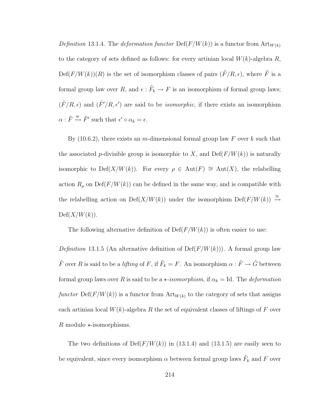Definition 13.1.4. The deformation functor  $\text{Def}(F/W(k))$  is a functor from  $\text{Art}_{W(k)}$ to the category of sets defined as follows: for every artinian local  $W(k)$ -algebra R,  $Def(F/W(k))(R)$  is the set of isomorphism classes of pairs  $(F/R, \epsilon)$ , where  $\tilde{F}$  is a formal group law over R, and  $\epsilon$  :  $\tilde{F}_k \to F$  is an isomorphism of formal group laws;  $(\tilde{F}/R, \epsilon)$  and  $(\tilde{F}'/R, \epsilon')$  are said to be *isomorphic*, if there exists an isomorphism  $\alpha : \tilde{F} \stackrel{\cong}{\rightarrow} \tilde{F}'$  such that  $\epsilon' \circ \alpha_k = \epsilon$ .

By  $(10.6.2)$ , there exists an m-dimensional formal group law F over k such that the associated p-divisible group is isomorphic to X, and  $\mathrm{Def}(F/W(k))$  is naturally isomorphic to Def(X/W(k)). For every  $\rho \in Aut(F) \cong Aut(X)$ , the relabelling action  $R_\rho$  on  $\mathrm{Def}(F/W(k))$  can be defined in the same way, and is compatible with the relabelling action on Def(X/W(k)) under the isomorphism Def(F/W(k))  $\xrightarrow{\cong}$  $Def(X/W(k)).$ 

<span id="page-222-0"></span>The following alternative definition of  $Def(F/W(k))$  is often easier to use:

Definition 13.1.5 (An alternative definition of  $\text{Def}(F/W(k))$ ). A formal group law  $\tilde{F}$  over R is said to be a *lifting* of F, if  $\tilde{F}_k = F$ . An isomorphism  $\alpha : \tilde{F} \to \tilde{G}$  between formal group laws over R is said to be a  $\star$ -isomorphism, if  $\alpha_k = Id$ . The *deformation* functor  $\text{Def}(F/W(k))$  is a functor from  $\text{Art}_{W(k)}$  to the category of sets that assigns each artinian local  $W(k)$ -algebra R the set of equivalent classes of liftings of F over R modulo  $\star$ -isomorphisms.

The two definitions of  $Def(F/W(k))$  in [\(13.1.4\)](#page-221-0) and [\(13.1.5\)](#page-222-0) are easily seen to be equivalent, since every isomorphism  $\alpha$  between formal group laws  $\tilde{F}_k$  and  $F$  over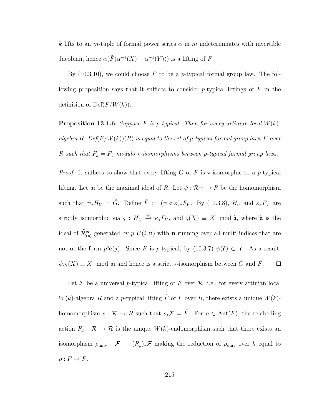k lifts to an m-tuple of formal power series  $\tilde{\alpha}$  in m indeterminates with invertible Jacobian, hence  $\alpha(\tilde{F}(\alpha^{-1}(X) + \alpha^{-1}(Y)))$  is a lifting of F.

By  $(10.3.10)$ , we could choose F to be a p-typical formal group law. The following proposition says that it suffices to consider  $p$ -typical liftings of  $F$  in the definition of  $Def(F/W(k))$ :

**Proposition 13.1.6.** Suppose F is p-typical. Then for every artinian local  $W(k)$ algebra R,  $Def(F/W(k))(R)$  is equal to the set of p-typical formal group laws  $\tilde{F}$  over R such that  $\tilde{F}_k = F$ , modulo  $\star$ -isomorphisms between p-typical formal group laws.

*Proof.* It suffices to show that every lifting  $\tilde{G}$  of F is  $\star$ -isomorphic to a p-typical lifting. Let  $\mathfrak{m}$  be the maximal ideal of R. Let  $\psi : \tilde{\mathcal{R}}^{\infty} \to R$  be the homomorphism such that  $\psi_* H_U = \tilde{G}$ . Define  $\tilde{F} := (\psi \circ \kappa)_* F_V$ . By [\(10.3.8\)](#page-169-0),  $H_U$  and  $\kappa_* F_V$  are strictly isomorphic via  $\varsigma : H_U \stackrel{\cong}{\to} \kappa_* F_V$ , and  $\varsigma(X) \equiv X \mod \tilde{\mathfrak{a}}$ , where  $\tilde{\mathfrak{a}}$  is the ideal of  $\tilde{\mathcal{R}}_{(p)}^{\infty}$  generated by  $p, U(i, n)$  with n running over all multi-indices that are not of the form  $p^s \mathbf{e}(j)$ . Since F is p-typical, by [\(10.3.7\)](#page-169-1)  $\psi(\tilde{\mathfrak{a}}) \subset \mathfrak{m}$ . As a result,  $\psi_*\varsigma(X) \equiv X \mod \mathfrak{m}$  and hence is a strict  $\star$ -isomorphism between  $\tilde{G}$  and  $\tilde{F}$ .  $\Box$ 

Let  $\mathcal F$  be a universal p-typical lifting of  $F$  over  $\mathcal R$ , i.e., for every artinian local  $W(k)$ -algebra R and a p-typical lifting  $\tilde{F}$  of F over R, there exists a unique  $W(k)$ homomorphism  $s : \mathcal{R} \to R$  such that  $s_*\mathcal{F} = \tilde{F}$ . For  $\rho \in \text{Aut}(F)$ , the relabelling action  $R_{\rho} : \mathcal{R} \to \mathcal{R}$  is the unique  $W(k)$ -endomorphism such that there exists an isomorphism  $\rho_{\text{univ}} : \mathcal{F} \to (R_{\rho})_* \mathcal{F}$  making the reduction of  $\rho_{\text{univ}}$  over k equal to  $\rho: F \to F$ .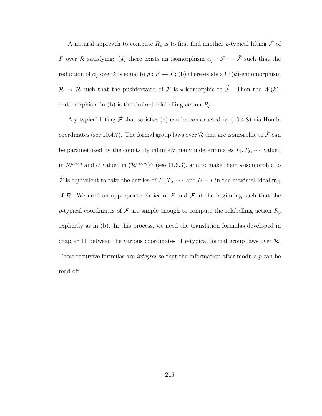A natural approach to compute  $R_{\rho}$  is to first find another p-typical lifting  $\hat{\mathcal{F}}$  of F over R satisfying: (a) there exists an isomorphism  $\alpha_{\rho} : \mathcal{F} \to \hat{\mathcal{F}}$  such that the reduction of  $\alpha_{\rho}$  over k is equal to  $\rho : F \to F$ ; (b) there exists a  $W(k)$ -endomorphism  $\mathcal{R} \to \mathcal{R}$  such that the pushforward of  $\mathcal F$  is  $\star$ -isomorphic to  $\hat{\mathcal F}$ . Then the  $W(k)$ endomorphism in (b) is the desired relabelling action  $R_{\rho}$ .

A p-typical lifting  $\hat{\mathcal{F}}$  that satisfies (a) can be constructed by [\(10.4.8\)](#page-173-0) via Honda coordinates (see [10.4.7\)](#page-173-1). The formal group laws over  $\mathcal R$  that are isomorphic to  $\hat{\mathcal F}$  can be parametrized by the countably infinitely many indeterminates  $T_1, T_2, \cdots$  valued in  $\mathcal{R}^{m \times m}$  and U valued in  $(\mathcal{R}^{m \times m})^{\times}$  (see [11.6.3\)](#page-206-0), and to make them  $\star$ -isomorphic to  $\hat{\mathcal{F}}$  is equivalent to take the entries of  $T_1, T_2, \cdots$  and  $U - I$  in the maximal ideal  $\mathfrak{m}_{\mathcal{R}}$ of  $R$ . We need an appropriate choice of F and  $\mathcal F$  at the beginning such that the p-typical coordinates of F are simple enough to compute the relabelling action  $R_\rho$ explicitly as in (b). In this process, we need the translation formulas developed in chapter [11](#page-185-0) between the various coordinates of p-typical formal group laws over  $\mathcal{R}$ . These recursive formulas are *integral* so that the information after modulo  $p$  can be read off.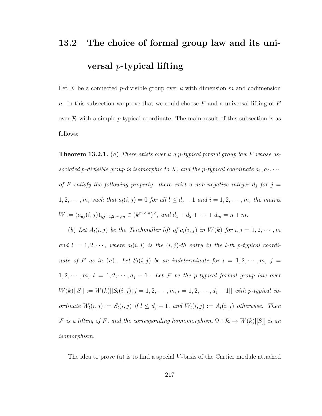## 13.2 The choice of formal group law and its universal p-typical lifting

Let X be a connected p-divisible group over k with dimension m and codimension n. In this subsection we prove that we could choose  $F$  and a universal lifting of  $F$ over  $\mathcal R$  with a simple p-typical coordinate. The main result of this subsection is as follows:

<span id="page-225-0"></span>**Theorem 13.2.1.** (a) There exists over k a p-typical formal group law F whose associated p-divisible group is isomorphic to X, and the p-typical coordinate  $a_1, a_2, \cdots$ of F satisfy the following property: there exist a non-negative integer  $d_j$  for  $j =$  $1, 2, \cdots, m$ , such that  $a_l(i, j) = 0$  for all  $l \leq d_j - 1$  and  $i = 1, 2, \cdots, m$ , the matrix  $W := (a_{d_j}(i,j))_{i,j=1,2,\cdots,m} \in (k^{m \times m})^{\times}, \text{ and } d_1 + d_2 + \cdots + d_m = n + m.$ 

(b) Let  $A_l(i, j)$  be the Teichmuller lift of  $a_l(i, j)$  in  $W(k)$  for  $i, j = 1, 2, \dots, m$ and  $l = 1, 2, \dots$ , where  $a_l(i, j)$  is the  $(i, j)$ -th entry in the *l*-th *p*-typical coordinate of F as in (a). Let  $S_l(i,j)$  be an indeterminate for  $i = 1, 2, \cdots, m, j =$  $1, 2, \dots, m, l = 1, 2, \dots, d_j - 1$ . Let F be the p-typical formal group law over  $W(k)[[S]] := W(k)[[S_l(i, j); j = 1, 2, \cdots, m, i = 1, 2, \cdots, d_j - 1]]$  with p-typical coordinate  $W_l(i, j) := S_l(i, j)$  if  $l \leq d_j - 1$ , and  $W_l(i, j) := A_l(i, j)$  otherwise. Then F is a lifting of F, and the corresponding homomorphism  $\Psi : \mathcal{R} \to W(k)[S]]$  is an isomorphism.

The idea to prove (a) is to find a special  $V$ -basis of the Cartier module attached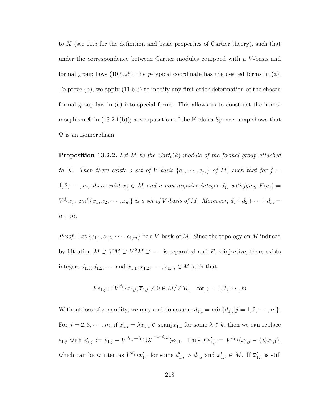to  $X$  (see [10.5](#page-174-0) for the definition and basic properties of Cartier theory), such that under the correspondence between Cartier modules equipped with a V -basis and formal group laws  $(10.5.25)$ , the *p*-typical coordinate has the desired forms in (a). To prove (b), we apply [\(11.6.3\)](#page-206-0) to modify any first order deformation of the chosen formal group law in (a) into special forms. This allows us to construct the homomorphism  $\Psi$  in  $(13.2.1(b))$ ; a computation of the Kodaira-Spencer map shows that  $\Psi$  is an isomorphism.

<span id="page-226-0"></span>**Proposition 13.2.2.** Let M be the Cart<sub>p</sub> $(k)$ -module of the formal group attached to X. Then there exists a set of V-basis  $\{e_1, \dots, e_m\}$  of M, such that for  $j =$  $1, 2, \cdots, m$ , there exist  $x_j \in M$  and a non-negative integer  $d_j$ , satisfying  $F(e_j) =$  $V^{d_j}x_j$ , and  $\{x_1, x_2, \cdots, x_m\}$  is a set of V-basis of M. Moreover,  $d_1+d_2+\cdots+d_m=$  $n + m$ .

*Proof.* Let  $\{e_{1,1}, e_{1,2}, \cdots, e_{1,m}\}$  be a V-basis of M. Since the topology on M induced by filtration  $M \supset VM \supset V^2M \supset \cdots$  is separated and F is injective, there exists integers  $d_{1,1}, d_{1,2}, \cdots$  and  $x_{1,1}, x_{1,2}, \cdots, x_{1,m} \in M$  such that

$$
Fe_{1,j} = V^{d_{1,j}} x_{1,j}, \overline{x}_{1,j} \neq 0 \in M/VM, \text{ for } j = 1, 2, \cdots, m
$$

Without loss of generality, we may and do assume  $d_{1,1} = \min\{d_{1,j} | j = 1, 2, \cdots, m\}.$ For  $j = 2, 3, \dots, m$ , if  $\overline{x}_{1,j} = \lambda \overline{x}_{1,1} \in \text{span}_{k} \overline{x}_{1,1}$  for some  $\lambda \in k$ , then we can replace  $e_{1,j}$  with  $e'_{1,j} := e_{1,j} - V^{d_{1,j}-d_{1,1}} \langle \lambda^{\sigma^{-1-d_{1,1}}} \rangle e_{1,1}$ . Thus  $Fe'_{1,j} = V^{d_{1,j}}(x_{1,j} - \langle \lambda \rangle x_{1,1}),$ which can be written as  $V^{d'_{1,j}}x'_{1,j}$  for some  $d'_{1,j} > d_{1,j}$  and  $x'_{1,j} \in M$ . If  $\overline{x}'_{1,j}$  is still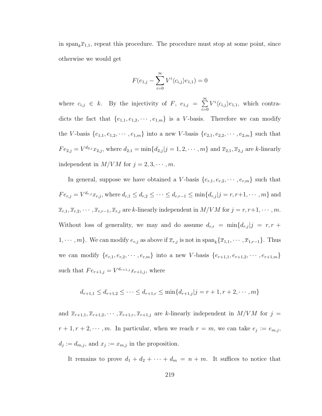in span<sub>k</sub> $\overline{x}_{1,1}$ , repeat this procedure. The procedure must stop at some point, since otherwise we would get

$$
F(e_{1,j} - \sum_{i=0}^{\infty} V^i \langle c_{i,j} \rangle e_{1,1}) = 0
$$

where  $c_{i,j} \in k$ . By the injectivity of F,  $e_{1,j} = \sum_{i=1}^{\infty}$  $i=0$  $V^{i}\langle c_{i,j}\rangle e_{1,1}$ , which contradicts the fact that  $\{e_{1,1}, e_{1,2}, \cdots, e_{1,m}\}$  is a *V*-basis. Therefore we can modify the V-basis  $\{e_{1,1}, e_{1,2}, \cdots, e_{1,m}\}$  into a new V-basis  $\{e_{2,1}, e_{2,2}, \cdots, e_{2,m}\}$  such that  $Fe_{2,j} = V^{d_{2,j}} x_{2,j}$ , where  $d_{2,1} = \min\{d_{2,j} | j = 1, 2, \cdots, m\}$  and  $\bar{x}_{2,1}, \bar{x}_{2,j}$  are k-linearly independent in  $M/VM$  for  $j = 2, 3, \cdots, m$ .

In general, suppose we have obtained a V-basis  $\{e_{r,1}, e_{r,2}, \cdots, e_{r,m}\}$  such that  $Fe_{r,j} = V^{d_{r,j}} x_{r,j}$ , where  $d_{r,1} \leq d_{r,2} \leq \cdots \leq d_{r,r-1} \leq \min\{d_{r,j}|j=r,r+1,\cdots,m\}$  and  $\overline{x}_{r,1}, \overline{x}_{r,2}, \cdots, \overline{x}_{r,r-1}, \overline{x}_{r,j}$  are k-linearly independent in  $M/VM$  for  $j = r, r+1, \cdots, m$ . Without loss of generality, we may and do assume  $d_{r,r} = \min\{d_{r,j} | j = r, r + \}$  $1, \dots, m$ . We can modify  $e_{r,j}$  as above if  $\overline{x}_{r,j}$  is not in  $\text{span}_k\{\overline{x}_{1,1}, \dots, \overline{x}_{1,r-1}\}$ . Thus we can modify  $\{e_{r,1}, e_{r,2}, \cdots, e_{r,m}\}$  into a new V-basis  $\{e_{r+1,1}, e_{r+1,2}, \cdots, e_{r+1,m}\}$ such that  $Fe_{r+1,j} = V^{d_{r+1,j}}x_{r+1,j}$ , where

$$
d_{r+1,1} \le d_{r+1,2} \le \cdots \le d_{r+1,r} \le \min\{d_{r+1,j}|j=r+1,r+2,\cdots,m\}
$$

and  $\overline{x}_{r+1,1}, \overline{x}_{r+1,2}, \cdots, \overline{x}_{r+1,r}, \overline{x}_{r+1,j}$  are k-linearly independent in  $M/VM$  for  $j =$  $r+1, r+2, \cdots, m$ . In particular, when we reach  $r = m$ , we can take  $e_j := e_{m,j}$ ,  $d_j := d_{m,j}$ , and  $x_j := x_{m,j}$  in the proposition.

It remains to prove  $d_1 + d_2 + \cdots + d_m = n + m$ . It suffices to notice that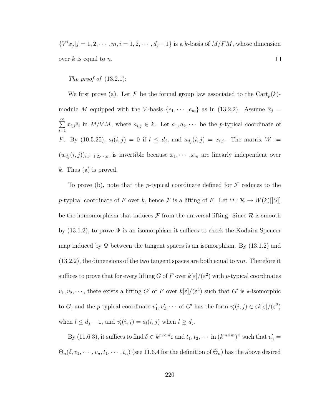${V^i}x_j|j=1,2,\cdots,m, i=1,2,\cdots,d_j-1$  is a k-basis of  $M/FM$ , whose dimension  $\Box$ over  $k$  is equal to  $n$ .

The proof of  $(13.2.1)$ :

We first prove (a). Let F be the formal group law associated to the  $\text{Cart}_p(k)$ module M equipped with the V-basis  $\{e_1, \dots, e_m\}$  as in [\(13.2.2\)](#page-226-0). Assume  $\overline{x}_j$  =  $\sum_{i=1}^{\infty}$  $i=1$  $x_{i,j} \overline{e}_i$  in  $M/VM$ , where  $a_{i,j} \in k$ . Let  $a_1, a_2, \cdots$  be the *p*-typical coordinate of F. By [\(10.5.25\)](#page-183-0),  $a_l(i,j) = 0$  if  $l \leq d_j$ , and  $a_{d_j}(i,j) = x_{i,j}$ . The matrix  $W :=$  $(w_{d_j}(i,j))_{i,j=1,2,\dots,m}$  is invertible because  $\overline{x}_1,\dots,\overline{x}_m$  are linearly independent over k. Thus (a) is proved.

To prove (b), note that the p-typical coordinate defined for  $\mathcal F$  reduces to the p-typical coordinate of F over k, hence  $\mathcal F$  is a lifting of F. Let  $\Psi : \mathcal R \to W(k)[[S]]$ be the homomorphism that induces  $\mathcal F$  from the universal lifting. Since  $\mathcal R$  is smooth by  $(13.1.2)$ , to prove  $\Psi$  is an isomorphism it suffices to check the Kodaira-Spencer map induced by  $\Psi$  between the tangent spaces is an isomorphism. By [\(13.1.2\)](#page-220-0) and  $(13.2.2)$ , the dimensions of the two tangent spaces are both equal to mn. Therefore it suffices to prove that for every lifting G of F over  $k[\varepsilon]/(\varepsilon^2)$  with p-typical coordinates  $v_1, v_2, \dots$ , there exists a lifting G' of F over  $k[\varepsilon]/(\varepsilon^2)$  such that G' is  $\star$ -isomorphic to G, and the p-typical coordinate  $v'_1, v'_2, \cdots$  of G' has the form  $v'_i(i,j) \in \varepsilon k[\varepsilon]/(\varepsilon^2)$ when  $l \leq d_j - 1$ , and  $v'_l(i, j) = a_l(i, j)$  when  $l \geq d_j$ .

By [\(11.6.3\)](#page-206-0), it suffices to find  $\delta \in k^{m \times m} \varepsilon$  and  $t_1, t_2, \cdots$  in  $(k^{m \times m})^{\times}$  such that  $v'_n =$  $\Theta_n(\delta, v_1, \dots, v_n, t_1, \dots, t_n)$  (see [11.6.4](#page-207-0) for the definition of  $\Theta_n$ ) has the above desired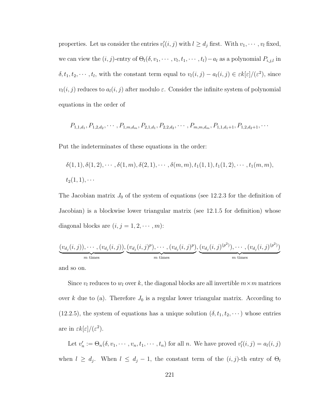properties. Let us consider the entries  $v'_l(i, j)$  with  $l \geq d_j$  first. With  $v_1, \dots, v_l$  fixed, we can view the  $(i, j)$ -entry of  $\Theta_l(\delta, v_1, \dots, v_l, t_1, \dots, t_l) - a_l$  as a polynomial  $P_{i,j,l}$  in  $\delta, t_1, t_2, \cdots, t_l$ , with the constant term equal to  $v_l(i,j) - a_l(i,j) \in \varepsilon k[\varepsilon]/(\varepsilon^2)$ , since  $v_l(i, j)$  reduces to  $a_l(i, j)$  after modulo  $\varepsilon$ . Consider the infinite system of polynomial equations in the order of

$$
P_{1,1,d_1}, P_{1,2,d_2}, \cdots, P_{1,m,d_m}, P_{2,1,d_1}, P_{2,2,d_2}, \cdots, P_{m,m,d_m}, P_{1,1,d_1+1}, P_{1,2,d_2+1}, \cdots
$$

Put the indeterminates of these equations in the order:

$$
\delta(1,1), \delta(1,2), \cdots, \delta(1,m), \delta(2,1), \cdots, \delta(m,m), t_1(1,1), t_1(1,2), \cdots, t_1(m,m),
$$
  

$$
t_2(1,1), \cdots
$$

The Jacobian matrix  $J_0$  of the system of equations (see [12.2.3](#page-215-1) for the definition of Jacobian) is a blockwise lower triangular matrix (see [12.1.5](#page-212-1) for definition) whose diagonal blocks are  $(i, j = 1, 2, \cdots, m)$ :

$$
\underbrace{(v_{d_j}(i,j)),\cdots,(v_{d_j}(i,j))}_{m \text{ times}},\underbrace{(v_{d_j}(i,j)^p),\cdots,(v_{d_j}(i,j)^p)}_{m \text{ times}},\underbrace{(v_{d_j}(i,j)^{(p^2)}),\cdots,(v_{d_j}(i,j)^{(p^2)})}_{m \text{ times}}
$$

and so on.

Since  $v_l$  reduces to  $w_l$  over k, the diagonal blocks are all invertible  $m \times m$  matrices over k due to (a). Therefore  $J_0$  is a regular lower triangular matrix. According to [\(12.2.5\)](#page-218-0), the system of equations has a unique solution  $(\delta, t_1, t_2, \dots)$  whose entries are in  $\epsilon k[\epsilon]/(\epsilon^2)$ .

Let  $v'_n := \Theta_n(\delta, v_1, \dots, v_n, t_1, \dots, t_n)$  for all n. We have proved  $v'_i(i, j) = a_i(i, j)$ when  $l \geq d_j$ . When  $l \leq d_j - 1$ , the constant term of the  $(i, j)$ -th entry of  $\Theta_l$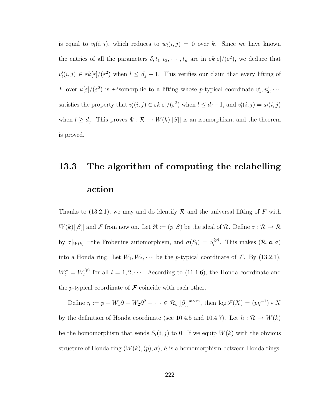is equal to  $v_l(i, j)$ , which reduces to  $w_l(i, j) = 0$  over k. Since we have known the entries of all the parameters  $\delta, t_1, t_2, \cdots, t_n$  are in  $\epsilon k[\epsilon]/(\epsilon^2)$ , we deduce that  $v'_l(i,j) \in \varepsilon k[\varepsilon]/(\varepsilon^2)$  when  $l \leq d_j - 1$ . This verifies our claim that every lifting of F over  $k[\varepsilon]/(\varepsilon^2)$  is  $\star$ -isomorphic to a lifting whose p-typical coordinate  $v'_1, v'_2, \cdots$ satisfies the property that  $v'_l(i,j) \in \varepsilon k[\varepsilon]/(\varepsilon^2)$  when  $l \leq d_j - 1$ , and  $v'_l(i,j) = a_l(i,j)$ when  $l \geq d_j$ . This proves  $\Psi : \mathcal{R} \to W(k)[S]$  is an isomorphism, and the theorem is proved.

## <span id="page-230-0"></span>13.3 The algorithm of computing the relabelling action

Thanks to  $(13.2.1)$ , we may and do identify R and the universal lifting of F with  $W(k)[[S]]$  and F from now on. Let  $\mathfrak{R} := (p, S)$  be the ideal of R. Define  $\sigma : \mathcal{R} \to \mathcal{R}$ by  $\sigma|_{W(k)}$  = the Frobenius automorphism, and  $\sigma(S_l) = S_l^{(p)}$  $\ell_{l}^{(p)}$ . This makes  $(\mathcal{R}, \mathfrak{a}, \sigma)$ into a Honda ring. Let  $W_1, W_2, \cdots$  be the *p*-typical coordinate of  $\mathcal{F}$ . By [\(13.2.1\)](#page-225-0),  $W_l^{\sigma} = W_l^{(p)}$ <sup> $\chi^{(p)}$ </sup> for all  $l = 1, 2, \cdots$ . According to [\(11.1.6\)](#page-188-0), the Honda coordinate and the p-typical coordinate of  $\mathcal F$  coincide with each other.

Define  $\eta := p - W_1 \partial - W_2 \partial^2 - \cdots \in \mathcal{R}_{\sigma}[[\partial]]^{m \times m}$ , then  $\log \mathcal{F}(X) = (p\eta^{-1}) * X$ by the definition of Honda coordinate (see [10.4.5](#page-173-2) and [10.4.7\)](#page-173-1). Let  $h : \mathcal{R} \to W(k)$ be the homomorphism that sends  $S_l(i, j)$  to 0. If we equip  $W(k)$  with the obvious structure of Honda ring  $(W(k), (p), \sigma)$ , h is a homomorphism between Honda rings.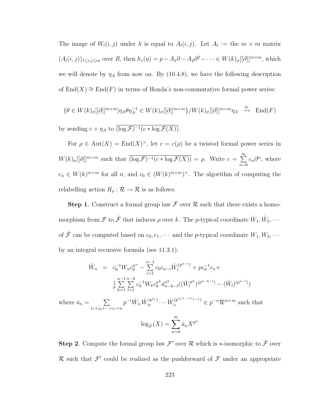The image of  $W_l(i, j)$  under h is equal to  $A_l(i, j)$ . Let  $A_l :=$  the  $m \times m$  matrix  $(A_l(i,j))_{1\leq i,j\leq m}$  over R, then  $h_*(\eta) = p - A_1\partial - A_2\partial^2 - \cdots \in W(k)_{\sigma}[[\partial]]^{m \times m}$ , which we will denote by  $\eta_A$  from now on. By [\(10.4.8\)](#page-173-0), we have the following description of End(X)  $\cong$  End(F) in terms of Honda's non-commutative formal power series:

$$
\{\theta \in W(k)_{\sigma}[[\partial]]^{m \times m}|\eta_{A}\theta\eta_{A}^{-1} \in W(k)_{\sigma}[[\partial]]^{m \times m}\}/W(k)_{\sigma}[[\partial]]^{m \times m}\eta_{A} \stackrel{\cong}{\longrightarrow} \text{End}(F)
$$

by sending  $c + \eta_A$  to  $(\log \mathcal{F})^{-1}(c * \log \mathcal{F}(X)).$ 

For  $\rho \in Aut(X) = End(X)^\times$ , let  $c = c(\rho)$  be a twisted formal power series in  $W(k)_{\sigma}[[\partial]]^{m \times m}$  such that  $\overline{(\log \mathcal{F})^{-1}(c * \log \mathcal{F}(X))} = \rho$ . Write  $c = \sum_{n=1}^{\infty}$  $n=0$  $c_n\partial^n$ , where  $c_n \in W(k)^{m \times m}$  for all n, and  $c_0 \in (W(k)^{m \times m})^{\times}$ . The algorithm of computing the relabelling action  $R_{\rho} : \mathcal{R} \to \mathcal{R}$  is as follows:

**Step 1.** Construct a formal group law  $\hat{\mathcal{F}}$  over  $\hat{\mathcal{R}}$  such that there exists a homomorphism from  $\mathcal F$  to  $\hat{\mathcal F}$  that induces  $\rho$  over k. The p-typical coordinate  $\hat W_1, \hat W_2, \cdots$ of  $\hat{\mathcal{F}}$  can be computed based on  $c_0, c_1, \cdots$  and the p-typical coordinate  $W_1, W_2, \cdots$ by an integral recursive formula (see [11.3.1\)](#page-186-0):

$$
\hat{W}_n = c_0^{-1} W_n c_0^{\sigma^n} - \sum_{i=1}^{n-1} c_0 c_{n-i} \hat{W}_i^{(p^{n-i})} + p c_0^{-1} c_n + \frac{1}{p} \sum_{k=1}^{n-1} \sum_{l=1}^{n-k} c_0^{-1} W_k c_0^{\sigma^k} \hat{a}_{n-k-l}^{\sigma^k} ((\hat{W}_l^{\sigma^k})^{(p^{n-k-l})} - (\hat{W}_l)^{(p^{n-l})})
$$

where  $\hat{a}_n = \sum$  $i_1+i_2+\cdots+i_r=n$  $p^{-t} \hat{W}_{i_1} \hat{W}_{i_2}^{(p^{i_1})}$  $\hat{W}_{i_2}^{(p^{i_1}, \dots + i_{r-1})}$  $e^{(p^{i_1 + \cdots + i_{r-1}})} \in p^{-n} \mathcal{R}^{m \times m}$  such that

$$
\log_{\hat{F}}(X) = \sum_{n=0}^{\infty} \hat{a}_n X^{p^n}
$$

**Step 2**. Compute the formal group law  $\mathcal{F}'$  over  $\mathcal{R}$  which is  $\star$ -isomorphic to  $\hat{\mathcal{F}}$  over R such that  $\mathcal{F}'$  could be realized as the pushforward of  $\mathcal{F}$  under an appropriate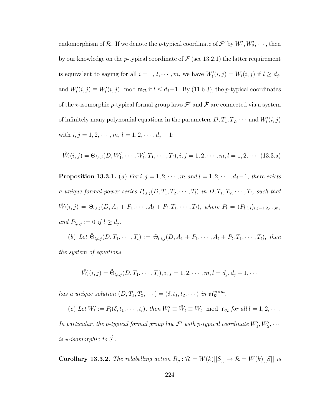endomorphism of  $\mathcal{R}$ . If we denote the *p*-typical coordinate of  $\mathcal{F}'$  by  $W'_1, W'_2, \cdots$ , then by our knowledge on the p-typical coordinate of  $\mathcal F$  (see [13.2.1\)](#page-225-0) the latter requirement is equivalent to saying for all  $i = 1, 2, \dots, m$ , we have  $W_l'(i, j) = W_l(i, j)$  if  $l \ge d_j$ , and  $W_l'(i, j) \equiv W_l'(i, j) \mod \mathfrak{m}_{\mathcal{R}}$  if  $l \leq d_j - 1$ . By [\(11.6.3\)](#page-206-0), the *p*-typical coordinates of the  $\star$ -isomorphic p-typical formal group laws  $\mathcal{F}'$  and  $\hat{\mathcal{F}}$  are connected via a system of infinitely many polynomial equations in the parameters  $D, T_1, T_2, \cdots$  and  $W'_l(i, j)$ with  $i, j = 1, 2, \cdots, m, l = 1, 2, \cdots, d_j - 1$ :

$$
\hat{W}_l(i,j) = \Theta_{l,i,j}(D, W'_1, \cdots, W'_l, T_1, \cdots, T_l), i, j = 1, 2, \cdots, m, l = 1, 2, \cdots
$$
 (13.3.a)

<span id="page-232-0"></span>**Proposition 13.3.1.** (a) For  $i, j = 1, 2, \cdots, m$  and  $l = 1, 2, \cdots, d_j - 1$ , there exists a unique formal power series  $P_{l,i,j}(D,T_1,T_2,\cdots,T_l)$  in  $D,T_1,T_2,\cdots,T_l$ , such that  $\hat{W}_{l}(i,j) = \Theta_{l,i,j}(D, A_1 + P_1, \cdots, A_l + P_l, T_1, \cdots, T_l)$ , where  $P_l = (P_{l,i,j})_{i,j=1,2,\cdots,m}$ , and  $P_{l,i,j} := 0$  if  $l \geq d_j$ .

(b) Let  $\tilde{\Theta}_{l,i,j}(D,T_1,\cdots,T_l) := \Theta_{l,i,j}(D,A_1+P_1,\cdots,A_l+P_l,T_1,\cdots,T_l)$ , then the system of equations

$$
\hat{W}_l(i,j) = \tilde{\Theta}_{l,i,j}(D, T_1, \cdots, T_l), i, j = 1, 2, \cdots, m, l = d_j, d_j + 1, \cdots
$$

has a unique solution  $(D, T_1, T_2, \dots) = (\delta, t_1, t_2, \dots)$  in  $\mathfrak{m}_{\mathcal{R}}^{m \times m}$ .

(c) Let  $W'_l := P_l(\delta, t_1, \dots, t_l)$ , then  $W'_l \equiv \hat{W}_l \equiv W_l \mod \mathfrak{m}_{\mathcal{R}}$  for all  $l = 1, 2, \dots$ . In particular, the p-typical formal group law  $\mathcal{F}'$  with p-typical coordinate  $W'_1, W'_2, \cdots$ is  $\star$ -isomorphic to  $\hat{\mathcal{F}}$ .

**Corollary 13.3.2.** The relabelling action  $R_\rho : \mathcal{R} = W(k)[[S]] \to \mathcal{R} = W(k)[[S]]$  is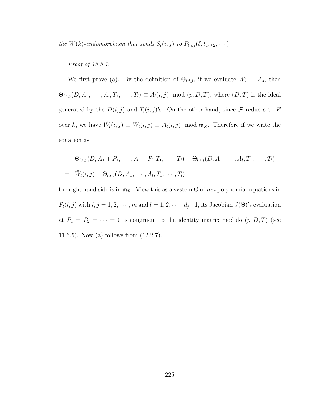the W(k)-endomorphism that sends  $S_l(i, j)$  to  $P_{l,i,j}(\delta, t_1, t_2, \dots)$ .

#### Proof of [13.3.1](#page-232-0):

We first prove (a). By the definition of  $\Theta_{l,i,j}$ , if we evaluate  $W'_{s} = A_{s}$ , then  $\Theta_{l,i,j}(D,A_1,\dots, A_l,T_1,\dots,T_l)\equiv A_l(i,j) \mod (p,D,T)$ , where  $(D,T)$  is the ideal generated by the  $D(i, j)$  and  $T_l(i, j)$ 's. On the other hand, since  $\hat{\mathcal{F}}$  reduces to F over k, we have  $\hat{W}_l(i,j) \equiv W_l(i,j) \equiv A_l(i,j) \mod \mathfrak{m}_{\mathcal{R}}$ . Therefore if we write the equation as

$$
\Theta_{l,i,j}(D, A_1 + P_1, \cdots, A_l + P_l, T_1, \cdots, T_l) - \Theta_{l,i,j}(D, A_1, \cdots, A_l, T_1, \cdots, T_l)
$$
  
=  $\hat{W}_l(i,j) - \Theta_{l,i,j}(D, A_1, \cdots, A_l, T_1, \cdots, T_l)$ 

the right hand side is in  $\mathfrak{m}_{\mathcal{R}}$ . View this as a system  $\Theta$  of mn polynomial equations in  $P_l(i, j)$  with  $i, j = 1, 2, \cdots, m$  and  $l = 1, 2, \cdots, d_j-1$ , its Jacobian  $J(\Theta)$ 's evaluation at  $P_1 = P_2 = \cdots = 0$  is congruent to the identity matrix modulo  $(p, D, T)$  (see [11.6.5\)](#page-208-0). Now (a) follows from [\(12.2.7\)](#page-219-0).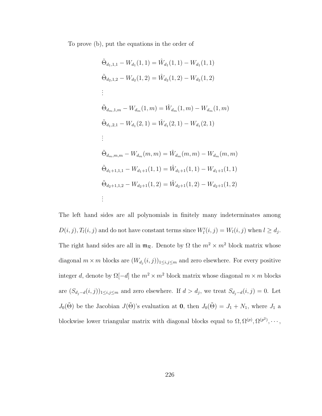To prove (b), put the equations in the order of

$$
\tilde{\Theta}_{d_1,1,1} - W_{d_1}(1,1) = \hat{W}_{d_1}(1,1) - W_{d_1}(1,1)
$$
\n
$$
\tilde{\Theta}_{d_2,1,2} - W_{d_2}(1,2) = \hat{W}_{d_2}(1,2) - W_{d_2}(1,2)
$$
\n
$$
\vdots
$$
\n
$$
\tilde{\Theta}_{d_m,1,m} - W_{d_m}(1,m) = \hat{W}_{d_m}(1,m) - W_{d_m}(1,m)
$$
\n
$$
\tilde{\Theta}_{d_1,2,1} - W_{d_1}(2,1) = \hat{W}_{d_1}(2,1) - W_{d_1}(2,1)
$$
\n
$$
\vdots
$$
\n
$$
\tilde{\Theta}_{d_m,m,m} - W_{d_m}(m,m) = \hat{W}_{d_m}(m,m) - W_{d_m}(m,m)
$$
\n
$$
\tilde{\Theta}_{d_1+1,1,1} - W_{d_1+1}(1,1) = \hat{W}_{d_1+1}(1,1) - W_{d_1+1}(1,1)
$$
\n
$$
\tilde{\Theta}_{d_2+1,1,2} - W_{d_2+1}(1,2) = \hat{W}_{d_2+1}(1,2) - W_{d_2+1}(1,2)
$$
\n
$$
\vdots
$$

The left hand sides are all polynomials in finitely many indeterminates among  $D(i, j), T_l(i, j)$  and do not have constant terms since  $W_l'(i, j) = W_l(i, j)$  when  $l \ge d_j$ . The right hand sides are all in  $\mathfrak{m}_{\mathcal{R}}$ . Denote by  $\Omega$  the  $m^2 \times m^2$  block matrix whose diagonal  $m \times m$  blocks are  $(W_{d_j}(i,j))_{1 \leq i,j \leq m}$  and zero elsewhere. For every positive integer d, denote by  $\Omega[-d]$  the  $m^2 \times m^2$  block matrix whose diagonal  $m \times m$  blocks are  $(S_{d_j-d}(i,j))_{1\leq i,j\leq m}$  and zero elsewhere. If  $d>d_j$ , we treat  $S_{d_j-d}(i,j)=0$ . Let  $J_0(\tilde{\Theta})$  be the Jacobian  $J(\tilde{\Theta})$ 's evaluation at **0**, then  $J_0(\tilde{\Theta}) = J_1 + N_1$ , where  $J_1$  a blockwise lower triangular matrix with diagonal blocks equal to  $\Omega, \Omega^{(p)}, \Omega^{(p^2)}, \cdots$ ,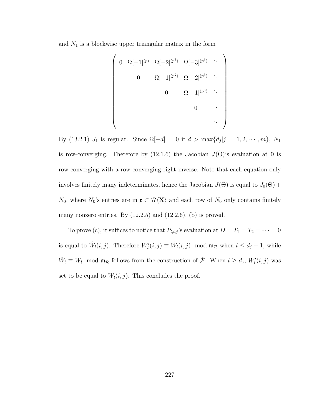and  $N_1$  is a blockwise upper triangular matrix in the form

$$
\begin{pmatrix}\n0 & \Omega[-1]^{(p)} & \Omega[-2]^{(p^2)} & \Omega[-3]^{(p^3)} & \cdots \\
0 & \Omega[-1]^{(p^2)} & \Omega[-2]^{(p^3)} & \cdots \\
0 & \Omega[-1]^{(p^3)} & \cdots \\
0 & \cdots & \cdots \\
0 & \cdots & \cdots\n\end{pmatrix}
$$

By [\(13.2.1\)](#page-225-0)  $J_1$  is regular. Since  $\Omega[-d] = 0$  if  $d > \max\{d_j | j = 1, 2, \cdots, m\}, N_1$ is row-converging. Therefore by [\(12.1.6\)](#page-212-0) the Jacobian  $J(\tilde{\Theta})$ 's evaluation at **0** is row-converging with a row-converging right inverse. Note that each equation only involves finitely many indeterminates, hence the Jacobian  $J(\tilde{\Theta})$  is equal to  $J_0(\tilde{\Theta})$  +  $N_0$ , where  $N_0$ 's entries are in  $\mathfrak{x} \subset \mathcal{R}\langle X\rangle$  and each row of  $N_0$  only contains finitely many nonzero entries. By  $(12.2.5)$  and  $(12.2.6)$ ,  $(b)$  is proved.

To prove (c), it suffices to notice that  $P_{l,i,j}$ 's evaluation at  $D = T_1 = T_2 = \cdots = 0$ is equal to  $\hat{W}_l(i,j)$ . Therefore  $W'_l(i,j) \equiv \hat{W}_l(i,j) \mod \mathfrak{m}_{\mathcal{R}}$  when  $l \leq d_j - 1$ , while  $\hat{W}_l \equiv W_l \mod \mathfrak{m}_{\mathcal{R}}$  follows from the construction of  $\hat{\mathcal{F}}$ . When  $l \geq d_j$ ,  $W'_l(i,j)$  was set to be equal to  $W_l(i, j)$ . This concludes the proof.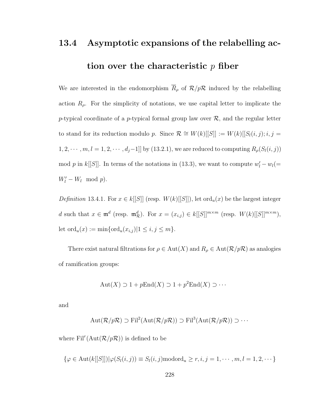# 13.4 Asymptotic expansions of the relabelling action over the characteristic  $p$  fiber

We are interested in the endomorphism  $\overline{R}_{\rho}$  of  $\mathcal{R}/p\mathcal{R}$  induced by the relabelling action  $R_{\rho}$ . For the simplicity of notations, we use capital letter to implicate the p-typical coordinate of a p-typical formal group law over  $\mathcal{R}$ , and the regular letter to stand for its reduction modulo p. Since  $\mathcal{R} \cong W(k)[[S]] := W(k)[[S_l(i,j); i, j =$  $1, 2, \cdots, m, l = 1, 2, \cdots, d_j-1$ ] by [\(13.2.1\)](#page-225-0), we are reduced to computing  $R_{\rho}(S_l(i,j))$ mod p in k[[S]]. In terms of the notations in [\(13.3\)](#page-230-0), we want to compute  $w_l' - w_l (=$  $W'_l - W_l \mod p$ .

Definition 13.4.1. For  $x \in k[[S]]$  (resp.  $W(k)[[S]]$ ), let ord<sub>u</sub> $(x)$  be the largest integer d such that  $x \in \mathfrak{m}^d$  (resp.  $\mathfrak{m}_\mathcal{R}^d$ ). For  $x = (x_{i,j}) \in k[[S]]^{m \times m}$  (resp.  $W(k)[[S]]^{m \times m}$ ), let  $\text{ord}_u(x) := \min{\{\text{ord}_u(x_{i,j}) | 1 \le i, j \le m\}}.$ 

There exist natural filtrations for  $\rho \in Aut(X)$  and  $R_\rho \in Aut(\mathcal{R}/p\mathcal{R})$  as analogies of ramification groups:

$$
Aut(X) \supset 1 + pEnd(X) \supset 1 + p^2End(X) \supset \cdots
$$

and

$$
Aut(\mathcal{R}/p\mathcal{R}) \supset \mathrm{Fil}^2(\mathrm{Aut}(\mathcal{R}/p\mathcal{R})) \supset \mathrm{Fil}^3(\mathrm{Aut}(\mathcal{R}/p\mathcal{R})) \supset \cdots
$$

where  $\text{Fil}^r(\text{Aut}(\mathcal{R}/p\mathcal{R}))$  is defined to be

$$
\{\varphi \in \text{Aut}(k[[S]])|\varphi(S_l(i,j)) \equiv S_l(i,j) \text{mod } J_i \geq r, i,j = 1,\cdots,m, l = 1,2,\cdots\}
$$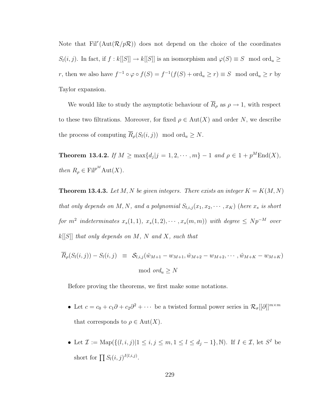Note that  $\text{Fil}^r(\text{Aut}(\mathcal{R}/p\mathcal{R}))$  does not depend on the choice of the coordinates  $S_l(i, j)$ . In fact, if  $f : k[[S]] \to k[[S]]$  is an isomorphism and  $\varphi(S) \equiv S \mod \text{ord}_u \ge$ r, then we also have  $f^{-1} \circ \varphi \circ f(S) = f^{-1}(f(S) + \text{ord}_u \ge r) \equiv S \mod \text{ord}_u \ge r$  by Taylor expansion.

We would like to study the asymptotic behaviour of  $\overline{R}_{\rho}$  as  $\rho \to 1$ , with respect to these two filtrations. Moreover, for fixed  $\rho \in Aut(X)$  and order N, we describe the process of computing  $\overline{R}_{\rho}(S_l(i,j))$  mod ord<sub>u</sub>  $\geq N$ .

<span id="page-237-0"></span>**Theorem 13.4.2.** If  $M \ge \max\{d_j | j = 1, 2, \cdots, m\} - 1$  and  $\rho \in 1 + p^M \text{End}(X)$ , then  $R_{\rho} \in \text{Fil}^{p^M} \text{Aut}(X)$ .

<span id="page-237-1"></span>**Theorem 13.4.3.** Let M, N be given integers. There exists an integer  $K = K(M, N)$ that only depends on M, N, and a polynomial  $S_{l,i,j}(x_1, x_2, \dots, x_K)$  (here  $x_s$  is short for  $m^2$  indeterminates  $x_s(1,1), x_s(1,2), \cdots, x_s(m,m)$  with degree  $\leq Np^{-M}$  over  $k[[S]]$  that only depends on M, N and X, such that

$$
\overline{R}_{\rho}(S_l(i,j)) - S_l(i,j) \equiv S_{l,i,j}(\hat{w}_{M+1} - w_{M+1}, \hat{w}_{M+2} - w_{M+2}, \cdots, \hat{w}_{M+K} - w_{M+K})
$$
  
mod  $ord_u \ge N$ 

Before proving the theorems, we first make some notations.

- Let  $c = c_0 + c_1 \partial + c_2 \partial^2 + \cdots$  be a twisted formal power series in  $\mathcal{R}_{\sigma}[[\partial]]^{m \times m}$ that corresponds to  $\rho \in Aut(X)$ .
- Let  $\mathcal{I} := \text{Map}(\{(l, i, j)|1 \leq i, j \leq m, 1 \leq l \leq d_j 1\}, \mathbb{N})$ . If  $I \in \mathcal{I}$ , let  $S^I$  be short for  $\prod S_l(i,j)^{I(l,i,j)}$ .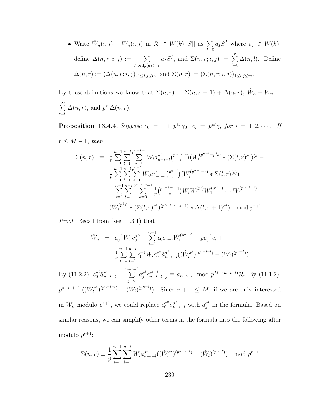• Write  $\hat{W}_n(i,j) - W_n(i,j)$  in  $\mathcal{R} \cong W(k) [[S]]$  as  $\sum$ I∈I  $a_I S^I$  where  $a_I \in W(k)$ , define  $\Delta(n, r; i, j) := \sum$  $I:\text{ord}_p(a_I)=r$  $a_I S^I$ , and  $\Sigma(n,r;i,j) := \sum^r$  $_{l=0}$  $\Delta(n, l)$ . Define  $\Delta(n,r) := (\Delta(n,r;i,j))_{1 \le i,j \le m}$ , and  $\Sigma(n,r) := (\Sigma(n,r;i,j))_{1 \le i,j \le m}$ .

By these definitions we know that  $\Sigma(n,r) = \Sigma(n,r-1) + \Delta(n,r)$ ,  $\hat{W}_n - W_n =$  $\sum_{i=1}^{\infty}$  $r=0$  $\Delta(n,r)$ , and  $p^r | \Delta(n,r)$ .

<span id="page-238-0"></span>**Proposition 13.4.4.** Suppose  $c_0 = 1 + p^M \gamma_0$ ,  $c_i = p^M \gamma_i$  for  $i = 1, 2, \cdots$ . If

 $r \leq M-1$ , then

$$
\Sigma(n,r) \equiv \frac{1}{p} \sum_{i=1}^{n-1} \sum_{l=1}^{n-i} \sum_{s=1}^{p^{n-i-l}} W_i a_{n-i-l}^{\sigma^i} {p^{n-i-l} \choose s} (W_l^{(p^{n-l}-p^{i}s)} * (\Sigma(l,r)^{\sigma^i})^{(s)} -
$$
  
\n
$$
\frac{1}{p} \sum_{i=1}^{n-1} \sum_{l=1}^{n-i} \sum_{s=1}^{p^{n-l}} W_i a_{n-i-l}^{\sigma^i} {p^{n-i} \choose s} (W_l^{(p^{n-l}-s)} * \Sigma(l,r)^{(s)})
$$
  
\n
$$
+ \sum_{i=1}^{n-1} \sum_{l=1}^{n-i} \sum_{s=0}^{p^{n-i-l}-1} \frac{1}{p} {p^{n-i-l}-1 \choose s} W_i W_1^{(p^{i})} W_1^{(p^{i+1})} \cdots W_1^{(p^{n-l-1})}
$$
  
\n
$$
(W_l^{(p^{i}s)} * (\Sigma(l,r)^{\sigma^i})^{(p^{n-i-l}-s-1)} * \Delta(l,r+1)^{\sigma^i}) \mod p^{r+1}
$$

Proof. Recall from (see [11.3.1\)](#page-186-0) that

$$
\hat{W}_n = c_0^{-1} W_n c_0^{\sigma^n} - \sum_{i=1}^{n-1} c_0 c_{n-i} \hat{W}_i^{(p^{n-i})} + p c_0^{-1} c_n + \frac{1}{p} \sum_{i=1}^{n-1} \sum_{l=1}^{n-i} c_0^{-1} W_i c_0^{\sigma^k} \hat{a}_{n-i-l}^{\sigma^i} ((\hat{W}_l^{\sigma^i})^{(p^{n-i-1})} - (\hat{W}_l)^{(p^{n-i})})
$$

By [\(11.2.2\)](#page-189-0),  $c_0^{\sigma^i} \hat{a}_{n-i-l}^{\sigma^i} = \sum_{l=0}^{n-i-l}$  $j=0$  $a_i^{\sigma^i}$  $g^i c_{n-i-l-j}^{\sigma^{i+j}} \equiv a_{n-i-l} \mod p^{M-(n-i-l)}$ R. By [\(11.1.2\)](#page-186-1),  $p^{n-i-l+1}$ |( $(\hat{W}^{\sigma^i}_l)$  $\widehat{u}^{\sigma^i}(p^{n-i-l}) - (\widehat{W}_l)^{(p^{n-l})}$ . Since  $r+1 \leq M$ , if we are only interested in  $\hat{W}_n$  modulo  $p^{r+1}$ , we could replace  $c_0^{\sigma^k} \hat{a}_{n-i-l}^{\sigma^i}$  with  $a_j^{\sigma^i}$  $j^{\sigma^i}$  in the formula. Based on similar reasons, we can simplify other terms in the formula into the following after modulo  $p^{r+1}$ :

$$
\Sigma(n,r) \equiv \frac{1}{p} \sum_{i=1}^{n-1} \sum_{l=1}^{n-i} W_i a_{n-i-l}^{\sigma^i} ((\hat{W}_l^{\sigma^i})^{(p^{n-i-l})} - (\hat{W}_l)^{(p^{n-l})}) \mod p^{r+1}
$$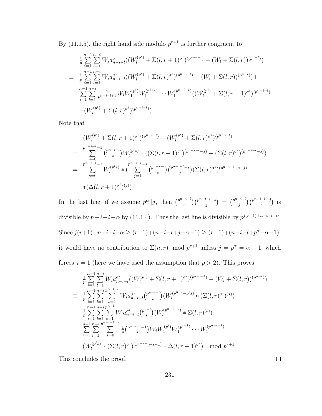By [\(11.1.5\)](#page-187-0), the right hand side modulo  $p^{r+1}$  is further congruent to

$$
\frac{1}{p} \sum_{i=1}^{n-1} \sum_{l=1}^{n-i} W_i a_{n-i-l}^{\sigma^i} ((W_l^{(p^i)} + \Sigma(l, r+1)^{\sigma^i})^{(p^{n-i-l})} - (W_l + \Sigma(l, r))^{(p^{n-l})})
$$
\n
$$
\equiv \frac{1}{p} \sum_{i=1}^{n-1} \sum_{l=1}^{n-i} W_i a_{n-i-l}^{\sigma^i} ((W_l^{(p^i)} + \Sigma(l, r)^{\sigma^i})^{(p^{n-i-l})} - (W_l + \Sigma(l, r))^{(p^{n-l})}) +
$$
\n
$$
\sum_{i=1}^{n-1} \sum_{l=1}^{n-i} \frac{1}{p^{n-i-l+1}} W_i W_1^{(p^i)} W_1^{(p^{i+1})} \cdots W_1^{(p^{n-l-1})} ((W_l^{(p^i)} + \Sigma(l, r+1)^{\sigma^i})^{(p^{n-i-l})})
$$
\n
$$
-(W_l^{(p^i)} + \Sigma(l, r)^{\sigma^i})^{(p^{n-i-l})})
$$

Note that

$$
(W_l^{(p^i)} + \Sigma(l, r+1)^{\sigma^i})^{(p^{n-i-l})} - (W_l^{(p^i)} + \Sigma(l, r)^{\sigma^i})^{(p^{n-i-l})}
$$
\n
$$
= \sum_{s=0}^{p^{n-i-l}-1} \binom{p^{n-i-l}}{s} W_l^{(p^is)} * ((\Sigma(l, r+1)^{\sigma^i})^{(p^{n-i-l}-s)} - (\Sigma(l, r)^{\sigma^i})^{(p^{n-i-l}-s)})
$$
\n
$$
= \sum_{s=0}^{p^{n-i-l}-1} W_l^{(p^is)} * (\sum_{j=1}^{p^{n-i-l}-s} \binom{p^{n-i-l}}{s} \binom{p^{n-i-l}-s}{j} (\Sigma(l, r)^{\sigma^i})^{(p^{n-i-l}-s-j)}
$$
\n
$$
*(\Delta(l, r+1)^{\sigma^i})^{(j)})
$$

In the last line, if we assume  $p^{\alpha}||j$ , then  $\binom{p^{n-i-1}}{s}$  ${s^{-i-l}\choose s} {p^{n-i-l}-s\choose j}$  $\binom{p^{n-i-l}}{j} \;=\; \binom{p^{n-i-l}}{j}$  ${j \choose j} {p^{n-i-l}-j \choose s}$  $s^{i-i-j}$ ) is divisible by  $n-i-l-\alpha$  by [\(11.1.4\)](#page-187-1). Thus the last line is divisible by  $p^{j(r+1)+n-i-l-\alpha}$ . Since  $j(r+1)+n-i-l-\alpha \geq (r+1)+(n-i-l+j-\alpha-1) \geq (r+1)+(n-i-l+p^{\alpha}-\alpha-1),$ it would have no contribution to  $\Sigma(n,r)$  mod  $p^{r+1}$  unless  $j = p^{\alpha} = \alpha + 1$ , which forces  $j = 1$  (here we have used the assumption that  $p > 2$ ). This proves

$$
\frac{1}{p} \sum_{i=1}^{n-1} \sum_{l=1}^{n-i} W_i a_{n-i-l}^{\sigma^i} ((W_l^{(p^i)} + \Sigma(l, r+1)^{\sigma^i})^{(p^{n-i-l})} - (W_l + \Sigma(l, r))^{(p^{n-l})})
$$
\n
$$
\equiv \frac{1}{p} \sum_{i=1}^{n-1} \sum_{l=1}^{n-i} \sum_{s=1}^{p^{n-i-l}} W_i a_{n-i-l}^{\sigma^i} (p^{n-i-l}) (W_l^{(p^{n-l}-p^is)} * (\Sigma(l, r)^{\sigma^i})^{(s)}) -
$$
\n
$$
\frac{1}{p} \sum_{i=1}^{n-1} \sum_{l=1}^{n-i} \sum_{s=1}^{p^{n-l}} W_i a_{n-i-l}^{\sigma^i} (p^{n-l}) (W_l^{(p^{n-l}-s)} * \Sigma(l, r)^{(s)}) +
$$
\n
$$
\sum_{i=1}^{n-1} \sum_{l=1}^{n-i} \sum_{s=0}^{p^{n-i-l}-1} \frac{1}{p} (p^{n-i-l}-1) W_i W_1^{(p^i)} W_1^{(p^{i+1})} \cdots W_1^{(p^{n-l-1})}
$$
\n
$$
(W_l^{(p^is)} * (\Sigma(l, r)^{\sigma^i})^{(p^{n-i-l}-s-1)} * \Delta(l, r+1)^{\sigma^i}) \mod p^{r+1}
$$

This concludes the proof.

231

 $\Box$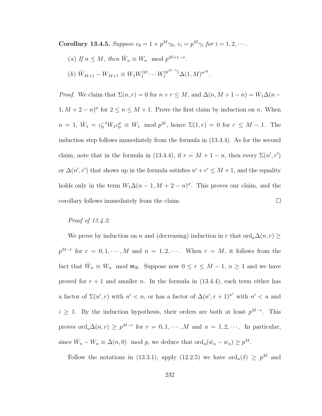<span id="page-240-0"></span>**Corollary 13.4.5.** Suppose  $c_0 = 1 + p^M \gamma_0$ ,  $c_i = p^M \gamma_i$  for  $i = 1, 2, \cdots$ .

(a) If  $n \leq M$ , then  $\hat{W}_n \equiv W_n \mod p^{M+1-n}$ . (b)  $\hat{W}_{M+1} - W_{M+1} \equiv W_1 W_1^{(p)}$  $W_1^{(p)} \cdots W_1^{(p^{M-1})} \Delta(1,M)^{\sigma^M}.$ 

*Proof.* We claim that  $\Sigma(n,r) = 0$  for  $n + r \leq M$ , and  $\Delta(n, M + 1 - n) = W_1 \Delta(n 1, M + 2 - n^{\sigma}$  for  $2 \le n \le M + 1$ . Prove the first claim by induction on *n*. When  $n = 1, \hat{W}_1 = c_0^{-1} W_1 c_0^{\sigma} \equiv W_1 \mod p^M$ , hence  $\Sigma(1, r) = 0$  for  $r \leq M - 1$ . The induction step follows immediately from the formula in [\(13.4.4\)](#page-238-0). As for the second claim, note that in the formula in [\(13.4.4\)](#page-238-0), if  $r = M + 1 - n$ , then every  $\Sigma(n', r')$ or  $\Delta(n', r')$  that shows up in the formula satisfies  $n' + r' \leq M + 1$ , and the equality holds only in the term  $W_1 \Delta (n-1, M+2-n)^\sigma$ . This proves our claim, and the corollary follows immediately from the claim.  $\Box$ 

#### Proof of [13.4.2](#page-237-0):

We prove by induction on n and (decreasing) induction in r that ord<sub>u</sub> $\Delta(n, r) \geq$  $p^{M-r}$  for  $r = 0, 1, \cdots, M$  and  $n = 1, 2, \cdots$ . When  $r = M$ , it follows from the fact that  $\hat{W}_n \equiv W_n \mod \mathfrak{m}_{\mathcal{R}}$ . Suppose now  $0 \le r \le M-1$ ,  $n \ge 1$  and we have proved for  $r + 1$  and smaller n. In the formula in [\(13.4.4\)](#page-238-0), each term either has a factor of  $\Sigma(n', r)$  with  $n' < n$ , or has a factor of  $\Delta(n', r + 1)^{\sigma^i}$  with  $n' < n$  and  $i \geq 1$ . By the induction hypothesis, their orders are both at least  $p^{M-r}$ . This proves  $\text{ord}_u \Delta(n,r) \geq p^{M-r}$  for  $r = 0, 1, \cdots, M$  and  $n = 1, 2, \cdots$ . In particular, since  $\hat{W}_n - W_n \equiv \Delta(n,0) \mod p$ , we deduce that  $\text{ord}_u(\hat{w}_n - w_n) \geq p^M$ .

Follow the notations in [\(13.3.1\)](#page-232-0), apply [\(12.2.5\)](#page-218-0) we have  $\text{ord}_u(\delta) \geq p^M$  and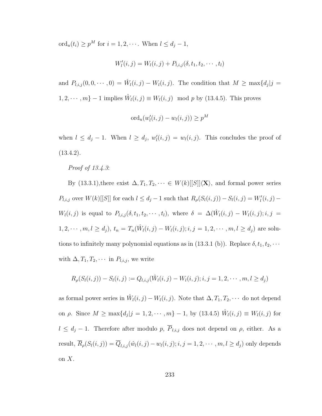$\mathrm{ord}_u(t_i) \geq p^M$  for  $i = 1, 2, \cdots$ . When  $l \leq d_j - 1$ ,

$$
W'_{l}(i, j) = W_{l}(i, j) + P_{l, i, j}(\delta, t_1, t_2, \cdots, t_l)
$$

and  $P_{l,i,j}(0,0,\dots,0) = \hat{W}_l(i,j) - W_l(i,j)$ . The condition that  $M \ge \max\{d_j | j = 1\}$  $1, 2, \dots, m\} - 1$  implies  $\hat{W}_l(i, j) \equiv W_l(i, j) \mod p$  by [\(13.4.5\)](#page-240-0). This proves

$$
\mathrm{ord}_u(w'_l(i,j)-w_l(i,j))\geq p^M
$$

when  $l \leq d_j - 1$ . When  $l \geq d_j$ ,  $w'_l(i,j) = w_l(i,j)$ . This concludes the proof of  $(13.4.2).$  $(13.4.2).$ 

Proof of [13.4.3](#page-237-1):

By [\(13.3.1\)](#page-232-0), there exist  $\Delta, T_1, T_2, \dots \in W(k)[[S]]\langle \mathbf{X}\rangle$ , and formal power series  $P_{l,i,j}$  over  $W(k)$ [[S]] for each  $l \leq d_j - 1$  such that  $R_{\rho}(S_l(i,j)) - S_l(i,j) = W'_l(i,j) W_l(i,j)$  is equal to  $P_{l,i,j}(\delta,t_1,t_2,\cdots,t_l)$ , where  $\delta = \Delta(\hat{W}_l(i,j) - W_l(i,j); i,j =$  $1, 2, \dots, m, l \ge d_j$ ,  $t_n = T_n(\hat{W}_l(i,j) - W_l(i,j); i, j = 1, 2, \dots, m, l \ge d_j)$  are solu-tions to infinitely many polynomial equations as in [\(13.3.1](#page-232-0) (b)). Replace  $\delta, t_1, t_2, \cdots$ with  $\Delta, T_1, T_2, \cdots$  in  $P_{l,i,j}$ , we write

$$
R_{\rho}(S_l(i,j)) - S_l(i,j) := Q_{l,i,j}(\hat{W}_l(i,j) - W_l(i,j); i, j = 1, 2, \cdots, m, l \ge d_j)
$$

as formal power series in  $\hat{W}_l(i,j) - W_l(i,j)$ . Note that  $\Delta, T_1, T_2, \cdots$  do not depend on  $\rho$ . Since  $M \ge \max\{d_j | j = 1, 2, \cdots, m\} - 1$ , by  $(13.4.5)$   $\hat{W}_l(i,j) \equiv W_l(i,j)$  for  $l \leq d_j - 1$ . Therefore after modulo p,  $\overline{P}_{l,i,j}$  does not depend on  $\rho$ , either. As a result,  $\overline{R}_\rho(S_l(i,j)) = \overline{Q}_{l,i,j}(\hat{w}_l(i,j) - w_l(i,j); i, j = 1, 2, \dots, m, l \ge d_j)$  only depends on  $X$ .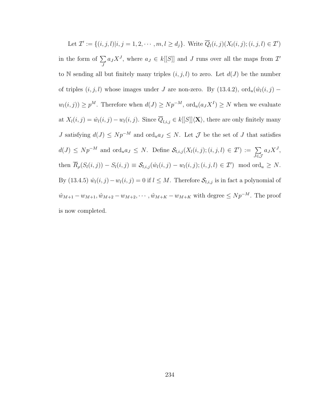Let  $\mathcal{I}' := \{(i, j, l)|i, j = 1, 2, \cdots, m, l \ge d_j\}$ . Write  $\overline{Q}_l(i, j)(X_l(i, j); (i, j, l) \in \mathcal{I}')$ in the form of  $\Sigma$ J  $a_J X^J$ , where  $a_J \in k[[S]]$  and J runs over all the maps from  $\mathcal{I}'$ to N sending all but finitely many triples  $(i, j, l)$  to zero. Let  $d(J)$  be the number of triples  $(i, j, l)$  whose images under J are non-zero. By [\(13.4.2\)](#page-237-0),  $\text{ord}_u(\hat{w}_l(i, j)$  –  $w_l(i, j) \geq p^M$ . Therefore when  $d(J) \geq N p^{-M}$ ,  $\text{ord}_u(a_J X^I) \geq N$  when we evaluate at  $X_l(i, j) = \hat{w}_l(i, j) - w_l(i, j)$ . Since  $\overline{Q}_{l,i,j} \in k[[S]]\langle \mathbf{X}\rangle$ , there are only finitely many J satisfying  $d(J) \leq Np^{-M}$  and  $\text{ord}_u a_J \leq N$ . Let  $\mathcal J$  be the set of J that satisfies  $d(J) \leq Np^{-M}$  and  $\text{ord}_u a_J \leq N$ . Define  $\mathcal{S}_{l,i,j}(X_l(i,j); (i,j,l) \in \mathcal{I}') := \sum_{i=1}^N \sum_{j=1}^N \sum_{j=1}^N \sum_{j=1}^N \sum_{j=1}^N \sum_{j=1}^N \sum_{j=1}^N \sum_{j=1}^N \sum_{j=1}^N \sum_{j=1}^N \sum_{j=1}^N \sum_{j=1}^N \sum_{j=1}^N \sum_{j=1}^N \sum_{j=1}^N \sum_{j=1}^N \sum_{j=1$ J∈J  $a_J X^J$ , then  $\overline{R}_{\rho}(S_l(i,j)) - S_l(i,j) \equiv S_{l,i,j}(\hat{w}_l(i,j) - w_l(i,j); (i,j,l) \in \mathcal{I}') \mod \text{ord}_u \geq N.$ By [\(13.4.5\)](#page-240-0)  $\hat{w}_l(i, j) - w_l(i, j) = 0$  if  $l \leq M$ . Therefore  $\mathcal{S}_{l,i,j}$  is in fact a polynomial of  $\hat{w}_{M+1} - w_{M+1}, \hat{w}_{M+2} - w_{M+2}, \dots$ ,  $\hat{w}_{M+K} - w_{M+K}$  with degree  $\leq Np^{-M}$ . The proof is now completed.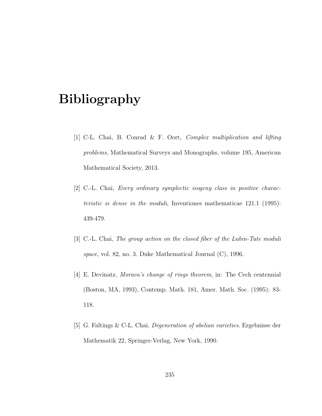## Bibliography

- [1] C-L. Chai, B. Conrad & F. Oort, Complex multiplication and lifting problems, Mathematical Surveys and Monographs, volume 195, American Mathematical Society, 2013.
- [2] C.-L. Chai, Every ordinary symplectic isogeny class in positive characteristic is dense in the moduli, Inventiones mathematicae 121.1 (1995): 439-479.
- [3] C.-L. Chai, The group action on the closed fiber of the Lubin-Tate moduli space, vol. 82, no. 3. Duke Mathematical Journal (C), 1996.
- [4] E. Devinatz, Morava's change of rings theorem, in: The Cech centennial (Boston, MA, 1993), Contemp. Math. 181, Amer. Math. Soc. (1995): 83- 118.
- [5] G. Faltings & C-L. Chai, Degeneration of abelian varieties. Ergebnisse der Mathematik 22, Springer-Verlag, New York, 1990.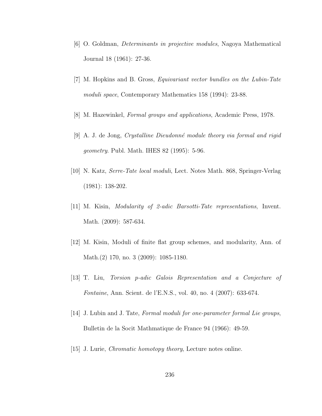- [6] O. Goldman, Determinants in projective modules, Nagoya Mathematical Journal 18 (1961): 27-36.
- [7] M. Hopkins and B. Gross, Equivariant vector bundles on the Lubin-Tate moduli space, Contemporary Mathematics 158 (1994): 23-88.
- [8] M. Hazewinkel, Formal groups and applications, Academic Press, 1978.
- [9] A. J. de Jong, Crystalline Dieudonn´e module theory via formal and rigid geometry. Publ. Math. IHES 82 (1995): 5-96.
- [10] N. Katz, Serre-Tate local moduli, Lect. Notes Math. 868, Springer-Verlag (1981): 138-202.
- [11] M. Kisin, Modularity of 2-adic Barsotti-Tate representations, Invent. Math. (2009): 587-634.
- [12] M. Kisin, Moduli of finite flat group schemes, and modularity, Ann. of Math.(2) 170, no. 3 (2009): 1085-1180.
- [13] T. Liu, Torsion p-adic Galois Representation and a Conjecture of Fontaine, Ann. Scient. de l'E.N.S., vol. 40, no. 4 (2007): 633-674.
- [14] J. Lubin and J. Tate, Formal moduli for one-parameter formal Lie groups, Bulletin de la Socit Mathmatique de France 94 (1966): 49-59.
- [15] J. Lurie, Chromatic homotopy theory, Lecture notes online.